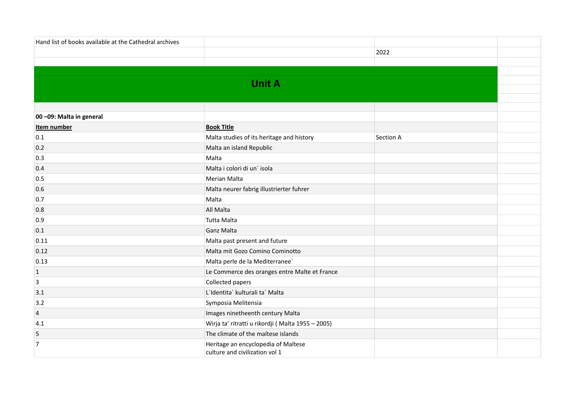| Hand list of books available at the Cathedral archives |                                                                       |           |  |
|--------------------------------------------------------|-----------------------------------------------------------------------|-----------|--|
|                                                        |                                                                       | 2022      |  |
|                                                        |                                                                       |           |  |
|                                                        |                                                                       |           |  |
|                                                        | <b>Unit A</b>                                                         |           |  |
|                                                        |                                                                       |           |  |
|                                                        |                                                                       |           |  |
| 00 -09: Malta in general                               |                                                                       |           |  |
| Item number                                            | <b>Book Title</b>                                                     |           |  |
| 0.1                                                    | Malta studies of its heritage and history                             | Section A |  |
| 0.2                                                    | Malta an island Republic                                              |           |  |
| 0.3                                                    | Malta                                                                 |           |  |
| 0.4                                                    | Malta i colori di un'isola                                            |           |  |
| 0.5                                                    | Merian Malta                                                          |           |  |
| 0.6                                                    | Malta neurer fabrig illustrierter fuhrer                              |           |  |
| 0.7                                                    | Malta                                                                 |           |  |
| 0.8                                                    | All Malta                                                             |           |  |
| 0.9                                                    | Tutta Malta                                                           |           |  |
| 0.1                                                    | Ganz Malta                                                            |           |  |
| 0.11                                                   | Malta past present and future                                         |           |  |
| 0.12                                                   | Malta mit Gozo Comino Cominotto                                       |           |  |
| 0.13                                                   | Malta perle de la Mediterranee`                                       |           |  |
| $\vert$ 1                                              | Le Commerce des oranges entre Malte et France                         |           |  |
| $\overline{3}$                                         | Collected papers                                                      |           |  |
| 3.1                                                    | L'Identita' kulturali ta' Malta                                       |           |  |
| 3.2                                                    | Symposia Melitensia                                                   |           |  |
| $\overline{4}$                                         | Images ninetheenth century Malta                                      |           |  |
| 4.1                                                    | Wirja ta' ritratti u rikordji (Malta 1955 - 2005)                     |           |  |
| 5                                                      | The climate of the maltese islands                                    |           |  |
| $\overline{7}$                                         | Heritage an encyclopedia of Maltese<br>culture and civilization vol 1 |           |  |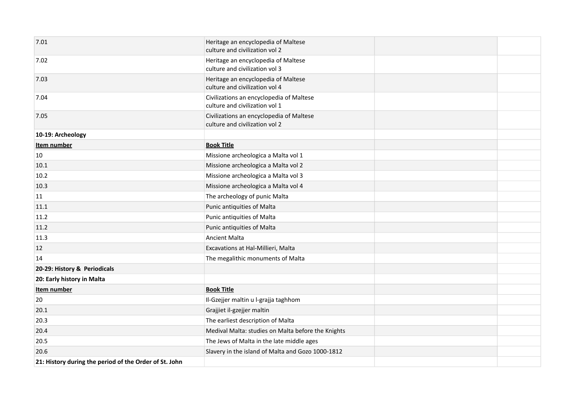| 7.01                                                   | Heritage an encyclopedia of Maltese<br>culture and civilization vol 2      |  |
|--------------------------------------------------------|----------------------------------------------------------------------------|--|
| 7.02                                                   | Heritage an encyclopedia of Maltese<br>culture and civilization vol 3      |  |
| 7.03                                                   | Heritage an encyclopedia of Maltese<br>culture and civilization vol 4      |  |
| 7.04                                                   | Civilizations an encyclopedia of Maltese<br>culture and civilization vol 1 |  |
| 7.05                                                   | Civilizations an encyclopedia of Maltese<br>culture and civilization vol 2 |  |
| 10-19: Archeology                                      |                                                                            |  |
| Item number                                            | <b>Book Title</b>                                                          |  |
| 10                                                     | Missione archeologica a Malta vol 1                                        |  |
| 10.1                                                   | Missione archeologica a Malta vol 2                                        |  |
| 10.2                                                   | Missione archeologica a Malta vol 3                                        |  |
| 10.3                                                   | Missione archeologica a Malta vol 4                                        |  |
| 11                                                     | The archeology of punic Malta                                              |  |
| 11.1                                                   | Punic antiquities of Malta                                                 |  |
| 11.2                                                   | Punic antiquities of Malta                                                 |  |
| 11.2                                                   | Punic antiquities of Malta                                                 |  |
| 11.3                                                   | <b>Ancient Malta</b>                                                       |  |
| 12                                                     | Excavations at Hal-Millieri, Malta                                         |  |
| 14                                                     | The megalithic monuments of Malta                                          |  |
| 20-29: History & Periodicals                           |                                                                            |  |
| 20: Early history in Malta                             |                                                                            |  |
| Item number                                            | <b>Book Title</b>                                                          |  |
| 20                                                     | Il-Gzejjer maltin u l-grajja taghhom                                       |  |
| 20.1                                                   | Grajjiet il-gzejjer maltin                                                 |  |
| 20.3                                                   | The earliest description of Malta                                          |  |
| 20.4                                                   | Medival Malta: studies on Malta before the Knights                         |  |
| 20.5                                                   | The Jews of Malta in the late middle ages                                  |  |
| 20.6                                                   | Slavery in the island of Malta and Gozo 1000-1812                          |  |
| 21: History during the period of the Order of St. John |                                                                            |  |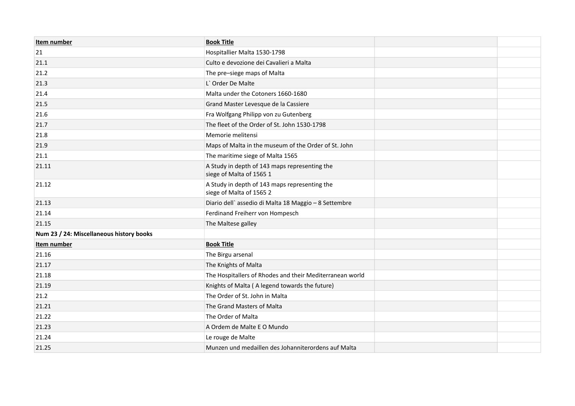| Item number                              | <b>Book Title</b>                                                         |  |
|------------------------------------------|---------------------------------------------------------------------------|--|
| 21                                       | Hospitallier Malta 1530-1798                                              |  |
| 21.1                                     | Culto e devozione dei Cavalieri a Malta                                   |  |
| 21.2                                     | The pre-siege maps of Malta                                               |  |
| 21.3                                     | L' Order De Malte                                                         |  |
| 21.4                                     | Malta under the Cotoners 1660-1680                                        |  |
| 21.5                                     | Grand Master Levesque de la Cassiere                                      |  |
| 21.6                                     | Fra Wolfgang Philipp von zu Gutenberg                                     |  |
| 21.7                                     | The fleet of the Order of St. John 1530-1798                              |  |
| 21.8                                     | Memorie melitensi                                                         |  |
| 21.9                                     | Maps of Malta in the museum of the Order of St. John                      |  |
| 21.1                                     | The maritime siege of Malta 1565                                          |  |
| 21.11                                    | A Study in depth of 143 maps representing the<br>siege of Malta of 1565 1 |  |
| 21.12                                    | A Study in depth of 143 maps representing the<br>siege of Malta of 1565 2 |  |
| 21.13                                    | Diario dell'assedio di Malta 18 Maggio - 8 Settembre                      |  |
| 21.14                                    | Ferdinand Freiherr von Hompesch                                           |  |
| 21.15                                    | The Maltese galley                                                        |  |
| Num 23 / 24: Miscellaneous history books |                                                                           |  |
| Item number                              | <b>Book Title</b>                                                         |  |
| 21.16                                    | The Birgu arsenal                                                         |  |
| 21.17                                    | The Knights of Malta                                                      |  |
| 21.18                                    | The Hospitallers of Rhodes and their Mediterranean world                  |  |
| 21.19                                    | Knights of Malta (A legend towards the future)                            |  |
| 21.2                                     | The Order of St. John in Malta                                            |  |
| 21.21                                    | The Grand Masters of Malta                                                |  |
| 21.22                                    | The Order of Malta                                                        |  |
| 21.23                                    | A Ordem de Malte E O Mundo                                                |  |
| 21.24                                    | Le rouge de Malte                                                         |  |
| 21.25                                    | Munzen und medaillen des Johanniterordens auf Malta                       |  |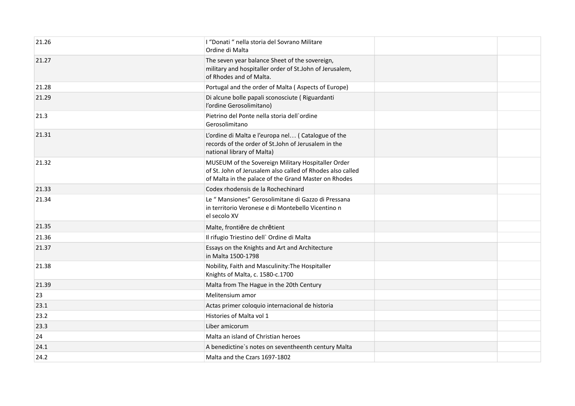| 21.26 | I "Donati " nella storia del Sovrano Militare<br>Ordine di Malta                                                                                                         |  |
|-------|--------------------------------------------------------------------------------------------------------------------------------------------------------------------------|--|
| 21.27 | The seven year balance Sheet of the sovereign,<br>military and hospitaller order of St.John of Jerusalem,<br>of Rhodes and of Malta.                                     |  |
| 21.28 | Portugal and the order of Malta (Aspects of Europe)                                                                                                                      |  |
| 21.29 | Di alcune bolle papali sconosciute (Riguardanti<br>l'ordine Gerosolimitano)                                                                                              |  |
| 21.3  | Pietrino del Ponte nella storia dell'ordine<br>Gerosolimitano                                                                                                            |  |
| 21.31 | L'ordine di Malta e l'europa nel (Catalogue of the<br>records of the order of St.John of Jerusalem in the<br>national library of Malta)                                  |  |
| 21.32 | MUSEUM of the Sovereign Military Hospitaller Order<br>of St. John of Jerusalem also called of Rhodes also called<br>of Malta in the palace of the Grand Master on Rhodes |  |
| 21.33 | Codex rhodensis de la Rochechinard                                                                                                                                       |  |
| 21.34 | Le " Mansiones" Gerosolimitane di Gazzo di Pressana<br>in territorio Veronese e di Montebello Vicentino n<br>el secolo XV                                                |  |
| 21.35 | Malte, frontiēre de chrētient                                                                                                                                            |  |
| 21.36 | Il rifugio Triestino dell` Ordine di Malta                                                                                                                               |  |
| 21.37 | Essays on the Knights and Art and Architecture<br>in Malta 1500-1798                                                                                                     |  |
| 21.38 | Nobility, Faith and Masculinity: The Hospitaller<br>Knights of Malta, c. 1580-c.1700                                                                                     |  |
| 21.39 | Malta from The Hague in the 20th Century                                                                                                                                 |  |
| 23    | Melitensium amor                                                                                                                                                         |  |
| 23.1  | Actas primer coloquio internacional de historia                                                                                                                          |  |
| 23.2  | Histories of Malta vol 1                                                                                                                                                 |  |
| 23.3  | Liber amicorum                                                                                                                                                           |  |
| 24    | Malta an island of Christian heroes                                                                                                                                      |  |
| 24.1  | A benedictine's notes on seventheenth century Malta                                                                                                                      |  |
| 24.2  | Malta and the Czars 1697-1802                                                                                                                                            |  |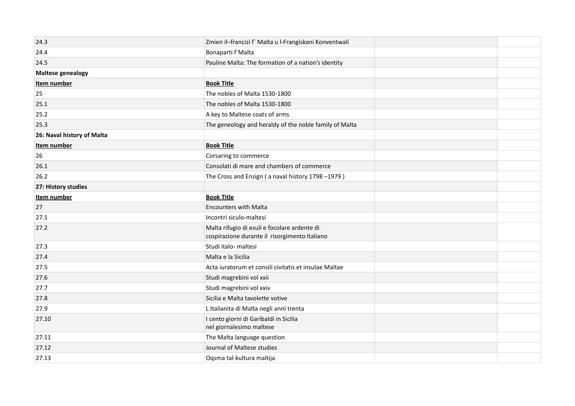| 24.3                       | Zmien il-francizi f` Malta u l-Frangiskani Konventwali                                        |  |
|----------------------------|-----------------------------------------------------------------------------------------------|--|
| 24.4                       | Bonaparti f'Malta                                                                             |  |
| 24.5                       | Pauline Malta: The formation of a nation's identity                                           |  |
| <b>Maltese genealogy</b>   |                                                                                               |  |
| Item number                | <b>Book Title</b>                                                                             |  |
| 25                         | The nobles of Malta 1530-1800                                                                 |  |
| 25.1                       | The nobles of Malta 1530-1800                                                                 |  |
| 25.2                       | A key to Maltese coats of arms                                                                |  |
| 25.3                       | The geneology and heraldy of the noble family of Malta                                        |  |
| 26: Naval history of Malta |                                                                                               |  |
| Item number                | <b>Book Title</b>                                                                             |  |
| 26                         | Corsaring to commerce                                                                         |  |
| 26.1                       | Consolati di mare and chambers of commerce                                                    |  |
| 26.2                       | The Cross and Ensign (a naval history 1798 -1979)                                             |  |
| 27: History studies        |                                                                                               |  |
| Item number                | <b>Book Title</b>                                                                             |  |
| 27                         | <b>Encounters with Malta</b>                                                                  |  |
| 27.1                       | Incontri siculo-maltesi                                                                       |  |
| 27.2                       | Malta rifugio di esuli e focolare ardente di<br>cospirazione durante il risorgimento Italiano |  |
| 27.3                       | Studi italo- maltesi                                                                          |  |
| 27.4                       | Malta e la Sicilia                                                                            |  |
| 27.5                       | Acta iuratorum et consili civitatis et insulae Maltae                                         |  |
| 27.6                       | Studi magrebini vol xxii                                                                      |  |
| 27.7                       | Studi magrebini vol xxiv                                                                      |  |
| 27.8                       | Sicilia e Malta tavolette votive                                                              |  |
| 27.9                       | L Italianita di Malta negli anni trenta                                                       |  |
| 27.10                      | I cento giorni di Garibaldi in Sicilia<br>nel giornalesimo maltese                            |  |
| 27.11                      | The Malta language question                                                                   |  |
| 27.12                      | Journal of Maltese studies                                                                    |  |
| 27.13                      | Oqsma tal-kultura maltija                                                                     |  |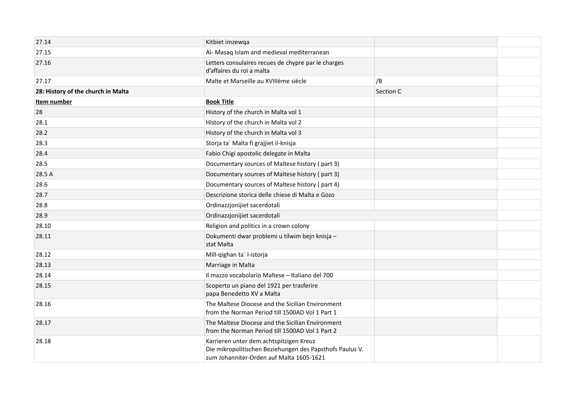| 27.14                              | Kitbiet imzewqa                                                                                                                                 |           |  |
|------------------------------------|-------------------------------------------------------------------------------------------------------------------------------------------------|-----------|--|
| 27.15                              | Al- Masaq Islam and medieval mediterranean                                                                                                      |           |  |
| 27.16                              | Letters consulaires recues de chypre par le charges<br>d'affaires du roi a malta                                                                |           |  |
| 27.17                              | Malte et Marseille au XVIIIème siècle                                                                                                           | /B        |  |
| 28: History of the church in Malta |                                                                                                                                                 | Section C |  |
| Item number                        | <b>Book Title</b>                                                                                                                               |           |  |
| 28                                 | History of the church in Malta vol 1                                                                                                            |           |  |
| 28.1                               | History of the church in Malta vol 2                                                                                                            |           |  |
| 28.2                               | History of the church in Malta vol 3                                                                                                            |           |  |
| 28.3                               | Storja ta` Malta fi grajjiet il-knisja                                                                                                          |           |  |
| 28.4                               | Fabio Chigi apostolic delegate in Malta                                                                                                         |           |  |
| 28.5                               | Documentary sources of Maltese history (part 3)                                                                                                 |           |  |
| 28.5 A                             | Documentary sources of Maltese history (part 3)                                                                                                 |           |  |
| 28.6                               | Documentary sources of Maltese history (part 4)                                                                                                 |           |  |
| 28.7                               | Descrizione storica delle chiese di Malta e Gozo                                                                                                |           |  |
| 28.8                               | Ordinazzjonijiet sacerdotali                                                                                                                    |           |  |
| 28.9                               | Ordinazzjonijiet sacerdotali                                                                                                                    |           |  |
| 28.10                              | Religion and politics in a crown colony                                                                                                         |           |  |
| 28.11                              | Dokumenti dwar problemi u tilwim bejn knisja -<br>stat Malta                                                                                    |           |  |
| 28.12                              | Mill-qighan ta`l-istorja                                                                                                                        |           |  |
| 28.13                              | Marriage in Malta                                                                                                                               |           |  |
| 28.14                              | Il mazzo vocabolario Maltese - Italiano del 700                                                                                                 |           |  |
| 28.15                              | Scoperto un piano del 1921 per trasferire<br>papa Benedetto XV a Malta                                                                          |           |  |
| 28.16                              | The Maltese Diocese and the Sicilian Environment<br>from the Norman Period till 1500AD Vol 1 Part 1                                             |           |  |
| 28.17                              | The Maltese Diocese and the Sicilian Environment<br>from the Norman Period till 1500AD Vol 1 Part 2                                             |           |  |
| 28.18                              | Karrieren unter dem achtspitzigen Kreuz<br>Die mikropolitischen Beziehungen des Papsthofs Paulus V.<br>zum Johanniter-Orden auf Malta 1605-1621 |           |  |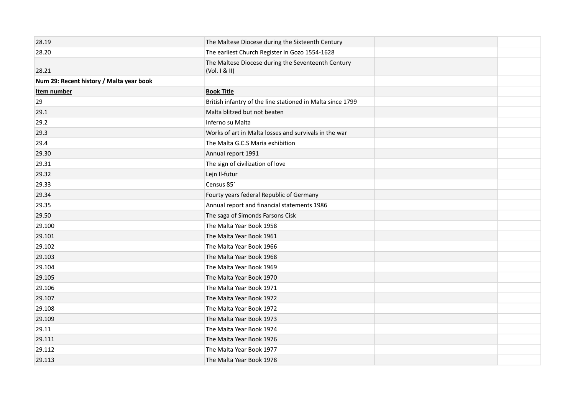| 28.19                                    | The Maltese Diocese during the Sixteenth Century                |  |
|------------------------------------------|-----------------------------------------------------------------|--|
| 28.20                                    | The earliest Church Register in Gozo 1554-1628                  |  |
| 28.21                                    | The Maltese Diocese during the Seventeenth Century<br>(Vol. 1 & |  |
| Num 29: Recent history / Malta year book |                                                                 |  |
| Item number                              | <b>Book Title</b>                                               |  |
| 29                                       | British infantry of the line stationed in Malta since 1799      |  |
| 29.1                                     | Malta blitzed but not beaten                                    |  |
| 29.2                                     | Inferno su Malta                                                |  |
| 29.3                                     | Works of art in Malta losses and survivals in the war           |  |
| 29.4                                     | The Malta G.C.S Maria exhibition                                |  |
| 29.30                                    | Annual report 1991                                              |  |
| 29.31                                    | The sign of civilization of love                                |  |
| 29.32                                    | Lejn Il-futur                                                   |  |
| 29.33                                    | Census 85                                                       |  |
| 29.34                                    | Fourty years federal Republic of Germany                        |  |
| 29.35                                    | Annual report and financial statements 1986                     |  |
| 29.50                                    | The saga of Simonds Farsons Cisk                                |  |
| 29.100                                   | The Malta Year Book 1958                                        |  |
| 29.101                                   | The Malta Year Book 1961                                        |  |
| 29.102                                   | The Malta Year Book 1966                                        |  |
| 29.103                                   | The Malta Year Book 1968                                        |  |
| 29.104                                   | The Malta Year Book 1969                                        |  |
| 29.105                                   | The Malta Year Book 1970                                        |  |
| 29.106                                   | The Malta Year Book 1971                                        |  |
| 29.107                                   | The Malta Year Book 1972                                        |  |
| 29.108                                   | The Malta Year Book 1972                                        |  |
| 29.109                                   | The Malta Year Book 1973                                        |  |
| 29.11                                    | The Malta Year Book 1974                                        |  |
| 29.111                                   | The Malta Year Book 1976                                        |  |
| 29.112                                   | The Malta Year Book 1977                                        |  |
| 29.113                                   | The Malta Year Book 1978                                        |  |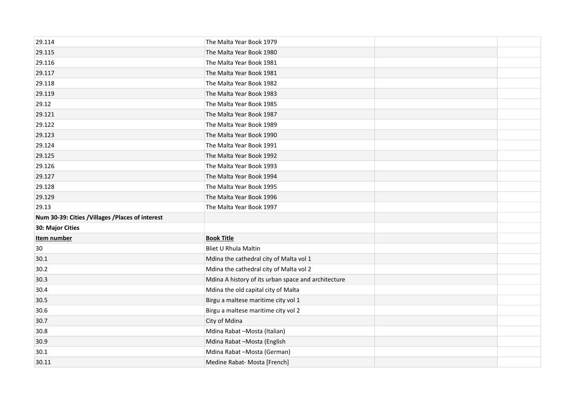| 29.114                                          | The Malta Year Book 1979                            |  |
|-------------------------------------------------|-----------------------------------------------------|--|
| 29.115                                          | The Malta Year Book 1980                            |  |
| 29.116                                          | The Malta Year Book 1981                            |  |
| 29.117                                          | The Malta Year Book 1981                            |  |
| 29.118                                          | The Malta Year Book 1982                            |  |
| 29.119                                          | The Malta Year Book 1983                            |  |
| 29.12                                           | The Malta Year Book 1985                            |  |
| 29.121                                          | The Malta Year Book 1987                            |  |
| 29.122                                          | The Malta Year Book 1989                            |  |
| 29.123                                          | The Malta Year Book 1990                            |  |
| 29.124                                          | The Malta Year Book 1991                            |  |
| 29.125                                          | The Malta Year Book 1992                            |  |
| 29.126                                          | The Malta Year Book 1993                            |  |
| 29.127                                          | The Malta Year Book 1994                            |  |
| 29.128                                          | The Malta Year Book 1995                            |  |
| 29.129                                          | The Malta Year Book 1996                            |  |
| 29.13                                           | The Malta Year Book 1997                            |  |
| Num 30-39: Cities /Villages /Places of interest |                                                     |  |
| 30: Major Cities                                |                                                     |  |
| Item number                                     | <b>Book Title</b>                                   |  |
| 30                                              | Bliet U Rhula Maltin                                |  |
| 30.1                                            | Mdina the cathedral city of Malta vol 1             |  |
| 30.2                                            | Mdina the cathedral city of Malta vol 2             |  |
| 30.3                                            | Mdina A history of its urban space and architecture |  |
| 30.4                                            | Mdina the old capital city of Malta                 |  |
| 30.5                                            | Birgu a maltese maritime city vol 1                 |  |
| 30.6                                            | Birgu a maltese maritime city vol 2                 |  |
| 30.7                                            | City of Mdina                                       |  |
| 30.8                                            | Mdina Rabat - Mosta (Italian)                       |  |
| 30.9                                            | Mdina Rabat -Mosta (English                         |  |
| 30.1                                            | Mdina Rabat -Mosta (German)                         |  |
| 30.11                                           | Medine Rabat- Mosta [French]                        |  |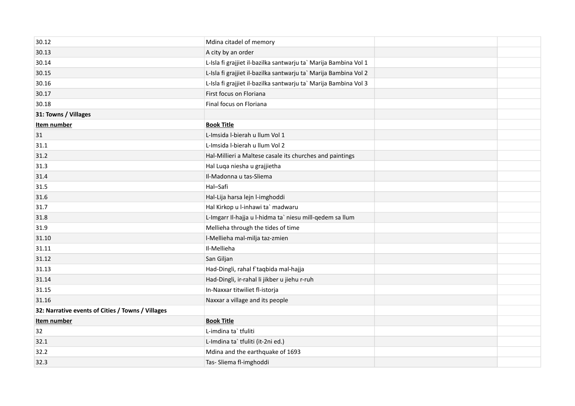| 30.12                                             | Mdina citadel of memory                                          |  |
|---------------------------------------------------|------------------------------------------------------------------|--|
| 30.13                                             | A city by an order                                               |  |
| 30.14                                             | L-Isla fi grajjiet il-bazilka santwarju ta` Marija Bambina Vol 1 |  |
| 30.15                                             | L-Isla fi grajjiet il-bazilka santwarju ta` Marija Bambina Vol 2 |  |
| 30.16                                             | L-Isla fi grajjiet il-bazilka santwarju ta` Marija Bambina Vol 3 |  |
| 30.17                                             | First focus on Floriana                                          |  |
| 30.18                                             | Final focus on Floriana                                          |  |
| 31: Towns / Villages                              |                                                                  |  |
| Item number                                       | <b>Book Title</b>                                                |  |
| 31                                                | L-Imsida I-bierah u llum Vol 1                                   |  |
| 31.1                                              | L-Imsida I-bierah u llum Vol 2                                   |  |
| 31.2                                              | Hal-Millieri a Maltese casale its churches and paintings         |  |
| 31.3                                              | Hal Luqa niesha u grajjietha                                     |  |
| 31.4                                              | Il-Madonna u tas-Sliema                                          |  |
| 31.5                                              | Hal-Safi                                                         |  |
| 31.6                                              | Hal-Lija harsa lejn l-imghoddi                                   |  |
| 31.7                                              | Hal Kirkop u l-inhawi ta` madwaru                                |  |
| 31.8                                              | L-Imgarr Il-hajja u l-hidma ta` niesu mill-qedem sa llum         |  |
| 31.9                                              | Mellieha through the tides of time                               |  |
| 31.10                                             | I-Mellieha mal-milja taz-zmien                                   |  |
| 31.11                                             | Il-Mellieha                                                      |  |
| 31.12                                             | San Giljan                                                       |  |
| 31.13                                             | Had-Dingli, rahal f`taqbida mal-hajja                            |  |
| 31.14                                             | Had-Dingli, ir-rahal li jikber u jiehu r-ruh                     |  |
| 31.15                                             | In-Naxxar titwiliet fl-istorja                                   |  |
| 31.16                                             | Naxxar a village and its people                                  |  |
| 32: Narrative events of Cities / Towns / Villages |                                                                  |  |
| Item number                                       | <b>Book Title</b>                                                |  |
| 32                                                | L-imdina ta` tfuliti                                             |  |
| 32.1                                              | L-Imdina ta` tfuliti (it-2ni ed.)                                |  |
| 32.2                                              | Mdina and the earthquake of 1693                                 |  |
| 32.3                                              | Tas- Sliema fl-imghoddi                                          |  |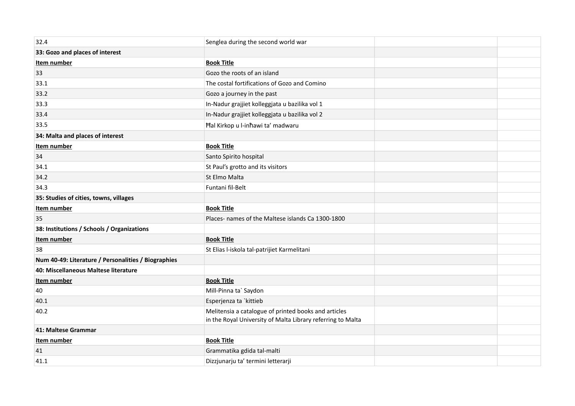| 32.4                                                | Senglea during the second world war                                                                                 |  |
|-----------------------------------------------------|---------------------------------------------------------------------------------------------------------------------|--|
| 33: Gozo and places of interest                     |                                                                                                                     |  |
| Item number                                         | <b>Book Title</b>                                                                                                   |  |
| 33                                                  | Gozo the roots of an island                                                                                         |  |
| 33.1                                                | The costal fortifications of Gozo and Comino                                                                        |  |
| 33.2                                                | Gozo a journey in the past                                                                                          |  |
| 33.3                                                | In-Nadur grajjiet kolleggjata u bazilika vol 1                                                                      |  |
| 33.4                                                | In-Nadur grajjiet kolleggjata u bazilika vol 2                                                                      |  |
| 33.5                                                | Hal Kirkop u l-inhawi ta' madwaru                                                                                   |  |
| 34: Malta and places of interest                    |                                                                                                                     |  |
| Item number                                         | <b>Book Title</b>                                                                                                   |  |
| 34                                                  | Santo Spirito hospital                                                                                              |  |
| 34.1                                                | St Paul's grotto and its visitors                                                                                   |  |
| 34.2                                                | St Elmo Malta                                                                                                       |  |
| 34.3                                                | Funtani fil-Belt                                                                                                    |  |
| 35: Studies of cities, towns, villages              |                                                                                                                     |  |
| Item number                                         | <b>Book Title</b>                                                                                                   |  |
| 35                                                  | Places- names of the Maltese islands Ca 1300-1800                                                                   |  |
| 38: Institutions / Schools / Organizations          |                                                                                                                     |  |
| Item number                                         | <b>Book Title</b>                                                                                                   |  |
| 38                                                  | St Elias l-iskola tal-patrijiet Karmelitani                                                                         |  |
| Num 40-49: Literature / Personalities / Biographies |                                                                                                                     |  |
| 40: Miscellaneous Maltese literature                |                                                                                                                     |  |
| Item number                                         | <b>Book Title</b>                                                                                                   |  |
| 40                                                  | Mill-Pinna ta` Saydon                                                                                               |  |
| 40.1                                                | Esperjenza ta `kittieb                                                                                              |  |
| 40.2                                                | Melitensia a catalogue of printed books and articles<br>in the Royal University of Malta Library referring to Malta |  |
| 41: Maltese Grammar                                 |                                                                                                                     |  |
| Item number                                         | <b>Book Title</b>                                                                                                   |  |
| 41                                                  | Grammatika gdida tal-malti                                                                                          |  |
| 41.1                                                | Dizzjunarju ta' termini letterarji                                                                                  |  |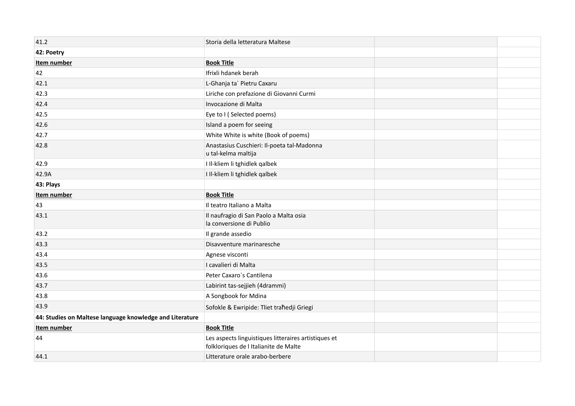| 41.2                                                     | Storia della letteratura Maltese                                                              |  |
|----------------------------------------------------------|-----------------------------------------------------------------------------------------------|--|
| 42: Poetry                                               |                                                                                               |  |
| Item number                                              | <b>Book Title</b>                                                                             |  |
| 42                                                       | Ifrixli hdanek berah                                                                          |  |
| 42.1                                                     | L-Ghanja ta` Pietru Caxaru                                                                    |  |
| 42.3                                                     | Liriche con prefazione di Giovanni Curmi                                                      |  |
| 42.4                                                     | Invocazione di Malta                                                                          |  |
| 42.5                                                     | Eye to I (Selected poems)                                                                     |  |
| 42.6                                                     | Island a poem for seeing                                                                      |  |
| 42.7                                                     | White White is white (Book of poems)                                                          |  |
| 42.8                                                     | Anastasius Cuschieri: Il-poeta tal-Madonna<br>u tal-kelma maltija                             |  |
| 42.9                                                     | I Il-kliem li tghidlek qalbek                                                                 |  |
| 42.9A                                                    | I Il-kliem li tghidlek qalbek                                                                 |  |
| 43: Plays                                                |                                                                                               |  |
| Item number                                              | <b>Book Title</b>                                                                             |  |
| 43                                                       | Il teatro Italiano a Malta                                                                    |  |
| 43.1                                                     | Il naufragio di San Paolo a Malta osia<br>la conversione di Publio                            |  |
| 43.2                                                     | Il grande assedio                                                                             |  |
| 43.3                                                     | Disavventure marinaresche                                                                     |  |
| 43.4                                                     | Agnese visconti                                                                               |  |
| 43.5                                                     | I cavalieri di Malta                                                                          |  |
| 43.6                                                     | Peter Caxaro's Cantilena                                                                      |  |
| 43.7                                                     | Labirint tas-sejjieh (4drammi)                                                                |  |
| 43.8                                                     | A Songbook for Mdina                                                                          |  |
| 43.9                                                     | Sofokle & Ewripide: Tliet trahedji Griegi                                                     |  |
| 44: Studies on Maltese language knowledge and Literature |                                                                                               |  |
| Item number                                              | <b>Book Title</b>                                                                             |  |
| 44                                                       | Les aspects linguistiques litteraires artistiques et<br>folkloriques de l Italianite de Malte |  |
| 44.1                                                     | Litterature orale arabo-berbere                                                               |  |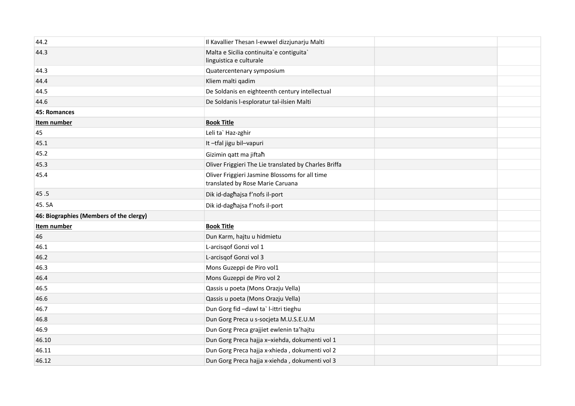| 44.2                                    | Il Kavallier Thesan I-ewwel dizzjunarju Malti                                      |  |
|-----------------------------------------|------------------------------------------------------------------------------------|--|
| 44.3                                    | Malta e Sicilia continuita`e contiguita`<br>linguistica e culturale                |  |
| 44.3                                    | Quatercentenary symposium                                                          |  |
| 44.4                                    | Kliem malti qadim                                                                  |  |
| 44.5                                    | De Soldanis en eighteenth century intellectual                                     |  |
| 44.6                                    | De Soldanis l-esploratur tal-ilsien Malti                                          |  |
| 45: Romances                            |                                                                                    |  |
| Item number                             | <b>Book Title</b>                                                                  |  |
| 45                                      | Leli ta` Haz-zghir                                                                 |  |
| 45.1                                    | It-tfal jigu bil-vapuri                                                            |  |
| 45.2                                    | Gizimin gatt ma jiftah                                                             |  |
| 45.3                                    | Oliver Friggieri The Lie translated by Charles Briffa                              |  |
| 45.4                                    | Oliver Friggieri Jasmine Blossoms for all time<br>translated by Rose Marie Caruana |  |
| 45.5                                    | Dik id-daghajsa f'nofs il-port                                                     |  |
| 45.5A                                   | Dik id-daghajsa f'nofs il-port                                                     |  |
| 46: Biographies (Members of the clergy) |                                                                                    |  |
| Item number                             | <b>Book Title</b>                                                                  |  |
| 46                                      | Dun Karm, hajtu u hidmietu                                                         |  |
| 46.1                                    | L-arcisqof Gonzi vol 1                                                             |  |
| 46.2                                    | L-arcisgof Gonzi vol 3                                                             |  |
| 46.3                                    | Mons Guzeppi de Piro vol1                                                          |  |
| 46.4                                    | Mons Guzeppi de Piro vol 2                                                         |  |
| 46.5                                    | Qassis u poeta (Mons Orazju Vella)                                                 |  |
| 46.6                                    | Qassis u poeta (Mons Orazju Vella)                                                 |  |
| 46.7                                    | Dun Gorg fid -dawl ta' l-ittri tieghu                                              |  |
| 46.8                                    | Dun Gorg Preca u s-socjeta M.U.S.E.U.M                                             |  |
| 46.9                                    | Dun Gorg Preca grajjiet ewlenin ta'hajtu                                           |  |
| 46.10                                   | Dun Gorg Preca hajja x-xiehda, dokumenti vol 1                                     |  |
| 46.11                                   | Dun Gorg Preca hajja x-xhieda, dokumenti vol 2                                     |  |
| 46.12                                   | Dun Gorg Preca hajja x-xiehda, dokumenti vol 3                                     |  |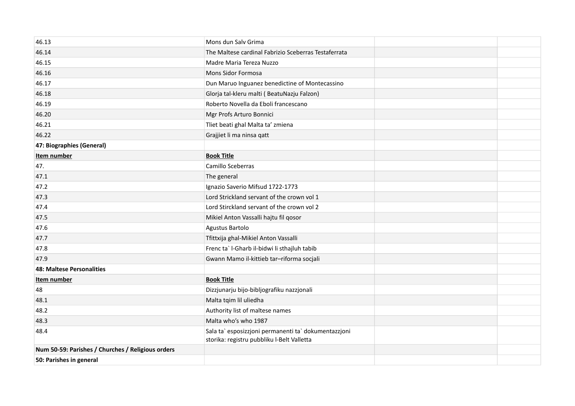| 46.13                                             | Mons dun Salv Grima                                                                                |  |
|---------------------------------------------------|----------------------------------------------------------------------------------------------------|--|
| 46.14                                             | The Maltese cardinal Fabrizio Sceberras Testaferrata                                               |  |
| 46.15                                             | Madre Maria Tereza Nuzzo                                                                           |  |
| 46.16                                             | Mons Sidor Formosa                                                                                 |  |
| 46.17                                             | Dun Maruo Inguanez benedictine of Montecassino                                                     |  |
| 46.18                                             | Glorja tal-kleru malti (BeatuNazju Falzon)                                                         |  |
| 46.19                                             | Roberto Novella da Eboli francescano                                                               |  |
| 46.20                                             | Mgr Profs Arturo Bonnici                                                                           |  |
| 46.21                                             | Tliet beati ghal Malta ta' zmiena                                                                  |  |
| 46.22                                             | Grajjiet li ma ninsa qatt                                                                          |  |
| 47: Biographies (General)                         |                                                                                                    |  |
| Item number                                       | <b>Book Title</b>                                                                                  |  |
| 47.                                               | Camillo Sceberras                                                                                  |  |
| 47.1                                              | The general                                                                                        |  |
| 47.2                                              | Ignazio Saverio Mifsud 1722-1773                                                                   |  |
| 47.3                                              | Lord Strickland servant of the crown vol 1                                                         |  |
| 47.4                                              | Lord Stirckland servant of the crown vol 2                                                         |  |
| 47.5                                              | Mikiel Anton Vassalli hajtu fil qosor                                                              |  |
| 47.6                                              | Agustus Bartolo                                                                                    |  |
| 47.7                                              | Tfittxija ghal-Mikiel Anton Vassalli                                                               |  |
| 47.8                                              | Frenc ta` I-Gharb il-bidwi li sthajluh tabib                                                       |  |
| 47.9                                              | Gwann Mamo il-kittieb tar-riforma socjali                                                          |  |
| 48: Maltese Personalities                         |                                                                                                    |  |
| Item number                                       | <b>Book Title</b>                                                                                  |  |
| 48                                                | Dizzjunarju bijo-bibljografiku nazzjonali                                                          |  |
| 48.1                                              | Malta tqim lil uliedha                                                                             |  |
| 48.2                                              | Authority list of maltese names                                                                    |  |
| 48.3                                              | Malta who's who 1987                                                                               |  |
| 48.4                                              | Sala ta` esposizzjoni permanenti ta` dokumentazzjoni<br>storika: registru pubbliku I-Belt Valletta |  |
| Num 50-59: Parishes / Churches / Religious orders |                                                                                                    |  |
| 50: Parishes in general                           |                                                                                                    |  |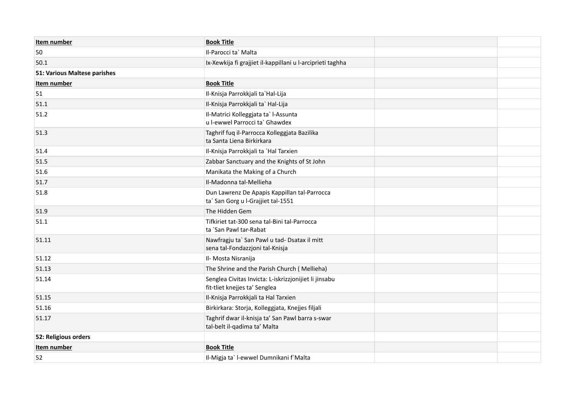| Item number                  | <b>Book Title</b>                                                                      |  |
|------------------------------|----------------------------------------------------------------------------------------|--|
| 50                           | Il-Parocci ta` Malta                                                                   |  |
| 50.1                         | Ix-Xewkija fi grajjiet il-kappillani u l-arciprieti taghha                             |  |
| 51: Various Maltese parishes |                                                                                        |  |
| Item number                  | <b>Book Title</b>                                                                      |  |
| 51                           | Il-Knisja Parrokkjali ta`Hal-Lija                                                      |  |
| 51.1                         | Il-Knisja Parrokkjali ta` Hal-Lija                                                     |  |
| 51.2                         | Il-Matrici Kolleggjata ta` l-Assunta<br>u l-ewwel Parrocci ta` Ghawdex                 |  |
| 51.3                         | Taghrif fuq il-Parrocca Kolleggjata Bazilika<br>ta Santa Liena Birkirkara              |  |
| 51.4                         | Il-Knisja Parrokkjali ta `Hal Tarxien                                                  |  |
| 51.5                         | Zabbar Sanctuary and the Knights of St John                                            |  |
| 51.6                         | Manikata the Making of a Church                                                        |  |
| 51.7                         | Il-Madonna tal-Mellieha                                                                |  |
| 51.8                         | Dun Lawrenz De Apapis Kappillan tal-Parrocca<br>ta` San Gorg u l-Grajjiet tal-1551     |  |
| 51.9                         | The Hidden Gem                                                                         |  |
| 51.1                         | Tifkiriet tat-300 sena tal-Bini tal-Parrocca<br>ta `San Pawl tar-Rabat                 |  |
| 51.11                        | Nawfragju ta` San Pawl u tad- Dsatax il mitt<br>sena tal-Fondazzjoni tal-Knisja        |  |
| 51.12                        | Il- Mosta Nisranija                                                                    |  |
| 51.13                        | The Shrine and the Parish Church (Mellieha)                                            |  |
| 51.14                        | Senglea Civitas Invicta: L-iskrizzjonijiet li jinsabu<br>fit-tliet knejjes ta' Senglea |  |
| 51.15                        | Il-Knisja Parrokkjali ta Hal Tarxien                                                   |  |
| 51.16                        | Birkirkara: Storja, Kolleggjata, Knejjes filjali                                       |  |
| 51.17                        | Taghrif dwar il-knisja ta' San Pawl barra s-swar<br>tal-belt il-qadima ta' Malta       |  |
| 52: Religious orders         |                                                                                        |  |
| Item number                  | <b>Book Title</b>                                                                      |  |
| 52                           | Il-Migja ta`l-ewwel Dumnikani f`Malta                                                  |  |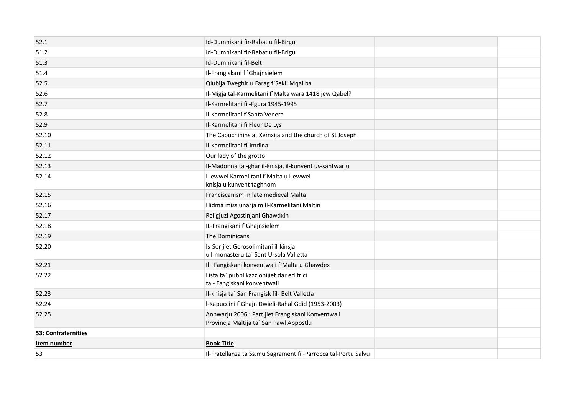| 52.1                | Id-Dumnikani fir-Rabat u fil-Birgu                                                           |  |
|---------------------|----------------------------------------------------------------------------------------------|--|
| 51.2                | Id-Dumnikani fir-Rabat u fil-Brigu                                                           |  |
| 51.3                | Id-Dumnikani fil-Belt                                                                        |  |
| 51.4                | Il-Frangiskani f `Ghajnsielem                                                                |  |
| 52.5                | Qlubija Tweghir u Farag f`Sekli Mqallba                                                      |  |
| 52.6                | Il-Migja tal-Karmelitani f`Malta wara 1418 jew Qabel?                                        |  |
| 52.7                | Il-Karmelitani fil-Fgura 1945-1995                                                           |  |
| 52.8                | Il-Karmelitani f'Santa Venera                                                                |  |
| 52.9                | Il-Karmelitani fi Fleur De Lys                                                               |  |
| 52.10               | The Capuchinins at Xemxija and the church of St Joseph                                       |  |
| 52.11               | Il-Karmelitani fl-Imdina                                                                     |  |
| 52.12               | Our lady of the grotto                                                                       |  |
| 52.13               | Il-Madonna tal-ghar il-knisja, il-kunvent us-santwarju                                       |  |
| 52.14               | L-ewwel Karmelitani f`Malta u l-ewwel<br>knisja u kunvent taghhom                            |  |
| 52.15               | Franciscanism in late medieval Malta                                                         |  |
| 52.16               | Hidma missjunarja mill-Karmelitani Maltin                                                    |  |
| 52.17               | Religjuzi Agostinjani Ghawdxin                                                               |  |
| 52.18               | IL-Frangikani f`Ghajnsielem                                                                  |  |
| 52.19               | The Dominicans                                                                               |  |
| 52.20               | Is-Sorijiet Gerosolimitani il-kinsja<br>u l-monasteru ta` Sant Ursola Valletta               |  |
| 52.21               | Il-Fangiskani konventwali f'Malta u Ghawdex                                                  |  |
| 52.22               | Lista ta` pubblikazzjonijiet dar editrici<br>tal- Fangiskani konventwali                     |  |
| 52.23               | Il-knisja ta` San Frangisk fil- Belt Valletta                                                |  |
| 52.24               | I-Kapuccini f'Ghajn Dwieli-Rahal Gdid (1953-2003)                                            |  |
| 52.25               | Annwarju 2006 : Partijiet Frangiskani Konventwali<br>Provincja Maltija ta` San Pawl Appostlu |  |
| 53: Confraternities |                                                                                              |  |
| Item number         | <b>Book Title</b>                                                                            |  |
| 53                  | Il-Fratellanza ta Ss.mu Sagrament fil-Parrocca tal-Portu Salvu                               |  |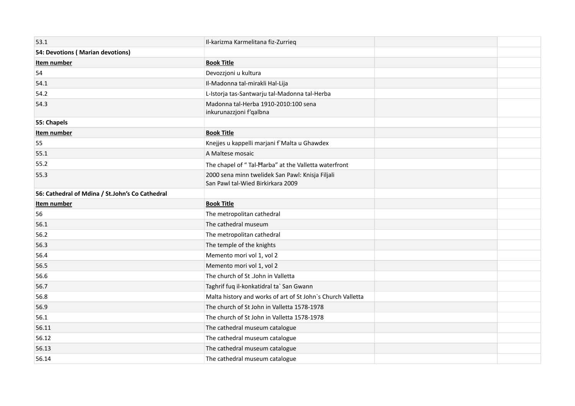| 53.1                                            | Il-karizma Karmelitana fiz-Zurrieg                                                    |  |
|-------------------------------------------------|---------------------------------------------------------------------------------------|--|
| 54: Devotions (Marian devotions)                |                                                                                       |  |
| Item number                                     | <b>Book Title</b>                                                                     |  |
| 54                                              | Devozzjoni u kultura                                                                  |  |
| 54.1                                            | Il-Madonna tal-mirakli Hal-Lija                                                       |  |
| 54.2                                            | L-Istorja tas-Santwarju tal-Madonna tal-Herba                                         |  |
| 54.3                                            | Madonna tal-Herba 1910-2010:100 sena<br>inkurunazzjoni f'qalbna                       |  |
| 55: Chapels                                     |                                                                                       |  |
| Item number                                     | <b>Book Title</b>                                                                     |  |
| 55                                              | Knejjes u kappelli marjani f'Malta u Ghawdex                                          |  |
| 55.1                                            | A Maltese mosaic                                                                      |  |
| 55.2                                            | The chapel of "Tal-Harba" at the Valletta waterfront                                  |  |
| 55.3                                            | 2000 sena minn twelidek San Pawl: Knisja Filjali<br>San Pawl tal-Wied Birkirkara 2009 |  |
| 56: Cathedral of Mdina / St.John's Co Cathedral |                                                                                       |  |
|                                                 |                                                                                       |  |
| Item number                                     | <b>Book Title</b>                                                                     |  |
| 56                                              | The metropolitan cathedral                                                            |  |
| 56.1                                            | The cathedral museum                                                                  |  |
| 56.2                                            | The metropolitan cathedral                                                            |  |
| 56.3                                            | The temple of the knights                                                             |  |
| 56.4                                            | Memento mori vol 1, vol 2                                                             |  |
| 56.5                                            | Memento mori vol 1, vol 2                                                             |  |
| 56.6                                            | The church of St .John in Valletta                                                    |  |
| 56.7                                            | Taghrif fuq il-konkatidral ta` San Gwann                                              |  |
| 56.8                                            | Malta history and works of art of St John's Church Valletta                           |  |
| 56.9                                            | The church of St John in Valletta 1578-1978                                           |  |
| 56.1                                            | The church of St John in Valletta 1578-1978                                           |  |
| 56.11                                           | The cathedral museum catalogue                                                        |  |
| 56.12                                           | The cathedral museum catalogue                                                        |  |
| 56.13                                           | The cathedral museum catalogue                                                        |  |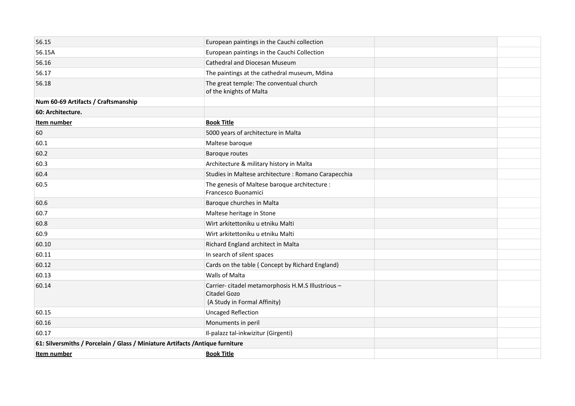| 56.15                                                                          | European paintings in the Cauchi collection                                                        |  |
|--------------------------------------------------------------------------------|----------------------------------------------------------------------------------------------------|--|
| 56.15A                                                                         | European paintings in the Cauchi Collection                                                        |  |
| 56.16                                                                          | <b>Cathedral and Diocesan Museum</b>                                                               |  |
| 56.17                                                                          | The paintings at the cathedral museum, Mdina                                                       |  |
| 56.18                                                                          | The great temple: The conventual church<br>of the knights of Malta                                 |  |
| Num 60-69 Artifacts / Craftsmanship                                            |                                                                                                    |  |
| 60: Architecture.                                                              |                                                                                                    |  |
| Item number                                                                    | <b>Book Title</b>                                                                                  |  |
| 60                                                                             | 5000 years of architecture in Malta                                                                |  |
| 60.1                                                                           | Maltese baroque                                                                                    |  |
| 60.2                                                                           | <b>Baroque routes</b>                                                                              |  |
| 60.3                                                                           | Architecture & military history in Malta                                                           |  |
| 60.4                                                                           | Studies in Maltese architecture : Romano Carapecchia                                               |  |
| 60.5                                                                           | The genesis of Maltese baroque architecture :<br>Francesco Buonamici                               |  |
| 60.6                                                                           | Baroque churches in Malta                                                                          |  |
| 60.7                                                                           | Maltese heritage in Stone                                                                          |  |
| 60.8                                                                           | Wirt arkitettoniku u etniku Malti                                                                  |  |
| 60.9                                                                           | Wirt arkitettoniku u etniku Malti                                                                  |  |
| 60.10                                                                          | Richard England architect in Malta                                                                 |  |
| 60.11                                                                          | In search of silent spaces                                                                         |  |
| 60.12                                                                          | Cards on the table (Concept by Richard England)                                                    |  |
| 60.13                                                                          | <b>Walls of Malta</b>                                                                              |  |
| 60.14                                                                          | Carrier- citadel metamorphosis H.M.S Illustrious -<br>Citadel Gozo<br>(A Study in Formal Affinity) |  |
| 60.15                                                                          | <b>Uncaged Reflection</b>                                                                          |  |
| 60.16                                                                          | Monuments in peril                                                                                 |  |
| 60.17                                                                          | Il-palazz tal-inkwizitur (Girgenti)                                                                |  |
| 61: Silversmiths / Porcelain / Glass / Miniature Artifacts / Antique furniture |                                                                                                    |  |
| Item number                                                                    | <b>Book Title</b>                                                                                  |  |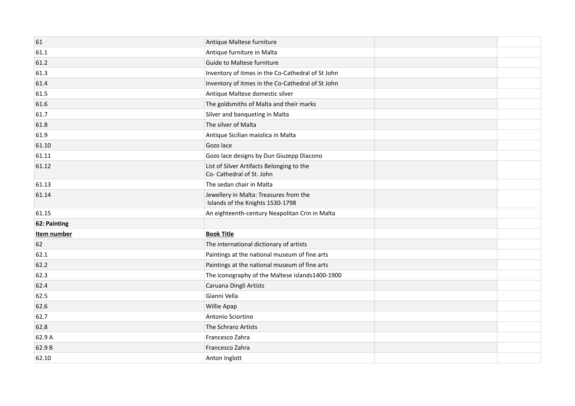| 61           | Antique Maltese furniture                                                  |  |
|--------------|----------------------------------------------------------------------------|--|
| 61.1         | Antique furniture in Malta                                                 |  |
| 61.2         | <b>Guide to Maltese furniture</b>                                          |  |
| 61.3         | Inventory of itmes in the Co-Cathedral of St John                          |  |
| 61.4         | Inventory of itmes in the Co-Cathedral of St John                          |  |
| 61.5         | Antique Maltese domestic silver                                            |  |
| 61.6         | The goldsmiths of Malta and their marks                                    |  |
| 61.7         | Silver and banqueting in Malta                                             |  |
| 61.8         | The silver of Malta                                                        |  |
| 61.9         | Antique Sicilian maiolica in Malta                                         |  |
| 61.10        | Gozo lace                                                                  |  |
| 61.11        | Gozo lace designs by Dun Giuzepp Diacono                                   |  |
| 61.12        | List of Silver Artifacts Belonging to the<br>Co- Cathedral of St. John     |  |
| 61.13        | The sedan chair in Malta                                                   |  |
| 61.14        | Jewellery in Malta: Treasures from the<br>Islands of the Knights 1530-1798 |  |
| 61.15        | An eighteenth-century Neapolitan Crin in Malta                             |  |
| 62: Painting |                                                                            |  |
| Item number  | <b>Book Title</b>                                                          |  |
| 62           | The international dictionary of artists                                    |  |
| 62.1         | Paintings at the national museum of fine arts                              |  |
| 62.2         | Paintings at the national museum of fine arts                              |  |
| 62.3         | The iconography of the Maltese islands1400-1900                            |  |
| 62.4         | Caruana Dingli Artists                                                     |  |
| 62.5         | Gianni Vella                                                               |  |
| 62.6         | Willie Apap                                                                |  |
| 62.7         | Antonio Sciortino                                                          |  |
| 62.8         | The Schranz Artists                                                        |  |
| 62.9 A       | Francesco Zahra                                                            |  |
| 62.9B        | Francesco Zahra                                                            |  |
| 62.10        | Anton Inglott                                                              |  |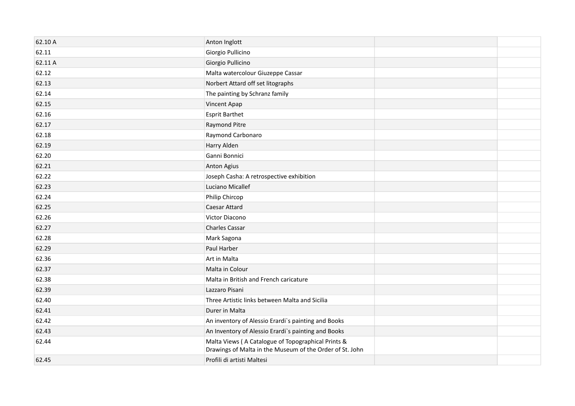| 62.10 A | Anton Inglott                                                                                                  |  |
|---------|----------------------------------------------------------------------------------------------------------------|--|
| 62.11   | Giorgio Pullicino                                                                                              |  |
| 62.11 A | Giorgio Pullicino                                                                                              |  |
| 62.12   | Malta watercolour Giuzeppe Cassar                                                                              |  |
| 62.13   | Norbert Attard off set litographs                                                                              |  |
| 62.14   | The painting by Schranz family                                                                                 |  |
| 62.15   | Vincent Apap                                                                                                   |  |
| 62.16   | <b>Esprit Barthet</b>                                                                                          |  |
| 62.17   | <b>Raymond Pitre</b>                                                                                           |  |
| 62.18   | Raymond Carbonaro                                                                                              |  |
| 62.19   | Harry Alden                                                                                                    |  |
| 62.20   | Ganni Bonnici                                                                                                  |  |
| 62.21   | <b>Anton Agius</b>                                                                                             |  |
| 62.22   | Joseph Casha: A retrospective exhibition                                                                       |  |
| 62.23   | Luciano Micallef                                                                                               |  |
| 62.24   | Philip Chircop                                                                                                 |  |
| 62.25   | <b>Caesar Attard</b>                                                                                           |  |
| 62.26   | Victor Diacono                                                                                                 |  |
| 62.27   | <b>Charles Cassar</b>                                                                                          |  |
| 62.28   | Mark Sagona                                                                                                    |  |
| 62.29   | Paul Harber                                                                                                    |  |
| 62.36   | Art in Malta                                                                                                   |  |
| 62.37   | Malta in Colour                                                                                                |  |
| 62.38   | Malta in British and French caricature                                                                         |  |
| 62.39   | Lazzaro Pisani                                                                                                 |  |
| 62.40   | Three Artistic links between Malta and Sicilia                                                                 |  |
| 62.41   | Durer in Malta                                                                                                 |  |
| 62.42   | An inventory of Alessio Erardi's painting and Books                                                            |  |
| 62.43   | An Inventory of Alessio Erardi's painting and Books                                                            |  |
| 62.44   | Malta Views (A Catalogue of Topographical Prints &<br>Drawings of Malta in the Museum of the Order of St. John |  |
| 62.45   | Profili di artisti Maltesi                                                                                     |  |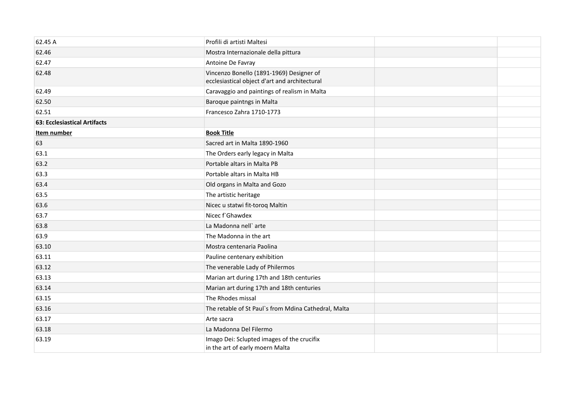| 62.45 A                             | Profili di artisti Maltesi                                                                |  |
|-------------------------------------|-------------------------------------------------------------------------------------------|--|
| 62.46                               | Mostra Internazionale della pittura                                                       |  |
| 62.47                               | Antoine De Favray                                                                         |  |
| 62.48                               | Vincenzo Bonello (1891-1969) Designer of<br>ecclesiastical object d'art and architectural |  |
| 62.49                               | Caravaggio and paintings of realism in Malta                                              |  |
| 62.50                               | Baroque paintngs in Malta                                                                 |  |
| 62.51                               | Francesco Zahra 1710-1773                                                                 |  |
| <b>63: Ecclesiastical Artifacts</b> |                                                                                           |  |
| Item number                         | <b>Book Title</b>                                                                         |  |
| 63                                  | Sacred art in Malta 1890-1960                                                             |  |
| 63.1                                | The Orders early legacy in Malta                                                          |  |
| 63.2                                | Portable altars in Malta PB                                                               |  |
| 63.3                                | Portable altars in Malta HB                                                               |  |
| 63.4                                | Old organs in Malta and Gozo                                                              |  |
| 63.5                                | The artistic heritage                                                                     |  |
| 63.6                                | Nicec u statwi fit-toroq Maltin                                                           |  |
| 63.7                                | Nicec f`Ghawdex                                                                           |  |
| 63.8                                | La Madonna nell'arte                                                                      |  |
| 63.9                                | The Madonna in the art                                                                    |  |
| 63.10                               | Mostra centenaria Paolina                                                                 |  |
| 63.11                               | Pauline centenary exhibition                                                              |  |
| 63.12                               | The venerable Lady of Philermos                                                           |  |
| 63.13                               | Marian art during 17th and 18th centuries                                                 |  |
| 63.14                               | Marian art during 17th and 18th centuries                                                 |  |
| 63.15                               | The Rhodes missal                                                                         |  |
| 63.16                               | The retable of St Paul's from Mdina Cathedral, Malta                                      |  |
| 63.17                               | Arte sacra                                                                                |  |
| 63.18                               | La Madonna Del Filermo                                                                    |  |
| 63.19                               | Imago Dei: Sclupted images of the crucifix<br>in the art of early moern Malta             |  |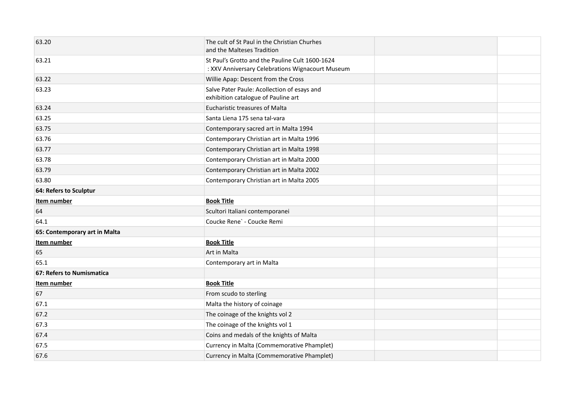| 63.20                         | The cult of St Paul in the Christian Churhes<br>and the Malteses Tradition                          |  |
|-------------------------------|-----------------------------------------------------------------------------------------------------|--|
| 63.21                         | St Paul's Grotto and the Pauline Cult 1600-1624<br>: XXV Anniversary Celebrations Wignacourt Museum |  |
| 63.22                         | Willie Apap: Descent from the Cross                                                                 |  |
| 63.23                         | Salve Pater Paule: Acollection of esays and<br>exhibition catalogue of Pauline art                  |  |
| 63.24                         | Eucharistic treasures of Malta                                                                      |  |
| 63.25                         | Santa Liena 175 sena tal-vara                                                                       |  |
| 63.75                         | Contemporary sacred art in Malta 1994                                                               |  |
| 63.76                         | Contemporary Christian art in Malta 1996                                                            |  |
| 63.77                         | Contemporary Christian art in Malta 1998                                                            |  |
| 63.78                         | Contemporary Christian art in Malta 2000                                                            |  |
| 63.79                         | Contemporary Christian art in Malta 2002                                                            |  |
| 63.80                         | Contemporary Christian art in Malta 2005                                                            |  |
| 64: Refers to Sculptur        |                                                                                                     |  |
| Item number                   | <b>Book Title</b>                                                                                   |  |
| 64                            | Scultori Italiani contemporanei                                                                     |  |
| 64.1                          | Coucke Rene` - Coucke Remi                                                                          |  |
| 65: Contemporary art in Malta |                                                                                                     |  |
| Item number                   | <b>Book Title</b>                                                                                   |  |
| 65                            | Art in Malta                                                                                        |  |
| 65.1                          | Contemporary art in Malta                                                                           |  |
| 67: Refers to Numismatica     |                                                                                                     |  |
| Item number                   | <b>Book Title</b>                                                                                   |  |
| 67                            | From scudo to sterling                                                                              |  |
| 67.1                          | Malta the history of coinage                                                                        |  |
| 67.2                          | The coinage of the knights vol 2                                                                    |  |
| 67.3                          | The coinage of the knights vol 1                                                                    |  |
| 67.4                          | Coins and medals of the knights of Malta                                                            |  |
| 67.5                          | Currency in Malta (Commemorative Phamplet)                                                          |  |
| 67.6                          | Currency in Malta (Commemorative Phamplet)                                                          |  |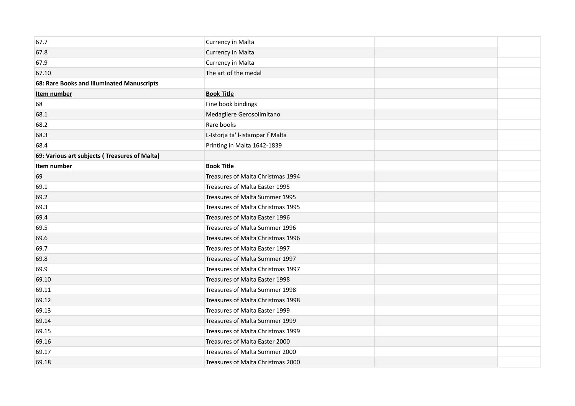| 67.7                                          | Currency in Malta                 |  |
|-----------------------------------------------|-----------------------------------|--|
| 67.8                                          | Currency in Malta                 |  |
| 67.9                                          | Currency in Malta                 |  |
| 67.10                                         | The art of the medal              |  |
| 68: Rare Books and Illuminated Manuscripts    |                                   |  |
| Item number                                   | <b>Book Title</b>                 |  |
| 68                                            | Fine book bindings                |  |
| 68.1                                          | Medagliere Gerosolimitano         |  |
| 68.2                                          | Rare books                        |  |
| 68.3                                          | L-Istorja ta' l-istampar f`Malta  |  |
| 68.4                                          | Printing in Malta 1642-1839       |  |
| 69: Various art subjects (Treasures of Malta) |                                   |  |
| Item number                                   | <b>Book Title</b>                 |  |
| 69                                            | Treasures of Malta Christmas 1994 |  |
| 69.1                                          | Treasures of Malta Easter 1995    |  |
| 69.2                                          | Treasures of Malta Summer 1995    |  |
| 69.3                                          | Treasures of Malta Christmas 1995 |  |
| 69.4                                          | Treasures of Malta Easter 1996    |  |
| 69.5                                          | Treasures of Malta Summer 1996    |  |
| 69.6                                          | Treasures of Malta Christmas 1996 |  |
| 69.7                                          | Treasures of Malta Easter 1997    |  |
| 69.8                                          | Treasures of Malta Summer 1997    |  |
| 69.9                                          | Treasures of Malta Christmas 1997 |  |
| 69.10                                         | Treasures of Malta Easter 1998    |  |
| 69.11                                         | Treasures of Malta Summer 1998    |  |
| 69.12                                         | Treasures of Malta Christmas 1998 |  |
| 69.13                                         | Treasures of Malta Easter 1999    |  |
| 69.14                                         | Treasures of Malta Summer 1999    |  |
| 69.15                                         | Treasures of Malta Christmas 1999 |  |
| 69.16                                         | Treasures of Malta Easter 2000    |  |
| 69.17                                         | Treasures of Malta Summer 2000    |  |
| 69.18                                         | Treasures of Malta Christmas 2000 |  |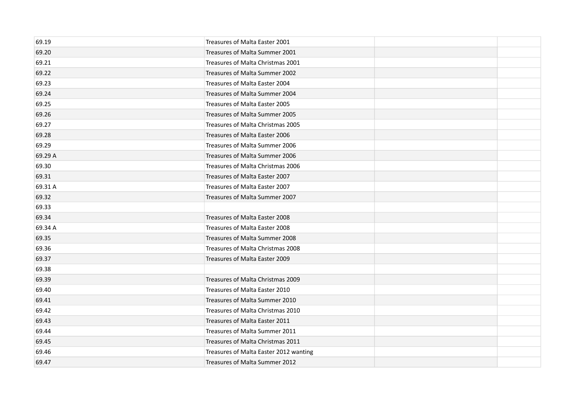| 69.19   | Treasures of Malta Easter 2001         |  |
|---------|----------------------------------------|--|
| 69.20   | Treasures of Malta Summer 2001         |  |
| 69.21   | Treasures of Malta Christmas 2001      |  |
| 69.22   | Treasures of Malta Summer 2002         |  |
| 69.23   | Treasures of Malta Easter 2004         |  |
| 69.24   | Treasures of Malta Summer 2004         |  |
| 69.25   | Treasures of Malta Easter 2005         |  |
| 69.26   | Treasures of Malta Summer 2005         |  |
| 69.27   | Treasures of Malta Christmas 2005      |  |
| 69.28   | Treasures of Malta Easter 2006         |  |
| 69.29   | Treasures of Malta Summer 2006         |  |
| 69.29 A | Treasures of Malta Summer 2006         |  |
| 69.30   | Treasures of Malta Christmas 2006      |  |
| 69.31   | Treasures of Malta Easter 2007         |  |
| 69.31 A | Treasures of Malta Easter 2007         |  |
| 69.32   | Treasures of Malta Summer 2007         |  |
| 69.33   |                                        |  |
| 69.34   | Treasures of Malta Easter 2008         |  |
| 69.34 A | Treasures of Malta Easter 2008         |  |
| 69.35   | Treasures of Malta Summer 2008         |  |
| 69.36   | Treasures of Malta Christmas 2008      |  |
| 69.37   | Treasures of Malta Easter 2009         |  |
| 69.38   |                                        |  |
| 69.39   | Treasures of Malta Christmas 2009      |  |
| 69.40   | Treasures of Malta Easter 2010         |  |
| 69.41   | Treasures of Malta Summer 2010         |  |
| 69.42   | Treasures of Malta Christmas 2010      |  |
| 69.43   | Treasures of Malta Easter 2011         |  |
| 69.44   | Treasures of Malta Summer 2011         |  |
| 69.45   | Treasures of Malta Christmas 2011      |  |
| 69.46   | Treasures of Malta Easter 2012 wanting |  |
| 69.47   | Treasures of Malta Summer 2012         |  |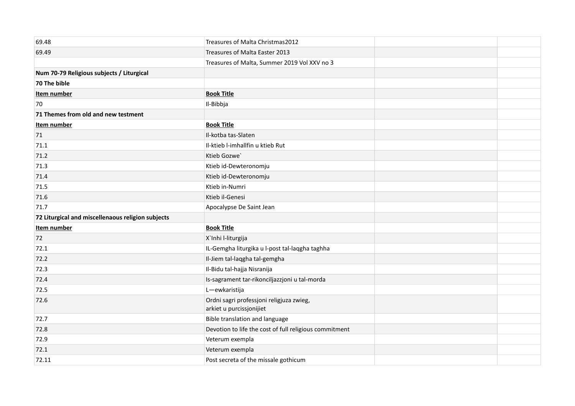| 69.48                                             | Treasures of Malta Christmas2012                                     |  |
|---------------------------------------------------|----------------------------------------------------------------------|--|
| 69.49                                             | Treasures of Malta Easter 2013                                       |  |
|                                                   | Treasures of Malta, Summer 2019 Vol XXV no 3                         |  |
| Num 70-79 Religious subjects / Liturgical         |                                                                      |  |
| 70 The bible                                      |                                                                      |  |
| Item number                                       | <b>Book Title</b>                                                    |  |
| 70                                                | Il-Bibbja                                                            |  |
| 71 Themes from old and new testment               |                                                                      |  |
| Item number                                       | <b>Book Title</b>                                                    |  |
| 71                                                | Il-kotba tas-Slaten                                                  |  |
| 71.1                                              | Il-ktieb l-imhallfin u ktieb Rut                                     |  |
| 71.2                                              | Ktieb Gozwe                                                          |  |
| 71.3                                              | Ktieb id-Dewteronomju                                                |  |
| 71.4                                              | Ktieb id-Dewteronomju                                                |  |
| 71.5                                              | Ktieb in-Numri                                                       |  |
| 71.6                                              | Ktieb il-Genesi                                                      |  |
| 71.7                                              | Apocalypse De Saint Jean                                             |  |
| 72 Liturgical and miscellenaous religion subjects |                                                                      |  |
| Item number                                       | <b>Book Title</b>                                                    |  |
| 72                                                | X'Inhi l-liturgija                                                   |  |
| 72.1                                              | IL-Gemgha liturgika u l-post tal-laqgha taghha                       |  |
| 72.2                                              | Il-Jiem tal-laqgha tal-gemgha                                        |  |
| 72.3                                              | Il-Bidu tal-hajja Nisranija                                          |  |
| 72.4                                              | Is-sagrament tar-rikonciljazzjoni u tal-morda                        |  |
| 72.5                                              | L-ewkaristija                                                        |  |
| 72.6                                              | Ordni sagri professjoni religjuza zwieg,<br>arkiet u purcissjonijiet |  |
| 72.7                                              | Bible translation and language                                       |  |
| 72.8                                              | Devotion to life the cost of full religious commitment               |  |
| 72.9                                              | Veterum exempla                                                      |  |
| 72.1                                              | Veterum exempla                                                      |  |
| 72.11                                             | Post secreta of the missale gothicum                                 |  |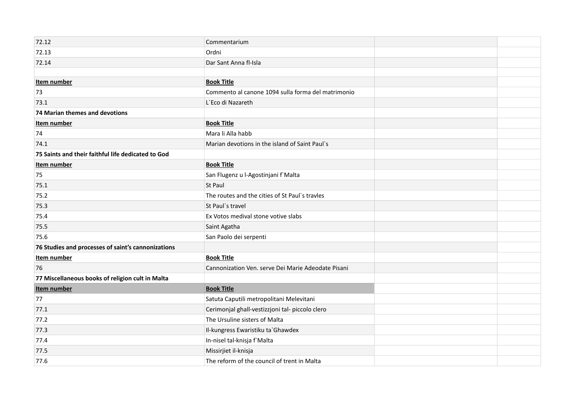| 72.12                                              | Commentarium                                       |  |
|----------------------------------------------------|----------------------------------------------------|--|
| 72.13                                              | Ordni                                              |  |
| 72.14                                              | Dar Sant Anna fl-Isla                              |  |
|                                                    |                                                    |  |
| Item number                                        | <b>Book Title</b>                                  |  |
| 73                                                 | Commento al canone 1094 sulla forma del matrimonio |  |
| 73.1                                               | L'Eco di Nazareth                                  |  |
| 74 Marian themes and devotions                     |                                                    |  |
| Item number                                        | <b>Book Title</b>                                  |  |
| 74                                                 | Mara li Alla habb                                  |  |
| 74.1                                               | Marian devotions in the island of Saint Paul's     |  |
| 75 Saints and their faithful life dedicated to God |                                                    |  |
| Item number                                        | <b>Book Title</b>                                  |  |
| 75                                                 | San Flugenz u l-Agostinjani f`Malta                |  |
| 75.1                                               | <b>St Paul</b>                                     |  |
| 75.2                                               | The routes and the cities of St Paul's travles     |  |
| 75.3                                               | St Paul's travel                                   |  |
| 75.4                                               | Ex Votos medival stone votive slabs                |  |
| 75.5                                               | Saint Agatha                                       |  |
| 75.6                                               | San Paolo dei serpenti                             |  |
| 76 Studies and processes of saint's cannonizations |                                                    |  |
| <b>Item number</b>                                 | <b>Book Title</b>                                  |  |
| 76                                                 | Cannonization Ven. serve Dei Marie Adeodate Pisani |  |
| 77 Miscellaneous books of religion cult in Malta   |                                                    |  |
| Item number                                        | <b>Book Title</b>                                  |  |
| 77                                                 | Satuta Caputili metropolitani Melevitani           |  |
| 77.1                                               | Cerimonjal ghall-vestizzjoni tal- piccolo clero    |  |
| 77.2                                               | The Ursuline sisters of Malta                      |  |
| 77.3                                               | Il-kungress Ewaristiku ta`Ghawdex                  |  |
| 77.4                                               | In-nisel tal-knisja f`Malta                        |  |
| 77.5                                               | Missirjiet il-knisja                               |  |
| 77.6                                               | The reform of the council of trent in Malta        |  |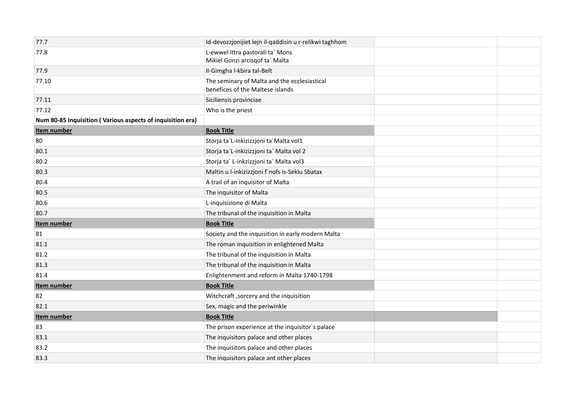| 77.7                                                       | Id-devozzjonijiet lejn il-qaddisin u r-relikwi taghhom                           |  |
|------------------------------------------------------------|----------------------------------------------------------------------------------|--|
| 77.8                                                       | L-ewwel ittra pastorali ta` Mons<br>Mikiel Gonzi arcisqof ta` Malta              |  |
| 77.9                                                       | Il-Gimgha l-kbira tal-Belt                                                       |  |
| 77.10                                                      | The seminary of Malta and the ecclesiastical<br>benefices of the Maltese islands |  |
| 77.11                                                      | Siciliensis provinciae                                                           |  |
| 77.12                                                      | Who is the priest                                                                |  |
| Num 80-85 Inquisition (Various aspects of inquisition era) |                                                                                  |  |
| Item number                                                | <b>Book Title</b>                                                                |  |
| 80                                                         | Storja ta`L-inkizizzjoni ta`Malta vol1                                           |  |
| 80.1                                                       | Storja ta`L-inkizizzjoni ta` Malta vol 2                                         |  |
| 80.2                                                       | Storja ta` L-inkzizzjoni ta` Malta vol3                                          |  |
| 80.3                                                       | Maltin u l-inkizizzjoni f'nofs is-Seklu Sbatax                                   |  |
| 80.4                                                       | A trail of an inquisitor of Malta                                                |  |
| 80.5                                                       | The inquisitor of Malta                                                          |  |
| 80.6                                                       | L-inquisizione di Malta                                                          |  |
| 80.7                                                       | The tribunal of the inquisition in Malta                                         |  |
| Item number                                                | <b>Book Title</b>                                                                |  |
| 81                                                         | Society and the inquisition in early modern Malta                                |  |
| 81.1                                                       | The roman inquisition in enlightened Malta                                       |  |
| 81.2                                                       | The tribunal of the inquisition in Malta                                         |  |
| 81.3                                                       | The tribunal of the inquisition in Malta                                         |  |
| 81.4                                                       | Enlightenment and reform in Malta 1740-1798                                      |  |
| Item number                                                | <b>Book Title</b>                                                                |  |
| 82                                                         | Witchcraft, sorcery and the inquisition                                          |  |
| 82.1                                                       | Sex, magic and the periwinkle                                                    |  |
| Item number                                                | <b>Book Title</b>                                                                |  |
| 83                                                         | The prison experience at the inquisitor's palace                                 |  |
| 83.1                                                       | The inquisitors palace and other places                                          |  |
| 83.2                                                       | The inquisitors palace and other places                                          |  |
| 83.3                                                       | The inquisitors palace ant other places                                          |  |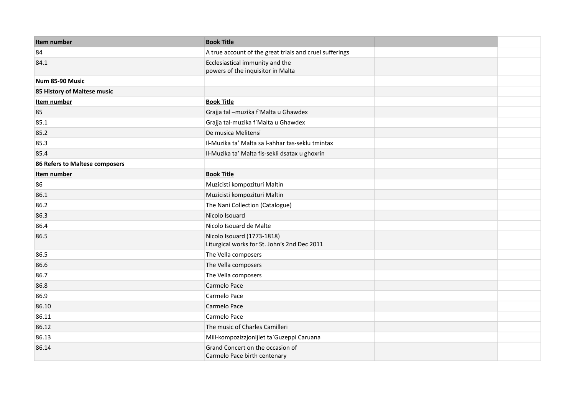| Item number                    | <b>Book Title</b>                                                          |
|--------------------------------|----------------------------------------------------------------------------|
| 84                             | A true account of the great trials and cruel sufferings                    |
| 84.1                           | Ecclesiastical immunity and the<br>powers of the inquisitor in Malta       |
| Num 85-90 Music                |                                                                            |
| 85 History of Maltese music    |                                                                            |
| Item number                    | <b>Book Title</b>                                                          |
| 85                             | Grajja tal - muzika f`Malta u Ghawdex                                      |
| 85.1                           | Grajja tal-muzika f`Malta u Ghawdex                                        |
| 85.2                           | De musica Melitensi                                                        |
| 85.3                           | Il-Muzika ta' Malta sa l-ahhar tas-seklu tmintax                           |
| 85.4                           | Il-Muzika ta' Malta fis-sekli dsatax u ghoxrin                             |
| 86 Refers to Maltese composers |                                                                            |
| Item number                    | <b>Book Title</b>                                                          |
| 86                             | Muzicisti kompozituri Maltin                                               |
| 86.1                           | Muzicisti kompozituri Maltin                                               |
| 86.2                           | The Nani Collection (Catalogue)                                            |
| 86.3                           | Nicolo Isouard                                                             |
| 86.4                           | Nicolo Isouard de Malte                                                    |
| 86.5                           | Nicolo Isouard (1773-1818)<br>Liturgical works for St. John's 2nd Dec 2011 |
| 86.5                           | The Vella composers                                                        |
| 86.6                           | The Vella composers                                                        |
| 86.7                           | The Vella composers                                                        |
| 86.8                           | Carmelo Pace                                                               |
| 86.9                           | Carmelo Pace                                                               |
| 86.10                          | Carmelo Pace                                                               |
| 86.11                          | Carmelo Pace                                                               |
| 86.12                          | The music of Charles Camilleri                                             |
| 86.13                          | Mill-kompozizzjonijiet ta`Guzeppi Caruana                                  |
| 86.14                          | Grand Concert on the occasion of<br>Carmelo Pace birth centenary           |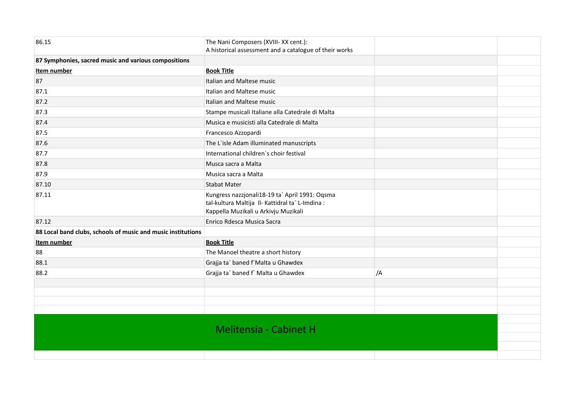| 86.15                                                        | The Nani Composers (XVIII- XX cent.):<br>A historical assessment and a catalogue of their works                                            |    |
|--------------------------------------------------------------|--------------------------------------------------------------------------------------------------------------------------------------------|----|
| 87 Symphonies, sacred music and various compositions         |                                                                                                                                            |    |
| Item number                                                  | <b>Book Title</b>                                                                                                                          |    |
| 87                                                           | Italian and Maltese music                                                                                                                  |    |
| 87.1                                                         | Italian and Maltese music                                                                                                                  |    |
| 87.2                                                         | Italian and Maltese music                                                                                                                  |    |
| 87.3                                                         | Stampe musicali Italiane alla Catedrale di Malta                                                                                           |    |
| 87.4                                                         | Musica e musicisti alla Catedrale di Malta                                                                                                 |    |
| 87.5                                                         | Francesco Azzopardi                                                                                                                        |    |
| 87.6                                                         | The L'isle Adam illuminated manuscripts                                                                                                    |    |
| 87.7                                                         | International children's choir festival                                                                                                    |    |
| 87.8                                                         | Musca sacra a Malta                                                                                                                        |    |
| 87.9                                                         | Musica sacra a Malta                                                                                                                       |    |
| 87.10                                                        | <b>Stabat Mater</b>                                                                                                                        |    |
| 87.11                                                        | Kungress nazzjonali18-19 ta` April 1991: Oqsma<br>tal-kultura Maltija Il- Kattidral ta` L-Imdina :<br>Kappella Muzikali u Arkivju Muzikali |    |
| 87.12                                                        | Enrico Rdesca Musica Sacra                                                                                                                 |    |
| 88 Local band clubs, schools of music and music institutions |                                                                                                                                            |    |
| Item number                                                  | <b>Book Title</b>                                                                                                                          |    |
| 88                                                           | The Manoel theatre a short history                                                                                                         |    |
| 88.1                                                         | Grajja ta` baned f`Malta u Ghawdex                                                                                                         |    |
| 88.2                                                         | Grajja ta` baned f` Malta u Ghawdex                                                                                                        | /A |
|                                                              |                                                                                                                                            |    |
|                                                              |                                                                                                                                            |    |
|                                                              |                                                                                                                                            |    |
|                                                              |                                                                                                                                            |    |
|                                                              | <b>Melitensia - Cabinet H</b>                                                                                                              |    |
|                                                              |                                                                                                                                            |    |
|                                                              |                                                                                                                                            |    |
|                                                              |                                                                                                                                            |    |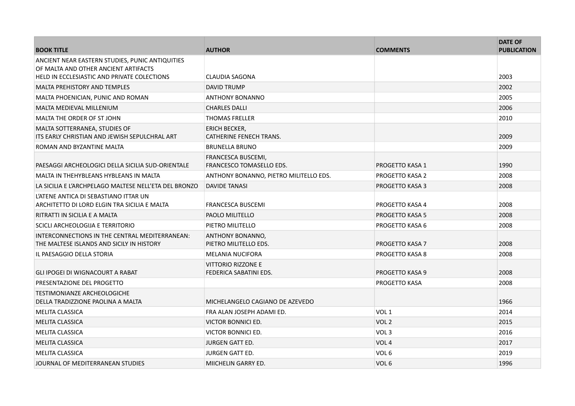| <b>BOOK TITLE</b>                                                                           | <b>AUTHOR</b>                                       | <b>COMMENTS</b>        | <b>DATE OF</b><br><b>PUBLICATION</b> |
|---------------------------------------------------------------------------------------------|-----------------------------------------------------|------------------------|--------------------------------------|
| ANCIENT NEAR EASTERN STUDIES, PUNIC ANTIQUITIES<br>OF MALTA AND OTHER ANCIENT ARTIFACTS     |                                                     |                        |                                      |
| HELD IN ECCLESIASTIC AND PRIVATE COLECTIONS                                                 | CLAUDIA SAGONA                                      |                        | 2003                                 |
| MALTA PREHISTORY AND TEMPLES                                                                | DAVID TRUMP                                         |                        | 2002                                 |
| MALTA PHOENICIAN, PUNIC AND ROMAN                                                           | <b>ANTHONY BONANNO</b>                              |                        | 2005                                 |
| <b>MALTA MEDIEVAL MILLENIUM</b>                                                             | <b>CHARLES DALLI</b>                                |                        | 2006                                 |
| MALTA THE ORDER OF ST JOHN                                                                  | <b>THOMAS FRELLER</b>                               |                        | 2010                                 |
| MALTA SOTTERRANEA, STUDIES OF<br>ITS EARLY CHRISTIAN AND JEWISH SEPULCHRAL ART              | ERICH BECKER,<br><b>CATHERINE FENECH TRANS.</b>     |                        | 2009                                 |
| ROMAN AND BYZANTINE MALTA                                                                   | <b>BRUNELLA BRUNO</b>                               |                        | 2009                                 |
| PAESAGGI ARCHEOLOGICI DELLA SICILIA SUD-ORIENTALE                                           | FRANCESCA BUSCEMI,<br>FRANCESCO TOMASELLO EDS.      | <b>PROGETTO KASA 1</b> | 1990                                 |
| MALTA IN THEHYBLEANS HYBLEANS IN MALTA                                                      | ANTHONY BONANNO, PIETRO MILITELLO EDS.              | <b>PROGETTO KASA 2</b> | 2008                                 |
| LA SICILIA E L'ARCHPELAGO MALTESE NELL'ETA DEL BRONZO                                       | <b>DAVIDE TANASI</b>                                | <b>PROGETTO KASA 3</b> | 2008                                 |
| L'ATENE ANTICA DI SEBASTIANO ITTAR UN<br>ARCHITETTO DI LORD ELGIN TRA SICILIA E MALTA       | <b>FRANCESCA BUSCEMI</b>                            | <b>PROGETTO KASA 4</b> | 2008                                 |
| RITRATTI IN SICILIA E A MALTA                                                               | PAOLO MILITELLO                                     | <b>PROGETTO KASA 5</b> | 2008                                 |
| SCICLI ARCHEOLOGIJA E TERRITORIO                                                            | PIETRO MILITELLO                                    | PROGETTO KASA 6        | 2008                                 |
| INTERCONNECTIONS IN THE CENTRAL MEDITERRANEAN:<br>THE MALTESE ISLANDS AND SICILY IN HISTORY | ANTHONY BONANNO,<br>PIETRO MILITELLO EDS.           | <b>PROGETTO KASA 7</b> | 2008                                 |
| IL PAESAGGIO DELLA STORIA                                                                   | <b>MELANIA NUCIFORA</b>                             | <b>PROGETTO KASA 8</b> | 2008                                 |
| GLI IPOGEI DI WIGNACOURT A RABAT                                                            | <b>VITTORIO RIZZONE E</b><br>FEDERICA SABATINI EDS. | PROGETTO KASA 9        | 2008                                 |
| PRESENTAZIONE DEL PROGETTO                                                                  |                                                     | <b>PROGETTO KASA</b>   | 2008                                 |
| <b>TESTIMONIANZE ARCHEOLOGICHE</b><br>DELLA TRADIZZIONE PAOLINA A MALTA                     | MICHELANGELO CAGIANO DE AZEVEDO                     |                        | 1966                                 |
| <b>MELITA CLASSICA</b>                                                                      | FRA ALAN JOSEPH ADAMI ED.                           | VOL <sub>1</sub>       | 2014                                 |
| <b>MELITA CLASSICA</b>                                                                      | <b>VICTOR BONNICI ED.</b>                           | VOL <sub>2</sub>       | 2015                                 |
| <b>MELITA CLASSICA</b>                                                                      | VICTOR BONNICI ED.                                  | VOL <sub>3</sub>       | 2016                                 |
| <b>MELITA CLASSICA</b>                                                                      | <b>JURGEN GATT ED.</b>                              | VOL <sub>4</sub>       | 2017                                 |
| <b>MELITA CLASSICA</b>                                                                      | <b>JURGEN GATT ED.</b>                              | VOL <sub>6</sub>       | 2019                                 |
| JOURNAL OF MEDITERRANEAN STUDIES                                                            | MIICHELIN GARRY ED.                                 | VOL <sub>6</sub>       | 1996                                 |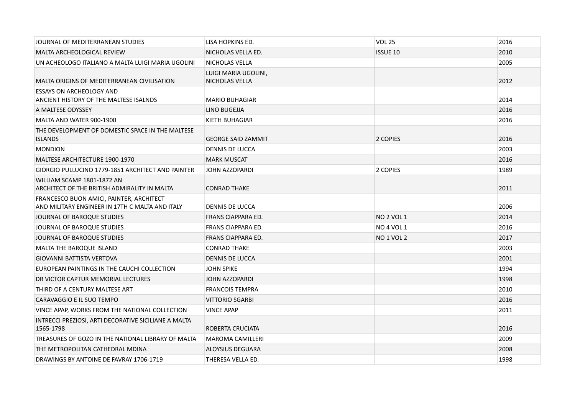| JOURNAL OF MEDITERRANEAN STUDIES                                                            | LISA HOPKINS ED.                       | <b>VOL 25</b>     | 2016 |
|---------------------------------------------------------------------------------------------|----------------------------------------|-------------------|------|
| <b>MALTA ARCHEOLOGICAL REVIEW</b>                                                           | NICHOLAS VELLA ED.                     | <b>ISSUE 10</b>   | 2010 |
| UN ACHEOLOGO ITALIANO A MALTA LUIGI MARIA UGOLINI                                           | NICHOLAS VELLA                         |                   | 2005 |
| MALTA ORIGINS OF MEDITERRANEAN CIVILISATION                                                 | LUIGI MARIA UGOLINI,<br>NICHOLAS VELLA |                   | 2012 |
| <b>ESSAYS ON ARCHEOLOGY AND</b><br>ANCIENT HISTORY OF THE MALTESE ISALNDS                   | <b>MARIO BUHAGIAR</b>                  |                   | 2014 |
| A MALTESE ODYSSEY                                                                           | LINO BUGEJJA                           |                   | 2016 |
| MALTA AND WATER 900-1900                                                                    | KIETH BUHAGIAR                         |                   | 2016 |
| THE DEVELOPMENT OF DOMESTIC SPACE IN THE MALTESE<br><b>ISLANDS</b>                          | <b>GEORGE SAID ZAMMIT</b>              | 2 COPIES          | 2016 |
| <b>MONDION</b>                                                                              | <b>DENNIS DE LUCCA</b>                 |                   | 2003 |
| <b>MALTESE ARCHITECTURE 1900-1970</b>                                                       | <b>MARK MUSCAT</b>                     |                   | 2016 |
| GIORGIO PULLUCINO 1779-1851 ARCHITECT AND PAINTER                                           | JOHN AZZOPARDI                         | 2 COPIES          | 1989 |
| WILLIAM SCAMP 1801-1872 AN<br>ARCHITECT OF THE BRITISH ADMIRALITY IN MALTA                  | <b>CONRAD THAKE</b>                    |                   | 2011 |
| FRANCESCO BUON AMICI, PAINTER, ARCHITECT<br>AND MILITARY ENGINEER IN 17TH C MALTA AND ITALY | DENNIS DE LUCCA                        |                   | 2006 |
| JOURNAL OF BAROQUE STUDIES                                                                  | FRANS CIAPPARA ED.                     | <b>NO 2 VOL 1</b> | 2014 |
| JOURNAL OF BAROQUE STUDIES                                                                  | <b>FRANS CIAPPARA ED.</b>              | <b>NO 4 VOL 1</b> | 2016 |
| JOURNAL OF BAROQUE STUDIES                                                                  | FRANS CIAPPARA ED.                     | <b>NO 1 VOL 2</b> | 2017 |
| <b>MALTA THE BAROQUE ISLAND</b>                                                             | <b>CONRAD THAKE</b>                    |                   | 2003 |
| <b>GIOVANNI BATTISTA VERTOVA</b>                                                            | <b>DENNIS DE LUCCA</b>                 |                   | 2001 |
| EUROPEAN PAINTINGS IN THE CAUCHI COLLECTION                                                 | <b>JOHN SPIKE</b>                      |                   | 1994 |
| DR VICTOR CAPTUR MEMORIAL LECTURES                                                          | <b>JOHN AZZOPARDI</b>                  |                   | 1998 |
| THIRD OF A CENTURY MALTESE ART                                                              | <b>FRANCOIS TEMPRA</b>                 |                   | 2010 |
| CARAVAGGIO E IL SUO TEMPO                                                                   | <b>VITTORIO SGARBI</b>                 |                   | 2016 |
| VINCE APAP, WORKS FROM THE NATIONAL COLLECTION                                              | <b>VINCE APAP</b>                      |                   | 2011 |
| INTRECCI PREZIOSI, ARTI DECORATIVE SICILIANE A MALTA<br>1565-1798                           | ROBERTA CRUCIATA                       |                   | 2016 |
| TREASURES OF GOZO IN THE NATIONAL LIBRARY OF MALTA                                          | <b>MAROMA CAMILLERI</b>                |                   | 2009 |
| THE METROPOLITAN CATHEDRAL MDINA                                                            | ALOYSIUS DEGUARA                       |                   | 2008 |
| DRAWINGS BY ANTOINE DE FAVRAY 1706-1719                                                     | THERESA VELLA ED.                      |                   | 1998 |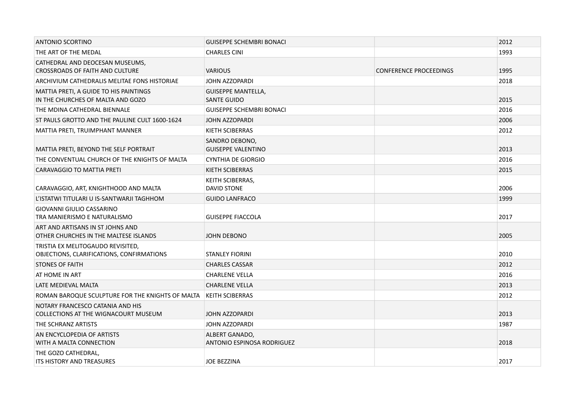| <b>ANTONIO SCORTINO</b>                                                        | <b>GUISEPPE SCHEMBRI BONACI</b>                 |                               | 2012 |
|--------------------------------------------------------------------------------|-------------------------------------------------|-------------------------------|------|
| THE ART OF THE MEDAL                                                           | <b>CHARLES CINI</b>                             |                               | 1993 |
| CATHEDRAL AND DEOCESAN MUSEUMS,<br><b>CROSSROADS OF FAITH AND CULTURE</b>      | <b>VARIOUS</b>                                  | <b>CONFERENCE PROCEEDINGS</b> | 1995 |
| ARCHIVIUM CATHEDRALIS MELITAE FONS HISTORIAE                                   | <b>JOHN AZZOPARDI</b>                           |                               | 2018 |
| MATTIA PRETI, A GUIDE TO HIS PAINTINGS<br>IN THE CHURCHES OF MALTA AND GOZO    | <b>GUISEPPE MANTELLA,</b><br><b>SANTE GUIDO</b> |                               | 2015 |
| THE MDINA CATHEDRAL BIENNALE                                                   | <b>GUISEPPE SCHEMBRI BONACI</b>                 |                               | 2016 |
| ST PAULS GROTTO AND THE PAULINE CULT 1600-1624                                 | JOHN AZZOPARDI                                  |                               | 2006 |
| MATTIA PRETI, TRUIMPHANT MANNER                                                | KIETH SCIBERRAS                                 |                               | 2012 |
| MATTIA PRETI, BEYOND THE SELF PORTRAIT                                         | SANDRO DEBONO,<br><b>GUISEPPE VALENTINO</b>     |                               | 2013 |
| THE CONVENTUAL CHURCH OF THE KNIGHTS OF MALTA                                  | <b>CYNTHIA DE GIORGIO</b>                       |                               | 2016 |
| CARAVAGGIO TO MATTIA PRETI                                                     | KIETH SCIBERRAS                                 |                               | 2015 |
| CARAVAGGIO, ART, KNIGHTHOOD AND MALTA                                          | KEITH SCIBERRAS,<br>DAVID STONE                 |                               | 2006 |
| L'ISTATWI TITULARI U IS-SANTWARJI TAGHHOM                                      | <b>GUIDO LANFRACO</b>                           |                               | 1999 |
| GIOVANNI GIULIO CASSARINO<br>TRA MANIERISMO E NATURALISMO                      | <b>GUISEPPE FIACCOLA</b>                        |                               | 2017 |
| ART AND ARTISANS IN ST JOHNS AND<br>OTHER CHURCHES IN THE MALTESE ISLANDS      | JOHN DEBONO                                     |                               | 2005 |
| TRISTIA EX MELITOGAUDO REVISITED,<br>OBJECTIONS, CLARIFICATIONS, CONFIRMATIONS | <b>STANLEY FIORINI</b>                          |                               | 2010 |
| <b>STONES OF FAITH</b>                                                         | <b>CHARLES CASSAR</b>                           |                               | 2012 |
| AT HOME IN ART                                                                 | <b>CHARLENE VELLA</b>                           |                               | 2016 |
| LATE MEDIEVAL MALTA                                                            | <b>CHARLENE VELLA</b>                           |                               | 2013 |
| ROMAN BAROQUE SCULPTURE FOR THE KNIGHTS OF MALTA                               | <b>KEITH SCIBERRAS</b>                          |                               | 2012 |
| NOTARY FRANCESCO CATANIA AND HIS<br>COLLECTIONS AT THE WIGNACOURT MUSEUM       | <b>JOHN AZZOPARDI</b>                           |                               | 2013 |
| THE SCHRANZ ARTISTS                                                            | JOHN AZZOPARDI                                  |                               | 1987 |
| AN ENCYCLOPEDIA OF ARTISTS<br>WITH A MALTA CONNECTION                          | ALBERT GANADO,<br>ANTONIO ESPINOSA RODRIGUEZ    |                               | 2018 |
| THE GOZO CATHEDRAL,<br><b>ITS HISTORY AND TREASURES</b>                        | <b>JOE BEZZINA</b>                              |                               | 2017 |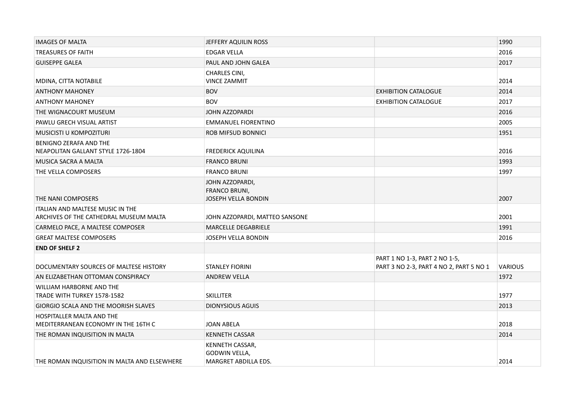| <b>IMAGES OF MALTA</b>                                                            | JEFFERY AQUILIN ROSS                                            |                                                                          | 1990           |
|-----------------------------------------------------------------------------------|-----------------------------------------------------------------|--------------------------------------------------------------------------|----------------|
| <b>TREASURES OF FAITH</b>                                                         | <b>EDGAR VELLA</b>                                              |                                                                          | 2016           |
| <b>GUISEPPE GALEA</b>                                                             | PAUL AND JOHN GALEA                                             |                                                                          | 2017           |
|                                                                                   | <b>CHARLES CINI,</b>                                            |                                                                          |                |
| MDINA, CITTA NOTABILE                                                             | <b>VINCE ZAMMIT</b>                                             |                                                                          | 2014           |
| <b>ANTHONY MAHONEY</b>                                                            | <b>BOV</b>                                                      | <b>EXHIBITION CATALOGUE</b>                                              | 2014           |
| <b>ANTHONY MAHONEY</b>                                                            | <b>BOV</b>                                                      | <b>EXHIBITION CATALOGUE</b>                                              | 2017           |
| THE WIGNACOURT MUSEUM                                                             | JOHN AZZOPARDI                                                  |                                                                          | 2016           |
| PAWLU GRECH VISUAL ARTIST                                                         | <b>EMMANUEL FIORENTINO</b>                                      |                                                                          | 2005           |
| MUSICISTI U KOMPOZITURI                                                           | <b>ROB MIFSUD BONNICI</b>                                       |                                                                          | 1951           |
| <b>BENIGNO ZERAFA AND THE</b><br>NEAPOLITAN GALLANT STYLE 1726-1804               | <b>FREDERICK AQUILINA</b>                                       |                                                                          | 2016           |
| MUSICA SACRA A MALTA                                                              | <b>FRANCO BRUNI</b>                                             |                                                                          | 1993           |
| THE VELLA COMPOSERS                                                               | <b>FRANCO BRUNI</b>                                             |                                                                          | 1997           |
| THE NANI COMPOSERS                                                                | JOHN AZZOPARDI,<br><b>FRANCO BRUNI,</b><br>JOSEPH VELLA BONDIN  |                                                                          | 2007           |
|                                                                                   |                                                                 |                                                                          |                |
| <b>ITALIAN AND MALTESE MUSIC IN THE</b><br>ARCHIVES OF THE CATHEDRAL MUSEUM MALTA | JOHN AZZOPARDI, MATTEO SANSONE                                  |                                                                          | 2001           |
| CARMELO PACE, A MALTESE COMPOSER                                                  | <b>MARCELLE DEGABRIELE</b>                                      |                                                                          | 1991           |
| <b>GREAT MALTESE COMPOSERS</b>                                                    | JOSEPH VELLA BONDIN                                             |                                                                          | 2016           |
| <b>END OF SHELF 2</b>                                                             |                                                                 |                                                                          |                |
| DOCUMENTARY SOURCES OF MALTESE HISTORY                                            | <b>STANLEY FIORINI</b>                                          | PART 1 NO 1-3, PART 2 NO 1-5,<br>PART 3 NO 2-3, PART 4 NO 2, PART 5 NO 1 | <b>VARIOUS</b> |
| AN ELIZABETHAN OTTOMAN CONSPIRACY                                                 | <b>ANDREW VELLA</b>                                             |                                                                          | 1972           |
| WILLIAM HARBORNE AND THE<br>TRADE WITH TURKEY 1578-1582                           | <b>SKILLITER</b>                                                |                                                                          | 1977           |
| GIORGIO SCALA AND THE MOORISH SLAVES                                              | <b>DIONYSIOUS AGUIS</b>                                         |                                                                          | 2013           |
| <b>HOSPITALLER MALTA AND THE</b><br>MEDITERRANEAN ECONOMY IN THE 16TH C           | JOAN ABELA                                                      |                                                                          | 2018           |
| THE ROMAN INQUISITION IN MALTA                                                    | <b>KENNETH CASSAR</b>                                           |                                                                          | 2014           |
| THE ROMAN INQUISITION IN MALTA AND ELSEWHERE                                      | <b>KENNETH CASSAR,</b><br>GODWIN VELLA,<br>MARGRET ABDILLA EDS. |                                                                          | 2014           |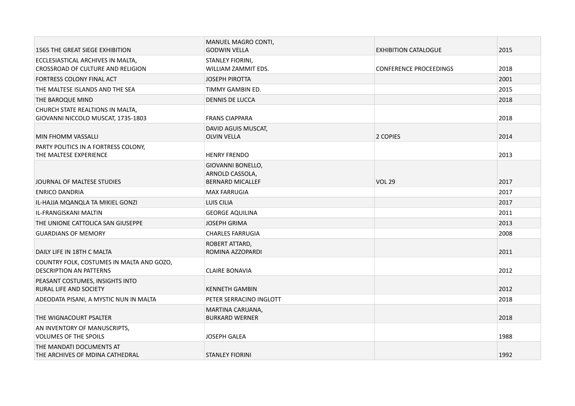| 1565 THE GREAT SIEGE EXHIBITION                                             | MANUEL MAGRO CONTI,<br><b>GODWIN VELLA</b>                      | <b>EXHIBITION CATALOGUE</b>   | 2015 |
|-----------------------------------------------------------------------------|-----------------------------------------------------------------|-------------------------------|------|
| ECCLESIASTICAL ARCHIVES IN MALTA,                                           | STANLEY FIORINI,                                                |                               |      |
| CROSSROAD OF CULTURE AND RELIGION                                           | WILLIAM ZAMMIT EDS.                                             | <b>CONFERENCE PROCEEDINGS</b> | 2018 |
| FORTRESS COLONY FINAL ACT                                                   | <b>JOSEPH PIROTTA</b>                                           |                               | 2001 |
| THE MALTESE ISLANDS AND THE SEA                                             | TIMMY GAMBIN ED.                                                |                               | 2015 |
| THE BAROQUE MIND                                                            | DENNIS DE LUCCA                                                 |                               | 2018 |
| CHURCH STATE REALTIONS IN MALTA,<br>GIOVANNI NICCOLO MUSCAT, 1735-1803      | <b>FRANS CIAPPARA</b>                                           |                               | 2018 |
| MIN FHOMM VASSALLI                                                          | DAVID AGUIS MUSCAT,<br><b>OLVIN VELLA</b>                       | 2 COPIES                      | 2014 |
| PARTY POLITICS IN A FORTRESS COLONY,<br>THE MALTESE EXPERIENCE              | <b>HENRY FRENDO</b>                                             |                               | 2013 |
| JOURNAL OF MALTESE STUDIES                                                  | GIOVANNI BONELLO,<br>ARNOLD CASSOLA,<br><b>BERNARD MICALLEF</b> | <b>VOL 29</b>                 | 2017 |
| <b>ENRICO DANDRIA</b>                                                       | <b>MAX FARRUGIA</b>                                             |                               | 2017 |
| IL-HAJJA MQANQLA TA MIKIEL GONZI                                            | LUIS CILIA                                                      |                               | 2017 |
| IL-FRANGISKANI MALTIN                                                       | <b>GEORGE AQUILINA</b>                                          |                               | 2011 |
| THE UNIONE CATTOLICA SAN GIUSEPPE                                           | <b>JOSEPH GRIMA</b>                                             |                               | 2013 |
| <b>GUARDIANS OF MEMORY</b>                                                  | <b>CHARLES FARRUGIA</b>                                         |                               | 2008 |
| DAILY LIFE IN 18TH C MALTA                                                  | ROBERT ATTARD,<br>ROMINA AZZOPARDI                              |                               | 2011 |
| COUNTRY FOLK, COSTUMES IN MALTA AND GOZO,<br><b>DESCRIPTION AN PATTERNS</b> | <b>CLAIRE BONAVIA</b>                                           |                               | 2012 |
| PEASANT COSTUMES, INSIGHTS INTO<br>RURAL LIFE AND SOCIETY                   | <b>KENNETH GAMBIN</b>                                           |                               | 2012 |
| ADEODATA PISANI, A MYSTIC NUN IN MALTA                                      | PETER SERRACINO INGLOTT                                         |                               | 2018 |
| THE WIGNACOURT PSALTER                                                      | MARTINA CARUANA,<br><b>BURKARD WERNER</b>                       |                               | 2018 |
| AN INVENTORY OF MANUSCRIPTS,<br><b>VOLUMES OF THE SPOILS</b>                | <b>JOSEPH GALEA</b>                                             |                               | 1988 |
| THE MANDATI DOCUMENTS AT<br>THE ARCHIVES OF MDINA CATHEDRAL                 | <b>STANLEY FIORINI</b>                                          |                               | 1992 |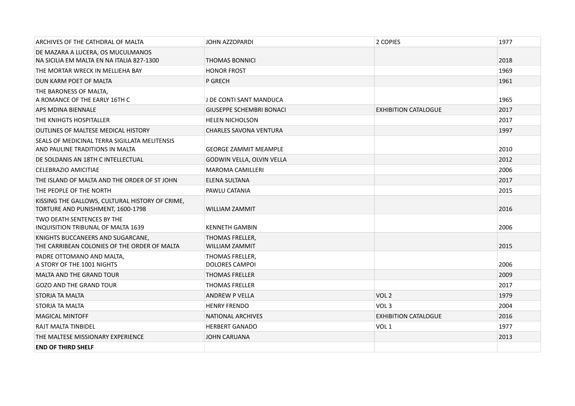| ARCHIVES OF THE CATHDRAL OF MALTA                                                    | <b>JOHN AZZOPARDI</b>                    | 2 COPIES                    | 1977 |
|--------------------------------------------------------------------------------------|------------------------------------------|-----------------------------|------|
| DE MAZARA A LUCERA, OS MUCULMANOS<br>NA SICILIA EM MALTA EN NA ITALIA 827-1300       | <b>THOMAS BONNICI</b>                    |                             | 2018 |
| THE MORTAR WRECK IN MELLIEHA BAY                                                     | <b>HONOR FROST</b>                       |                             | 1969 |
| DUN KARM POET OF MALTA                                                               | P GRECH                                  |                             | 1961 |
| THE BARONESS OF MALTA,<br>A ROMANCE OF THE EARLY 16TH C                              | J DE CONTI SANT MANDUCA                  |                             | 1965 |
| APS MDINA BIENNALE                                                                   | <b>GIUSEPPE SCHEMBRI BONACI</b>          | <b>EXHIBITION CATALOGUE</b> | 2017 |
| THE KNIHGTS HOSPITALLER                                                              | <b>HELEN NICHOLSON</b>                   |                             | 2017 |
| <b>OUTLINES OF MALTESE MEDICAL HISTORY</b>                                           | <b>CHARLES SAVONA VENTURA</b>            |                             | 1997 |
| SEALS OF MEDICINAL TERRA SIGILLATA MELITENSIS<br>AND PAULINE TRADITIONS IN MALTA     | <b>GEORGE ZAMMIT MEAMPLE</b>             |                             | 2010 |
| DE SOLDANIS AN 18TH C INTELLECTUAL                                                   | GODWIN VELLA, OLVIN VELLA                |                             | 2012 |
| CELEBRAZIO AMICITIAE                                                                 | <b>MAROMA CAMILLERI</b>                  |                             | 2006 |
| THE ISLAND OF MALTA AND THE ORDER OF ST JOHN                                         | ELENA SULTANA                            |                             | 2017 |
| THE PEOPLE OF THE NORTH                                                              | PAWLU CATANIA                            |                             | 2015 |
| KISSING THE GALLOWS, CULTURAL HISTORY OF CRIME,<br>TORTURE AND PUNISHMENT, 1600-1798 | WILLIAM ZAMMIT                           |                             | 2016 |
| TWO DEATH SENTENCES BY THE<br><b>INQUISITION TRIBUNAL OF MALTA 1639</b>              | <b>KENNETH GAMBIN</b>                    |                             | 2006 |
| KNIGHTS BUCCANEERS AND SUGARCANE,<br>THE CARRIBEAN COLONIES OF THE ORDER OF MALTA    | THOMAS FRELLER,<br>WILLIAM ZAMMIT        |                             | 2015 |
| PADRE OTTOMANO AND MALTA,<br>A STORY OF THE 1001 NIGHTS                              | THOMAS FRELLER,<br><b>DOLORES CAMPOI</b> |                             | 2006 |
| <b>MALTA AND THE GRAND TOUR</b>                                                      | <b>THOMAS FRELLER</b>                    |                             | 2009 |
| <b>GOZO AND THE GRAND TOUR</b>                                                       | <b>THOMAS FRELLER</b>                    |                             | 2017 |
| STORJA TA MALTA                                                                      | ANDREW P VELLA                           | VOL <sub>2</sub>            | 1979 |
| STORJA TA MALTA                                                                      | <b>HENRY FRENDO</b>                      | VOL <sub>3</sub>            | 2004 |
| <b>MAGICAL MINTOFF</b>                                                               | NATIONAL ARCHIVES                        | <b>EXHIBITION CATALOGUE</b> | 2016 |
| RAJT MALTA TINBIDEL                                                                  | <b>HERBERT GANADO</b>                    | VOL <sub>1</sub>            | 1977 |
| THE MALTESE MISSIONARY EXPERIENCE                                                    | <b>JOHN CARUANA</b>                      |                             | 2013 |
| <b>END OF THIRD SHELF</b>                                                            |                                          |                             |      |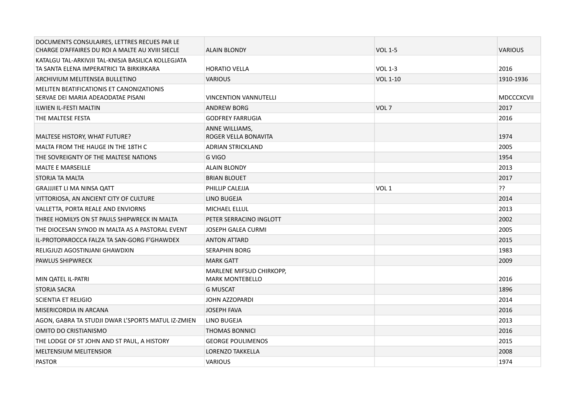| DOCUMENTS CONSULAIRES, LETTRES RECUES PAR LE<br>CHARGE D'AFFAIRES DU ROI A MALTE AU XVIII SIECLE | <b>ALAIN BLONDY</b>                                | <b>VOL 1-5</b>   | <b>VARIOUS</b>    |
|--------------------------------------------------------------------------------------------------|----------------------------------------------------|------------------|-------------------|
| KATALGU TAL-ARKIVJII TAL-KNISJA BASILICA KOLLEGJATA                                              |                                                    |                  |                   |
| TA SANTA ELENA IMPERATRICI TA BIRKIRKARA                                                         | <b>HORATIO VELLA</b>                               | <b>VOL 1-3</b>   | 2016              |
| ARCHIVIUM MELITENSEA BULLETINO                                                                   | <b>VARIOUS</b>                                     | <b>VOL 1-10</b>  | 1910-1936         |
| MELITEN BEATIFICATIONIS ET CANONIZATIONIS<br>SERVAE DEI MARIA ADEAODATAE PISANI                  | <b>VINCENTION VANNUTELLI</b>                       |                  | <b>MDCCCXCVII</b> |
| <b>ILWIEN IL-FESTI MALTIN</b>                                                                    | <b>ANDREW BORG</b>                                 | VOL <sub>7</sub> | 2017              |
| THE MALTESE FESTA                                                                                | <b>GODFREY FARRUGIA</b>                            |                  | 2016              |
| MALTESE HISTORY, WHAT FUTURE?                                                                    | ANNE WILLIAMS,<br>ROGER VELLA BONAVITA             |                  | 1974              |
| MALTA FROM THE HAUGE IN THE 18TH C                                                               | <b>ADRIAN STRICKLAND</b>                           |                  | 2005              |
| THE SOVREIGNTY OF THE MALTESE NATIONS                                                            | G VIGO                                             |                  | 1954              |
| <b>MALTE E MARSEILLE</b>                                                                         | <b>ALAIN BLONDY</b>                                |                  | 2013              |
| STORJA TA MALTA                                                                                  | <b>BRIAN BLOUET</b>                                |                  | 2017              |
| <b>GRAJJJIET LI MA NINSA QATT</b>                                                                | PHILLIP CALEJJA                                    | VOL <sub>1</sub> | ??                |
| VITTORIOSA, AN ANCIENT CITY OF CULTURE                                                           | LINO BUGEJA                                        |                  | 2014              |
| VALLETTA, PORTA REALE AND ENVIORNS                                                               | <b>MICHAEL ELLUL</b>                               |                  | 2013              |
| THREE HOMILYS ON ST PAULS SHIPWRECK IN MALTA                                                     | PETER SERRACINO INGLOTT                            |                  | 2002              |
| THE DIOCESAN SYNOD IN MALTA AS A PASTORAL EVENT                                                  | <b>JOSEPH GALEA CURMI</b>                          |                  | 2005              |
| IL-PROTOPAROCCA FALZA TA SAN-GORG F'GHAWDEX                                                      | <b>ANTON ATTARD</b>                                |                  | 2015              |
| RELIGJUZI AGOSTINJANI GHAWDXIN                                                                   | <b>SERAPHIN BORG</b>                               |                  | 1983              |
| PAWLUS SHIPWRECK                                                                                 | <b>MARK GATT</b>                                   |                  | 2009              |
| MIN OATEL IL-PATRI                                                                               | MARLENE MIFSUD CHIRKOPP,<br><b>MARK MONTEBELLO</b> |                  | 2016              |
| <b>STORJA SACRA</b>                                                                              | <b>G MUSCAT</b>                                    |                  | 1896              |
| <b>SCIENTIA ET RELIGIO</b>                                                                       | <b>JOHN AZZOPARDI</b>                              |                  | 2014              |
| MISERICORDIA IN ARCANA                                                                           | <b>JOSEPH FAVA</b>                                 |                  | 2016              |
| AGON, GABRA TA STUDJI DWAR L'SPORTS MATUL IZ-ZMIEN                                               | LINO BUGEJA                                        |                  | 2013              |
| OMITO DO CRISTIANISMO                                                                            | <b>THOMAS BONNICI</b>                              |                  | 2016              |
| THE LODGE OF ST JOHN AND ST PAUL, A HISTORY                                                      | <b>GEORGE POULIMENOS</b>                           |                  | 2015              |
| <b>MELTENSIUM MELITENSIOR</b>                                                                    | LORENZO TAKKELLA                                   |                  | 2008              |
| <b>PASTOR</b>                                                                                    | <b>VARIOUS</b>                                     |                  | 1974              |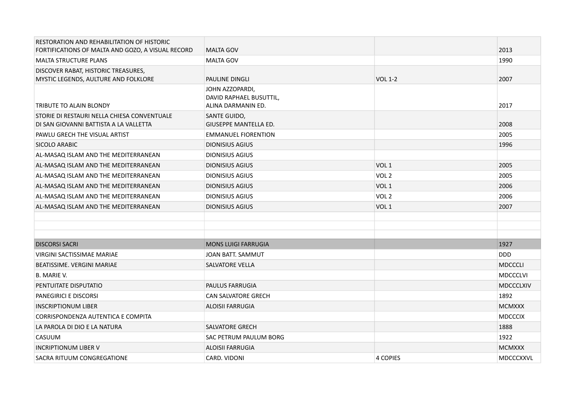| RESTORATION AND REHABILITATION OF HISTORIC                                            |                                                                  |                  |                  |
|---------------------------------------------------------------------------------------|------------------------------------------------------------------|------------------|------------------|
| FORTIFICATIONS OF MALTA AND GOZO, A VISUAL RECORD                                     | <b>MALTA GOV</b>                                                 |                  | 2013             |
| <b>MALTA STRUCTURE PLANS</b>                                                          | <b>MALTA GOV</b>                                                 |                  | 1990             |
| DISCOVER RABAT, HISTORIC TREASURES,                                                   |                                                                  |                  |                  |
| MYSTIC LEGENDS, AULTURE AND FOLKLORE                                                  | PAULINE DINGLI                                                   | <b>VOL 1-2</b>   | 2007             |
| TRIBUTE TO ALAIN BLONDY                                                               | JOHN AZZOPARDI,<br>DAVID RAPHAEL BUSUTTIL,<br>ALINA DARMANIN ED. |                  | 2017             |
| STORIE DI RESTAURI NELLA CHIESA CONVENTUALE<br>DI SAN GIOVANNI BATTISTA A LA VALLETTA | <b>SANTE GUIDO,</b><br><b>GIUSEPPE MANTELLA ED.</b>              |                  | 2008             |
| PAWLU GRECH THE VISUAL ARTIST                                                         | <b>EMMANUEL FIORENTION</b>                                       |                  | 2005             |
| <b>SICOLO ARABIC</b>                                                                  | <b>DIONISIUS AGIUS</b>                                           |                  | 1996             |
| AL-MASAQ ISLAM AND THE MEDITERRANEAN                                                  | <b>DIONISIUS AGIUS</b>                                           |                  |                  |
| AL-MASAQ ISLAM AND THE MEDITERRANEAN                                                  | <b>DIONISIUS AGIUS</b>                                           | VOL <sub>1</sub> | 2005             |
| AL-MASAQ ISLAM AND THE MEDITERRANEAN                                                  | <b>DIONISIUS AGIUS</b>                                           | VOL <sub>2</sub> | 2005             |
| AL-MASAQ ISLAM AND THE MEDITERRANEAN                                                  | <b>DIONISIUS AGIUS</b>                                           | VOL <sub>1</sub> | 2006             |
| AL-MASAQ ISLAM AND THE MEDITERRANEAN                                                  | <b>DIONISIUS AGIUS</b>                                           | VOL <sub>2</sub> | 2006             |
| AL-MASAQ ISLAM AND THE MEDITERRANEAN                                                  | <b>DIONISIUS AGIUS</b>                                           | VOL <sub>1</sub> | 2007             |
| <b>DISCORSI SACRI</b>                                                                 | <b>MONS LUIGI FARRUGIA</b>                                       |                  | 1927             |
| <b>VIRGINI SACTISSIMAE MARIAE</b>                                                     | JOAN BATT, SAMMUT                                                |                  | <b>DDD</b>       |
| BEATISSIME. VERGINI MARIAE                                                            | <b>SALVATORE VELLA</b>                                           |                  | <b>MDCCCLI</b>   |
| B. MARIE V.                                                                           |                                                                  |                  | <b>MDCCCLVI</b>  |
| PENTUITATE DISPUTATIO                                                                 | <b>PAULUS FARRUGIA</b>                                           |                  | <b>MDCCCLXIV</b> |
| PANEGIRICI E DISCORSI                                                                 | <b>CAN SALVATORE GRECH</b>                                       |                  | 1892             |
| <b>INSCRIPTIONUM LIBER</b>                                                            | ALOISII FARRUGIA                                                 |                  | <b>MCMXXX</b>    |
| CORRISPONDENZA AUTENTICA E COMPITA                                                    |                                                                  |                  | <b>MDCCCIX</b>   |
| LA PAROLA DI DIO E LA NATURA                                                          | <b>SALVATORE GRECH</b>                                           |                  | 1888             |
| CASUUM                                                                                | SAC PETRUM PAULUM BORG                                           |                  | 1922             |
| <b>INCRIPTIONUM LIBER V</b>                                                           | <b>ALOISII FARRUGIA</b>                                          |                  | <b>MCMXXX</b>    |
| SACRA RITUUM CONGREGATIONE                                                            | CARD, VIDONI                                                     | <b>4 COPIES</b>  | <b>MDCCCXXVL</b> |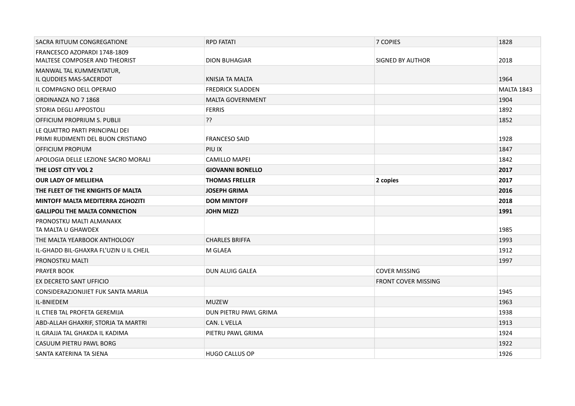| SACRA RITUUM CONGREGATIONE                                            | <b>RPD FATATI</b>       | 7 COPIES                   | 1828              |
|-----------------------------------------------------------------------|-------------------------|----------------------------|-------------------|
| FRANCESCO AZOPARDI 1748-1809                                          |                         |                            |                   |
| <b>MALTESE COMPOSER AND THEORIST</b>                                  | <b>DION BUHAGIAR</b>    | SIGNED BY AUTHOR           | 2018              |
| MANWAL TAL KUMMENTATUR,<br>IL QUDDIES MAS-SACERDOT                    | KNISJA TA MALTA         |                            | 1964              |
| IL COMPAGNO DELL OPERAIO                                              | <b>FREDRICK SLADDEN</b> |                            | <b>MALTA 1843</b> |
| ORDINANZA NO 7 1868                                                   | <b>MALTA GOVERNMENT</b> |                            | 1904              |
| STORIA DEGLI APPOSTOLI                                                | <b>FERRIS</b>           |                            | 1892              |
| OFFICIUM PROPRIUM S. PUBLII                                           | ??                      |                            | 1852              |
| LE QUATTRO PARTI PRINCIPALI DEI<br>PRIMI RUDIMENTI DEL BUON CRISTIANO | <b>FRANCESO SAID</b>    |                            | 1928              |
| OFFICIUM PROPIUM                                                      | PIU IX                  |                            | 1847              |
| APOLOGIA DELLE LEZIONE SACRO MORALI                                   | <b>CAMILLO MAPEI</b>    |                            | 1842              |
| THE LOST CITY VOL 2                                                   | <b>GIOVANNI BONELLO</b> |                            | 2017              |
| <b>OUR LADY OF MELLIEHA</b>                                           | <b>THOMAS FRELLER</b>   | 2 copies                   | 2017              |
| THE FLEET OF THE KNIGHTS OF MALTA                                     | <b>JOSEPH GRIMA</b>     |                            | 2016              |
| <b>MINTOFF MALTA MEDITERRA ZGHOZITI</b>                               | <b>DOM MINTOFF</b>      |                            | 2018              |
| <b>GALLIPOLI THE MALTA CONNECTION</b>                                 | <b>JOHN MIZZI</b>       |                            | 1991              |
| PRONOSTKU MALTI ALMANAKK<br>TA MALTA U GHAWDEX                        |                         |                            | 1985              |
| THE MALTA YEARBOOK ANTHOLOGY                                          | <b>CHARLES BRIFFA</b>   |                            | 1993              |
| IL-GHADD BIL-GHAXRA FL'UZIN U IL CHEJL                                | M GLAEA                 |                            | 1912              |
| PRONOSTKU MALTI                                                       |                         |                            | 1997              |
| <b>PRAYER BOOK</b>                                                    | <b>DUN ALUIG GALEA</b>  | <b>COVER MISSING</b>       |                   |
| EX DECRETO SANT UFFICIO                                               |                         | <b>FRONT COVER MISSING</b> |                   |
| CONSIDERAZJONIJIET FUK SANTA MARIJA                                   |                         |                            | 1945              |
| IL-BNIEDEM                                                            | <b>MUZEW</b>            |                            | 1963              |
| IL CTIEB TAL PROFETA GEREMIJA                                         | DUN PIETRU PAWL GRIMA   |                            | 1938              |
| ABD-ALLAH GHAXRIF, STORJA TA MARTRI                                   | CAN. L VELLA            |                            | 1913              |
| IL GRAJJA TAL GHAKDA IL KADIMA                                        | PIETRU PAWL GRIMA       |                            | 1924              |
| CASUUM PIETRU PAWL BORG                                               |                         |                            | 1922              |
| SANTA KATERINA TA SIENA                                               | <b>HUGO CALLUS OP</b>   |                            | 1926              |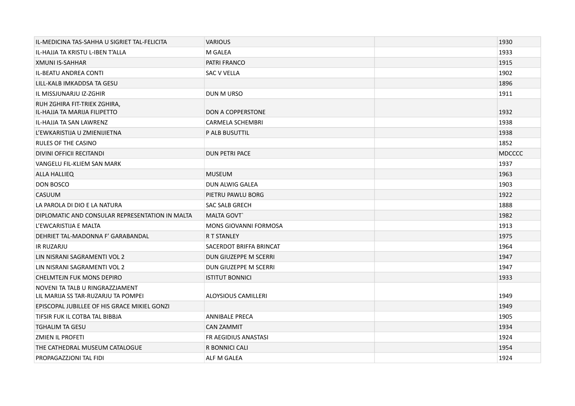| IL-MEDICINA TAS-SAHHA U SIGRIET TAL-FELICITA                           | <b>VARIOUS</b>             | 1930          |
|------------------------------------------------------------------------|----------------------------|---------------|
| IL-HAJJA TA KRISTU L-IBEN T'ALLA                                       | M GALEA                    | 1933          |
| XMUNI IS-SAHHAR                                                        | <b>PATRI FRANCO</b>        | 1915          |
| <b>IL-BEATU ANDREA CONTI</b>                                           | <b>SAC V VELLA</b>         | 1902          |
| LILL-KALB IMKADDSA TA GESU                                             |                            | 1896          |
| IL MISSJUNARJU IZ-ZGHIR                                                | DUN M URSO                 | 1911          |
| RUH ZGHIRA FIT-TRIEK ZGHIRA,<br>IL-HAJJA TA MARIJA FILIPETTO           | <b>DON A COPPERSTONE</b>   | 1932          |
| IL-HAJJA TA SAN LAWRENZ                                                | <b>CARMELA SCHEMBRI</b>    | 1938          |
| L'EWKARISTIJA U ZMIENIJIETNA                                           | P ALB BUSUTTIL             | 1938          |
| <b>RULES OF THE CASINO</b>                                             |                            | 1852          |
| DIVINI OFFICII RECITANDI                                               | <b>DUN PETRI PACE</b>      | <b>MDCCCC</b> |
| VANGELU FIL-KLIEM SAN MARK                                             |                            | 1937          |
| <b>ALLA HALLIEQ</b>                                                    | <b>MUSEUM</b>              | 1963          |
| <b>DON BOSCO</b>                                                       | DUN ALWIG GALEA            | 1903          |
| CASUUM                                                                 | PIETRU PAWLU BORG          | 1922          |
| LA PAROLA DI DIO E LA NATURA                                           | <b>SAC SALB GRECH</b>      | 1888          |
| DIPLOMATIC AND CONSULAR REPRESENTATION IN MALTA                        | <b>MALTA GOVT</b>          | 1982          |
| L'EWCARISTIJA E MALTA                                                  | MONS GIOVANNI FORMOSA      | 1913          |
| DEHRIET TAL-MADONNA F' GARABANDAL                                      | <b>R T STANLEY</b>         | 1975          |
| <b>IR RUZARJU</b>                                                      | SACERDOT BRIFFA BRINCAT    | 1964          |
| LIN NISRANI SAGRAMENTI VOL 2                                           | DUN GIUZEPPE M SCERRI      | 1947          |
| LIN NISRANI SAGRAMENTI VOL 2                                           | DUN GIUZEPPE M SCERRI      | 1947          |
| <b>CHELMTEJN FUK MONS DEPIRO</b>                                       | <b>ISTITUT BONNICI</b>     | 1933          |
| NOVENI TA TALB U RINGRAZZJAMENT<br>LIL MARIJA SS TAR-RUZARJU TA POMPEI | <b>ALOYSIOUS CAMILLERI</b> | 1949          |
| EPISCOPAL JUBILLEE OF HIS GRACE MIKIEL GONZI                           |                            | 1949          |
| TIFSIR FUK IL COTBA TAL BIBBJA                                         | <b>ANNIBALE PRECA</b>      | 1905          |
| <b>TGHALIM TA GESU</b>                                                 | <b>CAN ZAMMIT</b>          | 1934          |
| ZMIEN IL PROFETI                                                       | FR AEGIDIUS ANASTASI       | 1924          |
| THE CATHEDRAL MUSEUM CATALOGUE                                         | R BONNICI CALI             | 1954          |
| PROPAGAZZIONI TAL FIDI                                                 | ALF M GALEA                | 1924          |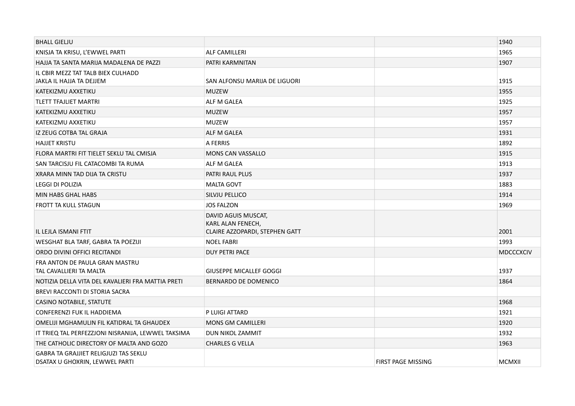| <b>BHALL GIELJU</b>                                                            |                                                                            |                    | 1940             |
|--------------------------------------------------------------------------------|----------------------------------------------------------------------------|--------------------|------------------|
| KNISJA TA KRISU, L'EWWEL PARTI                                                 | <b>ALF CAMILLERI</b>                                                       |                    | 1965             |
| HAJJA TA SANTA MARIJA MADALENA DE PAZZI                                        | PATRI KARMNITAN                                                            |                    | 1907             |
| IL CBIR MEZZ TAT TALB BIEX CULHADD                                             |                                                                            |                    |                  |
| JAKLA IL HAJJA TA DEJJEM                                                       | SAN ALFONSU MARIJA DE LIGUORI                                              |                    | 1915             |
| KATEKIZMU AXXETIKU                                                             | <b>MUZEW</b>                                                               |                    | 1955             |
| <b>TLETT TFAJLIET MARTRI</b>                                                   | ALF M GALEA                                                                |                    | 1925             |
| KATEKIZMU AXXETIKU                                                             | <b>MUZEW</b>                                                               |                    | 1957             |
| KATEKIZMU AXXETIKU                                                             | <b>MUZEW</b>                                                               |                    | 1957             |
| IZ ZEUG COTBA TAL GRAJA                                                        | ALF M GALEA                                                                |                    | 1931             |
| <b>HAJJET KRISTU</b>                                                           | A FERRIS                                                                   |                    | 1892             |
| FLORA MARTRI FIT TIELET SEKLU TAL CMISJA                                       | <b>MONS CAN VASSALLO</b>                                                   |                    | 1915             |
| SAN TARCISJU FIL CATACOMBI TA RUMA                                             | ALF M GALEA                                                                |                    | 1913             |
| XRARA MINN TAD DIJA TA CRISTU                                                  | PATRI RAUL PLUS                                                            |                    | 1937             |
| <b>LEGGI DI POLIZIA</b>                                                        | <b>MALTA GOVT</b>                                                          |                    | 1883             |
| MIN HABS GHAL HABS                                                             | SILVJU PELLICO                                                             |                    | 1914             |
| <b>FROTT TA KULL STAGUN</b>                                                    | <b>JOS FALZON</b>                                                          |                    | 1969             |
| IL LEJLA ISMANI FTIT                                                           | DAVID AGUIS MUSCAT,<br>KARL ALAN FENECH,<br>CLAIRE AZZOPARDI, STEPHEN GATT |                    | 2001             |
| WESGHAT BLA TARF, GABRA TA POEZIJI                                             | <b>NOEL FABRI</b>                                                          |                    | 1993             |
| ORDO DIVINI OFFICI RECITANDI                                                   | <b>DUY PETRI PACE</b>                                                      |                    | <b>MDCCCXCIV</b> |
| FRA ANTON DE PAULA GRAN MASTRU<br>TAL CAVALLIERI TA MALTA                      | <b>GIUSEPPE MICALLEF GOGGI</b>                                             |                    | 1937             |
| NOTIZIA DELLA VITA DEL KAVALIERI FRA MATTIA PRETI                              | BERNARDO DE DOMENICO                                                       |                    | 1864             |
| BREVI RACCONTI DI STORIA SACRA                                                 |                                                                            |                    |                  |
| CASINO NOTABILE, STATUTE                                                       |                                                                            |                    | 1968             |
| CONFERENZI FUK IL HADDIEMA                                                     | P LUIGI ATTARD                                                             |                    | 1921             |
| OMELIJI MGHAMULIN FIL KATIDRAL TA GHAUDEX                                      | <b>MONS GM CAMILLERI</b>                                                   |                    | 1920             |
| IT TRIEQ TAL PERFEZZJONI NISRANIJA, LEWWEL TAKSIMA                             | <b>DUN NIKOL ZAMMIT</b>                                                    |                    | 1932             |
| THE CATHOLIC DIRECTORY OF MALTA AND GOZO                                       | <b>CHARLES G VELLA</b>                                                     |                    | 1963             |
| <b>GABRA TA GRAJJIET RELIGJUZI TAS SEKLU</b><br>DSATAX U GHOXRIN, LEWWEL PARTI |                                                                            | FIRST PAGE MISSING | <b>MCMXII</b>    |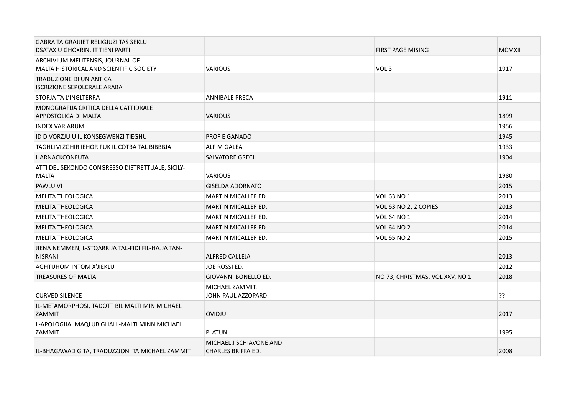| <b>GABRA TA GRAJJIET RELIGJUZI TAS SEKLU</b><br>DSATAX U GHOXRIN, IT TIENI PARTI |                                                      | <b>FIRST PAGE MISING</b>        | <b>MCMXII</b> |
|----------------------------------------------------------------------------------|------------------------------------------------------|---------------------------------|---------------|
| ARCHIVIUM MELITENSIS, JOURNAL OF<br>MALTA HISTORICAL AND SCIENTIFIC SOCIETY      | <b>VARIOUS</b>                                       | VOL <sub>3</sub>                | 1917          |
| TRADUZIONE DI UN ANTICA<br><b>ISCRIZIONE SEPOLCRALE ARABA</b>                    |                                                      |                                 |               |
| STORJA TA L'INGLTERRA                                                            | <b>ANNIBALE PRECA</b>                                |                                 | 1911          |
| MONOGRAFIJA CRITICA DELLA CATTIDRALE<br>APPOSTOLICA DI MALTA                     | <b>VARIOUS</b>                                       |                                 | 1899          |
| <b>INDEX VARIARUM</b>                                                            |                                                      |                                 | 1956          |
| ID DIVORZJU U IL KONSEGWENZI TIEGHU                                              | <b>PROF E GANADO</b>                                 |                                 | 1945          |
| TAGHLIM ZGHIR IEHOR FUK IL COTBA TAL BIBBBJA                                     | ALF M GALEA                                          |                                 | 1933          |
| <b>HARNACKCONFUTA</b>                                                            | <b>SALVATORE GRECH</b>                               |                                 | 1904          |
| ATTI DEL SEKONDO CONGRESSO DISTRETTUALE, SICILY-<br><b>MALTA</b>                 | <b>VARIOUS</b>                                       |                                 | 1980          |
| <b>PAWLU VI</b>                                                                  | <b>GISELDA ADORNATO</b>                              |                                 | 2015          |
| <b>MELITA THEOLOGICA</b>                                                         | <b>MARTIN MICALLEF ED.</b>                           | <b>VOL 63 NO 1</b>              | 2013          |
| <b>MELITA THEOLOGICA</b>                                                         | MARTIN MICALLEF ED.                                  | VOL 63 NO 2, 2 COPIES           | 2013          |
| <b>MELITA THEOLOGICA</b>                                                         | <b>MARTIN MICALLEF ED.</b>                           | <b>VOL 64 NO 1</b>              | 2014          |
| <b>MELITA THEOLOGICA</b>                                                         | <b>MARTIN MICALLEF ED.</b>                           | <b>VOL 64 NO 2</b>              | 2014          |
| <b>MELITA THEOLOGICA</b>                                                         | MARTIN MICALLEF ED.                                  | <b>VOL 65 NO 2</b>              | 2015          |
| JIENA NEMMEN, L-STQARRIJA TAL-FIDI FIL-HAJJA TAN-<br><b>NISRANI</b>              | ALFRED CALLEJA                                       |                                 | 2013          |
| <b>AGHTUHOM INTOM X'JIEKLU</b>                                                   | JOE ROSSI ED.                                        |                                 | 2012          |
| <b>TREASURES OF MALTA</b>                                                        | GIOVANNI BONELLO ED.                                 | NO 73, CHRISTMAS, VOL XXV, NO 1 | 2018          |
| <b>CURVED SILENCE</b>                                                            | MICHAEL ZAMMIT,<br>JOHN PAUL AZZOPARDI               |                                 | ??            |
| IL-METAMORPHOSI, TADOTT BIL MALTI MIN MICHAEL<br>ZAMMIT                          | OVIDJU                                               |                                 | 2017          |
| L-APOLOGIJA, MAQLUB GHALL-MALTI MINN MICHAEL<br>ZAMMIT                           | <b>PLATUN</b>                                        |                                 | 1995          |
| IL-BHAGAWAD GITA, TRADUZZJONI TA MICHAEL ZAMMIT                                  | MICHAEL J SCHIAVONE AND<br><b>CHARLES BRIFFA ED.</b> |                                 | 2008          |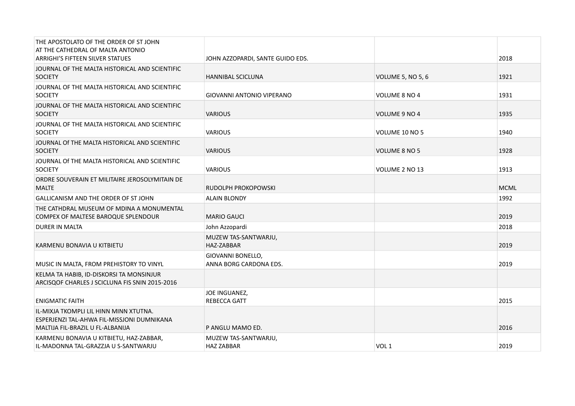| THE APOSTOLATO OF THE ORDER OF ST JOHN<br>AT THE CATHEDRAL OF MALTA ANTONIO<br><b>ARRIGHI'S FIFTEEN SILVER STATUES</b>   | JOHN AZZOPARDI, SANTE GUIDO EDS.            |                      | 2018        |
|--------------------------------------------------------------------------------------------------------------------------|---------------------------------------------|----------------------|-------------|
| JOURNAL OF THE MALTA HISTORICAL AND SCIENTIFIC<br><b>SOCIETY</b>                                                         | <b>HANNIBAL SCICLUNA</b>                    | VOLUME 5, NO 5, 6    | 1921        |
| JOURNAL OF THE MALTA HISTORICAL AND SCIENTIFIC<br><b>SOCIETY</b>                                                         | GIOVANNI ANTONIO VIPERANO                   | VOLUME 8 NO 4        | 1931        |
| JOURNAL OF THE MALTA HISTORICAL AND SCIENTIFIC<br><b>SOCIETY</b>                                                         | <b>VARIOUS</b>                              | VOLUME 9 NO 4        | 1935        |
| JOURNAL OF THE MALTA HISTORICAL AND SCIENTIFIC<br><b>SOCIETY</b>                                                         | <b>VARIOUS</b>                              | VOLUME 10 NO 5       | 1940        |
| JOURNAL OF THE MALTA HISTORICAL AND SCIENTIFIC<br><b>SOCIETY</b>                                                         | <b>VARIOUS</b>                              | <b>VOLUME 8 NO 5</b> | 1928        |
| JOURNAL Of THE MALTA HISTORICAL AND SCIENTIFIC<br><b>SOCIETY</b>                                                         | <b>VARIOUS</b>                              | VOLUME 2 NO 13       | 1913        |
| ORDRE SOUVERAIN ET MILITAIRE JEROSOLYMITAIN DE<br><b>MALTE</b>                                                           | RUDOLPH PROKOPOWSKI                         |                      | <b>MCML</b> |
| GALLICANISM AND THE ORDER OF ST JOHN                                                                                     | <b>ALAIN BLONDY</b>                         |                      | 1992        |
| THE CATHDRAL MUSEUM OF MDINA A MONUMENTAL<br>COMPEX OF MALTESE BAROQUE SPLENDOUR                                         | <b>MARIO GAUCI</b>                          |                      | 2019        |
| DURER IN MALTA                                                                                                           | John Azzopardi                              |                      | 2018        |
| KARMENU BONAVIA U KITBIETU                                                                                               | MUZEW TAS-SANTWARJU,<br>HAZ-ZABBAR          |                      | 2019        |
| MUSIC IN MALTA, FROM PREHISTORY TO VINYL                                                                                 | GIOVANNI BONELLO,<br>ANNA BORG CARDONA EDS. |                      | 2019        |
| KELMA TA HABIB, ID-DISKORSI TA MONSINJUR<br>ARCISQOF CHARLES J SCICLUNA FIS SNIN 2015-2016                               |                                             |                      |             |
| <b>ENIGMATIC FAITH</b>                                                                                                   | JOE INGUANEZ,<br><b>REBECCA GATT</b>        |                      | 2015        |
| IL-MIXJA TKOMPLI LIL HINN MINN XTUTNA.<br>ESPERJENZI TAL-AHWA FIL-MISSJONI DUMNIKANA<br>MALTIJA FIL-BRAZIL U FL-ALBANIJA | P ANGLU MAMO ED.                            |                      | 2016        |
| KARMENU BONAVIA U KITBIETU, HAZ-ZABBAR,<br>IL-MADONNA TAL-GRAZZJA U S-SANTWARJU                                          | MUZEW TAS-SANTWARJU,<br><b>HAZ ZABBAR</b>   | VOL <sub>1</sub>     | 2019        |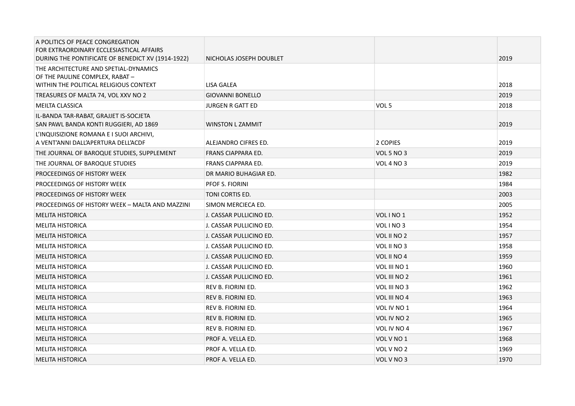| A POLITICS OF PEACE CONGREGATION<br>FOR EXTRAORDINARY ECCLESIASTICAL AFFAIRS<br>DURING THE PONTIFICATE OF BENEDICT XV (1914-1922) | NICHOLAS JOSEPH DOUBLET   |                     | 2019 |
|-----------------------------------------------------------------------------------------------------------------------------------|---------------------------|---------------------|------|
| THE ARCHITECTURE AND SPETIAL-DYNAMICS<br>OF THE PAULINE COMPLEX, RABAT -<br>WITHIN THE POLITICAL RELIGIOUS CONTEXT                | LISA GALEA                |                     | 2018 |
| TREASURES OF MALTA 74, VOL XXV NO 2                                                                                               | <b>GIOVANNI BONELLO</b>   |                     | 2019 |
| MEILTA CLASSICA                                                                                                                   | <b>JURGEN R GATT ED</b>   | VOL <sub>5</sub>    | 2018 |
| IL-BANDA TAR-RABAT, GRAJJET IS-SOCJETA<br>SAN PAWL BANDA KONTI RUGGIERI, AD 1869                                                  | <b>WINSTON L ZAMMIT</b>   |                     | 2019 |
| L'INQUISIZIONE ROMANA E I SUOI ARCHIVI,<br>A VENT'ANNI DALL'APERTURA DELL'ACDF                                                    | ALEJANDRO CIFRES ED.      | 2 COPIES            | 2019 |
| THE JOURNAL OF BAROQUE STUDIES, SUPPLEMENT                                                                                        | FRANS CIAPPARA ED.        | <b>VOL 5 NO 3</b>   | 2019 |
| THE JOURNAL OF BAROQUE STUDIES                                                                                                    | <b>FRANS CIAPPARA ED.</b> | <b>VOL 4 NO 3</b>   | 2019 |
| PROCEEDINGS OF HISTORY WEEK                                                                                                       | DR MARIO BUHAGIAR ED.     |                     | 1982 |
| PROCEEDINGS OF HISTORY WEEK                                                                                                       | <b>PFOF S. FIORINI</b>    |                     | 1984 |
| PROCEEDINGS OF HISTORY WEEK                                                                                                       | TONI CORTIS ED.           |                     | 2003 |
| PROCEEDINGS OF HISTORY WEEK - MALTA AND MAZZINI                                                                                   | SIMON MERCIECA ED.        |                     | 2005 |
| <b>MELITA HISTORICA</b>                                                                                                           | J. CASSAR PULLICINO ED.   | VOLINO <sub>1</sub> | 1952 |
| <b>MELITA HISTORICA</b>                                                                                                           | J. CASSAR PULLICINO ED.   | VOLINO <sub>3</sub> | 1954 |
| <b>MELITA HISTORICA</b>                                                                                                           | J. CASSAR PULLICINO ED.   | VOL II NO 2         | 1957 |
| <b>MELITA HISTORICA</b>                                                                                                           | J. CASSAR PULLICINO ED.   | VOL II NO 3         | 1958 |
| <b>MELITA HISTORICA</b>                                                                                                           | J. CASSAR PULLICINO ED.   | VOL II NO 4         | 1959 |
| <b>MELITA HISTORICA</b>                                                                                                           | J. CASSAR PULLICINO ED.   | VOL III NO 1        | 1960 |
| <b>MELITA HISTORICA</b>                                                                                                           | J. CASSAR PULLICINO ED.   | VOL III NO 2        | 1961 |
| <b>MELITA HISTORICA</b>                                                                                                           | REV B. FIORINI ED.        | VOL III NO 3        | 1962 |
| <b>MELITA HISTORICA</b>                                                                                                           | <b>REV B. FIORINI ED.</b> | VOL III NO 4        | 1963 |
| <b>MELITA HISTORICA</b>                                                                                                           | <b>REV B. FIORINI ED.</b> | VOL IV NO 1         | 1964 |
| <b>MELITA HISTORICA</b>                                                                                                           | REV B. FIORINI ED.        | VOL IV NO 2         | 1965 |
| <b>MELITA HISTORICA</b>                                                                                                           | <b>REV B. FIORINI ED.</b> | VOL IV NO 4         | 1967 |
| <b>MELITA HISTORICA</b>                                                                                                           | PROF A. VELLA ED.         | VOL V NO 1          | 1968 |
| <b>MELITA HISTORICA</b>                                                                                                           | PROF A. VELLA ED.         | VOL V NO 2          | 1969 |
| <b>MELITA HISTORICA</b>                                                                                                           | PROF A. VELLA ED.         | VOL V NO 3          | 1970 |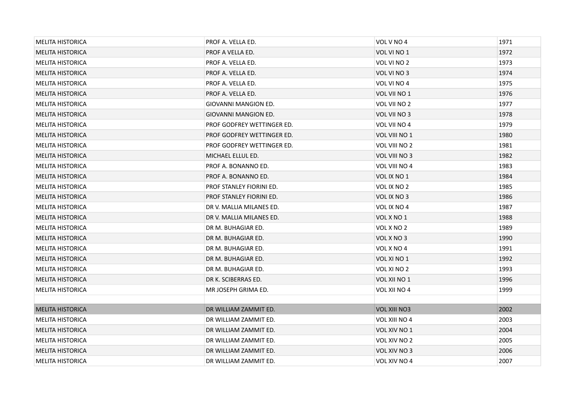| <b>MELITA HISTORICA</b> | PROF A. VELLA ED.          | VOL V NO 4          | 1971 |
|-------------------------|----------------------------|---------------------|------|
| <b>MELITA HISTORICA</b> | PROF A VELLA ED.           | VOL VI NO 1         | 1972 |
| <b>MELITA HISTORICA</b> | PROF A. VELLA ED.          | VOL VI NO 2         | 1973 |
| <b>MELITA HISTORICA</b> | PROF A. VELLA ED.          | VOL VI NO 3         | 1974 |
| <b>MELITA HISTORICA</b> | PROF A. VELLA ED.          | VOL VI NO 4         | 1975 |
| <b>MELITA HISTORICA</b> | PROF A. VELLA ED.          | VOL VII NO 1        | 1976 |
| <b>MELITA HISTORICA</b> | GIOVANNI MANGION ED.       | VOL VII NO 2        | 1977 |
| <b>MELITA HISTORICA</b> | GIOVANNI MANGION ED.       | VOL VII NO 3        | 1978 |
| <b>MELITA HISTORICA</b> | PROF GODFREY WETTINGER ED. | VOL VII NO 4        | 1979 |
| <b>MELITA HISTORICA</b> | PROF GODFREY WETTINGER ED. | VOL VIII NO 1       | 1980 |
| <b>MELITA HISTORICA</b> | PROF GODFREY WETTINGER ED. | VOL VIII NO 2       | 1981 |
| <b>MELITA HISTORICA</b> | MICHAEL ELLUL ED.          | VOL VIII NO 3       | 1982 |
| <b>MELITA HISTORICA</b> | PROF A. BONANNO ED.        | VOL VIII NO 4       | 1983 |
| <b>MELITA HISTORICA</b> | PROF A. BONANNO ED.        | VOL IX NO 1         | 1984 |
| <b>MELITA HISTORICA</b> | PROF STANLEY FIORINI ED.   | VOL IX NO 2         | 1985 |
| <b>MELITA HISTORICA</b> | PROF STANLEY FIORINI ED.   | VOL IX NO 3         | 1986 |
| <b>MELITA HISTORICA</b> | DR V. MALLIA MILANES ED.   | VOL IX NO 4         | 1987 |
| <b>MELITA HISTORICA</b> | DR V. MALLIA MILANES ED.   | VOL X NO 1          | 1988 |
| <b>MELITA HISTORICA</b> | DR M. BUHAGIAR ED.         | VOL X NO 2          | 1989 |
| <b>MELITA HISTORICA</b> | DR M. BUHAGIAR ED.         | VOL X NO 3          | 1990 |
| <b>MELITA HISTORICA</b> | DR M. BUHAGIAR ED.         | VOL X NO 4          | 1991 |
| <b>MELITA HISTORICA</b> | DR M. BUHAGIAR ED.         | VOL XI NO 1         | 1992 |
| <b>MELITA HISTORICA</b> | DR M. BUHAGIAR ED.         | VOL XI NO 2         | 1993 |
| <b>MELITA HISTORICA</b> | DR K. SCIBERRAS ED.        | VOL XII NO 1        | 1996 |
| <b>MELITA HISTORICA</b> | MR JOSEPH GRIMA ED.        | VOL XII NO 4        | 1999 |
|                         |                            |                     |      |
| <b>MELITA HISTORICA</b> | DR WILLIAM ZAMMIT ED.      | <b>VOL XIII NO3</b> | 2002 |
| <b>MELITA HISTORICA</b> | DR WILLIAM ZAMMIT ED.      | VOL XIII NO 4       | 2003 |
| <b>MELITA HISTORICA</b> | DR WILLIAM ZAMMIT ED.      | VOL XIV NO 1        | 2004 |
| <b>MELITA HISTORICA</b> | DR WILLIAM ZAMMIT ED.      | VOL XIV NO 2        | 2005 |
| <b>MELITA HISTORICA</b> | DR WILLIAM ZAMMIT ED.      | VOL XIV NO 3        | 2006 |
| <b>MELITA HISTORICA</b> | DR WILLIAM ZAMMIT ED.      | VOL XIV NO 4        | 2007 |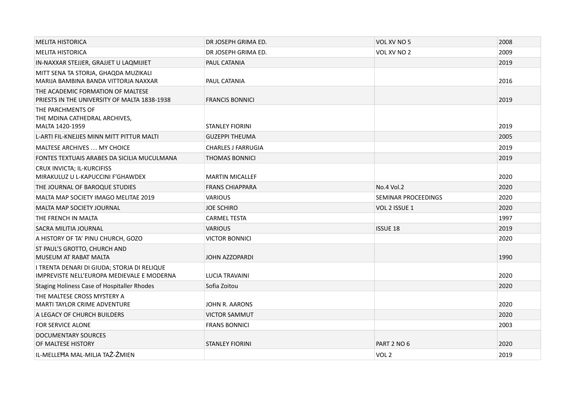| <b>MELITA HISTORICA</b>                                                                   | DR JOSEPH GRIMA ED.       | VOL XV NO 5         | 2008 |
|-------------------------------------------------------------------------------------------|---------------------------|---------------------|------|
| <b>MELITA HISTORICA</b>                                                                   | DR JOSEPH GRIMA ED.       | VOL XV NO 2         | 2009 |
| IN-NAXXAR STEJJER, GRAJJET U LAQMIJIET                                                    | PAUL CATANIA              |                     | 2019 |
| MITT SENA TA STORJA, GHAQDA MUZIKALI<br>MARIJA BAMBINA BANDA VITTORJA NAXXAR              | PAUL CATANIA              |                     | 2016 |
| THE ACADEMIC FORMATION OF MALTESE<br>PRIESTS IN THE UNIVERSITY OF MALTA 1838-1938         | <b>FRANCIS BONNICI</b>    |                     | 2019 |
| THE PARCHMENTS OF<br>THE MDINA CATHEDRAL ARCHIVES,<br>MALTA 1420-1959                     | <b>STANLEY FIORINI</b>    |                     | 2019 |
| L-ARTI FIL-KNEJJES MINN MITT PITTUR MALTI                                                 | <b>GUZEPPI THEUMA</b>     |                     | 2005 |
| <b>MALTESE ARCHIVES  MY CHOICE</b>                                                        | <b>CHARLES J FARRUGIA</b> |                     | 2019 |
| FONTES TEXTUAIS ARABES DA SICILIA MUCULMANA                                               | <b>THOMAS BONNICI</b>     |                     | 2019 |
| CRUX INVICTA; IL-KURCIFISS<br>MIRAKULUZ U L-KAPUCCINI F'GHAWDEX                           | <b>MARTIN MICALLEF</b>    |                     | 2020 |
| THE JOURNAL OF BAROQUE STUDIES                                                            | <b>FRANS CHIAPPARA</b>    | No.4 Vol.2          | 2020 |
| MALTA MAP SOCIETY IMAGO MELITAE 2019                                                      | <b>VARIOUS</b>            | SEMINAR PROCEEDINGS | 2020 |
| <b>MALTA MAP SOCIETY JOURNAL</b>                                                          | <b>JOE SCHIRO</b>         | VOL 2 ISSUE 1       | 2020 |
| THE FRENCH IN MALTA                                                                       | <b>CARMEL TESTA</b>       |                     | 1997 |
| SACRA MILITIA JOURNAL                                                                     | <b>VARIOUS</b>            | <b>ISSUE 18</b>     | 2019 |
| A HISTORY OF TA' PINU CHURCH, GOZO                                                        | <b>VICTOR BONNICI</b>     |                     | 2020 |
| ST PAUL'S GROTTO, CHURCH AND<br>MUSEUM AT RABAT MALTA                                     | JOHN AZZOPARDI            |                     | 1990 |
| I TRENTA DENARI DI GIUDA; STORJA DI RELIQUE<br>IMPREVISTE NELL'EUROPA MEDIEVALE E MODERNA | <b>LUCIA TRAVAINI</b>     |                     | 2020 |
| <b>Staging Holiness Case of Hospitaller Rhodes</b>                                        | Sofia Zoitou              |                     | 2020 |
| THE MALTESE CROSS MYSTERY A<br><b>MARTI TAYLOR CRIME ADVENTURE</b>                        | JOHN R. AARONS            |                     | 2020 |
| A LEGACY OF CHURCH BUILDERS                                                               | <b>VICTOR SAMMUT</b>      |                     | 2020 |
| <b>FOR SERVICE ALONE</b>                                                                  | <b>FRANS BONNICI</b>      |                     | 2003 |
| DOCUMENTARY SOURCES<br>OF MALTESE HISTORY                                                 | <b>STANLEY FIORINI</b>    | PART 2 NO 6         | 2020 |
| IL-MELLEHA MAL-MILJA TAŻ-ŻMIEN                                                            |                           | VOL <sub>2</sub>    | 2019 |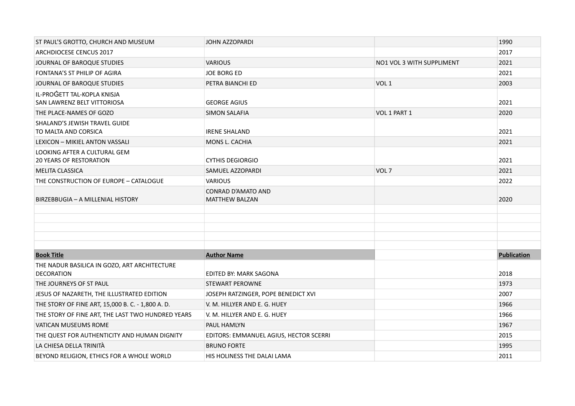| ST PAUL'S GROTTO, CHURCH AND MUSEUM                               | <b>JOHN AZZOPARDI</b>                              |                           | 1990        |
|-------------------------------------------------------------------|----------------------------------------------------|---------------------------|-------------|
| <b>ARCHDIOCESE CENCUS 2017</b>                                    |                                                    |                           | 2017        |
| JOURNAL OF BAROQUE STUDIES                                        | <b>VARIOUS</b>                                     | NO1 VOL 3 WITH SUPPLIMENT | 2021        |
| FONTANA'S ST PHILIP OF AGIRA                                      | <b>JOE BORG ED</b>                                 |                           | 2021        |
| JOURNAL OF BAROQUE STUDIES                                        | PETRA BIANCHI ED                                   | VOL 1                     | 2003        |
| IL-PROGETT TAL-KOPLA KNISJA<br>SAN LAWRENZ BELT VITTORIOSA        | <b>GEORGE AGIUS</b>                                |                           | 2021        |
| THE PLACE-NAMES OF GOZO                                           | <b>SIMON SALAFIA</b>                               | VOL 1 PART 1              | 2020        |
| SHALAND'S JEWISH TRAVEL GUIDE<br>TO MALTA AND CORSICA             | <b>IRENE SHALAND</b>                               |                           | 2021        |
| LEXICON - MIKIEL ANTON VASSALI                                    | MONS L. CACHIA                                     |                           | 2021        |
| LOOKING AFTER A CULTURAL GEM<br><b>20 YEARS OF RESTORATION</b>    | <b>CYTHIS DEGIORGIO</b>                            |                           | 2021        |
| <b>MELITA CLASSICA</b>                                            | SAMUEL AZZOPARDI                                   | VOL <sub>7</sub>          | 2021        |
| THE CONSTRUCTION OF EUROPE - CATALOGUE                            | <b>VARIOUS</b>                                     |                           | 2022        |
| BIRZEBBUGIA - A MILLENIAL HISTORY                                 | <b>CONRAD D'AMATO AND</b><br><b>MATTHEW BALZAN</b> |                           | 2020        |
|                                                                   |                                                    |                           |             |
| <b>Book Title</b>                                                 | <b>Author Name</b>                                 |                           | Publication |
| THE NADUR BASILICA IN GOZO, ART ARCHITECTURE<br><b>DECORATION</b> | EDITED BY: MARK SAGONA                             |                           | 2018        |
| THE JOURNEYS OF ST PAUL                                           | <b>STEWART PEROWNE</b>                             |                           | 1973        |
| JESUS OF NAZARETH, THE ILLUSTRATED EDITION                        | JOSEPH RATZINGER, POPE BENEDICT XVI                |                           | 2007        |
| THE STORY OF FINE ART, 15,000 B. C. - 1,800 A. D.                 | V. M. HILLYER AND E. G. HUEY                       |                           | 1966        |
| THE STORY OF FINE ART, THE LAST TWO HUNDRED YEARS                 | V. M. HILLYER AND E. G. HUEY                       |                           | 1966        |
| <b>VATICAN MUSEUMS ROME</b>                                       | PAUL HAMLYN                                        |                           | 1967        |
| THE QUEST FOR AUTHENTICITY AND HUMAN DIGNITY                      | EDITORS: EMMANUEL AGIUS, HECTOR SCERRI             |                           | 2015        |
| LA CHIESA DELLA TRINITÀ                                           | <b>BRUNO FORTE</b>                                 |                           | 1995        |
| BEYOND RELIGION, ETHICS FOR A WHOLE WORLD                         | HIS HOLINESS THE DALAI LAMA                        |                           | 2011        |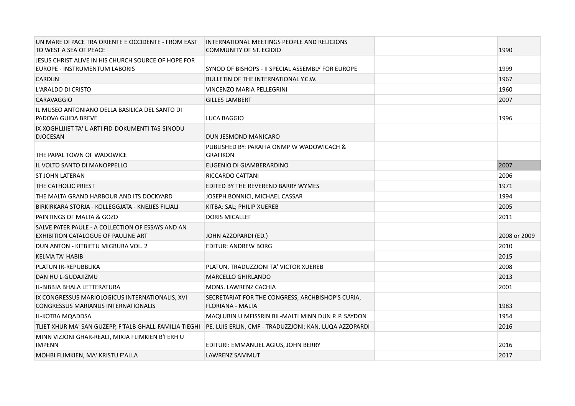| UN MARE DI PACE TRA ORIENTE E OCCIDENTE - FROM EAST<br>TO WEST A SEA OF PEACE                                 | INTERNATIONAL MEETINGS PEOPLE AND RELIGIONS<br>COMMUNITY OF ST. EGIDIO       | 1990         |  |
|---------------------------------------------------------------------------------------------------------------|------------------------------------------------------------------------------|--------------|--|
| JESUS CHRIST ALIVE IN HIS CHURCH SOURCE OF HOPE FOR<br>EUROPE - INSTRUMENTUM LABORIS                          | SYNOD OF BISHOPS - II SPECIAL ASSEMBLY FOR EUROPE                            | 1999         |  |
| <b>CARDIJN</b>                                                                                                | BULLETIN OF THE INTERNATIONAL Y.C.W.                                         | 1967         |  |
| L'ARALDO DI CRISTO                                                                                            | VINCENZO MARIA PELLEGRINI                                                    | 1960         |  |
| <b>CARAVAGGIO</b>                                                                                             | <b>GILLES LAMBERT</b>                                                        | 2007         |  |
| IL MUSEO ANTONIANO DELLA BASILICA DEL SANTO DI<br>PADOVA GUIDA BREVE                                          | LUCA BAGGIO                                                                  | 1996         |  |
| IX-XOGHLIJIET TA' L-ARTI FID-DOKUMENTI TAS-SINODU<br><b>DJOCESAN</b>                                          | DUN JESMOND MANICARO                                                         |              |  |
| THE PAPAL TOWN OF WADOWICE                                                                                    | PUBLISHED BY: PARAFIA ONMP W WADOWICACH &<br><b>GRAFIKON</b>                 |              |  |
| IL VOLTO SANTO DI MANOPPELLO                                                                                  | EUGENIO DI GIAMBERARDINO                                                     | 2007         |  |
| <b>ST JOHN LATERAN</b>                                                                                        | RICCARDO CATTANI                                                             | 2006         |  |
| THE CATHOLIC PRIEST                                                                                           | EDITED BY THE REVEREND BARRY WYMES                                           | 1971         |  |
| THE MALTA GRAND HARBOUR AND ITS DOCKYARD                                                                      | JOSEPH BONNICI, MICHAEL CASSAR                                               | 1994         |  |
| BIRKIRKARA STORJA - KOLLEGGJATA - KNEJJES FILJALI                                                             | KITBA: SAL; PHILIP XUEREB                                                    | 2005         |  |
| PAINTINGS OF MALTA & GOZO                                                                                     | <b>DORIS MICALLEF</b>                                                        | 2011         |  |
| SALVE PATER PAULE - A COLLECTION OF ESSAYS AND AN<br>EXHIBITION CATALOGUE OF PAULINE ART                      | JOHN AZZOPARDI (ED.)                                                         | 2008 or 2009 |  |
| DUN ANTON - KITBIETU MIGBURA VOL. 2                                                                           | <b>EDITUR: ANDREW BORG</b>                                                   | 2010         |  |
| <b>KELMA TA' HABIB</b>                                                                                        |                                                                              | 2015         |  |
| PLATUN IR-REPUBBLIKA                                                                                          | PLATUN, TRADUZZJONI TA' VICTOR XUEREB                                        | 2008         |  |
| DAN HU L-GUDAJIZMU                                                                                            | <b>MARCELLO GHIRLANDO</b>                                                    | 2013         |  |
| IL-BIBBJA BHALA LETTERATURA                                                                                   | MONS. LAWRENZ CACHIA                                                         | 2001         |  |
| IX CONGRESSUS MARIOLOGICUS INTERNATIONALIS, XVI<br>CONGRESSUS MARIANUS INTERNATIONALIS                        | SECRETARIAT FOR THE CONGRESS, ARCHBISHOP'S CURIA,<br><b>FLORIANA - MALTA</b> | 1983         |  |
| IL-KOTBA MQADDSA                                                                                              | MAQLUBIN U MFISSRIN BIL-MALTI MINN DUN P. P. SAYDON                          | 1954         |  |
| TLIET XHUR MA' SAN GUZEPP, F'TALB GHALL-FAMILJA TIEGHI PE. LUIS ERLIN, CMF - TRADUZZJONI: KAN. LUQA AZZOPARDI |                                                                              | 2016         |  |
| MINN VIZJONI GHAR-REALT, MIXJA FLIMKIEN B'FERH U<br><b>IMPENN</b>                                             | EDITURI: EMMANUEL AGIUS, JOHN BERRY                                          | 2016         |  |
| MOHBI FLIMKIEN, MA' KRISTU F'ALLA                                                                             | <b>LAWRENZ SAMMUT</b>                                                        | 2017         |  |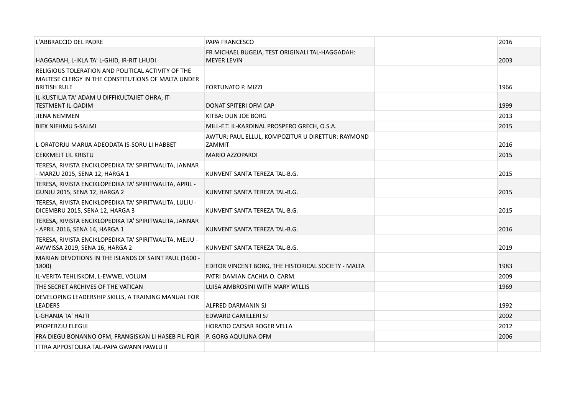| L'ABBRACCIO DEL PADRE                                                                                                           | PAPA FRANCESCO                                                        | 2016 |  |
|---------------------------------------------------------------------------------------------------------------------------------|-----------------------------------------------------------------------|------|--|
| HAGGADAH, L-IKLA TA' L-GHID, IR-RIT LHUDI                                                                                       | FR MICHAEL BUGEJA, TEST ORIGINALI TAL-HAGGADAH:<br><b>MEYER LEVIN</b> | 2003 |  |
| RELIGIOUS TOLERATION AND POLITICAL ACTIVITY OF THE<br>MALTESE CLERGY IN THE CONSTITUTIONS OF MALTA UNDER<br><b>BRITISH RULE</b> | <b>FORTUNATO P. MIZZI</b>                                             | 1966 |  |
| IL-KUSTILJA TA' ADAM U DIFFIKULTAJIET OHRA, IT-<br><b>TESTMENT IL-QADIM</b>                                                     | DONAT SPITERI OFM CAP                                                 | 1999 |  |
| <b>JIENA NEMMEN</b>                                                                                                             | KITBA: DUN JOE BORG                                                   | 2013 |  |
| <b>BIEX NIFHMU S-SALMI</b>                                                                                                      | MILL-E.T. IL-KARDINAL PROSPERO GRECH, O.S.A.                          | 2015 |  |
| L-ORATORJU MARIJA ADEODATA IS-SORU LI HABBET                                                                                    | AWTUR: PAUL ELLUL, KOMPOZITUR U DIRETTUR: RAYMOND<br>ZAMMIT           | 2016 |  |
| <b>CEKKMEJT LIL KRISTU</b>                                                                                                      | MARIO AZZOPARDI                                                       | 2015 |  |
| TERESA, RIVISTA ENCIKLOPEDIKA TA' SPIRITWALITA, JANNAR<br>- MARZU 2015, SENA 12, HARGA 1                                        | KUNVENT SANTA TEREZA TAL-B.G.                                         | 2015 |  |
| TERESA, RIVISTA ENCIKLOPEDIKA TA' SPIRITWALITA, APRIL -<br>GUNJU 2015, SENA 12, HARGA 2                                         | KUNVENT SANTA TEREZA TAL-B.G.                                         | 2015 |  |
| TERESA, RIVISTA ENCIKLOPEDIKA TA' SPIRITWALITA, LULJU -<br>DICEMBRU 2015, SENA 12, HARGA 3                                      | KUNVENT SANTA TEREZA TAL-B.G.                                         | 2015 |  |
| TERESA, RIVISTA ENCIKLOPEDIKA TA' SPIRITWALITA, JANNAR<br>- APRIL 2016, SENA 14, HARGA 1                                        | KUNVENT SANTA TEREZA TAL-B.G.                                         | 2016 |  |
| TERESA, RIVISTA ENCIKLOPEDIKA TA' SPIRITWALITA, MEJJU -<br>AWWISSA 2019, SENA 16, HARGA 2                                       | KUNVENT SANTA TEREZA TAL-B.G.                                         | 2019 |  |
| MARIAN DEVOTIONS IN THE ISLANDS OF SAINT PAUL (1600 -<br>1800)                                                                  | EDITOR VINCENT BORG, THE HISTORICAL SOCIETY - MALTA                   | 1983 |  |
| IL-VERITA TEHLISKOM, L-EWWEL VOLUM                                                                                              | PATRI DAMIAN CACHIA O. CARM.                                          | 2009 |  |
| THE SECRET ARCHIVES OF THE VATICAN                                                                                              | LUISA AMBROSINI WITH MARY WILLIS                                      | 1969 |  |
| DEVELOPING LEADERSHIP SKILLS, A TRAINING MANUAL FOR<br><b>LEADERS</b>                                                           | ALFRED DARMANIN SJ                                                    | 1992 |  |
| L-GHANJA TA' HAJTI                                                                                                              | EDWARD CAMILLERI SJ                                                   | 2002 |  |
| PROPERZJU ELEGIJI                                                                                                               | <b>HORATIO CAESAR ROGER VELLA</b>                                     | 2012 |  |
| FRA DIEGU BONANNO OFM, FRANGISKAN LI HASEB FIL-FQIR                                                                             | P. GORG AQUILINA OFM                                                  | 2006 |  |
| ITTRA APPOSTOLIKA TAL-PAPA GWANN PAWLU II                                                                                       |                                                                       |      |  |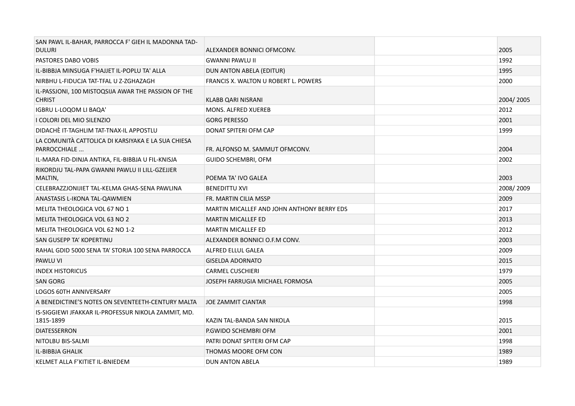| SAN PAWL IL-BAHAR, PARROCCA F' GIEH IL MADONNA TAD-<br><b>DULURI</b> | ALEXANDER BONNICI OFMCONV.                  | 2005      |
|----------------------------------------------------------------------|---------------------------------------------|-----------|
| PASTORES DABO VOBIS                                                  | <b>GWANNI PAWLU II</b>                      | 1992      |
| IL-BIBBJA MINSUGA F'HAJJET IL-POPLU TA' ALLA                         | DUN ANTON ABELA (EDITUR)                    | 1995      |
| NIRBHU L-FIDUCJA TAT-TFAL U Z-ZGHAZAGH                               | <b>FRANCIS X. WALTON U ROBERT L. POWERS</b> | 2000      |
| IL-PASSJONI, 100 MISTOQSIJA AWAR THE PASSION OF THE<br><b>CHRIST</b> | KLABB QARI NISRANI                          | 2004/2005 |
| IGBRU L-LOQOM LI BAQA'                                               | <b>MONS. ALFRED XUEREB</b>                  | 2012      |
| I COLORI DEL MIO SILENZIO                                            | <b>GORG PERESSO</b>                         | 2001      |
| DIDACHÈ IT-TAGHLIM TAT-TNAX-IL APPOSTLU                              | DONAT SPITERI OFM CAP                       | 1999      |
| LA COMUNITÀ CATTOLICA DI KARSIYAKA E LA SUA CHIESA<br>PARROCCHIALE   | FR. ALFONSO M. SAMMUT OFMCONV.              | 2004      |
| IL-MARA FID-DINJA ANTIKA, FIL-BIBBJA U FIL-KNISJA                    | GUIDO SCHEMBRI, OFM                         | 2002      |
| RIKORDJU TAL-PAPA GWANNI PAWLU II LILL-GZEJJER<br>MALTIN,            | POEMA TA' IVO GALEA                         | 2003      |
| CELEBRAZZJONIJIET TAL-KELMA GHAS-SENA PAWLINA                        | <b>BENEDITTU XVI</b>                        | 2008/2009 |
| ANASTASIS L-IKONA TAL-QAWMIEN                                        | FR. MARTIN CILIA MSSP                       | 2009      |
| MELITA THEOLOGICA VOL 67 NO 1                                        | MARTIN MICALLEF AND JOHN ANTHONY BERRY EDS  | 2017      |
| MELITA THEOLOGICA VOL 63 NO 2                                        | <b>MARTIN MICALLEF ED</b>                   | 2013      |
| MELITA THEOLOGICA VOL 62 NO 1-2                                      | <b>MARTIN MICALLEF ED</b>                   | 2012      |
| SAN GUSEPP TA' KOPERTINU                                             | ALEXANDER BONNICI O.F.M CONV.               | 2003      |
| RAHAL GDID 5000 SENA TA' STORJA 100 SENA PARROCCA                    | ALFRED ELLUL GALEA                          | 2009      |
| PAWLU VI                                                             | <b>GISELDA ADORNATO</b>                     | 2015      |
| <b>INDEX HISTORICUS</b>                                              | <b>CARMEL CUSCHIERI</b>                     | 1979      |
| <b>SAN GORG</b>                                                      | JOSEPH FARRUGIA MICHAEL FORMOSA             | 2005      |
| <b>LOGOS 60TH ANNIVERSARY</b>                                        |                                             | 2005      |
| A BENEDICTINE'S NOTES ON SEVENTEETH-CENTURY MALTA                    | <b>JOE ZAMMIT CIANTAR</b>                   | 1998      |
| IS-SIGGIEWI JFAKKAR IL-PROFESSUR NIKOLA ZAMMIT, MD.<br>1815-1899     | KAZIN TAL-BANDA SAN NIKOLA                  | 2015      |
| <b>DIATESSERRON</b>                                                  | P.GWIDO SCHEMBRI OFM                        | 2001      |
| NITOLBU BIS-SALMI                                                    | PATRI DONAT SPITERI OFM CAP                 | 1998      |
| IL-BIBBJA GHALIK                                                     | THOMAS MOORE OFM CON                        | 1989      |
| KELMET ALLA F'KITIET IL-BNIEDEM                                      | <b>DUN ANTON ABELA</b>                      | 1989      |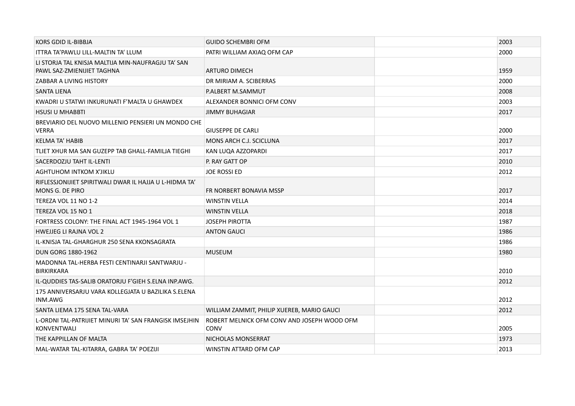| KORS GDID IL-BIBBJA                                                              | <b>GUIDO SCHEMBRI OFM</b>                                  | 2003 |
|----------------------------------------------------------------------------------|------------------------------------------------------------|------|
| ITTRA TA'PAWLU LILL-MALTIN TA' LLUM                                              | PATRI WILLIAM AXIAQ OFM CAP                                | 2000 |
| LI STORJA TAL KNISJA MALTIJA MIN-NAUFRAGJU TA' SAN<br>PAWL SAZ-ZMIENIJIET TAGHNA | ARTURO DIMECH                                              | 1959 |
| ZABBAR A LIVING HISTORY                                                          | DR MIRIAM A. SCIBERRAS                                     | 2000 |
| <b>SANTA LIENA</b>                                                               | P.ALBERT M.SAMMUT                                          | 2008 |
| KWADRI U STATWI INKURUNATI F'MALTA U GHAWDEX                                     | ALEXANDER BONNICI OFM CONV                                 | 2003 |
| <b>HSUSI U MHABBTI</b>                                                           | <b>JIMMY BUHAGIAR</b>                                      | 2017 |
| BREVIARIO DEL NUOVO MILLENIO PENSIERI UN MONDO CHE<br><b>VERRA</b>               | <b>GIUSEPPE DE CARLI</b>                                   | 2000 |
| <b>KELMA TA' HABIB</b>                                                           | MONS ARCH C.J. SCICLUNA                                    | 2017 |
| TLIET XHUR MA SAN GUZEPP TAB GHALL-FAMILJA TIEGHI                                | KAN LUQA AZZOPARDI                                         | 2017 |
| SACERDOZJU TAHT IL-LENTI                                                         | P. RAY GATT OP                                             | 2010 |
| <b>AGHTUHOM INTKOM X'JIKLU</b>                                                   | JOE ROSSI ED                                               | 2012 |
| RIFLESSJONIJIET SPIRITWALI DWAR IL HAJJA U L-HIDMA TA'<br>MONS G. DE PIRO        | FR NORBERT BONAVIA MSSP                                    | 2017 |
| TEREZA VOL 11 NO 1-2                                                             | <b>WINSTIN VELLA</b>                                       | 2014 |
| TEREZA VOL 15 NO 1                                                               | <b>WINSTIN VELLA</b>                                       | 2018 |
| FORTRESS COLONY: THE FINAL ACT 1945-1964 VOL 1                                   | <b>JOSEPH PIROTTA</b>                                      | 1987 |
| <b>HWEJJEG LI RAJNA VOL 2</b>                                                    | <b>ANTON GAUCI</b>                                         | 1986 |
| IL-KNISJA TAL-GHARGHUR 250 SENA KKONSAGRATA                                      |                                                            | 1986 |
| <b>DUN GORG 1880-1962</b>                                                        | <b>MUSEUM</b>                                              | 1980 |
| MADONNA TAL-HERBA FESTI CENTINARJI SANTWARJU -<br>BIRKIRKARA                     |                                                            | 2010 |
| IL-QUDDIES TAS-SALIB ORATORJU F'GIEH S.ELNA INP.AWG.                             |                                                            | 2012 |
| 175 ANNIVERSARJU VARA KOLLEGJATA U BAZILIKA S.ELENA<br>INM.AWG                   |                                                            | 2012 |
| SANTA LIEMA 175 SENA TAL-VARA                                                    | WILLIAM ZAMMIT, PHILIP XUEREB, MARIO GAUCI                 | 2012 |
| L-ORDNI TAL-PATRIJIET MINURI TA' SAN FRANGISK IMSEJHIN<br>KONVENTWALI            | ROBERT MELNICK OFM CONV AND JOSEPH WOOD OFM<br><b>CONV</b> | 2005 |
| THE KAPPILLAN OF MALTA                                                           | NICHOLAS MONSERRAT                                         | 1973 |
| MAL-WATAR TAL-KITARRA, GABRA TA' POEZIJI                                         | WINSTIN ATTARD OFM CAP                                     | 2013 |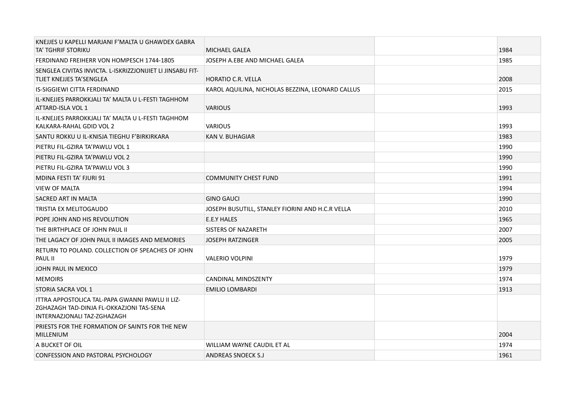| KNEJJES U KAPELLI MARJANI F'MALTA U GHAWDEX GABRA<br>TA' TGHRIF STORIKU                                                    | <b>MICHAEL GALEA</b>                             | 1984 |
|----------------------------------------------------------------------------------------------------------------------------|--------------------------------------------------|------|
| FERDINAND FREIHERR VON HOMPESCH 1744-1805                                                                                  | JOSEPH A.EBE AND MICHAEL GALEA                   | 1985 |
| SENGLEA CIVITAS INVICTA. L-ISKRIZZJONIJIET LI JINSABU FIT-<br>TLIET KNEJJES TA'SENGLEA                                     | HORATIO C.R. VELLA                               | 2008 |
| <b>IS-SIGGIEWI CITTA FERDINAND</b>                                                                                         | KAROL AQUILINA, NICHOLAS BEZZINA, LEONARD CALLUS | 2015 |
| IL-KNEJJES PARROKKJALI TA' MALTA U L-FESTI TAGHHOM<br>ATTARD-ISLA VOL 1                                                    | <b>VARIOUS</b>                                   | 1993 |
| IL-KNEJJES PARROKKJALI TA' MALTA U L-FESTI TAGHHOM<br>KALKARA-RAHAL GDID VOL 2                                             | <b>VARIOUS</b>                                   | 1993 |
| SANTU ROKKU U IL-KNISJA TIEGHU F'BIRKIRKARA                                                                                | KAN V. BUHAGIAR                                  | 1983 |
| PIETRU FIL-GZIRA TA'PAWLU VOL 1                                                                                            |                                                  | 1990 |
| PIETRU FIL-GZIRA TA'PAWLU VOL 2                                                                                            |                                                  | 1990 |
| PIETRU FIL-GZIRA TA'PAWLU VOL 3                                                                                            |                                                  | 1990 |
| <b>MDINA FESTI TA' FJURI 91</b>                                                                                            | <b>COMMUNITY CHEST FUND</b>                      | 1991 |
| <b>VIEW OF MALTA</b>                                                                                                       |                                                  | 1994 |
| SACRED ART IN MALTA                                                                                                        | <b>GINO GAUCI</b>                                | 1990 |
| TRISTIA EX MELITOGAUDO                                                                                                     | JOSEPH BUSUTILL, STANLEY FIORINI AND H.C.R VELLA | 2010 |
| POPE JOHN AND HIS REVOLUTION                                                                                               | E.E.Y HALES                                      | 1965 |
| THE BIRTHPLACE OF JOHN PAUL II                                                                                             | SISTERS OF NAZARETH                              | 2007 |
| THE LAGACY OF JOHN PAUL II IMAGES AND MEMORIES                                                                             | <b>JOSEPH RATZINGER</b>                          | 2005 |
| RETURN TO POLAND. COLLECTION OF SPEACHES OF JOHN<br>PAUL II                                                                | <b>VALERIO VOLPINI</b>                           | 1979 |
| JOHN PAUL IN MEXICO                                                                                                        |                                                  | 1979 |
| <b>MEMOIRS</b>                                                                                                             | <b>CANDINAL MINDSZENTY</b>                       | 1974 |
| STORIA SACRA VOL 1                                                                                                         | <b>EMILIO LOMBARDI</b>                           | 1913 |
| ITTRA APPOSTOLICA TAL-PAPA GWANNI PAWLU II LIZ-<br>ZGHAZAGH TAD-DINJA FL-OKKAZJONI TAS-SENA<br>INTERNAZJONALI TAZ-ZGHAZAGH |                                                  |      |
| PRIESTS FOR THE FORMATION OF SAINTS FOR THE NEW<br><b>MILLENIUM</b>                                                        |                                                  | 2004 |
| A BUCKET OF OIL                                                                                                            | WILLIAM WAYNE CAUDIL ET AL                       | 1974 |
| <b>CONFESSION AND PASTORAL PSYCHOLOGY</b>                                                                                  | <b>ANDREAS SNOECK S.J</b>                        | 1961 |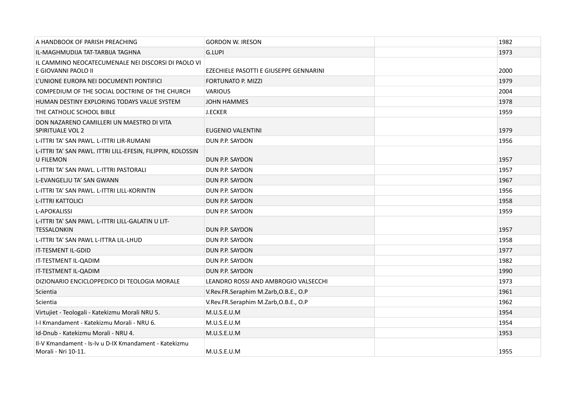| A HANDBOOK OF PARISH PREACHING                                                  | <b>GORDON W. IRESON</b>                | 1982 |
|---------------------------------------------------------------------------------|----------------------------------------|------|
| IL-MAGHMUDIJA TAT-TARBIJA TAGHNA                                                | G.LUPI                                 | 1973 |
| IL CAMMINO NEOCATECUMENALE NEI DISCORSI DI PAOLO VI<br>E GIOVANNI PAOLO II      | EZECHIELE PASOTTI E GIUSEPPE GENNARINI | 2000 |
| L'UNIONE EUROPA NEI DOCUMENTI PONTIFICI                                         | <b>FORTUNATO P. MIZZI</b>              | 1979 |
| COMPEDIUM OF THE SOCIAL DOCTRINE OF THE CHURCH                                  | <b>VARIOUS</b>                         | 2004 |
| HUMAN DESTINY EXPLORING TODAYS VALUE SYSTEM                                     | <b>JOHN HAMMES</b>                     | 1978 |
| THE CATHOLIC SCHOOL BIBLE                                                       | <b>J.ECKER</b>                         | 1959 |
| DON NAZARENO CAMILLERI UN MAESTRO DI VITA<br>SPIRITUALE VOL 2                   | EUGENIO VALENTINI                      | 1979 |
| L-ITTRI TA' SAN PAWL. L-ITTRI LIR-RUMANI                                        | DUN P.P. SAYDON                        | 1956 |
| L-ITTRI TA' SAN PAWL. ITTRI LILL-EFESIN, FILIPPIN, KOLOSSIN<br><b>U FILEMON</b> | DUN P.P. SAYDON                        | 1957 |
| L-ITTRI TA' SAN PAWL. L-ITTRI PASTORALI                                         | DUN P.P. SAYDON                        | 1957 |
| L-EVANGELJU TA' SAN GWANN                                                       | DUN P.P. SAYDON                        | 1967 |
| L-ITTRI TA' SAN PAWL. L-ITTRI LILL-KORINTIN                                     | DUN P.P. SAYDON                        | 1956 |
| <b>L-ITTRI KATTOLICI</b>                                                        | DUN P.P. SAYDON                        | 1958 |
| <b>L-APOKALISSI</b>                                                             | DUN P.P. SAYDON                        | 1959 |
| L-ITTRI TA' SAN PAWL. L-ITTRI LILL-GALATIN U LIT-<br><b>TESSALONKIN</b>         | DUN P.P. SAYDON                        | 1957 |
| L-ITTRI TA' SAN PAWL L-ITTRA LIL-LHUD                                           | DUN P.P. SAYDON                        | 1958 |
| IT-TESMENT IL-GDID                                                              | DUN P.P. SAYDON                        | 1977 |
| IT-TESTMENT IL-QADIM                                                            | DUN P.P. SAYDON                        | 1982 |
| IT-TESTMENT IL-QADIM                                                            | DUN P.P. SAYDON                        | 1990 |
| DIZIONARIO ENCICLOPPEDICO DI TEOLOGIA MORALE                                    | LEANDRO ROSSI AND AMBROGIO VALSECCHI   | 1973 |
| Scientia                                                                        | V.Rev.FR.Seraphim M.Zarb, O.B.E., O.P  | 1961 |
| <b>Scientia</b>                                                                 | V.Rev.FR.Seraphim M.Zarb, O.B.E., O.P  | 1962 |
| Virtujiet - Teologali - Katekizmu Morali NRU 5.                                 | M.U.S.E.U.M                            | 1954 |
| I-I Kmandament - Katekizmu Morali - NRU 6.                                      | M.U.S.E.U.M                            | 1954 |
| Id-Dnub - Katekizmu Morali - NRU 4.                                             | M.U.S.E.U.M                            | 1953 |
| Il-V Kmandament - Is-Iv u D-IX Kmandament - Katekizmu<br>Morali - Nri 10-11.    | M.U.S.E.U.M                            | 1955 |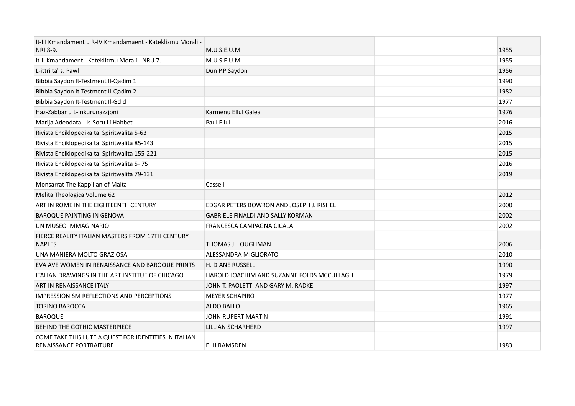| It-III Kmandament u R-IV Kmandamaent - Kateklizmu Morali -                              |                                            |      |
|-----------------------------------------------------------------------------------------|--------------------------------------------|------|
| NRI 8-9.                                                                                | M.U.S.E.U.M                                | 1955 |
| It-II Kmandament - Kateklizmu Morali - NRU 7.                                           | M.U.S.E.U.M                                | 1955 |
| L-ittri ta' s. Pawl                                                                     | Dun P.P Saydon                             | 1956 |
| Bibbia Saydon It-Testment Il-Qadim 1                                                    |                                            | 1990 |
| Bibbia Saydon It-Testment Il-Qadim 2                                                    |                                            | 1982 |
| Bibbia Saydon It-Testment Il-Gdid                                                       |                                            | 1977 |
| Haz-Zabbar u L-Inkurunazzjoni                                                           | Karmenu Ellul Galea                        | 1976 |
| Marija Adeodata - Is-Soru Li Habbet                                                     | Paul Ellul                                 | 2016 |
| Rivista Enciklopedika ta' Spiritwalita 5-63                                             |                                            | 2015 |
| Rivista Enciklopedika ta' Spiritwalita 85-143                                           |                                            | 2015 |
| Rivista Enciklopedika ta' Spiritwalita 155-221                                          |                                            | 2015 |
| Rivista Enciklopedika ta' Spiritwalita 5-75                                             |                                            | 2016 |
| Rivista Enciklopedika ta' Spiritwalita 79-131                                           |                                            | 2019 |
| Monsarrat The Kappillan of Malta                                                        | Cassell                                    |      |
| Melita Theologica Volume 62                                                             |                                            | 2012 |
| ART IN ROME IN THE EIGHTEENTH CENTURY                                                   | EDGAR PETERS BOWRON AND JOSEPH J. RISHEL   | 2000 |
| <b>BAROQUE PAINTING IN GENOVA</b>                                                       | <b>GABRIELE FINALDI AND SALLY KORMAN</b>   | 2002 |
| UN MUSEO IMMAGINARIO                                                                    | FRANCESCA CAMPAGNA CICALA                  | 2002 |
| FIERCE REALITY ITALIAN MASTERS FROM 17TH CENTURY<br><b>NAPLES</b>                       | THOMAS J. LOUGHMAN                         | 2006 |
| UNA MANIERA MOLTO GRAZIOSA                                                              | ALESSANDRA MIGLIORATO                      | 2010 |
| EVA AVE WOMEN IN RENAISSANCE AND BAROQUE PRINTS                                         | <b>H. DIANE RUSSELL</b>                    | 1990 |
| ITALIAN DRAWINGS IN THE ART INSTITUE OF CHICAGO                                         | HAROLD JOACHIM AND SUZANNE FOLDS MCCULLAGH | 1979 |
| ART IN RENAISSANCE ITALY                                                                | JOHN T. PAOLETTI AND GARY M. RADKE         | 1997 |
| <b>IMPRESSIONISM REFLECTIONS AND PERCEPTIONS</b>                                        | <b>MEYER SCHAPIRO</b>                      | 1977 |
| <b>TORINO BAROCCA</b>                                                                   | ALDO BALLO                                 | 1965 |
| <b>BAROQUE</b>                                                                          | JOHN RUPERT MARTIN                         | 1991 |
| BEHIND THE GOTHIC MASTERPIECE                                                           | LILLIAN SCHARHERD                          | 1997 |
| COME TAKE THIS LUTE A QUEST FOR IDENTITIES IN ITALIAN<br><b>RENAISSANCE PORTRAITURE</b> | E. H RAMSDEN                               | 1983 |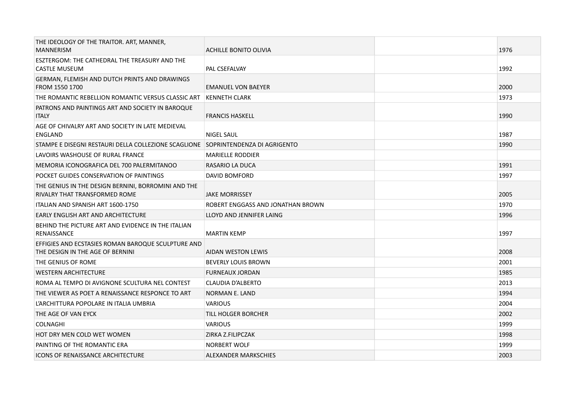| THE IDEOLOGY OF THE TRAITOR. ART, MANNER,<br><b>MANNERISM</b>                          | <b>ACHILLE BONITO OLIVIA</b>      | 1976 |
|----------------------------------------------------------------------------------------|-----------------------------------|------|
| ESZTERGOM: THE CATHEDRAL THE TREASURY AND THE<br>CASTLE MUSEUM                         | PAL CSEFALVAY                     | 1992 |
| GERMAN, FLEMISH AND DUTCH PRINTS AND DRAWINGS<br>FROM 1550 1700                        | <b>EMANUEL VON BAEYER</b>         | 2000 |
| THE ROMANTIC REBELLION ROMANTIC VERSUS CLASSIC ART                                     | KENNETH CLARK                     | 1973 |
| PATRONS AND PAINTINGS ART AND SOCIETY IN BAROQUE<br><b>ITALY</b>                       | <b>FRANCIS HASKELL</b>            | 1990 |
| AGE OF CHIVALRY ART AND SOCIETY IN LATE MEDIEVAL<br><b>ENGLAND</b>                     | <b>NIGEL SAUL</b>                 | 1987 |
| STAMPE E DISEGNI RESTAURI DELLA COLLEZIONE SCAGLIONE SOPRINTENDENZA DI AGRIGENTO       |                                   | 1990 |
| LAVOIRS WASHOUSE OF RURAL FRANCE                                                       | <b>MARIELLE RODDIER</b>           |      |
| MEMORIA ICONOGRAFICA DEL 700 PALERMITANOO                                              | RASARIO LA DUCA                   | 1991 |
| POCKET GUIDES CONSERVATION OF PAINTINGS                                                | <b>DAVID BOMFORD</b>              | 1997 |
| THE GENIUS IN THE DESIGN BERNINI, BORROMINI AND THE<br>RIVALRY THAT TRANSFORMED ROME   | <b>JAKE MORRISSEY</b>             | 2005 |
| ITALIAN AND SPANISH ART 1600-1750                                                      | ROBERT ENGGASS AND JONATHAN BROWN | 1970 |
| EARLY ENGLISH ART AND ARCHITECTURE                                                     | LLOYD AND JENNIFER LAING          | 1996 |
| BEHIND THE PICTURE ART AND EVIDENCE IN THE ITALIAN<br><b>RENAISSANCE</b>               | <b>MARTIN KEMP</b>                | 1997 |
| EFFIGIES AND ECSTASIES ROMAN BAROQUE SCULPTURE AND<br>THE DESIGN IN THE AGE OF BERNINI | AIDAN WESTON LEWIS                | 2008 |
| THE GENIUS OF ROME                                                                     | <b>BEVERLY LOUIS BROWN</b>        | 2001 |
| <b>WESTERN ARCHITECTURE</b>                                                            | <b>FURNEAUX JORDAN</b>            | 1985 |
| ROMA AL TEMPO DI AVIGNONE SCULTURA NEL CONTEST                                         | CLAUDIA D'ALBERTO                 | 2013 |
| THE VIEWER AS POET A RENAISSANCE RESPONCE TO ART                                       | <b>NORMAN E. LAND</b>             | 1994 |
| L'ARCHITTURA POPOLARE IN ITALIA UMBRIA                                                 | <b>VARIOUS</b>                    | 2004 |
| THE AGE OF VAN EYCK                                                                    | TILL HOLGER BORCHER               | 2002 |
| <b>COLNAGHI</b>                                                                        | <b>VARIOUS</b>                    | 1999 |
| HOT DRY MEN COLD WET WOMEN                                                             | ZIRKA Z.FILIPCZAK                 | 1998 |
| PAINTING OF THE ROMANTIC ERA                                                           | <b>NORBERT WOLF</b>               | 1999 |
| <b>ICONS OF RENAISSANCE ARCHITECTURE</b>                                               | <b>ALEXANDER MARKSCHIES</b>       | 2003 |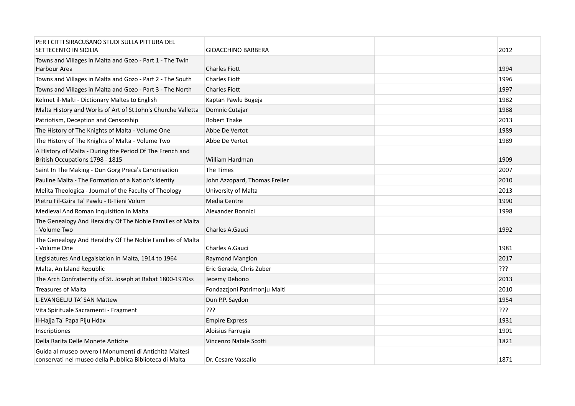| PER I CITTI SIRACUSANO STUDI SULLA PITTURA DEL<br>SETTECENTO IN SICILIA                                           | <b>GIOACCHINO BARBERA</b>     | 2012 |  |
|-------------------------------------------------------------------------------------------------------------------|-------------------------------|------|--|
| Towns and Villages in Malta and Gozo - Part 1 - The Twin<br>Harbour Area                                          | <b>Charles Fiott</b>          | 1994 |  |
| Towns and Villages in Malta and Gozo - Part 2 - The South                                                         | <b>Charles Fiott</b>          | 1996 |  |
| Towns and Villages in Malta and Gozo - Part 3 - The North                                                         | <b>Charles Fiott</b>          | 1997 |  |
| Kelmet il-Malti - Dictionary Maltes to English                                                                    | Kaptan Pawlu Bugeja           | 1982 |  |
| Malta History and Works of Art of St John's Churche Valletta                                                      | Domnic Cutajar                | 1988 |  |
| Patriotism, Deception and Censorship                                                                              | <b>Robert Thake</b>           | 2013 |  |
| The History of The Knights of Malta - Volume One                                                                  | Abbe De Vertot                | 1989 |  |
| The History of The Knights of Malta - Volume Two                                                                  | Abbe De Vertot                | 1989 |  |
| A History of Malta - During the Period Of The French and<br>British Occupations 1798 - 1815                       | William Hardman               | 1909 |  |
| Saint In The Making - Dun Gorg Preca's Canonisation                                                               | The Times                     | 2007 |  |
| Pauline Malta - The Formation of a Nation's Identiy                                                               | John Azzopard, Thomas Freller | 2010 |  |
| Melita Theologica - Journal of the Faculty of Theology                                                            | University of Malta           | 2013 |  |
| Pietru Fil-Gzira Ta' Pawlu - It-Tieni Volum                                                                       | Media Centre                  | 1990 |  |
| Medieval And Roman Inquisition In Malta                                                                           | Alexander Bonnici             | 1998 |  |
| The Genealogy And Heraldry Of The Noble Families of Malta<br>- Volume Two                                         | Charles A.Gauci               | 1992 |  |
| The Genealogy And Heraldry Of The Noble Families of Malta<br>- Volume One                                         | Charles A.Gauci               | 1981 |  |
| Legislatures And Legaislation in Malta, 1914 to 1964                                                              | <b>Raymond Mangion</b>        | 2017 |  |
| Malta, An Island Republic                                                                                         | Eric Gerada, Chris Zuber      | ???  |  |
| The Arch Confraternity of St. Joseph at Rabat 1800-1970ss                                                         | Jecemy Debono                 | 2013 |  |
| <b>Treasures of Malta</b>                                                                                         | Fondazzjoni Patrimonju Malti  | 2010 |  |
| L-EVANGELJU TA' SAN Mattew                                                                                        | Dun P.P. Saydon               | 1954 |  |
| Vita Spirituale Sacramenti - Fragment                                                                             | ַרְרְךָ                       | ???  |  |
| Il-Hajja Ta' Papa Piju Hdax                                                                                       | <b>Empire Express</b>         | 1931 |  |
| Inscriptiones                                                                                                     | Aloisius Farrugia             | 1901 |  |
| Della Rarita Delle Monete Antiche                                                                                 | Vincenzo Natale Scotti        | 1821 |  |
| Guida al museo ovvero I Monumenti di Antichità Maltesi<br>conservati nel museo della Pubblica Biblioteca di Malta | Dr. Cesare Vassallo           | 1871 |  |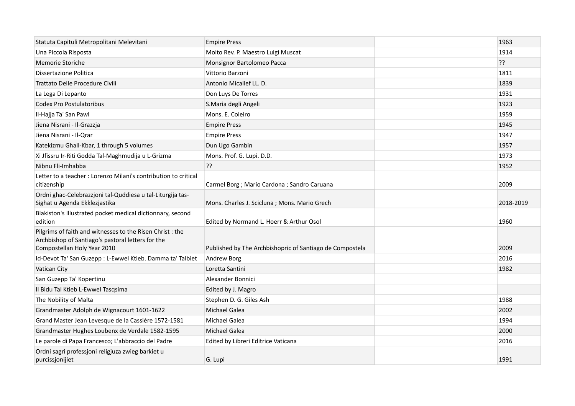| Statuta Capituli Metropolitani Melevitani                                                                                                     | <b>Empire Press</b>                                      | 1963      |  |
|-----------------------------------------------------------------------------------------------------------------------------------------------|----------------------------------------------------------|-----------|--|
| Una Piccola Risposta                                                                                                                          | Molto Rev. P. Maestro Luigi Muscat                       | 1914      |  |
| <b>Memorie Storiche</b>                                                                                                                       | Monsignor Bartolomeo Pacca                               | 35        |  |
| Dissertazione Politica                                                                                                                        | Vittorio Barzoni                                         | 1811      |  |
| Trattato Delle Procedure Civili                                                                                                               | Antonio Micallef LL. D.                                  | 1839      |  |
| La Lega Di Lepanto                                                                                                                            | Don Luys De Torres                                       | 1931      |  |
| <b>Codex Pro Postulatoribus</b>                                                                                                               | S.Maria degli Angeli                                     | 1923      |  |
| Il-Hajja Ta' San Pawl                                                                                                                         | Mons. E. Coleiro                                         | 1959      |  |
| Jiena Nisrani - Il-Grazzja                                                                                                                    | <b>Empire Press</b>                                      | 1945      |  |
| Jiena Nisrani - Il-Qrar                                                                                                                       | <b>Empire Press</b>                                      | 1947      |  |
| Katekizmu Ghall-Kbar, 1 through 5 volumes                                                                                                     | Dun Ugo Gambin                                           | 1957      |  |
| Xi Jfissru Ir-Riti Godda Tal-Maghmudija u L-Grizma                                                                                            | Mons. Prof. G. Lupi. D.D.                                | 1973      |  |
| Nibnu Fli-Imhabba                                                                                                                             | ??                                                       | 1952      |  |
| Letter to a teacher: Lorenzo Milani's contribution to critical<br>citizenship                                                                 | Carmel Borg ; Mario Cardona ; Sandro Caruana             | 2009      |  |
| Ordni ghac-Celebrazzioni tal-Quddiesa u tal-Liturgija tas-<br>Sighat u Agenda Ekklezjastika                                                   | Mons. Charles J. Scicluna; Mons. Mario Grech             | 2018-2019 |  |
| Blakiston's Illustrated pocket medical dictionnary, second<br>edition                                                                         | Edited by Normand L. Hoerr & Arthur Osol                 | 1960      |  |
| Pilgrims of faith and witnesses to the Risen Christ : the<br>Archbishop of Santiago's pastoral letters for the<br>Compostellan Holy Year 2010 | Published by The Archbishopric of Santiago de Compostela | 2009      |  |
| Id-Devot Ta' San Guzepp : L-Ewwel Ktieb. Damma ta' Talbiet                                                                                    | Andrew Borg                                              | 2016      |  |
| Vatican City                                                                                                                                  | Loretta Santini                                          | 1982      |  |
| San Guzepp Ta' Kopertinu                                                                                                                      | Alexander Bonnici                                        |           |  |
| Il Bidu Tal Ktieb L-Ewwel Tasqsima                                                                                                            | Edited by J. Magro                                       |           |  |
| The Nobility of Malta                                                                                                                         | Stephen D. G. Giles Ash                                  | 1988      |  |
| Grandmaster Adolph de Wignacourt 1601-1622                                                                                                    | Michael Galea                                            | 2002      |  |
| Grand Master Jean Levesque de la Cassière 1572-1581                                                                                           | Michael Galea                                            | 1994      |  |
| Grandmaster Hughes Loubenx de Verdale 1582-1595                                                                                               | <b>Michael Galea</b>                                     | 2000      |  |
| Le parole di Papa Francesco; L'abbraccio del Padre                                                                                            | Edited by Libreri Editrice Vaticana                      | 2016      |  |
| Ordni sagri professjoni religjuza zwieg barkiet u<br>purcissjonijiet                                                                          | G. Lupi                                                  | 1991      |  |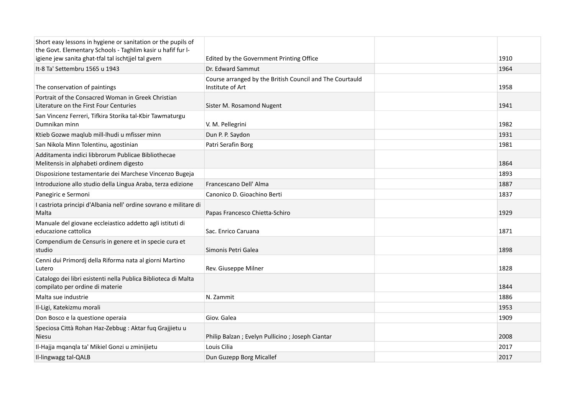| Short easy lessons in hygiene or sanitation or the pupils of<br>the Govt. Elementary Schools - Taghlim kasir u hafif fur I-<br>igiene jew sanita ghat-tfal tal ischtjjel tal gvern | Edited by the Government Printing Office                                     | 1910 |
|------------------------------------------------------------------------------------------------------------------------------------------------------------------------------------|------------------------------------------------------------------------------|------|
| It-8 Ta' Settembru 1565 u 1943                                                                                                                                                     | Dr. Edward Sammut                                                            | 1964 |
| The conservation of paintings                                                                                                                                                      | Course arranged by the British Council and The Courtauld<br>Institute of Art | 1958 |
| Portrait of the Consacred Woman in Greek Christian<br>Literature on the First Four Centuries                                                                                       | Sister M. Rosamond Nugent                                                    | 1941 |
| San Vincenz Ferreri, Tifkira Storika tal-Kbir Tawmaturgu<br>Dumnikan minn                                                                                                          | V. M. Pellegrini                                                             | 1982 |
| Ktieb Gozwe maqlub mill-lhudi u mfisser minn                                                                                                                                       | Dun P. P. Saydon                                                             | 1931 |
| San Nikola Minn Tolentinu, agostinian                                                                                                                                              | Patri Serafin Borg                                                           | 1981 |
| Additamenta indici libbrorum Publicae Bibliothecae<br>Melitensis in alphabeti ordinem digesto                                                                                      |                                                                              | 1864 |
| Disposizione testamentarie dei Marchese Vincenzo Bugeja                                                                                                                            |                                                                              | 1893 |
| Introduzione allo studio della Lingua Araba, terza edizione                                                                                                                        | Francescano Dell' Alma                                                       | 1887 |
| Panegiric e Sermoni                                                                                                                                                                | Canonico D. Gioachino Berti                                                  | 1837 |
| I castriota principi d'Albania nell'ordine sovrano e militare di<br>Malta                                                                                                          | Papas Francesco Chietta-Schiro                                               | 1929 |
| Manuale del giovane eccleiastico addetto agli istituti di<br>educazione cattolica                                                                                                  | Sac. Enrico Caruana                                                          | 1871 |
| Compendium de Censuris in genere et in specie cura et<br>studio                                                                                                                    | Simonis Petri Galea                                                          | 1898 |
| Cenni dui Primordj della Riforma nata al giorni Martino<br>Lutero                                                                                                                  | Rev. Giuseppe Milner                                                         | 1828 |
| Catalogo dei libri esistenti nella Publica Biblioteca di Malta<br>compilato per ordine di materie                                                                                  |                                                                              | 1844 |
| Malta sue industrie                                                                                                                                                                | N. Zammit                                                                    | 1886 |
| Il-Ligi, Katekizmu morali                                                                                                                                                          |                                                                              | 1953 |
| Don Bosco e la questione operaia                                                                                                                                                   | Giov. Galea                                                                  | 1909 |
| Speciosa Città Rohan Haz-Zebbug : Aktar fuq Grajjietu u<br>Niesu                                                                                                                   | Philip Balzan ; Evelyn Pullicino ; Joseph Ciantar                            | 2008 |
| Il-Hajja mgangla ta' Mikiel Gonzi u zminijietu                                                                                                                                     | Louis Cilia                                                                  | 2017 |
| Il-lingwagg tal-QALB                                                                                                                                                               | Dun Guzepp Borg Micallef                                                     | 2017 |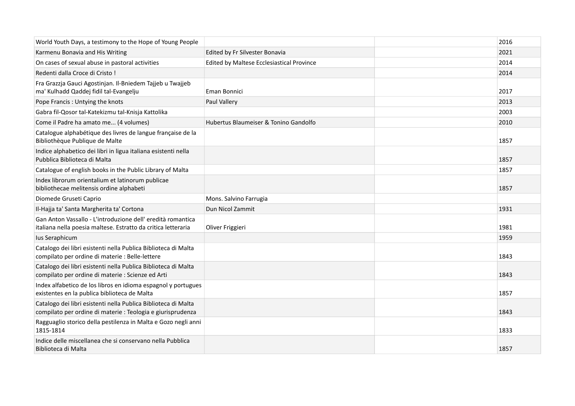| World Youth Days, a testimony to the Hope of Young People                                                                     |                                           | 2016 |
|-------------------------------------------------------------------------------------------------------------------------------|-------------------------------------------|------|
| Karmenu Bonavia and His Writing                                                                                               | Edited by Fr Silvester Bonavia            | 2021 |
| On cases of sexual abuse in pastoral activities                                                                               | Edited by Maltese Ecclesiastical Province | 2014 |
| Redenti dalla Croce di Cristo!                                                                                                |                                           | 2014 |
| Fra Grazzja Gauci Agostinjan. Il-Bniedem Tajjeb u Twajjeb<br>ma' Kulhadd Qaddej fidil tal-Evangelju                           | Eman Bonnici                              | 2017 |
| Pope Francis: Untying the knots                                                                                               | Paul Vallery                              | 2013 |
| Gabra fil-Qosor tal-Katekizmu tal-Knisja Kattolika                                                                            |                                           | 2003 |
| Come il Padre ha amato me (4 volumes)                                                                                         | Hubertus Blaumeiser & Tonino Gandolfo     | 2010 |
| Catalogue alphabétique des livres de langue française de la<br>Bibliothèque Publique de Malte                                 |                                           | 1857 |
| Indice alphabetico dei libri in ligua italiana esistenti nella<br>Pubblica Biblioteca di Malta                                |                                           | 1857 |
| Catalogue of english books in the Public Library of Malta                                                                     |                                           | 1857 |
| Index librorum orientalium et latinorum publicae<br>bibliothecae melitensis ordine alphabeti                                  |                                           | 1857 |
| Diomede Gruseti Caprio                                                                                                        | Mons. Salvino Farrugia                    |      |
| Il-Hajja ta' Santa Margherita ta' Cortona                                                                                     | Dun Nicol Zammit                          | 1931 |
| Gan Anton Vassallo - L'introduzione dell' eredità romantica<br>italiana nella poesia maltese. Estratto da critica letteraria  | Oliver Friggieri                          | 1981 |
| Ius Seraphicum                                                                                                                |                                           | 1959 |
| Catalogo dei libri esistenti nella Publica Biblioteca di Malta<br>compilato per ordine di materie : Belle-lettere             |                                           | 1843 |
| Catalogo dei libri esistenti nella Publica Biblioteca di Malta<br>compilato per ordine di materie : Scienze ed Arti           |                                           | 1843 |
| Index alfabetico de los libros en idioma espagnol y portugues<br>existentes en la publica biblioteca de Malta                 |                                           | 1857 |
| Catalogo dei libri esistenti nella Publica Biblioteca di Malta<br>compilato per ordine di materie : Teologia e giurisprudenza |                                           | 1843 |
| Ragguaglio storico della pestilenza in Malta e Gozo negli anni<br>1815-1814                                                   |                                           | 1833 |
| Indice delle miscellanea che si conservano nella Pubblica<br>Biblioteca di Malta                                              |                                           | 1857 |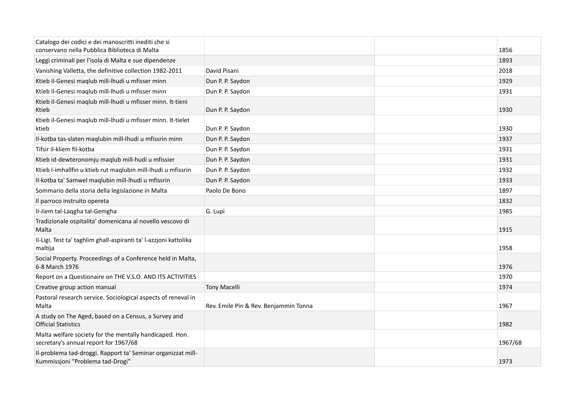| Catalogo dei codici e dei manoscritti inediti che si<br>conservano nella Pubblica Biblioteca di Malta |                                       | 1856    |
|-------------------------------------------------------------------------------------------------------|---------------------------------------|---------|
| Leggi criminali per l'isola di Malta e sue dipendenze                                                 |                                       | 1893    |
| Vanishing Valletta, the definitive collection 1982-2011                                               | David Pisani                          | 2018    |
| Ktieb il-Genesi maqlub mill-lhudi u mfisser minn                                                      | Dun P. P. Saydon                      | 1929    |
| Ktieb il-Genesi maqlub mill-lhudi u mfisser minn                                                      | Dun P. P. Saydon                      | 1931    |
| Ktieb il-Genesi maqlub mill-lhudi u mfisser minn. It-tieni<br>Ktieb                                   | Dun P. P. Saydon                      | 1930    |
| Ktieb il-Genesi maqlub mill-lhudi u mfisser minn. It-tielet<br>ktieb                                  | Dun P. P. Saydon                      | 1930    |
| Il-kotba tas-slaten maqlubin mill-lhudi u mfissrin minn                                               | Dun P. P. Saydon                      | 1937    |
| Tifsir il-kliem fil-kotba                                                                             | Dun P. P. Saydon                      | 1931    |
| Ktieb id-dewteronomju maqlub mill-hudi u mfissier                                                     | Dun P. P. Saydon                      | 1931    |
| Ktieb l-imhallfin u ktieb rut maqlubin mill-lhudi u mfissrin                                          | Dun P. P. Saydon                      | 1932    |
| Il-kotba ta' Samwel maqlubin mill-lhudi u mfissrin                                                    | Dun P. P. Saydon                      | 1933    |
| Sommario della storia della legislazione in Malta                                                     | Paolo De Bono                         | 1897    |
| Il parroco instruito opereta                                                                          |                                       | 1832    |
| Il-Jiem tal-Laggha tal-Gemgha                                                                         | G. Lupi                               | 1985    |
| Tradizionale ospitalita' domenicana al novello vescovo di<br>Malta                                    |                                       | 1915    |
| Il-Ligi. Test ta' taghlim ghall-aspiranti ta' l-azzjoni kattolika<br>maltija                          |                                       | 1958    |
| Social Property. Proceedings of a Conference held in Malta,<br>6-8 March 1976                         |                                       | 1976    |
| Report on a Questionaire on THE V.S.O. AND ITS ACTIVITIES                                             |                                       | 1970    |
| Creative group action manual                                                                          | <b>Tony Macelli</b>                   | 1974    |
| Pastoral research service. Sociological aspects of reneval in<br>Malta                                | Rev. Emile Pin & Rev. Benjammin Tonna | 1967    |
| A study on The Aged, based on a Census, a Survey and<br><b>Official Statistics</b>                    |                                       | 1982    |
| Malta welfare society for the mentally handicaped. Hon.<br>secretary's annual report for 1967/68      |                                       | 1967/68 |
| Il-problema tad-droggi. Rapport ta' Seminar organizzat mill-<br>Kummissjoni "Problema tad-Drogi"      |                                       | 1973    |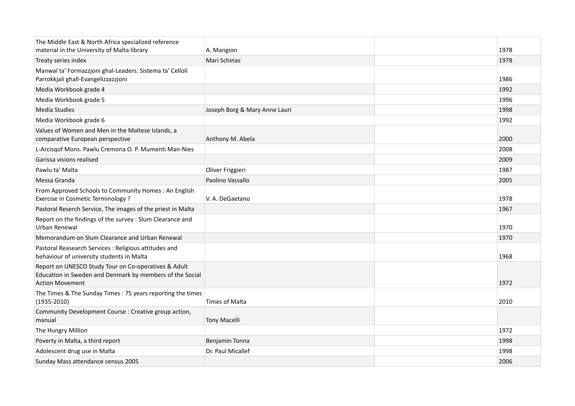| The Middle East & North Africa specialized reference                                                                                       |                               |      |
|--------------------------------------------------------------------------------------------------------------------------------------------|-------------------------------|------|
| material in the University of Malta library                                                                                                | A. Mangion                    | 1978 |
| Treaty series index                                                                                                                        | Mari Schinas                  | 1978 |
| Manwal ta' Formazzjoni ghal-Leaders. Sistema ta' Celloli<br>Parrokkjali ghall-Evangelizzazzjoni                                            |                               | 1986 |
| Media Workbook grade 4                                                                                                                     |                               | 1992 |
| Media Workbook grade 5                                                                                                                     |                               | 1996 |
| Media Studies                                                                                                                              | Joseph Borg & Mary Anne Lauri | 1998 |
| Media Workbook grade 6                                                                                                                     |                               | 1992 |
| Values of Women and Men in the Maltese Islands, a<br>comparative European perspective                                                      | Anthony M. Abela              | 2000 |
| L-Arcisgof Mons. Pawlu Cremona O. P. Mumenti Man-Nies                                                                                      |                               | 2008 |
| Garissa visions realised                                                                                                                   |                               | 2009 |
| Pawlu ta' Malta                                                                                                                            | Oliver Friggieri              | 1987 |
| Messa Granda                                                                                                                               | Paolino Vassallo              | 2005 |
| From Approved Schools to Community Homes: An English<br>Exercise in Cosmetic Terminology?                                                  | V. A. DeGaetano               | 1978 |
| Pastoral Reserch Service, The images of the priest in Malta                                                                                |                               | 1967 |
| Report on the findings of the survey : Slum Clearance and<br>Urban Renewal                                                                 |                               | 1970 |
| Memorandum on Slum Clearance and Urban Renewal                                                                                             |                               | 1970 |
| Pastoral Reasearch Services : Religious attitudes and<br>behaviour of university students in Malta                                         |                               | 1968 |
| Report on UNESCO Study Tour on Co-operatives & Adult<br>Education in Sweden and Denmark by members of the Social<br><b>Action Movement</b> |                               | 1972 |
| The Times & The Sunday Times: 75 years reporting the times<br>$(1935 - 2010)$                                                              | Times of Malta                | 2010 |
| Community Development Course : Creative group action,<br>manual                                                                            | <b>Tony Macelli</b>           |      |
| The Hungry Million                                                                                                                         |                               | 1972 |
| Poverty in Malta, a third report                                                                                                           | Benjamin Tonna                | 1998 |
| Adolescent drug use in Malta                                                                                                               | Dr. Paul Micallef             | 1998 |
| Sunday Mass attendance census 2005                                                                                                         |                               | 2006 |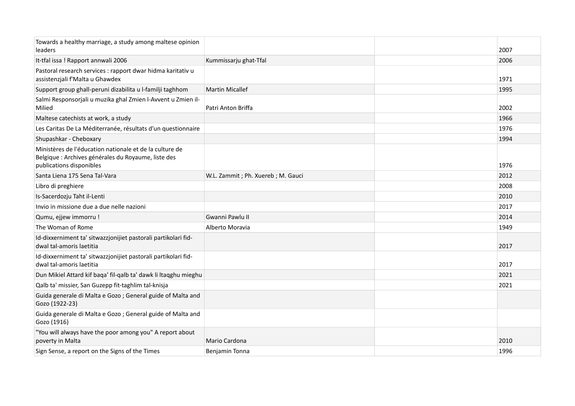| Towards a healthy marriage, a study among maltese opinion<br>leaders                                                                       |                                     | 2007 |
|--------------------------------------------------------------------------------------------------------------------------------------------|-------------------------------------|------|
| It-tfal issa ! Rapport annwali 2006                                                                                                        | Kummissarju ghat-Tfal               | 2006 |
| Pastoral research services : rapport dwar hidma karitativ u<br>assistenzjali f'Malta u Ghawdex                                             |                                     | 1971 |
| Support group ghall-peruni dizabilita u l-familji taghhom                                                                                  | <b>Martin Micallef</b>              | 1995 |
| Salmi Responsorjali u muzika ghal Zmien l-Avvent u Zmien il-<br>Milied                                                                     | Patri Anton Briffa                  | 2002 |
| Maltese catechists at work, a study                                                                                                        |                                     | 1966 |
| Les Caritas De La Méditerranée, résultats d'un questionnaire                                                                               |                                     | 1976 |
| Shupashkar - Cheboxary                                                                                                                     |                                     | 1994 |
| Ministères de l'éducation nationale et de la culture de<br>Belgique : Archives générales du Royaume, liste des<br>publications disponibles |                                     | 1976 |
| Santa Liena 175 Sena Tal-Vara                                                                                                              | W.L. Zammit ; Ph. Xuereb ; M. Gauci | 2012 |
| Libro di preghiere                                                                                                                         |                                     | 2008 |
| Is-Sacerdozju Taht il-Lenti                                                                                                                |                                     | 2010 |
| Invio in missione due a due nelle nazioni                                                                                                  |                                     | 2017 |
| Qumu, ejjew immorru !                                                                                                                      | Gwanni Pawlu II                     | 2014 |
| The Woman of Rome                                                                                                                          | Alberto Moravia                     | 1949 |
| Id-dixxerniment ta' sitwazzjonijiet pastorali partikolari fid-<br>dwal tal-amoris laetitia                                                 |                                     | 2017 |
| Id-dixxerniment ta' sitwazzjonijiet pastorali partikolari fid-<br>dwal tal-amoris laetitia                                                 |                                     | 2017 |
| Dun Mikiel Attard kif baqa' fil-qalb ta' dawk li ltaqghu mieghu                                                                            |                                     | 2021 |
| Qalb ta' missier, San Guzepp fit-taghlim tal-knisja                                                                                        |                                     | 2021 |
| Guida generale di Malta e Gozo ; General guide of Malta and<br>Gozo (1922-23)                                                              |                                     |      |
| Guida generale di Malta e Gozo ; General guide of Malta and<br>Gozo (1916)                                                                 |                                     |      |
| "You will always have the poor among you" A report about<br>poverty in Malta                                                               | Mario Cardona                       | 2010 |
| Sign Sense, a report on the Signs of the Times                                                                                             | Benjamin Tonna                      | 1996 |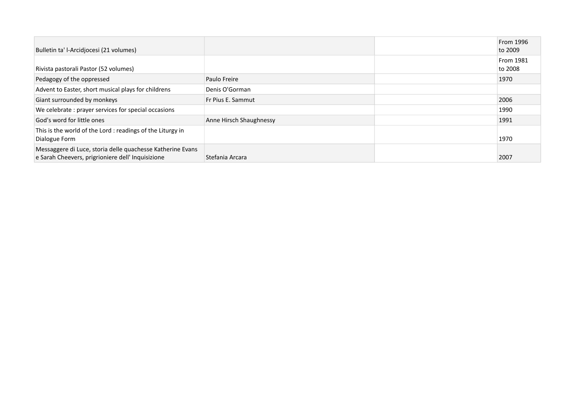| Bulletin ta' l-Arcidjocesi (21 volumes)                                                                         |                         | From 1996<br>to 2009 |
|-----------------------------------------------------------------------------------------------------------------|-------------------------|----------------------|
| Rivista pastorali Pastor (52 volumes)                                                                           |                         | From 1981<br>to 2008 |
| Pedagogy of the oppressed                                                                                       | Paulo Freire            | 1970                 |
| Advent to Easter, short musical plays for childrens                                                             | Denis O'Gorman          |                      |
| Giant surrounded by monkeys                                                                                     | Fr Pius E. Sammut       | 2006                 |
| We celebrate: prayer services for special occasions                                                             |                         | 1990                 |
| God's word for little ones                                                                                      | Anne Hirsch Shaughnessy | 1991                 |
| This is the world of the Lord: readings of the Liturgy in<br>Dialogue Form                                      |                         | 1970                 |
| Messaggere di Luce, storia delle quachesse Katherine Evans<br>e Sarah Cheevers, prigrioniere dell' Inquisizione | Stefania Arcara         | 2007                 |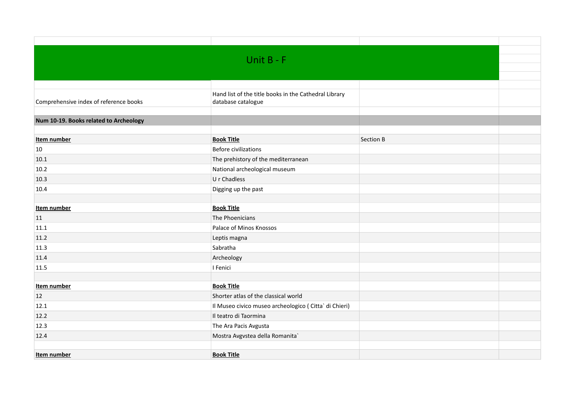|                                        | Unit $B - F$                                                                |                  |  |
|----------------------------------------|-----------------------------------------------------------------------------|------------------|--|
|                                        |                                                                             |                  |  |
|                                        |                                                                             |                  |  |
| Comprehensive index of reference books | Hand list of the title books in the Cathedral Library<br>database catalogue |                  |  |
| Num 10-19. Books related to Archeology |                                                                             |                  |  |
|                                        |                                                                             |                  |  |
| Item number                            | <b>Book Title</b>                                                           | <b>Section B</b> |  |
| 10                                     | <b>Before civilizations</b>                                                 |                  |  |
| 10.1                                   | The prehistory of the mediterranean                                         |                  |  |
| 10.2                                   | National archeological museum                                               |                  |  |
| 10.3                                   | U r Chadless                                                                |                  |  |
| 10.4                                   | Digging up the past                                                         |                  |  |
|                                        |                                                                             |                  |  |
| Item number                            | <b>Book Title</b>                                                           |                  |  |
| 11                                     | The Phoenicians                                                             |                  |  |
| 11.1                                   | Palace of Minos Knossos                                                     |                  |  |
| 11.2                                   | Leptis magna                                                                |                  |  |
| 11.3                                   | Sabratha                                                                    |                  |  |
| 11.4                                   | Archeology                                                                  |                  |  |
| 11.5                                   | I Fenici                                                                    |                  |  |
|                                        |                                                                             |                  |  |
| Item number                            | <b>Book Title</b>                                                           |                  |  |
| 12                                     | Shorter atlas of the classical world                                        |                  |  |
| 12.1                                   | Il Museo civico museo archeologico (Citta` di Chieri)                       |                  |  |
| 12.2                                   | Il teatro di Taormina                                                       |                  |  |
| 12.3                                   | The Ara Pacis Avgusta                                                       |                  |  |
| 12.4                                   | Mostra Avgvstea della Romanita`                                             |                  |  |
|                                        |                                                                             |                  |  |
| Item number                            | <b>Book Title</b>                                                           |                  |  |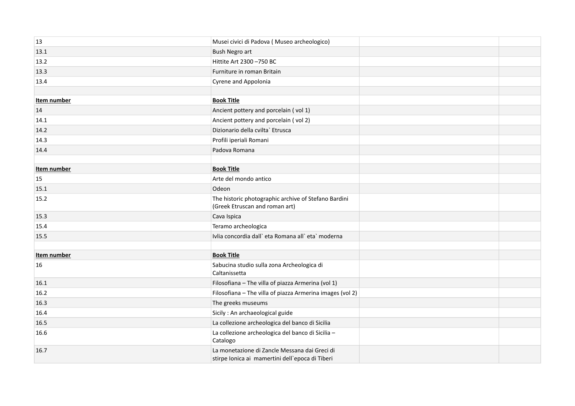| 13          | Musei civici di Padova (Museo archeologico)                                                      |  |
|-------------|--------------------------------------------------------------------------------------------------|--|
| 13.1        | <b>Bush Negro art</b>                                                                            |  |
| 13.2        | Hittite Art 2300 -750 BC                                                                         |  |
| 13.3        | Furniture in roman Britain                                                                       |  |
| 13.4        | Cyrene and Appolonia                                                                             |  |
|             |                                                                                                  |  |
| Item number | <b>Book Title</b>                                                                                |  |
| 14          | Ancient pottery and porcelain (vol 1)                                                            |  |
| 14.1        | Ancient pottery and porcelain (vol 2)                                                            |  |
| 14.2        | Dizionario della cvilta` Etrusca                                                                 |  |
| 14.3        | Profili iperiali Romani                                                                          |  |
| 14.4        | Padova Romana                                                                                    |  |
|             |                                                                                                  |  |
| Item number | <b>Book Title</b>                                                                                |  |
| 15          | Arte del mondo antico                                                                            |  |
| 15.1        | Odeon                                                                                            |  |
| 15.2        | The historic photographic archive of Stefano Bardini<br>(Greek Etruscan and roman art)           |  |
| 15.3        | Cava Ispica                                                                                      |  |
| 15.4        | Teramo archeologica                                                                              |  |
| 15.5        | Ivlia concordia dall'eta Romana all'eta' moderna                                                 |  |
|             |                                                                                                  |  |
| Item number | <b>Book Title</b>                                                                                |  |
| 16          | Sabucina studio sulla zona Archeologica di<br>Caltanissetta                                      |  |
| 16.1        | Filosofiana - The villa of piazza Armerina (vol 1)                                               |  |
| 16.2        | Filosofiana - The villa of piazza Armerina images (vol 2)                                        |  |
| 16.3        | The greeks museums                                                                               |  |
| 16.4        | Sicily : An archaeological guide                                                                 |  |
| 16.5        | La collezione archeologica del banco di Sicilia                                                  |  |
| 16.6        | La collezione archeologica del banco di Sicilia -<br>Catalogo                                    |  |
| 16.7        | La monetazione di Zancle Messana dai Greci di<br>stirpe Ionica ai mamertini dell'epoca di Tiberi |  |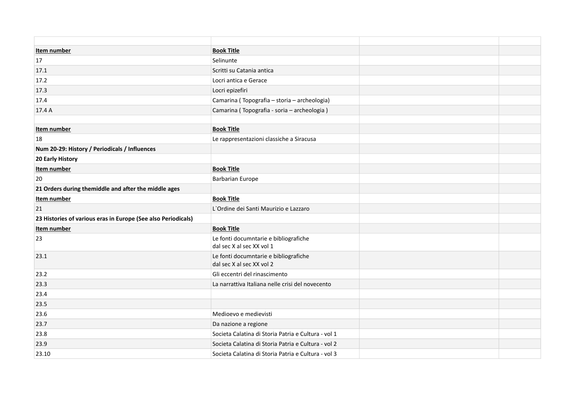| Item number                                                   | <b>Book Title</b>                                                  |  |
|---------------------------------------------------------------|--------------------------------------------------------------------|--|
| 17                                                            | Selinunte                                                          |  |
| 17.1                                                          | Scritti su Catania antica                                          |  |
| 17.2                                                          | Locri antica e Gerace                                              |  |
| 17.3                                                          | Locri epizefiri                                                    |  |
| 17.4                                                          | Camarina (Topografia - storia - archeologia)                       |  |
| 17.4 A                                                        | Camarina (Topografia - soria - archeologia)                        |  |
|                                                               |                                                                    |  |
| Item number                                                   | <b>Book Title</b>                                                  |  |
| 18                                                            | Le rappresentazioni classiche a Siracusa                           |  |
| Num 20-29: History / Periodicals / Influences                 |                                                                    |  |
| 20 Early History                                              |                                                                    |  |
| Item number                                                   | <b>Book Title</b>                                                  |  |
| 20                                                            | <b>Barbarian Europe</b>                                            |  |
| 21 Orders during themiddle and after the middle ages          |                                                                    |  |
| Item number                                                   | <b>Book Title</b>                                                  |  |
| 21                                                            | L'Ordine dei Santi Maurizio e Lazzaro                              |  |
| 23 Histories of various eras in Europe (See also Periodicals) |                                                                    |  |
| Item number                                                   | <b>Book Title</b>                                                  |  |
| 23                                                            | Le fonti documntarie e bibliografiche<br>dal sec X al sec XX vol 1 |  |
| 23.1                                                          | Le fonti documntarie e bibliografiche<br>dal sec X al sec XX vol 2 |  |
| 23.2                                                          | Gli eccentri del rinascimento                                      |  |
| 23.3                                                          | La narrattiva Italiana nelle crisi del novecento                   |  |
| 23.4                                                          |                                                                    |  |
| 23.5                                                          |                                                                    |  |
| 23.6                                                          | Medioevo e medievisti                                              |  |
| 23.7                                                          | Da nazione a regione                                               |  |
| 23.8                                                          | Societa Calatina di Storia Patria e Cultura - vol 1                |  |
| 23.9                                                          | Societa Calatina di Storia Patria e Cultura - vol 2                |  |
| 23.10                                                         | Societa Calatina di Storia Patria e Cultura - vol 3                |  |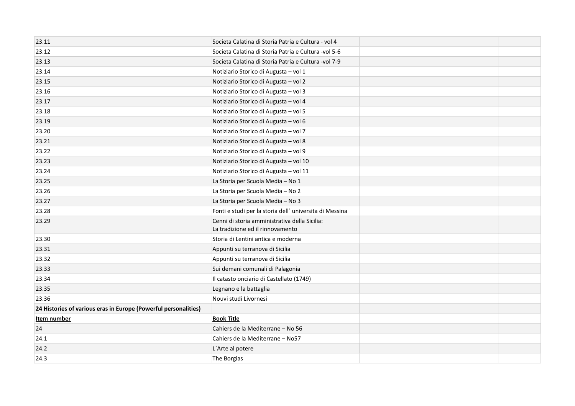| 23.11                                                           | Societa Calatina di Storia Patria e Cultura - vol 4                               |  |
|-----------------------------------------------------------------|-----------------------------------------------------------------------------------|--|
| 23.12                                                           | Societa Calatina di Storia Patria e Cultura -vol 5-6                              |  |
| 23.13                                                           | Societa Calatina di Storia Patria e Cultura -vol 7-9                              |  |
| 23.14                                                           | Notiziario Storico di Augusta - vol 1                                             |  |
| 23.15                                                           | Notiziario Storico di Augusta - vol 2                                             |  |
| 23.16                                                           | Notiziario Storico di Augusta - vol 3                                             |  |
| 23.17                                                           | Notiziario Storico di Augusta - vol 4                                             |  |
| 23.18                                                           | Notiziario Storico di Augusta - vol 5                                             |  |
| 23.19                                                           | Notiziario Storico di Augusta - vol 6                                             |  |
| 23.20                                                           | Notiziario Storico di Augusta - vol 7                                             |  |
| 23.21                                                           | Notiziario Storico di Augusta - vol 8                                             |  |
| 23.22                                                           | Notiziario Storico di Augusta - vol 9                                             |  |
| 23.23                                                           | Notiziario Storico di Augusta - vol 10                                            |  |
| 23.24                                                           | Notiziario Storico di Augusta - vol 11                                            |  |
| 23.25                                                           | La Storia per Scuola Media - No 1                                                 |  |
| 23.26                                                           | La Storia per Scuola Media - No 2                                                 |  |
| 23.27                                                           | La Storia per Scuola Media - No 3                                                 |  |
| 23.28                                                           | Fonti e studi per la storia dell'universita di Messina                            |  |
| 23.29                                                           | Cenni di storia amministrativa della Sicilia:<br>La tradizione ed il rinnovamento |  |
| 23.30                                                           | Storia di Lentini antica e moderna                                                |  |
| 23.31                                                           | Appunti su terranova di Sicilia                                                   |  |
| 23.32                                                           | Appunti su terranova di Sicilia                                                   |  |
| 23.33                                                           | Sui demani comunali di Palagonia                                                  |  |
| 23.34                                                           | Il catasto onciario di Castellato (1749)                                          |  |
| 23.35                                                           | Legnano e la battaglia                                                            |  |
| 23.36                                                           | Nouvi studi Livornesi                                                             |  |
| 24 Histories of various eras in Europe (Powerful personalities) |                                                                                   |  |
| Item number                                                     | <b>Book Title</b>                                                                 |  |
| 24                                                              | Cahiers de la Mediterrane - No 56                                                 |  |
| 24.1                                                            | Cahiers de la Mediterrane - No57                                                  |  |
| 24.2                                                            | L'Arte al potere                                                                  |  |
| 24.3                                                            | The Borgias                                                                       |  |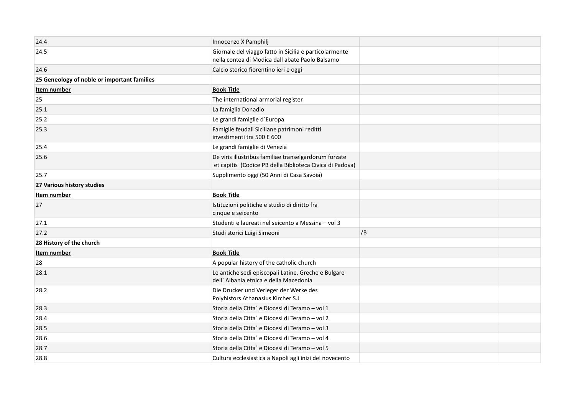| 24.4                                        | Innocenzo X Pamphilj                                                                                              |    |  |
|---------------------------------------------|-------------------------------------------------------------------------------------------------------------------|----|--|
| 24.5                                        | Giornale del viaggo fatto in Sicilia e particolarmente<br>nella contea di Modica dall abate Paolo Balsamo         |    |  |
| 24.6                                        | Calcio storico fiorentino ieri e oggi                                                                             |    |  |
| 25 Geneology of noble or important families |                                                                                                                   |    |  |
| Item number                                 | <b>Book Title</b>                                                                                                 |    |  |
| 25                                          | The international armorial register                                                                               |    |  |
| 25.1                                        | La famiglia Donadio                                                                                               |    |  |
| 25.2                                        | Le grandi famiglie d'Europa                                                                                       |    |  |
| 25.3                                        | Famiglie feudali Siciliane patrimoni reditti<br>investimenti tra 500 E 600                                        |    |  |
| 25.4                                        | Le grandi famiglie di Venezia                                                                                     |    |  |
| 25.6                                        | De viris illustribus familiae transelgardorum forzate<br>et capitis (Codice PB della Biblioteca Civica di Padova) |    |  |
| 25.7                                        | Supplimento oggi (50 Anni di Casa Savoia)                                                                         |    |  |
| 27 Various history studies                  |                                                                                                                   |    |  |
| Item number                                 | <b>Book Title</b>                                                                                                 |    |  |
| 27                                          | Istituzioni politiche e studio di diritto fra<br>cinque e seicento                                                |    |  |
| 27.1                                        | Studenti e laureati nel seicento a Messina - vol 3                                                                |    |  |
| 27.2                                        | Studi storici Luigi Simeoni                                                                                       | /B |  |
| 28 History of the church                    |                                                                                                                   |    |  |
| Item number                                 | <b>Book Title</b>                                                                                                 |    |  |
| 28                                          | A popular history of the catholic church                                                                          |    |  |
| 28.1                                        | Le antiche sedi episcopali Latine, Greche e Bulgare<br>dell' Albania etnica e della Macedonia                     |    |  |
| 28.2                                        | Die Drucker und Verleger der Werke des<br>Polyhistors Athanasius Kircher S.J                                      |    |  |
| 28.3                                        | Storia della Citta` e Diocesi di Teramo - vol 1                                                                   |    |  |
| 28.4                                        | Storia della Citta` e Diocesi di Teramo - vol 2                                                                   |    |  |
| 28.5                                        | Storia della Citta` e Diocesi di Teramo – vol 3                                                                   |    |  |
| 28.6                                        | Storia della Citta`e Diocesi di Teramo - vol 4                                                                    |    |  |
| 28.7                                        | Storia della Citta` e Diocesi di Teramo - vol 5                                                                   |    |  |
| 28.8                                        | Cultura ecclesiastica a Napoli agli inizi del novecento                                                           |    |  |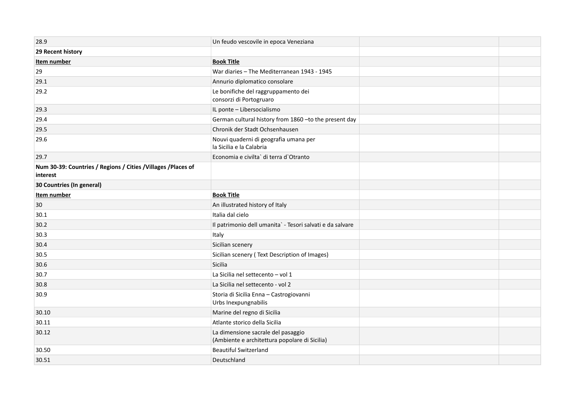| 28.9                                                                       | Un feudo vescovile in epoca Veneziana                                               |  |
|----------------------------------------------------------------------------|-------------------------------------------------------------------------------------|--|
| 29 Recent history                                                          |                                                                                     |  |
| Item number                                                                | <b>Book Title</b>                                                                   |  |
| 29                                                                         | War diaries - The Mediterranean 1943 - 1945                                         |  |
| 29.1                                                                       | Annurio diplomatico consolare                                                       |  |
| 29.2                                                                       | Le bonifiche del raggruppamento dei<br>consorzi di Portogruaro                      |  |
| 29.3                                                                       | IL ponte - Libersocialismo                                                          |  |
| 29.4                                                                       | German cultural history from 1860 - to the present day                              |  |
| 29.5                                                                       | Chronik der Stadt Ochsenhausen                                                      |  |
| 29.6                                                                       | Nouvi quaderni di geografia umana per<br>la Sicilia e la Calabria                   |  |
| 29.7                                                                       | Economia e civilta` di terra d`Otranto                                              |  |
| Num 30-39: Countries / Regions / Cities / Villages / Places of<br>interest |                                                                                     |  |
| 30 Countries (In general)                                                  |                                                                                     |  |
| Item number                                                                | <b>Book Title</b>                                                                   |  |
| 30                                                                         | An illustrated history of Italy                                                     |  |
| 30.1                                                                       | Italia dal cielo                                                                    |  |
| 30.2                                                                       | Il patrimonio dell umanita` - Tesori salvati e da salvare                           |  |
| 30.3                                                                       | Italy                                                                               |  |
| 30.4                                                                       | Sicilian scenery                                                                    |  |
| 30.5                                                                       | Sicilian scenery (Text Description of Images)                                       |  |
| 30.6                                                                       | Sicilia                                                                             |  |
| 30.7                                                                       | La Sicilia nel settecento - vol 1                                                   |  |
| 30.8                                                                       | La Sicilia nel settecento - vol 2                                                   |  |
| 30.9                                                                       | Storia di Sicilia Enna - Castrogiovanni<br>Urbs Inexpungnabilis                     |  |
| 30.10                                                                      | Marine del regno di Sicilia                                                         |  |
| 30.11                                                                      | Atlante storico della Sicilia                                                       |  |
| 30.12                                                                      | La dimensione sacrale del pasaggio<br>(Ambiente e architettura popolare di Sicilia) |  |
| 30.50                                                                      | <b>Beautiful Switzerland</b>                                                        |  |
| 30.51                                                                      | Deutschland                                                                         |  |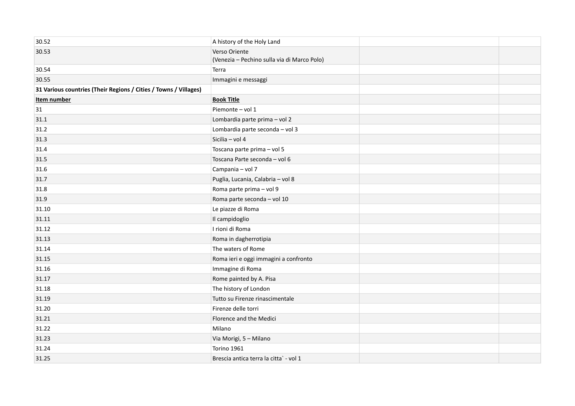| 30.52                                                            | A history of the Holy Land                                   |  |
|------------------------------------------------------------------|--------------------------------------------------------------|--|
| 30.53                                                            | Verso Oriente<br>(Venezia - Pechino sulla via di Marco Polo) |  |
| 30.54                                                            | Terra                                                        |  |
| 30.55                                                            | Immagini e messaggi                                          |  |
| 31 Various countries (Their Regions / Cities / Towns / Villages) |                                                              |  |
| Item number                                                      | <b>Book Title</b>                                            |  |
| 31                                                               | Piemonte - vol 1                                             |  |
| 31.1                                                             | Lombardia parte prima - vol 2                                |  |
| 31.2                                                             | Lombardia parte seconda - vol 3                              |  |
| 31.3                                                             | Sicilia - vol 4                                              |  |
| 31.4                                                             | Toscana parte prima - vol 5                                  |  |
| 31.5                                                             | Toscana Parte seconda - vol 6                                |  |
| 31.6                                                             | Campania - vol 7                                             |  |
| 31.7                                                             | Puglia, Lucania, Calabria - vol 8                            |  |
| 31.8                                                             | Roma parte prima - vol 9                                     |  |
| 31.9                                                             | Roma parte seconda - vol 10                                  |  |
| 31.10                                                            | Le piazze di Roma                                            |  |
| 31.11                                                            | Il campidoglio                                               |  |
| 31.12                                                            | I rioni di Roma                                              |  |
| 31.13                                                            | Roma in dagherrotipia                                        |  |
| 31.14                                                            | The waters of Rome                                           |  |
| 31.15                                                            | Roma ieri e oggi immagini a confronto                        |  |
| 31.16                                                            | Immagine di Roma                                             |  |
| 31.17                                                            | Rome painted by A. Pisa                                      |  |
| 31.18                                                            | The history of London                                        |  |
| 31.19                                                            | Tutto su Firenze rinascimentale                              |  |
| 31.20                                                            | Firenze delle torri                                          |  |
| 31.21                                                            | Florence and the Medici                                      |  |
| 31.22                                                            | Milano                                                       |  |
| 31.23                                                            | Via Morigi, 5 - Milano                                       |  |
| 31.24                                                            | Torino 1961                                                  |  |
| 31.25                                                            | Brescia antica terra la citta` - vol 1                       |  |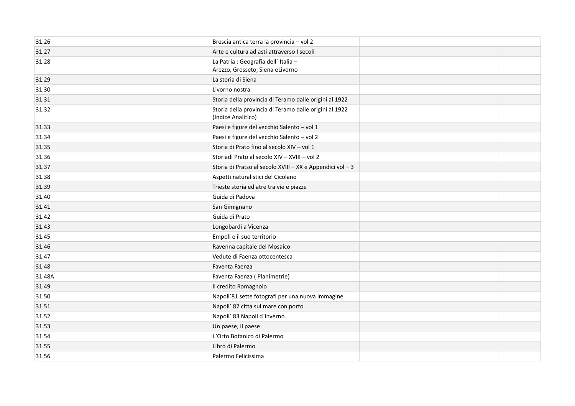| 31.26  | Brescia antica terra la provincia - vol 2                                    |  |
|--------|------------------------------------------------------------------------------|--|
| 31.27  | Arte e cultura ad asti attraverso I secoli                                   |  |
| 31.28  | La Patria : Geografia dell'Italia -<br>Arezzo, Grosseto, Siena eLivorno      |  |
| 31.29  | La storia di Siena                                                           |  |
| 31.30  | Livorno nostra                                                               |  |
| 31.31  | Storia della provincia di Teramo dalle origini al 1922                       |  |
| 31.32  | Storia della provincia di Teramo dalle origini al 1922<br>(Indice Analitico) |  |
| 31.33  | Paesi e figure del vecchio Salento - vol 1                                   |  |
| 31.34  | Paesi e figure del vecchio Salento - vol 2                                   |  |
| 31.35  | Storia di Prato fino al secolo XIV - vol 1                                   |  |
| 31.36  | Storiadi Prato al secolo XIV - XVIII - vol 2                                 |  |
| 31.37  | Storia di Pratso al secolo XVIII - XX e Appendici vol - 3                    |  |
| 31.38  | Aspetti naturalistici del Cicolano                                           |  |
| 31.39  | Trieste storia ed atre tra vie e piazze                                      |  |
| 31.40  | Guida di Padova                                                              |  |
| 31.41  | San Gimignano                                                                |  |
| 31.42  | Guida di Prato                                                               |  |
| 31.43  | Longobardi a Vicenza                                                         |  |
| 31.45  | Empoli e il suo territorio                                                   |  |
| 31.46  | Ravenna capitale del Mosaico                                                 |  |
| 31.47  | Vedute di Faenza ottocentesca                                                |  |
| 31.48  | Faventa Faenza                                                               |  |
| 31.48A | Faventa Faenza (Planimetrie)                                                 |  |
| 31.49  | Il credito Romagnolo                                                         |  |
| 31.50  | Napoli 81 sette fotografi per una nuova immagine                             |  |
| 31.51  | Napoli` 82 citta sul mare con porto                                          |  |
| 31.52  | Napoli` 83 Napoli d`inverno                                                  |  |
| 31.53  | Un paese, il paese                                                           |  |
| 31.54  | L'Orto Botanico di Palermo                                                   |  |
| 31.55  | Libro di Palermo                                                             |  |
| 31.56  | Palermo Felicissima                                                          |  |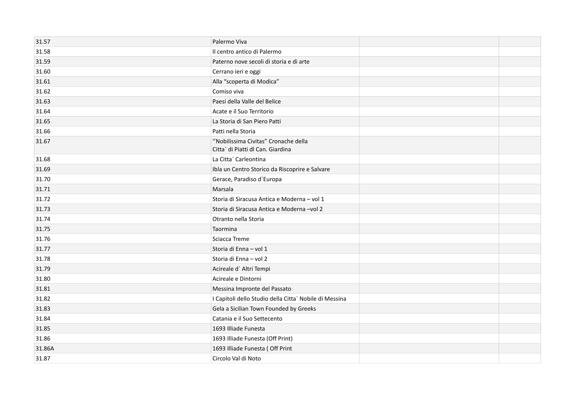| 31.57  | Palermo Viva                                                              |  |
|--------|---------------------------------------------------------------------------|--|
| 31.58  | Il centro antico di Palermo                                               |  |
| 31.59  | Paterno nove secoli di storia e di arte                                   |  |
| 31.60  | Cerrano ieri e oggi                                                       |  |
| 31.61  | Alla "scoperta di Modica"                                                 |  |
| 31.62  | Comiso viva                                                               |  |
| 31.63  | Paesi della Valle del Belice                                              |  |
| 31.64  | Acate e il Suo Territorio                                                 |  |
| 31.65  | La Storia di San Piero Patti                                              |  |
| 31.66  | Patti nella Storia                                                        |  |
| 31.67  | "Nobilissima Civitas" Cronache della<br>Citta` di Piatti dl Can. Giardina |  |
| 31.68  | La Citta` Carleontina                                                     |  |
| 31.69  | Ibla un Centro Storico da Riscoprire e Salvare                            |  |
| 31.70  | Gerace, Paradiso d'Europa                                                 |  |
| 31.71  | Marsala                                                                   |  |
| 31.72  | Storia di Siracusa Antica e Moderna - vol 1                               |  |
| 31.73  | Storia di Siracusa Antica e Moderna -vol 2                                |  |
| 31.74  | Otranto nella Storia                                                      |  |
| 31.75  | Taormina                                                                  |  |
| 31.76  | Sciacca Treme                                                             |  |
| 31.77  | Storia di Enna - vol 1                                                    |  |
| 31.78  | Storia di Enna - vol 2                                                    |  |
| 31.79  | Acireale d'Altri Tempi                                                    |  |
| 31.80  | Acireale e Dintorni                                                       |  |
| 31.81  | Messina Impronte del Passato                                              |  |
| 31.82  | I Capitoli dello Studio della Citta` Nobile di Messina                    |  |
| 31.83  | Gela a Sicilian Town Founded by Greeks                                    |  |
| 31.84  | Catania e il Suo Settecento                                               |  |
| 31.85  | 1693 Illiade Funesta                                                      |  |
| 31.86  | 1693 Illiade Funesta (Off Print)                                          |  |
| 31.86A | 1693 Illiade Funesta (Off Print                                           |  |
| 31.87  | Circolo Val di Noto                                                       |  |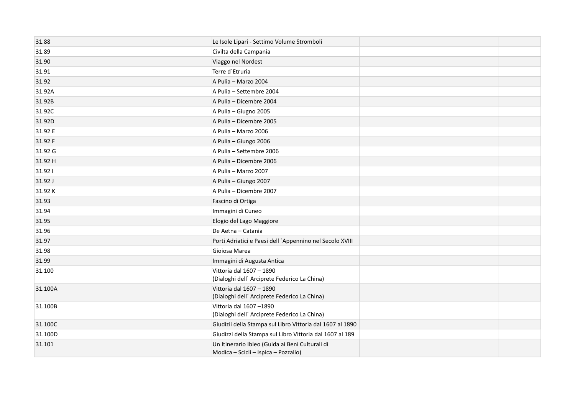| 31.88   | Le Isole Lipari - Settimo Volume Stromboli                                              |  |
|---------|-----------------------------------------------------------------------------------------|--|
| 31.89   | Civilta della Campania                                                                  |  |
| 31.90   | Viaggo nel Nordest                                                                      |  |
| 31.91   | Terre d'Etruria                                                                         |  |
| 31.92   | A Pulia - Marzo 2004                                                                    |  |
| 31.92A  | A Pulia - Settembre 2004                                                                |  |
| 31.92B  | A Pulia - Dicembre 2004                                                                 |  |
| 31.92C  | A Pulia - Giugno 2005                                                                   |  |
| 31.92D  | A Pulia - Dicembre 2005                                                                 |  |
| 31.92 E | A Pulia - Marzo 2006                                                                    |  |
| 31.92 F | A Pulia - Giungo 2006                                                                   |  |
| 31.92 G | A Pulia - Settembre 2006                                                                |  |
| 31.92 H | A Pulia - Dicembre 2006                                                                 |  |
| 31.921  | A Pulia - Marzo 2007                                                                    |  |
| 31.92 J | A Pulia - Giungo 2007                                                                   |  |
| 31.92K  | A Pulia - Dicembre 2007                                                                 |  |
| 31.93   | Fascino di Ortiga                                                                       |  |
| 31.94   | Immagini di Cuneo                                                                       |  |
| 31.95   | Elogio del Lago Maggiore                                                                |  |
| 31.96   | De Aetna - Catania                                                                      |  |
| 31.97   | Porti Adriatici e Paesi dell `Appennino nel Secolo XVIII                                |  |
| 31.98   | Gioiosa Marea                                                                           |  |
| 31.99   | Immagini di Augusta Antica                                                              |  |
| 31.100  | Vittoria dal 1607 - 1890<br>(Dialoghi dell' Arciprete Federico La China)                |  |
| 31.100A | Vittoria dal 1607 - 1890<br>(Dialoghi dell' Arciprete Federico La China)                |  |
| 31.100B | Vittoria dal 1607-1890<br>(Dialoghi dell' Arciprete Federico La China)                  |  |
| 31.100C | Giudizii della Stampa sul Libro Vittoria dal 1607 al 1890                               |  |
| 31.100D | Giudizzi della Stampa sul Libro Vittoria dal 1607 al 189                                |  |
| 31.101  | Un Itinerario Ibleo (Guida ai Beni Culturali di<br>Modica - Scicli - Ispica - Pozzallo) |  |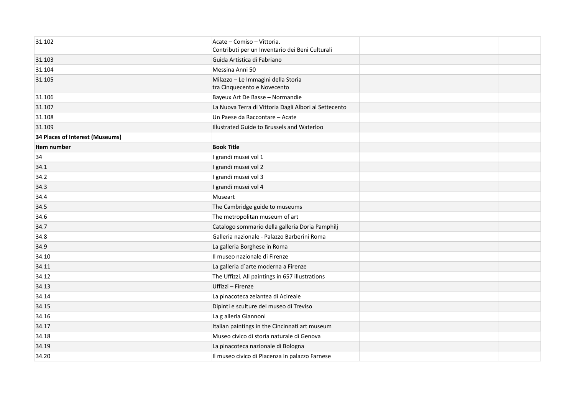| 31.102                          | Acate - Comiso - Vittoria.<br>Contributi per un Inventario dei Beni Culturali |  |
|---------------------------------|-------------------------------------------------------------------------------|--|
| 31.103                          | Guida Artistica di Fabriano                                                   |  |
| 31.104                          | Messina Anni 50                                                               |  |
| 31.105                          | Milazzo - Le Immagini della Storia<br>tra Cinquecento e Novecento             |  |
| 31.106                          | Bayeux Art De Basse - Normandie                                               |  |
| 31.107                          | La Nuova Terra di Vittoria Dagli Albori al Settecento                         |  |
| 31.108                          | Un Paese da Raccontare - Acate                                                |  |
| 31.109                          | Illustrated Guide to Brussels and Waterloo                                    |  |
| 34 Places of Interest (Museums) |                                                                               |  |
| Item number                     | <b>Book Title</b>                                                             |  |
| 34                              | I grandi musei vol 1                                                          |  |
| 34.1                            | I grandi musei vol 2                                                          |  |
| 34.2                            | I grandi musei vol 3                                                          |  |
| 34.3                            | I grandi musei vol 4                                                          |  |
| 34.4                            | Museart                                                                       |  |
| 34.5                            | The Cambridge guide to museums                                                |  |
| 34.6                            | The metropolitan museum of art                                                |  |
| 34.7                            | Catalogo sommario della galleria Doria Pamphilj                               |  |
| 34.8                            | Galleria nazionale - Palazzo Barberini Roma                                   |  |
| 34.9                            | La galleria Borghese in Roma                                                  |  |
| 34.10                           | Il museo nazionale di Firenze                                                 |  |
| 34.11                           | La galleria d'arte moderna a Firenze                                          |  |
| 34.12                           | The Uffizzi. All paintings in 657 illustrations                               |  |
| 34.13                           | Uffizzi - Firenze                                                             |  |
| 34.14                           | La pinacoteca zelantea di Acireale                                            |  |
| 34.15                           | Dipinti e sculture del museo di Treviso                                       |  |
| 34.16                           | La g alleria Giannoni                                                         |  |
| 34.17                           | Italian paintings in the Cincinnati art museum                                |  |
| 34.18                           | Museo civico di storia naturale di Genova                                     |  |
| 34.19                           | La pinacoteca nazionale di Bologna                                            |  |
| 34.20                           | Il museo civico di Piacenza in palazzo Farnese                                |  |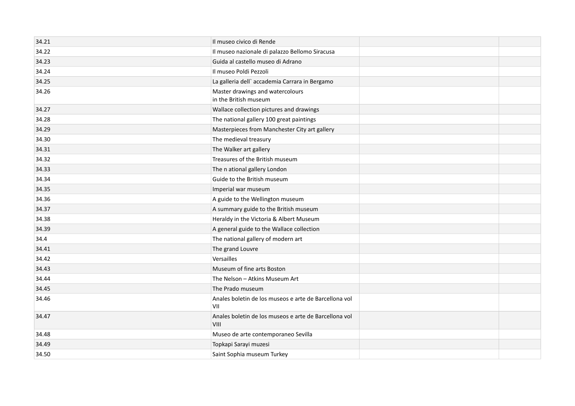| 34.21 | Il museo civico di Rende                                      |  |
|-------|---------------------------------------------------------------|--|
| 34.22 | Il museo nazionale di palazzo Bellomo Siracusa                |  |
| 34.23 | Guida al castello museo di Adrano                             |  |
| 34.24 | Il museo Poldi Pezzoli                                        |  |
| 34.25 | La galleria dell'accademia Carrara in Bergamo                 |  |
| 34.26 | Master drawings and watercolours<br>in the British museum     |  |
| 34.27 | Wallace collection pictures and drawings                      |  |
| 34.28 | The national gallery 100 great paintings                      |  |
| 34.29 | Masterpieces from Manchester City art gallery                 |  |
| 34.30 | The medieval treasury                                         |  |
| 34.31 | The Walker art gallery                                        |  |
| 34.32 | Treasures of the British museum                               |  |
| 34.33 | The n ational gallery London                                  |  |
| 34.34 | Guide to the British museum                                   |  |
| 34.35 | Imperial war museum                                           |  |
| 34.36 | A guide to the Wellington museum                              |  |
| 34.37 | A summary guide to the British museum                         |  |
| 34.38 | Heraldy in the Victoria & Albert Museum                       |  |
| 34.39 | A general guide to the Wallace collection                     |  |
| 34.4  | The national gallery of modern art                            |  |
| 34.41 | The grand Louvre                                              |  |
| 34.42 | Versailles                                                    |  |
| 34.43 | Museum of fine arts Boston                                    |  |
| 34.44 | The Nelson - Atkins Museum Art                                |  |
| 34.45 | The Prado museum                                              |  |
| 34.46 | Anales boletin de los museos e arte de Barcellona vol<br>VII  |  |
| 34.47 | Anales boletin de los museos e arte de Barcellona vol<br>VIII |  |
| 34.48 | Museo de arte contemporaneo Sevilla                           |  |
| 34.49 | Topkapi Sarayi muzesi                                         |  |
| 34.50 | Saint Sophia museum Turkey                                    |  |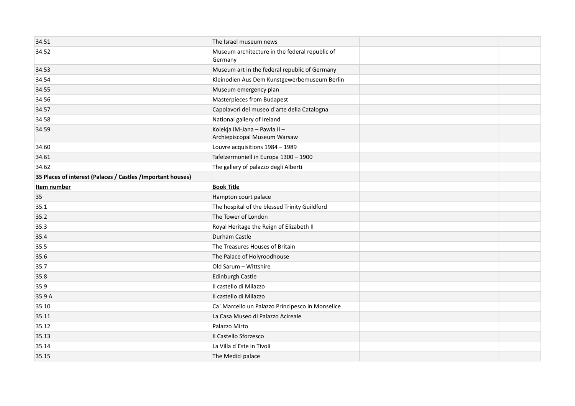| 34.51                                                       | The Israel museum news                                       |  |
|-------------------------------------------------------------|--------------------------------------------------------------|--|
| 34.52                                                       | Museum architecture in the federal republic of<br>Germany    |  |
| 34.53                                                       | Museum art in the federal republic of Germany                |  |
| 34.54                                                       | Kleinodien Aus Dem Kunstgewerbemuseum Berlin                 |  |
| 34.55                                                       | Museum emergency plan                                        |  |
| 34.56                                                       | <b>Masterpieces from Budapest</b>                            |  |
| 34.57                                                       | Capolavori del museo d'arte della Catalogna                  |  |
| 34.58                                                       | National gallery of Ireland                                  |  |
| 34.59                                                       | Kolekja IM-Jana - Pawla II -<br>Archiepiscopal Museum Warsaw |  |
| 34.60                                                       | Louvre acquisitions 1984 - 1989                              |  |
| 34.61                                                       | Tafelzermoniell in Europa 1300 - 1900                        |  |
| 34.62                                                       | The gallery of palazzo degli Alberti                         |  |
| 35 Places of interest (Palaces / Castles /Important houses) |                                                              |  |
| Item number                                                 | <b>Book Title</b>                                            |  |
| 35                                                          | Hampton court palace                                         |  |
| 35.1                                                        | The hospital of the blessed Trinity Guildford                |  |
| 35.2                                                        | The Tower of London                                          |  |
| 35.3                                                        | Royal Heritage the Reign of Elizabeth II                     |  |
| 35.4                                                        | Durham Castle                                                |  |
| 35.5                                                        | The Treasures Houses of Britain                              |  |
| 35.6                                                        | The Palace of Holyroodhouse                                  |  |
| 35.7                                                        | Old Sarum - Wittshire                                        |  |
| 35.8                                                        | Edinburgh Castle                                             |  |
| 35.9                                                        | Il castello di Milazzo                                       |  |
| 35.9 A                                                      | Il castello di Milazzo                                       |  |
| 35.10                                                       | Ca` Marcello un Palazzo Principesco in Monselice             |  |
| 35.11                                                       | La Casa Museo di Palazzo Acireale                            |  |
| 35.12                                                       | Palazzo Mirto                                                |  |
| 35.13                                                       | Il Castello Sforzesco                                        |  |
| 35.14                                                       | La Villa d'Este in Tivoli                                    |  |
| 35.15                                                       | The Medici palace                                            |  |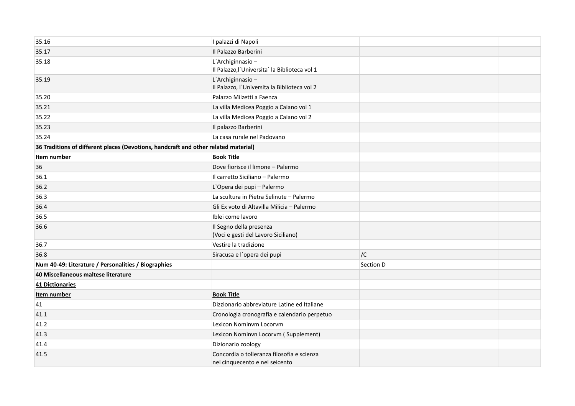| 35.16                                                                               | I palazzi di Napoli                                                          |           |  |
|-------------------------------------------------------------------------------------|------------------------------------------------------------------------------|-----------|--|
| 35.17                                                                               | Il Palazzo Barberini                                                         |           |  |
| 35.18                                                                               | L'Archiginnasio-<br>Il Palazzo, l'Universita la Biblioteca vol 1             |           |  |
| 35.19                                                                               | L'Archiginnasio-<br>Il Palazzo, l'Universita la Biblioteca vol 2             |           |  |
| 35.20                                                                               | Palazzo Milzetti a Faenza                                                    |           |  |
| 35.21                                                                               | La villa Medicea Poggio a Caiano vol 1                                       |           |  |
| 35.22                                                                               | La villa Medicea Poggio a Caiano vol 2                                       |           |  |
| 35.23                                                                               | Il palazzo Barberini                                                         |           |  |
| 35.24                                                                               | La casa rurale nel Padovano                                                  |           |  |
| 36 Traditions of different places (Devotions, handcraft and other related material) |                                                                              |           |  |
| Item number                                                                         | <b>Book Title</b>                                                            |           |  |
| 36                                                                                  | Dove fiorisce il limone - Palermo                                            |           |  |
| 36.1                                                                                | Il carretto Siciliano - Palermo                                              |           |  |
| 36.2                                                                                | L'Opera dei pupi - Palermo                                                   |           |  |
| 36.3                                                                                | La scultura in Pietra Selinute - Palermo                                     |           |  |
| 36.4                                                                                | Gli Ex voto di Altavilla Milicia - Palermo                                   |           |  |
| 36.5                                                                                | Iblei come lavoro                                                            |           |  |
| 36.6                                                                                | Il Segno della presenza<br>(Voci e gesti del Lavoro Siciliano)               |           |  |
| 36.7                                                                                | Vestire la tradizione                                                        |           |  |
| 36.8                                                                                | Siracusa e l'opera dei pupi                                                  | /C        |  |
| Num 40-49: Literature / Personalities / Biographies                                 |                                                                              | Section D |  |
| 40 Miscellaneous maltese literature                                                 |                                                                              |           |  |
| 41 Dictionaries                                                                     |                                                                              |           |  |
| Item number                                                                         | <b>Book Title</b>                                                            |           |  |
| 41                                                                                  | Dizzionario abbreviature Latine ed Italiane                                  |           |  |
| 41.1                                                                                | Cronologia cronografia e calendario perpetuo                                 |           |  |
| 41.2                                                                                | Lexicon Nominvm Locorvm                                                      |           |  |
| 41.3                                                                                | Lexicon Nominvn Locorvm (Supplement)                                         |           |  |
| 41.4                                                                                | Dizionario zoology                                                           |           |  |
| 41.5                                                                                | Concordia o tolleranza filosofia e scienza<br>nel cinquecento e nel seicento |           |  |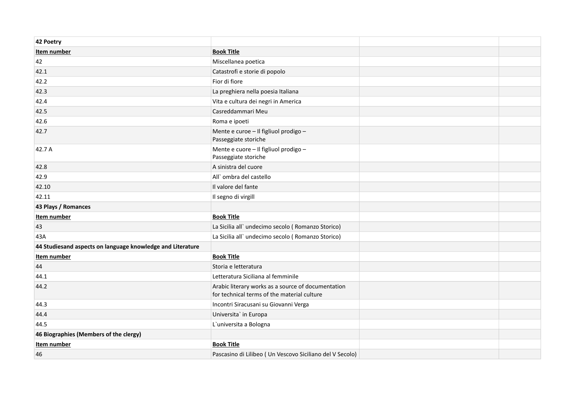| 42 Poetry                                                  |                                                                                                   |  |
|------------------------------------------------------------|---------------------------------------------------------------------------------------------------|--|
| Item number                                                | <b>Book Title</b>                                                                                 |  |
| 42                                                         | Miscellanea poetica                                                                               |  |
| 42.1                                                       | Catastrofi e storie di popolo                                                                     |  |
| 42.2                                                       | Fior di fiore                                                                                     |  |
| 42.3                                                       | La preghiera nella poesia Italiana                                                                |  |
| 42.4                                                       | Vita e cultura dei negri in America                                                               |  |
| 42.5                                                       | Casreddammari Meu                                                                                 |  |
| 42.6                                                       | Roma e ipoeti                                                                                     |  |
| 42.7                                                       | Mente e curoe - Il figliuol prodigo -<br>Passeggiate storiche                                     |  |
| 42.7 A                                                     | Mente e cuore - Il figliuol prodigo -<br>Passeggiate storiche                                     |  |
| 42.8                                                       | A sinistra del cuore                                                                              |  |
| 42.9                                                       | All' ombra del castello                                                                           |  |
| 42.10                                                      | Il valore del fante                                                                               |  |
| 42.11                                                      | Il segno di virgill                                                                               |  |
| 43 Plays / Romances                                        |                                                                                                   |  |
| Item number                                                | <b>Book Title</b>                                                                                 |  |
| 43                                                         | La Sicilia all'undecimo secolo (Romanzo Storico)                                                  |  |
| 43A                                                        | La Sicilia all'undecimo secolo (Romanzo Storico)                                                  |  |
| 44 Studiesand aspects on language knowledge and Literature |                                                                                                   |  |
| Item number                                                | <b>Book Title</b>                                                                                 |  |
| 44                                                         | Storia e letteratura                                                                              |  |
| 44.1                                                       | Letteratura Siciliana al femminile                                                                |  |
| 44.2                                                       | Arabic literary works as a source of documentation<br>for technical terms of the material culture |  |
| 44.3                                                       | Incontri Siracusani su Giovanni Verga                                                             |  |
| 44.4                                                       | Universita' in Europa                                                                             |  |
| 44.5                                                       | L'universita a Bologna                                                                            |  |
| 46 Biographies (Members of the clergy)                     |                                                                                                   |  |
| Item number                                                | <b>Book Title</b>                                                                                 |  |
| 46                                                         | Pascasino di Lilibeo ( Un Vescovo Siciliano del V Secolo)                                         |  |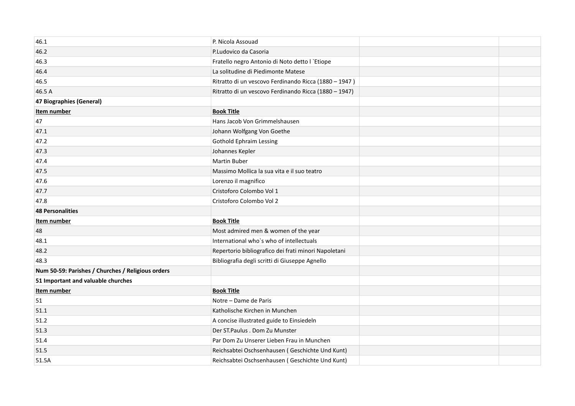| 46.1                                              | P. Nicola Assouad                                     |  |
|---------------------------------------------------|-------------------------------------------------------|--|
| 46.2                                              | P.Ludovico da Casoria                                 |  |
| 46.3                                              | Fratello negro Antonio di Noto detto l'Etiope         |  |
| 46.4                                              | La solitudine di Piedimonte Matese                    |  |
| 46.5                                              | Ritratto di un vescovo Ferdinando Ricca (1880 - 1947) |  |
| 46.5 A                                            | Ritratto di un vescovo Ferdinando Ricca (1880 - 1947) |  |
| 47 Biographies (General)                          |                                                       |  |
| Item number                                       | <b>Book Title</b>                                     |  |
| 47                                                | Hans Jacob Von Grimmelshausen                         |  |
| 47.1                                              | Johann Wolfgang Von Goethe                            |  |
| 47.2                                              | <b>Gothold Ephraim Lessing</b>                        |  |
| 47.3                                              | Johannes Kepler                                       |  |
| 47.4                                              | Martin Buber                                          |  |
| 47.5                                              | Massimo Mollica la sua vita e il suo teatro           |  |
| 47.6                                              | Lorenzo il magnifico                                  |  |
| 47.7                                              | Cristoforo Colombo Vol 1                              |  |
| 47.8                                              | Cristoforo Colombo Vol 2                              |  |
| <b>48 Personalities</b>                           |                                                       |  |
| Item number                                       | <b>Book Title</b>                                     |  |
| 48                                                | Most admired men & women of the year                  |  |
| 48.1                                              | International who's who of intellectuals              |  |
| 48.2                                              | Repertorio bibliografico dei frati minori Napoletani  |  |
| 48.3                                              | Bibliografia degli scritti di Giuseppe Agnello        |  |
| Num 50-59: Parishes / Churches / Religious orders |                                                       |  |
| 51 Important and valuable churches                |                                                       |  |
| Item number                                       | <b>Book Title</b>                                     |  |
| 51                                                | Notre - Dame de Paris                                 |  |
| 51.1                                              | Katholische Kirchen in Munchen                        |  |
| 51.2                                              | A concise illustrated guide to Einsiedeln             |  |
| 51.3                                              | Der ST. Paulus . Dom Zu Munster                       |  |
| 51.4                                              | Par Dom Zu Unserer Lieben Frau in Munchen             |  |
| 51.5                                              | Reichsabtei Oschsenhausen (Geschichte Und Kunt)       |  |
| 51.5A                                             | Reichsabtei Oschsenhausen (Geschichte Und Kunt)       |  |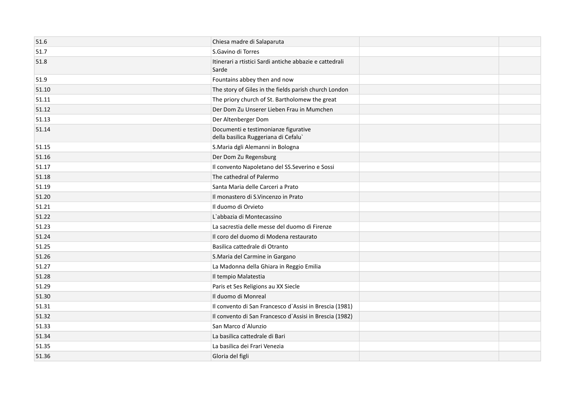| 51.6  | Chiesa madre di Salaparuta                                                  |  |
|-------|-----------------------------------------------------------------------------|--|
| 51.7  | S.Gavino di Torres                                                          |  |
| 51.8  | Itinerari a rtistici Sardi antiche abbazie e cattedrali<br>Sarde            |  |
| 51.9  | Fountains abbey then and now                                                |  |
| 51.10 | The story of Giles in the fields parish church London                       |  |
| 51.11 | The priory church of St. Bartholomew the great                              |  |
| 51.12 | Der Dom Zu Unserer Lieben Frau in Mumchen                                   |  |
| 51.13 | Der Altenberger Dom                                                         |  |
| 51.14 | Documenti e testimonianze figurative<br>della basilica Ruggeriana di Cefalu |  |
| 51.15 | S.Maria dgli Alemanni in Bologna                                            |  |
| 51.16 | Der Dom Zu Regensburg                                                       |  |
| 51.17 | Il convento Napoletano del SS. Severino e Sossi                             |  |
| 51.18 | The cathedral of Palermo                                                    |  |
| 51.19 | Santa Maria delle Carceri a Prato                                           |  |
| 51.20 | Il monastero di S.Vincenzo in Prato                                         |  |
| 51.21 | Il duomo di Orvieto                                                         |  |
| 51.22 | L'abbazia di Montecassino                                                   |  |
| 51.23 | La sacrestia delle messe del duomo di Firenze                               |  |
| 51.24 | Il coro del duomo di Modena restaurato                                      |  |
| 51.25 | Basilica cattedrale di Otranto                                              |  |
| 51.26 | S.Maria del Carmine in Gargano                                              |  |
| 51.27 | La Madonna della Ghiara in Reggio Emilia                                    |  |
| 51.28 | Il tempio Malatestia                                                        |  |
| 51.29 | Paris et Ses Religions au XX Siecle                                         |  |
| 51.30 | Il duomo di Monreal                                                         |  |
| 51.31 | Il convento di San Francesco d'Assisi in Brescia (1981)                     |  |
| 51.32 | Il convento di San Francesco d'Assisi in Brescia (1982)                     |  |
| 51.33 | San Marco d'Alunzio                                                         |  |
| 51.34 | La basilica cattedrale di Bari                                              |  |
| 51.35 | La basilica dei Frari Venezia                                               |  |
| 51.36 | Gloria del figli                                                            |  |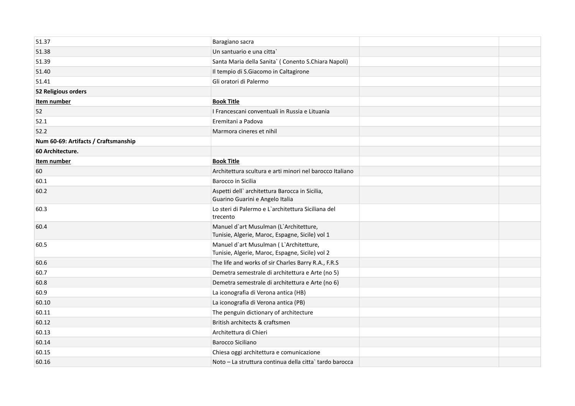| 51.37                                |                                                                                           |  |
|--------------------------------------|-------------------------------------------------------------------------------------------|--|
|                                      | Baragiano sacra                                                                           |  |
| 51.38                                | Un santuario e una citta                                                                  |  |
| 51.39                                | Santa Maria della Sanita' (Conento S.Chiara Napoli)                                       |  |
| 51.40                                | Il tempio di S.Giacomo in Caltagirone                                                     |  |
| 51.41                                | Gli oratori di Palermo                                                                    |  |
| 52 Religious orders                  |                                                                                           |  |
| Item number                          | <b>Book Title</b>                                                                         |  |
| 52                                   | I Francescani conventuali in Russia e Lituania                                            |  |
| 52.1                                 | Eremitani a Padova                                                                        |  |
| 52.2                                 | Marmora cineres et nihil                                                                  |  |
| Num 60-69: Artifacts / Craftsmanship |                                                                                           |  |
| 60 Architecture.                     |                                                                                           |  |
| Item number                          | <b>Book Title</b>                                                                         |  |
| 60                                   | Architettura scultura e arti minori nel barocco Italiano                                  |  |
| 60.1                                 | Barocco in Sicilia                                                                        |  |
| 60.2                                 | Aspetti dell' architettura Barocca in Sicilia,<br>Guarino Guarini e Angelo Italia         |  |
| 60.3                                 | Lo steri di Palermo e L'architettura Siciliana del<br>trecento                            |  |
| 60.4                                 | Manuel d'art Musulman (L'Architetture,<br>Tunisie, Algerie, Maroc, Espagne, Sicile) vol 1 |  |
| 60.5                                 | Manuel d'art Musulman (L'Architetture,<br>Tunisie, Algerie, Maroc, Espagne, Sicile) vol 2 |  |
| 60.6                                 | The life and works of sir Charles Barry R.A., F.R.S                                       |  |
| 60.7                                 | Demetra semestrale di architettura e Arte (no 5)                                          |  |
| 60.8                                 | Demetra semestrale di architettura e Arte (no 6)                                          |  |
| 60.9                                 | La iconografia di Verona antica (HB)                                                      |  |
| 60.10                                | La iconografia di Verona antica (PB)                                                      |  |
| 60.11                                | The penguin dictionary of architecture                                                    |  |
| 60.12                                | British architects & craftsmen                                                            |  |
| 60.13                                | Architettura di Chieri                                                                    |  |
| 60.14                                | <b>Barocco Siciliano</b>                                                                  |  |
| 60.15                                | Chiesa oggi architettura e comunicazione                                                  |  |
| 60.16                                | Noto – La struttura continua della citta` tardo barocca                                   |  |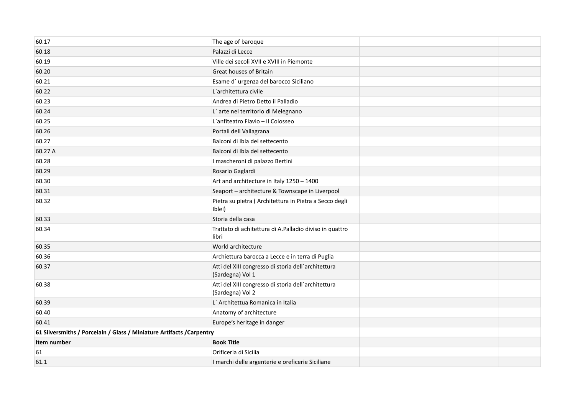| 60.17                                                                 | The age of baroque                                                      |  |
|-----------------------------------------------------------------------|-------------------------------------------------------------------------|--|
| 60.18                                                                 | Palazzi di Lecce                                                        |  |
| 60.19                                                                 | Ville dei secoli XVII e XVIII in Piemonte                               |  |
| 60.20                                                                 | Great houses of Britain                                                 |  |
| 60.21                                                                 | Esame d'urgenza del barocco Siciliano                                   |  |
| 60.22                                                                 | L'architettura civile                                                   |  |
| 60.23                                                                 | Andrea di Pietro Detto il Palladio                                      |  |
| 60.24                                                                 | L'arte nel territorio di Melegnano                                      |  |
| 60.25                                                                 | L'anfiteatro Flavio - Il Colosseo                                       |  |
| 60.26                                                                 | Portali dell Vallagrana                                                 |  |
| 60.27                                                                 | Balconi di Ibla del settecento                                          |  |
| 60.27 A                                                               | Balconi di Ibla del settecento                                          |  |
| 60.28                                                                 | I mascheroni di palazzo Bertini                                         |  |
| 60.29                                                                 | Rosario Gaglardi                                                        |  |
| 60.30                                                                 | Art and architecture in Italy 1250 - 1400                               |  |
| 60.31                                                                 | Seaport - architecture & Townscape in Liverpool                         |  |
| 60.32                                                                 | Pietra su pietra (Architettura in Pietra a Secco degli<br>Iblei)        |  |
| 60.33                                                                 | Storia della casa                                                       |  |
| 60.34                                                                 | Trattato di achitettura di A.Palladio diviso in quattro<br>libri        |  |
| 60.35                                                                 | World architecture                                                      |  |
| 60.36                                                                 | Archiettura barocca a Lecce e in terra di Puglia                        |  |
| 60.37                                                                 | Atti del XIII congresso di storia dell'architettura<br>(Sardegna) Vol 1 |  |
| 60.38                                                                 | Atti del XIII congresso di storia dell'architettura<br>(Sardegna) Vol 2 |  |
| 60.39                                                                 | L' Architettua Romanica in Italia                                       |  |
| 60.40                                                                 | Anatomy of architecture                                                 |  |
| 60.41                                                                 | Europe's heritage in danger                                             |  |
| 61 Silversmiths / Porcelain / Glass / Miniature Artifacts / Carpentry |                                                                         |  |
| Item number                                                           | <b>Book Title</b>                                                       |  |
| 61                                                                    | Orificeria di Sicilia                                                   |  |
| 61.1                                                                  | I marchi delle argenterie e oreficerie Siciliane                        |  |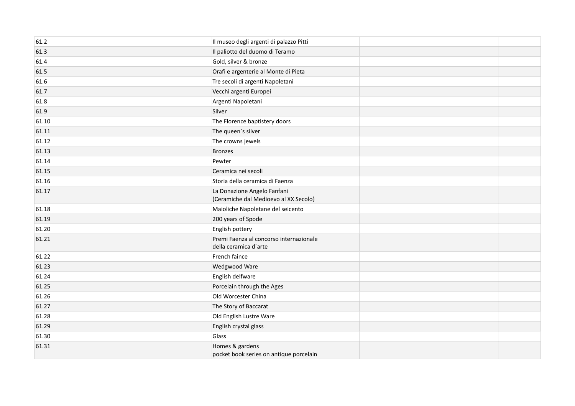| 61.2  | Il museo degli argenti di palazzo Pitti                              |  |
|-------|----------------------------------------------------------------------|--|
| 61.3  | Il paliotto del duomo di Teramo                                      |  |
| 61.4  | Gold, silver & bronze                                                |  |
| 61.5  | Orafi e argenterie al Monte di Pieta                                 |  |
| 61.6  | Tre secoli di argenti Napoletani                                     |  |
| 61.7  | Vecchi argenti Europei                                               |  |
| 61.8  | Argenti Napoletani                                                   |  |
| 61.9  | Silver                                                               |  |
| 61.10 | The Florence baptistery doors                                        |  |
| 61.11 | The queen's silver                                                   |  |
| 61.12 | The crowns jewels                                                    |  |
| 61.13 | <b>Bronzes</b>                                                       |  |
| 61.14 | Pewter                                                               |  |
| 61.15 | Ceramica nei secoli                                                  |  |
| 61.16 | Storia della ceramica di Faenza                                      |  |
| 61.17 | La Donazione Angelo Fanfani<br>(Ceramiche dal Medioevo al XX Secolo) |  |
| 61.18 | Maioliche Napoletane del seicento                                    |  |
| 61.19 | 200 years of Spode                                                   |  |
| 61.20 | English pottery                                                      |  |
| 61.21 | Premi Faenza al concorso internazionale<br>della ceramica d'arte     |  |
| 61.22 | French faince                                                        |  |
| 61.23 | Wedgwood Ware                                                        |  |
| 61.24 | English delfware                                                     |  |
| 61.25 | Porcelain through the Ages                                           |  |
| 61.26 | Old Worcester China                                                  |  |
| 61.27 | The Story of Baccarat                                                |  |
| 61.28 | Old English Lustre Ware                                              |  |
| 61.29 | English crystal glass                                                |  |
| 61.30 | Glass                                                                |  |
| 61.31 | Homes & gardens<br>pocket book series on antique porcelain           |  |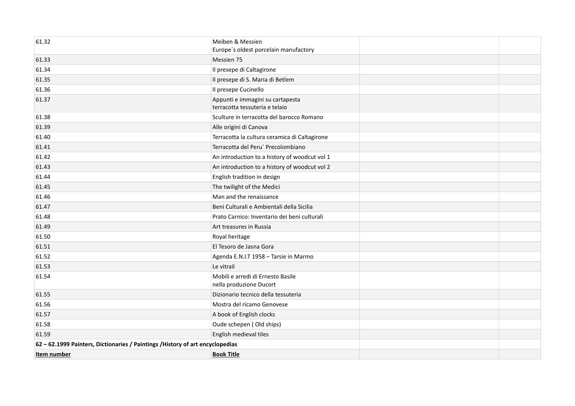| 61.32                                                                          | Meiben & Messien<br>Europe's oldest porcelain manufactory          |  |
|--------------------------------------------------------------------------------|--------------------------------------------------------------------|--|
| 61.33                                                                          | Messien 75                                                         |  |
| 61.34                                                                          | Il presepe di Caltagirone                                          |  |
| 61.35                                                                          | Il presepe di S. Maria di Betlem                                   |  |
| 61.36                                                                          | Il presepe Cucinello                                               |  |
| 61.37                                                                          | Appunti e immagini su cartapesta<br>terracotta tessuteria e telaio |  |
| 61.38                                                                          | Sculture in terracotta del barocco Romano                          |  |
| 61.39                                                                          | Alle origini di Canova                                             |  |
| 61.40                                                                          | Terracotta la cultura ceramica di Caltagirone                      |  |
| 61.41                                                                          | Terracotta del Peru` Precolombiano                                 |  |
| 61.42                                                                          | An introduction to a history of woodcut vol 1                      |  |
| 61.43                                                                          | An introduction to a history of woodcut vol 2                      |  |
| 61.44                                                                          | English tradition in design                                        |  |
| 61.45                                                                          | The twilight of the Medici                                         |  |
| 61.46                                                                          | Man and the renaissance                                            |  |
| 61.47                                                                          | Beni Culturali e Ambientali della Sicilia                          |  |
| 61.48                                                                          | Prato Carnico: Inventario dei beni culturali                       |  |
| 61.49                                                                          | Art treasures in Russia                                            |  |
| 61.50                                                                          | Royal heritage                                                     |  |
| 61.51                                                                          | El Tesoro de Jasna Gora                                            |  |
| 61.52                                                                          | Agenda E.N.I.T 1958 - Tarsie in Marmo                              |  |
| 61.53                                                                          | Le vitrail                                                         |  |
| 61.54                                                                          | Mobili e arredi di Ernesto Basile<br>nella produzione Ducort       |  |
| 61.55                                                                          | Dizionario tecnico della tessuteria                                |  |
| 61.56                                                                          | Mostra del ricamo Genovese                                         |  |
| 61.57                                                                          | A book of English clocks                                           |  |
| 61.58                                                                          | Oude schepen (Old ships)                                           |  |
| 61.59                                                                          | English medieval tiles                                             |  |
| 62 - 62.1999 Painters, Dictionaries / Paintings / History of art encyclopedias |                                                                    |  |
| Item number                                                                    | <b>Book Title</b>                                                  |  |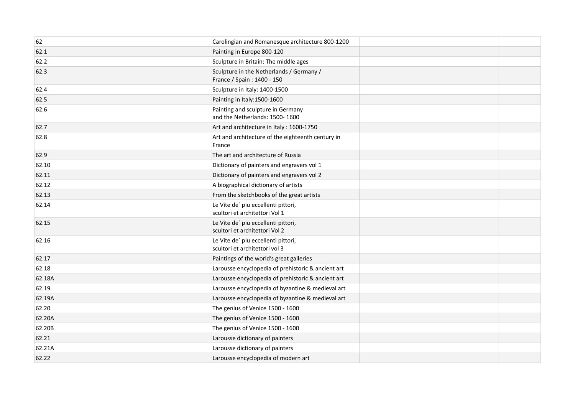| 62     | Carolingian and Romanesque architecture 800-1200                       |  |
|--------|------------------------------------------------------------------------|--|
| 62.1   | Painting in Europe 800-120                                             |  |
| 62.2   | Sculpture in Britain: The middle ages                                  |  |
| 62.3   | Sculpture in the Netherlands / Germany /<br>France / Spain: 1400 - 150 |  |
| 62.4   | Sculpture in Italy: 1400-1500                                          |  |
| 62.5   | Painting in Italy: 1500-1600                                           |  |
| 62.6   | Painting and sculpture in Germany<br>and the Netherlands: 1500-1600    |  |
| 62.7   | Art and architecture in Italy: 1600-1750                               |  |
| 62.8   | Art and architecture of the eighteenth century in<br>France            |  |
| 62.9   | The art and architecture of Russia                                     |  |
| 62.10  | Dictionary of painters and engravers vol 1                             |  |
| 62.11  | Dictionary of painters and engravers vol 2                             |  |
| 62.12  | A biographical dictionary of artists                                   |  |
| 62.13  | From the sketchbooks of the great artists                              |  |
| 62.14  | Le Vite de' piu eccellenti pittori,<br>scultori et architettori Vol 1  |  |
| 62.15  | Le Vite de' piu eccellenti pittori,<br>scultori et architettori Vol 2  |  |
| 62.16  | Le Vite de' piu eccellenti pittori,<br>scultori et architettori vol 3  |  |
| 62.17  | Paintings of the world's great galleries                               |  |
| 62.18  | Larousse encyclopedia of prehistoric & ancient art                     |  |
| 62.18A | Larousse encyclopedia of prehistoric & ancient art                     |  |
| 62.19  | Larousse encyclopedia of byzantine & medieval art                      |  |
| 62.19A | Larousse encyclopedia of byzantine & medieval art                      |  |
| 62.20  | The genius of Venice 1500 - 1600                                       |  |
| 62.20A | The genius of Venice 1500 - 1600                                       |  |
| 62.20B | The genius of Venice 1500 - 1600                                       |  |
| 62.21  | Larousse dictionary of painters                                        |  |
| 62.21A | Larousse dictionary of painters                                        |  |
| 62.22  | Larousse encyclopedia of modern art                                    |  |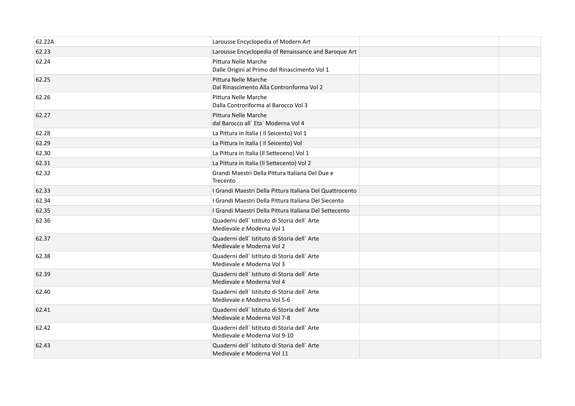| 62.22A | Larousse Encyclopedia of Modern Art                                          |  |
|--------|------------------------------------------------------------------------------|--|
| 62.23  | Larousse Encyclopedia of Renaissance and Baroque Art                         |  |
| 62.24  | Pittura Nelle Marche<br>Dalle Origini al Primo del Rinascimento Vol 1        |  |
| 62.25  | Pittura Nelle Marche<br>Dal Rinascimento Alla Controriforma Vol 2            |  |
| 62.26  | Pittura Nelle Marche<br>Dalla Controriforma al Barocco Vol 3                 |  |
| 62.27  | Pittura Nelle Marche<br>dal Barocco all` Eta` Moderna Vol 4                  |  |
| 62.28  | La Pittura in Italia (Il Seicento) Vol 1                                     |  |
| 62.29  | La Pittura in Italia ( Il Seicento) Vol                                      |  |
| 62.30  | La Pittura in Italia (Il Setteceno) Vol 1                                    |  |
| 62.31  | La Pittura in Italia (Il Settecento) Vol 2                                   |  |
| 62.32  | Grandi Maestri Della Pittura Italiana Del Due e<br>Trecento                  |  |
| 62.33  | I Grandi Maestri Della Pittura Italiana Del Quattrocento                     |  |
| 62.34  | I Grandi Maestri Della Pittura Italiana Del Siecento                         |  |
| 62.35  | I Grandi Maestri Della Pittura Italiana Del Settecento                       |  |
| 62.36  | Quaderni dell` Istituto di Storia dell` Arte<br>Medievale e Moderna Vol 1    |  |
| 62.37  | Quaderni dell' Istituto di Storia dell' Arte<br>Medievale e Moderna Vol 2    |  |
| 62.38  | Quaderni dell' Istituto di Storia dell'Arte<br>Medievale e Moderna Vol 3     |  |
| 62.39  | Quaderni dell' Istituto di Storia dell'Arte<br>Medievale e Moderna Vol 4     |  |
| 62.40  | Quaderni dell' Istituto di Storia dell'Arte<br>Medievale e Moderna Vol 5-6   |  |
| 62.41  | Quaderni dell' Istituto di Storia dell' Arte<br>Medievale e Moderna Vol 7-8  |  |
| 62.42  | Quaderni dell' Istituto di Storia dell' Arte<br>Medievale e Moderna Vol 9-10 |  |
| 62.43  | Quaderni dell` Istituto di Storia dell` Arte<br>Medievale e Moderna Vol 11   |  |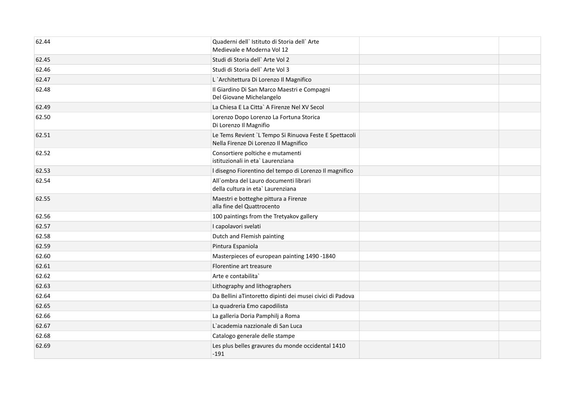| 62.44 | Quaderni dell' Istituto di Storia dell' Arte<br>Medievale e Moderna Vol 12                      |  |
|-------|-------------------------------------------------------------------------------------------------|--|
| 62.45 | Studi di Storia dell'Arte Vol 2                                                                 |  |
| 62.46 | Studi di Storia dell' Arte Vol 3                                                                |  |
| 62.47 | L'Architettura Di Lorenzo Il Magnifico                                                          |  |
| 62.48 | Il Giardino Di San Marco Maestri e Compagni<br>Del Giovane Michelangelo                         |  |
| 62.49 | La Chiesa E La Citta` A Firenze Nel XV Secol                                                    |  |
| 62.50 | Lorenzo Dopo Lorenzo La Fortuna Storica<br>Di Lorenzo Il Magnifio                               |  |
| 62.51 | Le Tems Revient `L Tempo Si Rinuova Feste E Spettacoli<br>Nella Firenze Di Lorenzo Il Magnifico |  |
| 62.52 | Consortiere poltiche e mutamenti<br>istituzionali in eta` Laurenziana                           |  |
| 62.53 | I disegno Fiorentino del tempo di Lorenzo Il magnifico                                          |  |
| 62.54 | All'ombra del Lauro documenti librari<br>della cultura in eta` Laurenziana                      |  |
| 62.55 | Maestri e botteghe pittura a Firenze<br>alla fine del Quattrocento                              |  |
| 62.56 | 100 paintings from the Tretyakov gallery                                                        |  |
| 62.57 | I capolavori svelati                                                                            |  |
| 62.58 | Dutch and Flemish painting                                                                      |  |
| 62.59 | Pintura Espaniola                                                                               |  |
| 62.60 | Masterpieces of european painting 1490 -1840                                                    |  |
| 62.61 | Florentine art treasure                                                                         |  |
| 62.62 | Arte e contabilita`                                                                             |  |
| 62.63 | Lithography and lithographers                                                                   |  |
| 62.64 | Da Bellini aTintoretto dipinti dei musei civici di Padova                                       |  |
| 62.65 | La quadreria Emo capodilista                                                                    |  |
| 62.66 | La galleria Doria Pamphilj a Roma                                                               |  |
| 62.67 | L'academia nazzionale di San Luca                                                               |  |
| 62.68 | Catalogo generale delle stampe                                                                  |  |
| 62.69 | Les plus belles gravures du monde occidental 1410<br>$-191$                                     |  |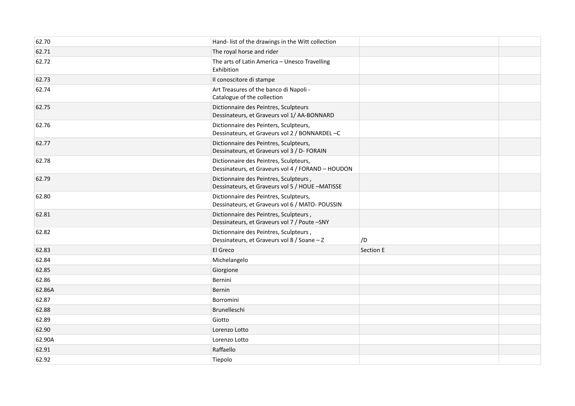| 62.70  | Hand- list of the drawings in the Witt collection                                           |           |  |
|--------|---------------------------------------------------------------------------------------------|-----------|--|
| 62.71  | The royal horse and rider                                                                   |           |  |
| 62.72  | The arts of Latin America - Unesco Travelling<br>Exhibition                                 |           |  |
| 62.73  | Il conoscitore di stampe                                                                    |           |  |
| 62.74  | Art Treasures of the banco di Napoli -<br>Catalogue of the collection                       |           |  |
| 62.75  | Dictionnaire des Peintres, Sculpteurs<br>Dessinateurs, et Graveurs vol 1/ AA-BONNARD        |           |  |
| 62.76  | Dictionnaire des Peinters, Sculpteurs,<br>Dessinateurs, et Graveurs vol 2 / BONNARDEL-C     |           |  |
| 62.77  | Dictionnaire des Peintres, Sculpteurs,<br>Dessinateurs, et Graveurs vol 3 / D- FORAIN       |           |  |
| 62.78  | Dictionnaire des Peintres, Sculpteurs,<br>Dessinateurs, et Graveurs vol 4 / FORAND - HOUDON |           |  |
| 62.79  | Dictionnaire des Peintres, Sculpteurs,<br>Dessinateurs, et Graveurs vol 5 / HOUE -MATISSE   |           |  |
| 62.80  | Dictionnaire des Peintres, Sculpteurs,<br>Dessinateurs, et Graveurs vol 6 / MATO- POUSSIN   |           |  |
| 62.81  | Dictionnaire des Peintres, Sculpteurs,<br>Dessinateurs, et Graveurs vol 7 / Poute -SNY      |           |  |
| 62.82  | Dictionnaire des Peintres, Sculpteurs,<br>Dessinateurs, et Graveurs vol 8 / Soane - Z       | /D        |  |
| 62.83  | El Greco                                                                                    | Section E |  |
| 62.84  | Michelangelo                                                                                |           |  |
| 62.85  | Giorgione                                                                                   |           |  |
| 62.86  | Bernini                                                                                     |           |  |
| 62.86A | Bernin                                                                                      |           |  |
| 62.87  | Borromini                                                                                   |           |  |
| 62.88  | Brunelleschi                                                                                |           |  |
| 62.89  | Giotto                                                                                      |           |  |
| 62.90  | Lorenzo Lotto                                                                               |           |  |
| 62.90A | Lorenzo Lotto                                                                               |           |  |
| 62.91  | Raffaello                                                                                   |           |  |
| 62.92  | Tiepolo                                                                                     |           |  |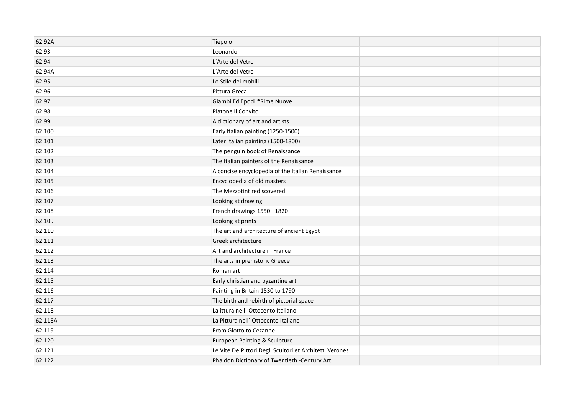| 62.92A  | Tiepolo                                                 |  |
|---------|---------------------------------------------------------|--|
| 62.93   | Leonardo                                                |  |
| 62.94   | L'Arte del Vetro                                        |  |
| 62.94A  | L'Arte del Vetro                                        |  |
| 62.95   | Lo Stile dei mobili                                     |  |
| 62.96   | Pittura Greca                                           |  |
| 62.97   | Giambi Ed Epodi *Rime Nuove                             |  |
| 62.98   | Platone Il Convito                                      |  |
| 62.99   | A dictionary of art and artists                         |  |
| 62.100  | Early Italian painting (1250-1500)                      |  |
| 62.101  | Later Italian painting (1500-1800)                      |  |
| 62.102  | The penguin book of Renaissance                         |  |
| 62.103  | The Italian painters of the Renaissance                 |  |
| 62.104  | A concise encyclopedia of the Italian Renaissance       |  |
| 62.105  | Encyclopedia of old masters                             |  |
| 62.106  | The Mezzotint rediscovered                              |  |
| 62.107  | Looking at drawing                                      |  |
| 62.108  | French drawings 1550-1820                               |  |
| 62.109  | Looking at prints                                       |  |
| 62.110  | The art and architecture of ancient Egypt               |  |
| 62.111  | Greek architecture                                      |  |
| 62.112  | Art and architecture in France                          |  |
| 62.113  | The arts in prehistoric Greece                          |  |
| 62.114  | Roman art                                               |  |
| 62.115  | Early christian and byzantine art                       |  |
| 62.116  | Painting in Britain 1530 to 1790                        |  |
| 62.117  | The birth and rebirth of pictorial space                |  |
| 62.118  | La ittura nell' Ottocento Italiano                      |  |
| 62.118A | La Pittura nell' Ottocento Italiano                     |  |
| 62.119  | From Giotto to Cezanne                                  |  |
| 62.120  | <b>European Painting &amp; Sculpture</b>                |  |
| 62.121  | Le Vite De'Pittori Degli Scultori et Architetti Verones |  |
| 62.122  | Phaidon Dictionary of Twentieth -Century Art            |  |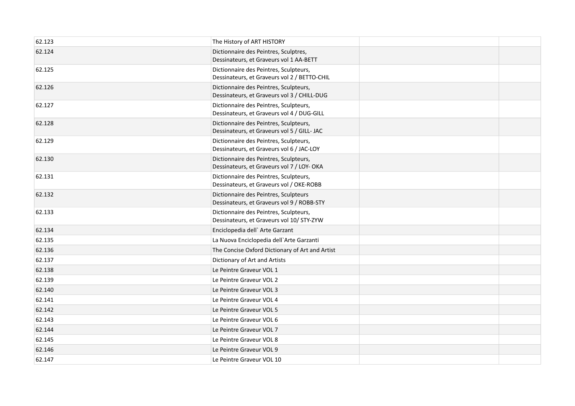| 62.123 | The History of ART HISTORY                                                             |  |
|--------|----------------------------------------------------------------------------------------|--|
| 62.124 | Dictionnaire des Peintres, Sculptres,<br>Dessinateurs, et Graveurs vol 1 AA-BETT       |  |
| 62.125 | Dictionnaire des Peintres, Sculpteurs,<br>Dessinateurs, et Graveurs vol 2 / BETTO-CHIL |  |
| 62.126 | Dictionnaire des Peintres, Sculpteurs,<br>Dessinateurs, et Graveurs vol 3 / CHILL-DUG  |  |
| 62.127 | Dictionnaire des Peintres, Sculpteurs,<br>Dessinateurs, et Graveurs vol 4 / DUG-GILL   |  |
| 62.128 | Dictionnaire des Peintres, Sculpteurs,<br>Dessinateurs, et Graveurs vol 5 / GILL- JAC  |  |
| 62.129 | Dictionnaire des Peintres, Sculpteurs,<br>Dessinateurs, et Graveurs vol 6 / JAC-LOY    |  |
| 62.130 | Dictionnaire des Peintres, Sculpteurs,<br>Dessinateurs, et Graveurs vol 7 / LOY- OKA   |  |
| 62.131 | Dictionnaire des Peintres, Sculpteurs,<br>Dessinateurs, et Graveurs vol / OKE-ROBB     |  |
| 62.132 | Dictionnaire des Peintres, Sculpteurs<br>Dessinateurs, et Graveurs vol 9 / ROBB-STY    |  |
| 62.133 | Dictionnaire des Peintres, Sculpteurs,<br>Dessinateurs, et Graveurs vol 10/ STY-ZYW    |  |
| 62.134 | Enciclopedia dell' Arte Garzant                                                        |  |
| 62.135 | La Nuova Enciclopedia dell'Arte Garzanti                                               |  |
| 62.136 | The Concise Oxford Dictionary of Art and Artist                                        |  |
| 62.137 | Dictionary of Art and Artists                                                          |  |
| 62.138 | Le Peintre Graveur VOL 1                                                               |  |
| 62.139 | Le Peintre Graveur VOL 2                                                               |  |
| 62.140 | Le Peintre Graveur VOL 3                                                               |  |
| 62.141 | Le Peintre Graveur VOL 4                                                               |  |
| 62.142 | Le Peintre Graveur VOL 5                                                               |  |
| 62.143 | Le Peintre Graveur VOL 6                                                               |  |
| 62.144 | Le Peintre Graveur VOL 7                                                               |  |
| 62.145 | Le Peintre Graveur VOL 8                                                               |  |
| 62.146 | Le Peintre Graveur VOL 9                                                               |  |
| 62.147 | Le Peintre Graveur VOL 10                                                              |  |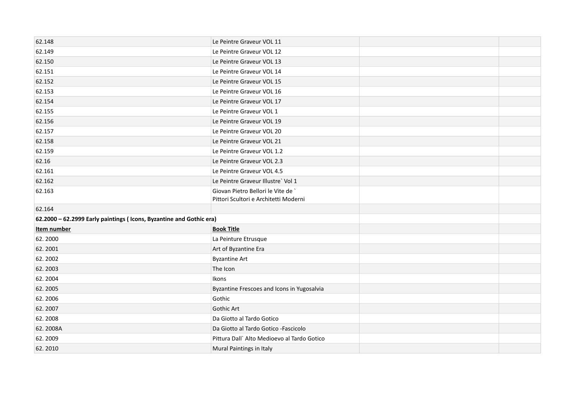| 62.148                                                              | Le Peintre Graveur VOL 11                   |  |
|---------------------------------------------------------------------|---------------------------------------------|--|
| 62.149                                                              | Le Peintre Graveur VOL 12                   |  |
| 62.150                                                              | Le Peintre Graveur VOL 13                   |  |
| 62.151                                                              | Le Peintre Graveur VOL 14                   |  |
| 62.152                                                              | Le Peintre Graveur VOL 15                   |  |
| 62.153                                                              | Le Peintre Graveur VOL 16                   |  |
| 62.154                                                              | Le Peintre Graveur VOL 17                   |  |
| 62.155                                                              | Le Peintre Graveur VOL 1                    |  |
| 62.156                                                              | Le Peintre Graveur VOL 19                   |  |
| 62.157                                                              | Le Peintre Graveur VOL 20                   |  |
| 62.158                                                              | Le Peintre Graveur VOL 21                   |  |
| 62.159                                                              | Le Peintre Graveur VOL 1.2                  |  |
| 62.16                                                               | Le Peintre Graveur VOL 2.3                  |  |
| 62.161                                                              | Le Peintre Graveur VOL 4.5                  |  |
| 62.162                                                              | Le Peintre Graveur Illustre' Vol 1          |  |
| 62.163                                                              | Giovan Pietro Bellori le Vite de `          |  |
|                                                                     | Pittori Scultori e Architetti Moderni       |  |
| 62.164                                                              |                                             |  |
| 62.2000 - 62.2999 Early paintings (Icons, Byzantine and Gothic era) |                                             |  |
| Item number                                                         | <b>Book Title</b>                           |  |
| 62.2000                                                             | La Peinture Etrusque                        |  |
| 62.2001                                                             | Art of Byzantine Era                        |  |
| 62.2002                                                             | <b>Byzantine Art</b>                        |  |
| 62.2003                                                             | The Icon                                    |  |
| 62.2004                                                             | Ikons                                       |  |
| 62.2005                                                             | Byzantine Frescoes and Icons in Yugosalvia  |  |
| 62.2006                                                             | Gothic                                      |  |
| 62.2007                                                             | <b>Gothic Art</b>                           |  |
| 62.2008                                                             | Da Giotto al Tardo Gotico                   |  |
| 62.2008A                                                            | Da Giotto al Tardo Gotico - Fascicolo       |  |
|                                                                     |                                             |  |
| 62.2009                                                             | Pittura Dall' Alto Medioevo al Tardo Gotico |  |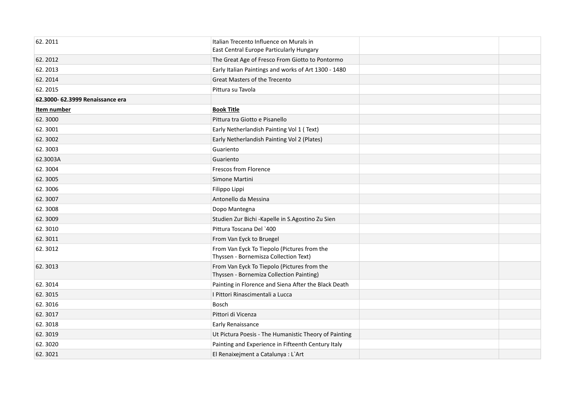| 62.2011                          | Italian Trecento Influence on Murals in                                                 |  |
|----------------------------------|-----------------------------------------------------------------------------------------|--|
|                                  | East Central Europe Particularly Hungary                                                |  |
| 62.2012                          | The Great Age of Fresco From Giotto to Pontormo                                         |  |
| 62.2013                          | Early Italian Paintings and works of Art 1300 - 1480                                    |  |
| 62.2014                          | <b>Great Masters of the Trecento</b>                                                    |  |
| 62.2015                          | Pittura su Tavola                                                                       |  |
| 62.3000- 62.3999 Renaissance era |                                                                                         |  |
| Item number                      | <b>Book Title</b>                                                                       |  |
| 62.3000                          | Pittura tra Giotto e Pisanello                                                          |  |
| 62.3001                          | Early Netherlandish Painting Vol 1 (Text)                                               |  |
| 62.3002                          | Early Netherlandish Painting Vol 2 (Plates)                                             |  |
| 62.3003                          | Guariento                                                                               |  |
| 62.3003A                         | Guariento                                                                               |  |
| 62.3004                          | <b>Frescos from Florence</b>                                                            |  |
| 62.3005                          | Simone Martini                                                                          |  |
| 62.3006                          | Filippo Lippi                                                                           |  |
| 62.3007                          | Antonello da Messina                                                                    |  |
| 62.3008                          | Dopo Mantegna                                                                           |  |
| 62.3009                          | Studien Zur Bichi - Kapelle in S. Agostino Zu Sien                                      |  |
| 62.3010                          | Pittura Toscana Del `400                                                                |  |
| 62.3011                          | From Van Eyck to Bruegel                                                                |  |
| 62.3012                          | From Van Eyck To Tiepolo (Pictures from the<br>Thyssen - Bornemisza Collection Text)    |  |
| 62.3013                          | From Van Eyck To Tiepolo (Pictures from the<br>Thyssen - Bornemiza Collection Painting) |  |
| 62.3014                          | Painting in Florence and Siena After the Black Death                                    |  |
| 62.3015                          | I Pittori Rinascimentali a Lucca                                                        |  |
| 62.3016                          | <b>Bosch</b>                                                                            |  |
| 62.3017                          | Pittori di Vicenza                                                                      |  |
| 62.3018                          | <b>Early Renaissance</b>                                                                |  |
| 62.3019                          | Ut Pictura Poesis - The Humanistic Theory of Painting                                   |  |
| 62.3020                          | Painting and Experience in Fifteenth Century Italy                                      |  |
| 62.3021                          | El Renaixejment a Catalunya : L'Art                                                     |  |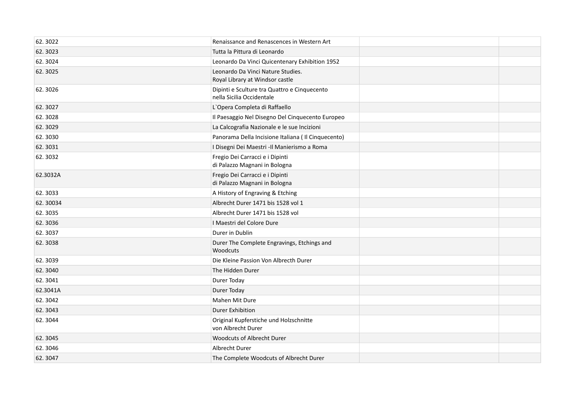| 62.3022  | Renaissance and Renascences in Western Art                                |  |
|----------|---------------------------------------------------------------------------|--|
| 62.3023  | Tutta la Pittura di Leonardo                                              |  |
| 62.3024  | Leonardo Da Vinci Quicentenary Exhibition 1952                            |  |
| 62.3025  | Leonardo Da Vinci Nature Studies.<br>Royal Library at Windsor castle      |  |
| 62.3026  | Dipinti e Sculture tra Quattro e Cinquecento<br>nella Sicilia Occidentale |  |
| 62.3027  | L'Opera Completa di Raffaello                                             |  |
| 62.3028  | Il Paesaggio Nel Disegno Del Cinquecento Europeo                          |  |
| 62.3029  | La Calcografia Nazionale e le sue Incizioni                               |  |
| 62.3030  | Panorama Della Incisione Italiana (Il Cinquecento)                        |  |
| 62.3031  | I Disegni Dei Maestri -Il Manierismo a Roma                               |  |
| 62.3032  | Fregio Dei Carracci e i Dipinti<br>di Palazzo Magnani in Bologna          |  |
| 62.3032A | Fregio Dei Carracci e i Dipinti<br>di Palazzo Magnani in Bologna          |  |
| 62.3033  | A History of Engraving & Etching                                          |  |
| 62.30034 | Albrecht Durer 1471 bis 1528 vol 1                                        |  |
| 62.3035  | Albrecht Durer 1471 bis 1528 vol                                          |  |
| 62.3036  | I Maestri del Colore Dure                                                 |  |
| 62.3037  | Durer in Dublin                                                           |  |
| 62.3038  | Durer The Complete Engravings, Etchings and<br>Woodcuts                   |  |
| 62.3039  | Die Kleine Passion Von Albrecth Durer                                     |  |
| 62.3040  | The Hidden Durer                                                          |  |
| 62.3041  | Durer Today                                                               |  |
| 62.3041A | Durer Today                                                               |  |
| 62.3042  | Mahen Mit Dure                                                            |  |
| 62.3043  | <b>Durer Exhibition</b>                                                   |  |
| 62.3044  | Original Kupferstiche und Holzschnitte<br>von Albrecht Durer              |  |
| 62.3045  | <b>Woodcuts of Albrecht Durer</b>                                         |  |
| 62.3046  | Albrecht Durer                                                            |  |
| 62.3047  | The Complete Woodcuts of Albrecht Durer                                   |  |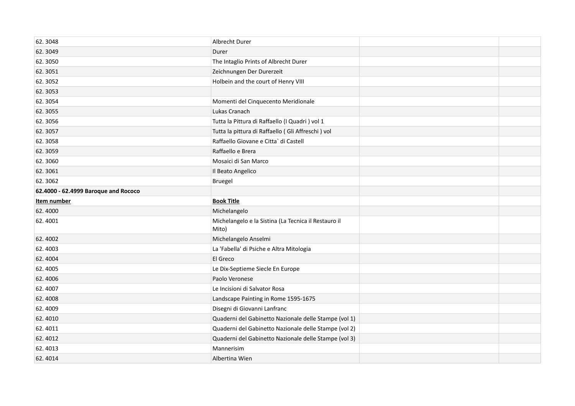| 62.3048                              | Albrecht Durer                                                |  |
|--------------------------------------|---------------------------------------------------------------|--|
| 62.3049                              | Durer                                                         |  |
| 62.3050                              | The Intaglio Prints of Albrecht Durer                         |  |
| 62.3051                              | Zeichnungen Der Durerzeit                                     |  |
| 62.3052                              | Holbein and the court of Henry VIII                           |  |
| 62.3053                              |                                                               |  |
| 62.3054                              | Momenti del Cinquecento Meridionale                           |  |
| 62.3055                              | Lukas Cranach                                                 |  |
| 62.3056                              | Tutta la Pittura di Raffaello (I Quadri) vol 1                |  |
| 62.3057                              | Tutta la pittura di Raffaello (Gli Affreschi) vol             |  |
| 62.3058                              | Raffaello Giovane e Citta` di Castell                         |  |
| 62.3059                              | Raffaello e Brera                                             |  |
| 62.3060                              | Mosaici di San Marco                                          |  |
| 62.3061                              | Il Beato Angelico                                             |  |
| 62.3062                              | Bruegel                                                       |  |
| 62.4000 - 62.4999 Baroque and Rococo |                                                               |  |
| Item number                          | <b>Book Title</b>                                             |  |
| 62.4000                              | Michelangelo                                                  |  |
| 62.4001                              | Michelangelo e la Sistina (La Tecnica il Restauro il<br>Mito) |  |
| 62.4002                              | Michelangelo Anselmi                                          |  |
| 62.4003                              | La 'Fabella' di Psiche e Altra Mitologia                      |  |
| 62.4004                              | El Greco                                                      |  |
| 62.4005                              | Le Dix-Septieme Siecle En Europe                              |  |
| 62.4006                              | Paolo Veronese                                                |  |
| 62.4007                              | Le Incisioni di Salvator Rosa                                 |  |
| 62.4008                              |                                                               |  |
|                                      | Landscape Painting in Rome 1595-1675                          |  |
| 62.4009                              | Disegni di Giovanni Lanfranc                                  |  |
| 62.4010                              | Quaderni del Gabinetto Nazionale delle Stampe (vol 1)         |  |
| 62.4011                              | Quaderni del Gabinetto Nazionale delle Stampe (vol 2)         |  |
| 62.4012                              | Quaderni del Gabinetto Nazionale delle Stampe (vol 3)         |  |
| 62.4013                              | Mannerisim                                                    |  |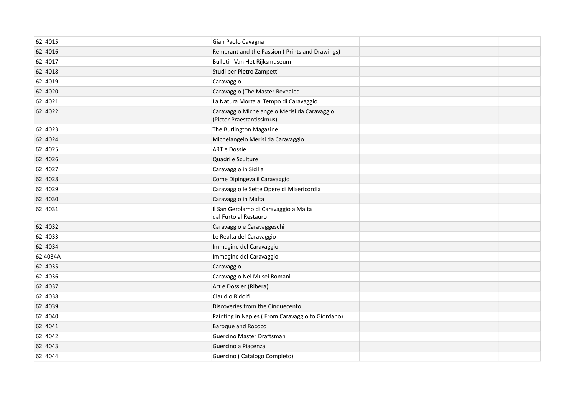| 62.4015  | Gian Paolo Cavagna                                                        |  |
|----------|---------------------------------------------------------------------------|--|
| 62.4016  | Rembrant and the Passion (Prints and Drawings)                            |  |
| 62.4017  | Bulletin Van Het Rijksmuseum                                              |  |
| 62.4018  | Studi per Pietro Zampetti                                                 |  |
| 62.4019  | Caravaggio                                                                |  |
| 62.4020  | Caravaggio (The Master Revealed                                           |  |
| 62.4021  | La Natura Morta al Tempo di Caravaggio                                    |  |
| 62.4022  | Caravaggio Michelangelo Merisi da Caravaggio<br>(Pictor Praestantissimus) |  |
| 62.4023  | The Burlington Magazine                                                   |  |
| 62.4024  | Michelangelo Merisi da Caravaggio                                         |  |
| 62.4025  | ART e Dossie                                                              |  |
| 62.4026  | Quadri e Sculture                                                         |  |
| 62.4027  | Caravaggio in Sicilia                                                     |  |
| 62.4028  | Come Dipingeva il Caravaggio                                              |  |
| 62.4029  | Caravaggio le Sette Opere di Misericordia                                 |  |
| 62.4030  | Caravaggio in Malta                                                       |  |
| 62.4031  | Il San Gerolamo di Caravaggio a Malta<br>dal Furto al Restauro            |  |
| 62.4032  | Caravaggio e Caravaggeschi                                                |  |
| 62.4033  | Le Realta del Caravaggio                                                  |  |
| 62.4034  | Immagine del Caravaggio                                                   |  |
| 62.4034A | Immagine del Caravaggio                                                   |  |
| 62.4035  | Caravaggio                                                                |  |
| 62.4036  | Caravaggio Nei Musei Romani                                               |  |
| 62.4037  | Art e Dossier (Ribera)                                                    |  |
| 62.4038  | Claudio Ridolfi                                                           |  |
| 62.4039  | Discoveries from the Cinquecento                                          |  |
| 62.4040  | Painting in Naples (From Caravaggio to Giordano)                          |  |
| 62.4041  | Baroque and Rococo                                                        |  |
| 62.4042  | Guercino Master Draftsman                                                 |  |
| 62.4043  | Guercino a Piacenza                                                       |  |
| 62.4044  | Guercino (Catalogo Completo)                                              |  |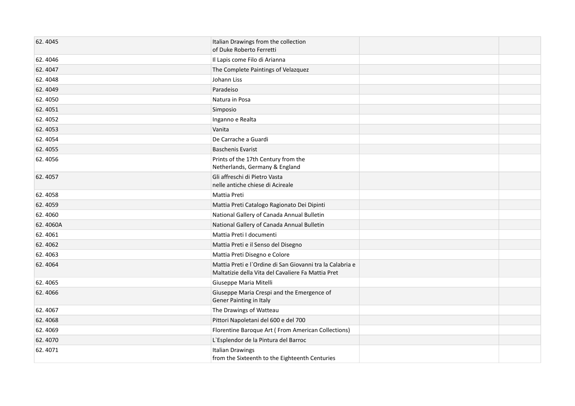| 62.4045  | Italian Drawings from the collection<br>of Duke Roberto Ferretti                                                |  |
|----------|-----------------------------------------------------------------------------------------------------------------|--|
| 62.4046  | Il Lapis come Filo di Arianna                                                                                   |  |
| 62.4047  | The Complete Paintings of Velazquez                                                                             |  |
| 62.4048  | Johann Liss                                                                                                     |  |
| 62.4049  | Paradeiso                                                                                                       |  |
| 62.4050  | Natura in Posa                                                                                                  |  |
| 62.4051  | Simposio                                                                                                        |  |
| 62.4052  | Inganno e Realta                                                                                                |  |
| 62.4053  | Vanita                                                                                                          |  |
| 62.4054  | De Carrache a Guardi                                                                                            |  |
| 62.4055  | <b>Baschenis Evarist</b>                                                                                        |  |
| 62.4056  | Prints of the 17th Century from the<br>Netherlands, Germany & England                                           |  |
| 62.4057  | Gli affreschi di Pietro Vasta<br>nelle antiche chiese di Acireale                                               |  |
| 62.4058  | Mattia Preti                                                                                                    |  |
| 62.4059  | Mattia Preti Catalogo Ragionato Dei Dipinti                                                                     |  |
| 62.4060  | National Gallery of Canada Annual Bulletin                                                                      |  |
| 62.4060A | National Gallery of Canada Annual Bulletin                                                                      |  |
| 62.4061  | Mattia Preti I documenti                                                                                        |  |
| 62.4062  | Mattia Preti e il Senso del Disegno                                                                             |  |
| 62.4063  | Mattia Preti Disegno e Colore                                                                                   |  |
| 62.4064  | Mattia Preti e l'Ordine di San Giovanni tra la Calabria e<br>Maltatizie della Vita del Cavaliere Fa Mattia Pret |  |
| 62.4065  | Giuseppe Maria Mitelli                                                                                          |  |
| 62.4066  | Giuseppe Maria Crespi and the Emergence of<br>Gener Painting in Italy                                           |  |
| 62.4067  | The Drawings of Watteau                                                                                         |  |
| 62.4068  | Pittori Napoletani del 600 e del 700                                                                            |  |
| 62.4069  | Florentine Baroque Art (From American Collections)                                                              |  |
| 62.4070  | L'Esplendor de la Pintura del Barroc                                                                            |  |
| 62.4071  | <b>Italian Drawings</b><br>from the Sixteenth to the Eighteenth Centuries                                       |  |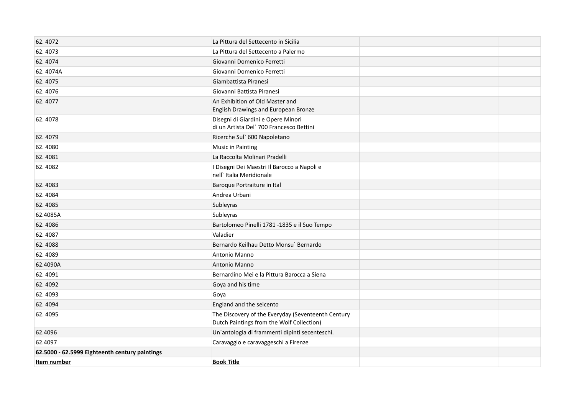| 62.4072                                        | La Pittura del Settecento in Sicilia                                                            |  |
|------------------------------------------------|-------------------------------------------------------------------------------------------------|--|
| 62.4073                                        | La Pittura del Settecento a Palermo                                                             |  |
| 62.4074                                        | Giovanni Domenico Ferretti                                                                      |  |
| 62.4074A                                       | Giovanni Domenico Ferretti                                                                      |  |
| 62.4075                                        | Giambattista Piranesi                                                                           |  |
| 62.4076                                        | Giovanni Battista Piranesi                                                                      |  |
| 62.4077                                        | An Exhibition of Old Master and<br>English Drawings and European Bronze                         |  |
| 62.4078                                        | Disegni di Giardini e Opere Minori<br>di un Artista Del` 700 Francesco Bettini                  |  |
| 62.4079                                        | Ricerche Sul` 600 Napoletano                                                                    |  |
| 62.4080                                        | <b>Music in Painting</b>                                                                        |  |
| 62.4081                                        | La Raccolta Molinari Pradelli                                                                   |  |
| 62.4082                                        | I Disegni Dei Maestri Il Barocco a Napoli e<br>nell' Italia Meridionale                         |  |
| 62.4083                                        | Baroque Portraiture in Ital                                                                     |  |
| 62.4084                                        | Andrea Urbani                                                                                   |  |
| 62.4085                                        | Subleyras                                                                                       |  |
| 62.4085A                                       | Subleyras                                                                                       |  |
| 62.4086                                        | Bartolomeo Pinelli 1781 -1835 e il Suo Tempo                                                    |  |
| 62.4087                                        | Valadier                                                                                        |  |
| 62.4088                                        | Bernardo Keilhau Detto Monsu` Bernardo                                                          |  |
| 62.4089                                        | Antonio Manno                                                                                   |  |
| 62.4090A                                       | <b>Antonio Manno</b>                                                                            |  |
| 62.4091                                        | Bernardino Mei e la Pittura Barocca a Siena                                                     |  |
| 62.4092                                        | Goya and his time                                                                               |  |
| 62.4093                                        | Goya                                                                                            |  |
| 62.4094                                        | England and the seicento                                                                        |  |
| 62.4095                                        | The Discovery of the Everyday (Seventeenth Century<br>Dutch Paintings from the Wolf Collection) |  |
| 62.4096                                        | Un'antologia di frammenti dipinti secenteschi.                                                  |  |
| 62.4097                                        | Caravaggio e caravaggeschi a Firenze                                                            |  |
| 62.5000 - 62.5999 Eighteenth century paintings |                                                                                                 |  |
| Item number                                    | <b>Book Title</b>                                                                               |  |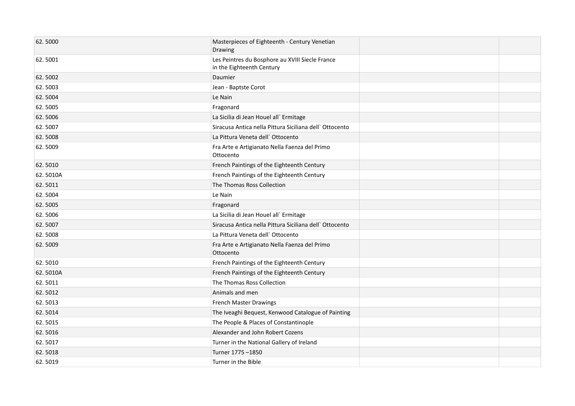| 62.5000  | Masterpieces of Eighteenth - Century Venetian<br>Drawing                     |  |
|----------|------------------------------------------------------------------------------|--|
| 62.5001  | Les Peintres du Bosphore au XVIII Siecle France<br>in the Eighteenth Century |  |
| 62.5002  | Daumier                                                                      |  |
| 62.5003  | Jean - Baptste Corot                                                         |  |
| 62.5004  | Le Nain                                                                      |  |
| 62.5005  | Fragonard                                                                    |  |
| 62.5006  | La Sicilia di Jean Houel all' Ermitage                                       |  |
| 62.5007  | Siracusa Antica nella Pittura Siciliana dell' Ottocento                      |  |
| 62.5008  | La Pittura Veneta dell'Ottocento                                             |  |
| 62.5009  | Fra Arte e Artigianato Nella Faenza del Primo<br>Ottocento                   |  |
| 62.5010  | French Paintings of the Eighteenth Century                                   |  |
| 62.5010A | French Paintings of the Eighteenth Century                                   |  |
| 62.5011  | The Thomas Ross Collection                                                   |  |
| 62.5004  | Le Nain                                                                      |  |
| 62.5005  | Fragonard                                                                    |  |
| 62.5006  | La Sicilia di Jean Houel all' Ermitage                                       |  |
| 62.5007  | Siracusa Antica nella Pittura Siciliana dell' Ottocento                      |  |
| 62.5008  | La Pittura Veneta dell`Ottocento                                             |  |
| 62.5009  | Fra Arte e Artigianato Nella Faenza del Primo<br>Ottocento                   |  |
| 62.5010  | French Paintings of the Eighteenth Century                                   |  |
| 62.5010A | French Paintings of the Eighteenth Century                                   |  |
| 62.5011  | The Thomas Ross Collection                                                   |  |
| 62.5012  | Animals and men                                                              |  |
| 62.5013  | <b>French Master Drawings</b>                                                |  |
| 62.5014  | The Iveaghi Bequest, Kenwood Catalogue of Painting                           |  |
| 62.5015  | The People & Places of Constantinople                                        |  |
| 62.5016  | Alexander and John Robert Cozens                                             |  |
| 62.5017  | Turner in the National Gallery of Ireland                                    |  |
| 62.5018  | Turner 1775 -1850                                                            |  |
| 62.5019  | Turner in the Bible                                                          |  |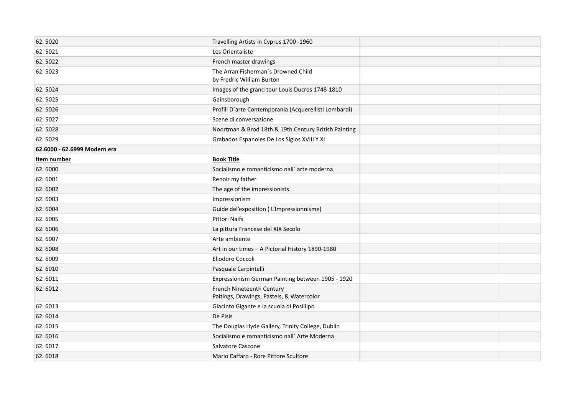| 62.5020                      | Travelling Artists in Cyprus 1700 -1960                                |  |
|------------------------------|------------------------------------------------------------------------|--|
| 62.5021                      | Les Orientaliste                                                       |  |
| 62.5022                      | French master drawings                                                 |  |
| 62.5023                      | The Arran Fisherman's Drowned Child<br>by Fredric William Burton       |  |
| 62.5024                      | Images of the grand tour Louis Ducros 1748-1810                        |  |
| 62.5025                      | Gainsborough                                                           |  |
| 62.5026                      | Profili D'arte Contemporania (Acquerellisti Lombardi)                  |  |
| 62.5027                      | Scene di conversazione                                                 |  |
| 62.5028                      | Noortman & Brod 18th & 19th Century British Painting                   |  |
| 62.5029                      | Grabados Espanoles De Los Siglos XVIII Y XI                            |  |
| 62.6000 - 62.6999 Modern era |                                                                        |  |
| Item number                  | <b>Book Title</b>                                                      |  |
| 62.6000                      | Socialismo e romanticismo nall` arte moderna                           |  |
| 62.6001                      | Renoir my father                                                       |  |
| 62.6002                      | The age of the impressionists                                          |  |
| 62.6003                      | Impressionism                                                          |  |
| 62.6004                      | Guide del'exposition (L'Impressionnisme)                               |  |
| 62.6005                      | Pittori Naifs                                                          |  |
| 62.6006                      | La pittura Francese del XIX Secolo                                     |  |
| 62.6007                      | Arte ambiente                                                          |  |
| 62.6008                      | Art in our times - A Pictorial History 1890-1980                       |  |
| 62.6009                      | Eliodoro Coccoli                                                       |  |
| 62.6010                      | Pasquale Carpintelli                                                   |  |
| 62.6011                      | Expressionism German Painting between 1905 - 1920                      |  |
| 62.6012                      | French Nineteenth Century<br>Paitings, Drawings, Pastels, & Watercolor |  |
| 62.6013                      | Giacinto Gigante e la scuola di Posillipo                              |  |
| 62.6014                      | De Pisis                                                               |  |
| 62.6015                      | The Douglas Hyde Gallery, Trinity College, Dublin                      |  |
| 62.6016                      | Socialismo e romanticismo nall` Arte Moderna                           |  |
| 62.6017                      | Salvatore Cascone                                                      |  |
| 62.6018                      | Mario Caffaro - Rore Pittore Scultore                                  |  |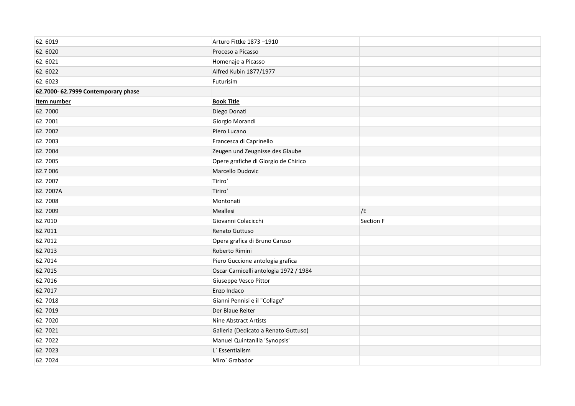| 62.6019                             | Arturo Fittke 1873-1910                |           |  |
|-------------------------------------|----------------------------------------|-----------|--|
| 62.6020                             | Proceso a Picasso                      |           |  |
| 62.6021                             | Homenaje a Picasso                     |           |  |
| 62.6022                             | Alfred Kubin 1877/1977                 |           |  |
| 62.6023                             | Futurisim                              |           |  |
| 62.7000- 62.7999 Contemporary phase |                                        |           |  |
| Item number                         | <b>Book Title</b>                      |           |  |
| 62.7000                             | Diego Donati                           |           |  |
| 62.7001                             | Giorgio Morandi                        |           |  |
| 62.7002                             | Piero Lucano                           |           |  |
| 62.7003                             | Francesca di Caprinello                |           |  |
| 62.7004                             | Zeugen und Zeugnisse des Glaube        |           |  |
| 62.7005                             | Opere grafiche di Giorgio de Chirico   |           |  |
| 62.7 006                            | Marcello Dudovic                       |           |  |
| 62.7007                             | Tiriro <sup>'</sup>                    |           |  |
| 62.7007A                            | Tiriro <sup>`</sup>                    |           |  |
| 62.7008                             | Montonati                              |           |  |
| 62.7009                             | Meallesi                               | /E        |  |
| 62.7010                             | Giovanni Colacicchi                    | Section F |  |
| 62.7011                             | Renato Guttuso                         |           |  |
| 62.7012                             | Opera grafica di Bruno Caruso          |           |  |
| 62.7013                             | Roberto Rimini                         |           |  |
| 62.7014                             | Piero Guccione antologia grafica       |           |  |
| 62.7015                             | Oscar Carnicelli antologia 1972 / 1984 |           |  |
| 62.7016                             | Giuseppe Vesco Pittor                  |           |  |
| 62.7017                             | Enzo Indaco                            |           |  |
| 62.7018                             | Gianni Pennisi e il "Collage"          |           |  |
| 62.7019                             | Der Blaue Reiter                       |           |  |
| 62.7020                             | Nine Abstract Artists                  |           |  |
| 62.7021                             | Galleria (Dedicato a Renato Guttuso)   |           |  |
| 62.7022                             | Manuel Quintanilla 'Synopsis'          |           |  |
| 62.7023                             | L' Essentialism                        |           |  |
| 62.7024                             | Miro` Grabador                         |           |  |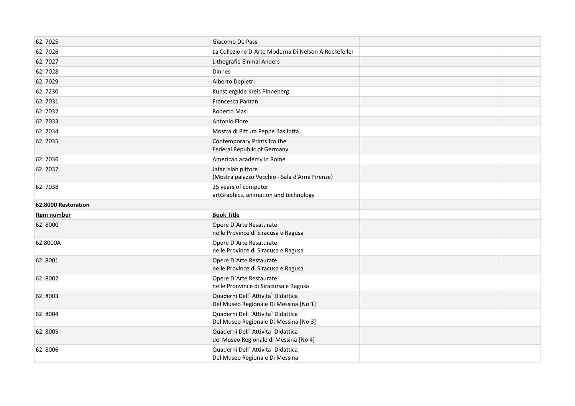| 62.7025             | Giacomo De Pass                                                             |
|---------------------|-----------------------------------------------------------------------------|
| 62.7026             | La Collezione D'Arte Moderna Di Nelson A.Rockefeller                        |
| 62.7027             | Lithografie Einmal Anders                                                   |
| 62.7028             | <b>Dinnes</b>                                                               |
| 62.7029             | Alberto Depietri                                                            |
| 62.7230             | Kunstlergilde Kreis Pinneberg                                               |
| 62.7031             | Francesca Pantan                                                            |
| 62.7032             | Roberto Masi                                                                |
| 62.7033             | Antonio Fiore                                                               |
| 62.7034             | Mostra di Pittura Peppe Basilotta                                           |
| 62.7035             | Contemporary Prints fro the<br><b>Federal Republic of Germany</b>           |
| 62.7036             | American academy in Rome                                                    |
| 62.7037             | Jafar Islah pittore<br>(Mostra palazzo Vecchio - Sala d'Armi Firenze)       |
| 62.7038             | 25 years of computer<br>artGraphics, animation and technology               |
| 62.8000 Restoration |                                                                             |
| Item number         | <b>Book Title</b>                                                           |
| 62.8000             | Opere D'Arte Resaturate<br>nelle Province di Siracusa e Ragusa              |
| 62.8000A            | Opere D'Arte Resaturate<br>nelle Province di Siracusa e Ragusa              |
| 62.8001             | Opere D'Arte Restaurate<br>nelle Province di Siracusa e Ragusa              |
| 62.8002             | Opere D'Arte Restaurate<br>nelle Pronvince di Siracursa e Ragusa            |
| 62.8003             | Quaderni Dell' Attivita' Didattica<br>Del Museo Regionale Di Messina [No 1] |
| 62.8004             | Quaderni Dell `Attivita` Didattica<br>Del Museo Regionale Di Messina [No 3] |
| 62.8005             | Quaderni Dell' Attivita' Didattica<br>del Museo Regionale di Messina [No 4] |
| 62.8006             | Quaderni Dell' Attivita' Didattica<br>Del Museo Regionale Di Messina        |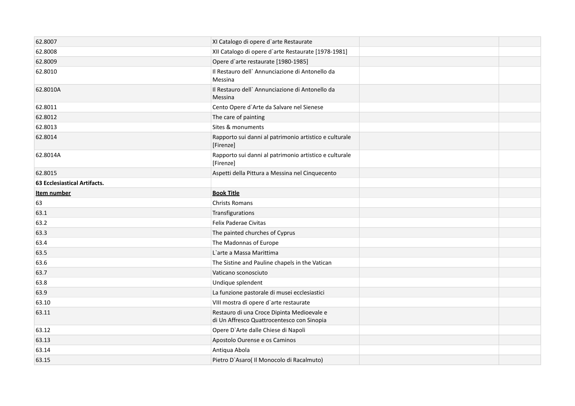| 62.8007                      | XI Catalogo di opere d'arte Restaurate                                                   |  |
|------------------------------|------------------------------------------------------------------------------------------|--|
| 62.8008                      | XII Catalogo di opere d'arte Restaurate [1978-1981]                                      |  |
| 62.8009                      | Opere d'arte restaurate [1980-1985]                                                      |  |
| 62.8010                      | Il Restauro dell' Annunciazione di Antonello da<br>Messina                               |  |
| 62.8010A                     | Il Restauro dell' Annunciazione di Antonello da<br>Messina                               |  |
| 62.8011                      | Cento Opere d'Arte da Salvare nel Sienese                                                |  |
| 62.8012                      | The care of painting                                                                     |  |
| 62.8013                      | Sites & monuments                                                                        |  |
| 62.8014                      | Rapporto sui danni al patrimonio artistico e culturale<br>[Firenze]                      |  |
| 62.8014A                     | Rapporto sui danni al patrimonio artistico e culturale<br>[Firenze]                      |  |
| 62.8015                      | Aspetti della Pittura a Messina nel Cinquecento                                          |  |
| 63 Ecclesiastical Artifacts. |                                                                                          |  |
| Item number                  | <b>Book Title</b>                                                                        |  |
| 63                           | <b>Christs Romans</b>                                                                    |  |
| 63.1                         | Transfigurations                                                                         |  |
| 63.2                         | Felix Paderae Civitas                                                                    |  |
| 63.3                         | The painted churches of Cyprus                                                           |  |
| 63.4                         | The Madonnas of Europe                                                                   |  |
| 63.5                         | L'arte a Massa Marittima                                                                 |  |
| 63.6                         | The Sistine and Pauline chapels in the Vatican                                           |  |
| 63.7                         | Vaticano sconosciuto                                                                     |  |
| 63.8                         | Undique splendent                                                                        |  |
| 63.9                         | La funzione pastorale di musei ecclesiastici                                             |  |
| 63.10                        | VIII mostra di opere d'arte restaurate                                                   |  |
| 63.11                        | Restauro di una Croce Dipinta Medioevale e<br>di Un Affresco Quattrocentesco con Sinopia |  |
| 63.12                        | Opere D'Arte dalle Chiese di Napoli                                                      |  |
| 63.13                        | Apostolo Ourense e os Caminos                                                            |  |
| 63.14                        | Antiqua Abola                                                                            |  |
| 63.15                        | Pietro D'Asaro( Il Monocolo di Racalmuto)                                                |  |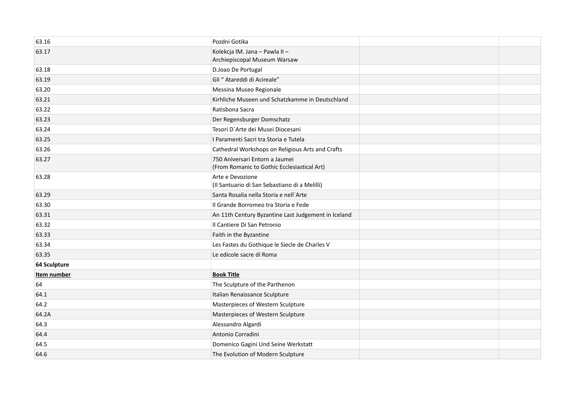| 63.16               | Pozdni Gotika                                                                 |  |
|---------------------|-------------------------------------------------------------------------------|--|
| 63.17               | Kolekcja IM. Jana - Pawla II -<br>Archiepiscopal Museum Warsaw                |  |
| 63.18               | D.Joao De Portugal                                                            |  |
| 63.19               | Gli " Atareddi di Acireale"                                                   |  |
| 63.20               | Messina Museo Regionale                                                       |  |
| 63.21               | Kirhliche Museen und Schatzkamme in Deutschland                               |  |
| 63.22               | Ratisbona Sacra                                                               |  |
| 63.23               | Der Regensburger Domschatz                                                    |  |
| 63.24               | Tesori D'Arte dei Musei Diocesani                                             |  |
| 63.25               | I Paramenti Sacri tra Storia e Tutela                                         |  |
| 63.26               | Cathedral Workshops on Religious Arts and Crafts                              |  |
| 63.27               | 750 Aniversari Entorn a Jaumei<br>(From Romanic to Gothic Ecclesiastical Art) |  |
| 63.28               | Arte e Devozione<br>(Il Santuario di San Sebastiano di a Melilli)             |  |
| 63.29               | Santa Rosalia nella Storia e nell'Arte                                        |  |
| 63.30               | Il Grande Borromeo tra Storia e Fede                                          |  |
| 63.31               | An 11th Century Byzantine Last Judgement in Iceland                           |  |
| 63.32               | Il Cantiere Di San Petronio                                                   |  |
| 63.33               | Faith in the Byzantine                                                        |  |
| 63.34               | Les Fastes du Gothique le Siecle de Charles V                                 |  |
| 63.35               | Le edicole sacre di Roma                                                      |  |
| <b>64 Sculpture</b> |                                                                               |  |
| Item number         | <b>Book Title</b>                                                             |  |
| 64                  | The Sculpture of the Parthenon                                                |  |
| 64.1                | Italian Renaissance Sculpture                                                 |  |
| 64.2                | Masterpieces of Western Sculpture                                             |  |
| 64.2A               | Masterpieces of Western Sculpture                                             |  |
| 64.3                | Alessandro Algardi                                                            |  |
| 64.4                | Antonio Corradini                                                             |  |
| 64.5                | Domenico Gagini Und Seine Werkstatt                                           |  |
| 64.6                | The Evolution of Modern Sculpture                                             |  |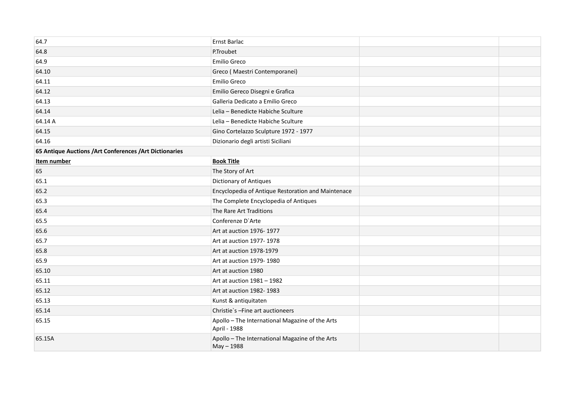| 64.7                                                     | Ernst Barlac                                                    |  |
|----------------------------------------------------------|-----------------------------------------------------------------|--|
| 64.8                                                     | P.Troubet                                                       |  |
| 64.9                                                     | Emilio Greco                                                    |  |
| 64.10                                                    | Greco (Maestri Contemporanei)                                   |  |
| 64.11                                                    | Emilio Greco                                                    |  |
| 64.12                                                    | Emilio Gereco Disegni e Grafica                                 |  |
| 64.13                                                    | Galleria Dedicato a Emilio Greco                                |  |
| 64.14                                                    | Lelia - Benedicte Habiche Sculture                              |  |
| 64.14 A                                                  | Lelia - Benedicte Habiche Sculture                              |  |
| 64.15                                                    | Gino Cortelazzo Sculpture 1972 - 1977                           |  |
| 64.16                                                    | Dizionario degli artisti Siciliani                              |  |
| 65 Antique Auctions / Art Conferences / Art Dictionaries |                                                                 |  |
| Item number                                              | <b>Book Title</b>                                               |  |
| 65                                                       | The Story of Art                                                |  |
| 65.1                                                     | Dictionary of Antiques                                          |  |
| 65.2                                                     | Encyclopedia of Antique Restoration and Maintenace              |  |
| 65.3                                                     | The Complete Encyclopedia of Antiques                           |  |
| 65.4                                                     | The Rare Art Traditions                                         |  |
| 65.5                                                     | Conferenze D'Arte                                               |  |
| 65.6                                                     | Art at auction 1976-1977                                        |  |
| 65.7                                                     | Art at auction 1977-1978                                        |  |
| 65.8                                                     | Art at auction 1978-1979                                        |  |
| 65.9                                                     | Art at auction 1979-1980                                        |  |
| 65.10                                                    | Art at auction 1980                                             |  |
| 65.11                                                    | Art at auction 1981 - 1982                                      |  |
| 65.12                                                    | Art at auction 1982-1983                                        |  |
| 65.13                                                    | Kunst & antiquitaten                                            |  |
| 65.14                                                    | Christie's -Fine art auctioneers                                |  |
| 65.15                                                    | Apollo - The International Magazine of the Arts<br>April - 1988 |  |
| 65.15A                                                   | Apollo - The International Magazine of the Arts<br>May - 1988   |  |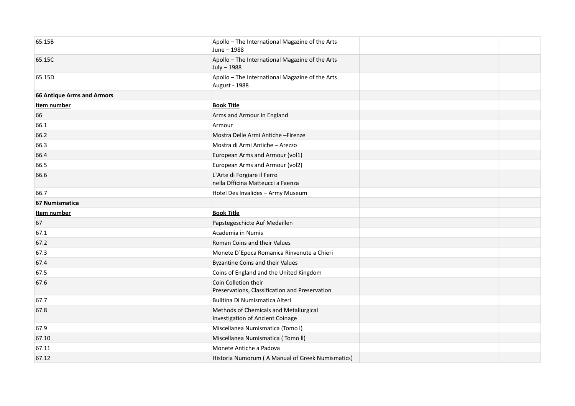| 65.15B                            | Apollo - The International Magazine of the Arts<br>June - 1988             |  |
|-----------------------------------|----------------------------------------------------------------------------|--|
| 65.15C                            | Apollo - The International Magazine of the Arts<br>July - 1988             |  |
| 65.15D                            | Apollo - The International Magazine of the Arts<br>August - 1988           |  |
| <b>66 Antique Arms and Armors</b> |                                                                            |  |
| Item number                       | <b>Book Title</b>                                                          |  |
| 66                                | Arms and Armour in England                                                 |  |
| 66.1                              | Armour                                                                     |  |
| 66.2                              | Mostra Delle Armi Antiche - Firenze                                        |  |
| 66.3                              | Mostra di Armi Antiche - Arezzo                                            |  |
| 66.4                              | European Arms and Armour (vol1)                                            |  |
| 66.5                              | European Arms and Armour (vol2)                                            |  |
| 66.6                              | L'Arte di Forgiare il Ferro<br>nella Officina Matteucci a Faenza           |  |
| 66.7                              | Hotel Des Invalides - Army Museum                                          |  |
| 67 Numismatica                    |                                                                            |  |
| Item number                       | <b>Book Title</b>                                                          |  |
| 67                                | Papstegeschicte Auf Medaillen                                              |  |
| 67.1                              | Academia in Numis                                                          |  |
| 67.2                              | Roman Coins and their Values                                               |  |
| 67.3                              | Monete D'Epoca Romanica Rinvenute a Chieri                                 |  |
| 67.4                              | <b>Byzantine Coins and their Values</b>                                    |  |
| 67.5                              | Coins of England and the United Kingdom                                    |  |
| 67.6                              | Coin Colletion their<br>Preservations, Classification and Preservation     |  |
| 67.7                              | Bulltina Di Numismatica Alteri                                             |  |
| 67.8                              | Methods of Chemicals and Metallurgical<br>Investigation of Ancient Coinage |  |
| 67.9                              | Miscellanea Numismatica (Tomo I)                                           |  |
| 67.10                             | Miscellanea Numismatica (Tomo II)                                          |  |
| 67.11                             | Monete Antiche a Padova                                                    |  |
| 67.12                             | Historia Numorum (A Manual of Greek Numismatics)                           |  |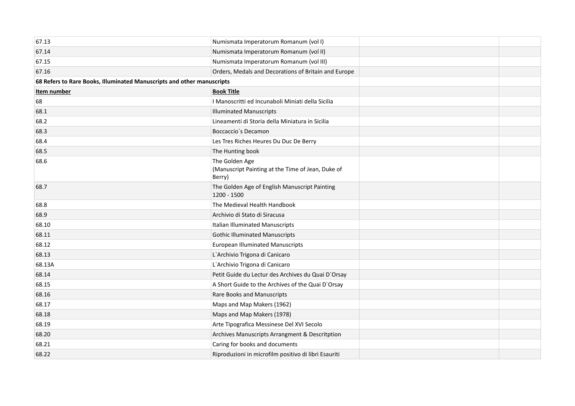| 67.13                                                                  | Numismata Imperatorum Romanum (vol I)                                         |  |
|------------------------------------------------------------------------|-------------------------------------------------------------------------------|--|
| 67.14                                                                  | Numismata Imperatorum Romanum (vol II)                                        |  |
| 67.15                                                                  | Numismata Imperatorum Romanum (vol III)                                       |  |
| 67.16                                                                  | Orders, Medals and Decorations of Britain and Europe                          |  |
| 68 Refers to Rare Books, Illuminated Manuscripts and other manuscripts |                                                                               |  |
| Item number                                                            | <b>Book Title</b>                                                             |  |
| 68                                                                     | I Manoscritti ed Incunaboli Miniati della Sicilia                             |  |
| 68.1                                                                   | <b>Illuminated Manuscripts</b>                                                |  |
| 68.2                                                                   | Lineamenti di Storia della Miniatura in Sicilia                               |  |
| 68.3                                                                   | Boccaccio's Decamon                                                           |  |
| 68.4                                                                   | Les Tres Riches Heures Du Duc De Berry                                        |  |
| 68.5                                                                   | The Hunting book                                                              |  |
| 68.6                                                                   | The Golden Age<br>(Manuscript Painting at the Time of Jean, Duke of<br>Berry) |  |
| 68.7                                                                   | The Golden Age of English Manuscript Painting<br>1200 - 1500                  |  |
| 68.8                                                                   | The Medieval Health Handbook                                                  |  |
| 68.9                                                                   | Archivio di Stato di Siracusa                                                 |  |
| 68.10                                                                  | Italian Illuminated Manuscripts                                               |  |
| 68.11                                                                  | <b>Gothic Illuminated Manuscripts</b>                                         |  |
| 68.12                                                                  | <b>European Illuminated Manuscripts</b>                                       |  |
| 68.13                                                                  | L'Archivio Trigona di Canicaro                                                |  |
| 68.13A                                                                 | L'Archivio Trigona di Canicaro                                                |  |
| 68.14                                                                  | Petit Guide du Lectur des Archives du Quai D'Orsay                            |  |
| 68.15                                                                  | A Short Guide to the Archives of the Quai D'Orsay                             |  |
| 68.16                                                                  | Rare Books and Manuscripts                                                    |  |
| 68.17                                                                  | Maps and Map Makers (1962)                                                    |  |
| 68.18                                                                  | Maps and Map Makers (1978)                                                    |  |
| 68.19                                                                  | Arte Tipografica Messinese Del XVI Secolo                                     |  |
| 68.20                                                                  | Archives Manuscripts Arrangment & Descritption                                |  |
| 68.21                                                                  | Caring for books and documents                                                |  |
| 68.22                                                                  | Riproduzioni in microfilm positivo di libri Esauriti                          |  |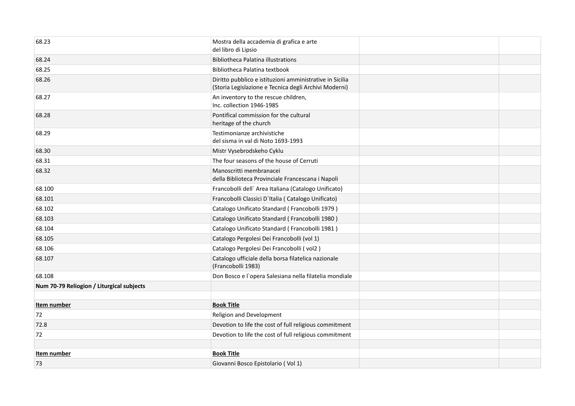| 68.23                                     | Mostra della accademia di grafica e arte<br>del libro di Lipsio                                                   |  |
|-------------------------------------------|-------------------------------------------------------------------------------------------------------------------|--|
| 68.24                                     | <b>Bibliotheca Palatina illustrations</b>                                                                         |  |
| 68.25                                     | Bibliotheca Palatina textbook                                                                                     |  |
| 68.26                                     | Diritto pubblico e istituzioni amministrative in Sicilia<br>(Storia Legislazione e Tecnica degli Archivi Moderni) |  |
| 68.27                                     | An inventory to the rescue children,<br>Inc. collection 1946-1985                                                 |  |
| 68.28                                     | Pontifical commission for the cultural<br>heritage of the church                                                  |  |
| 68.29                                     | Testimonianze archivistiche<br>del sisma in val di Noto 1693-1993                                                 |  |
| 68.30                                     | Mistr Vysebrodskeho Cyklu                                                                                         |  |
| 68.31                                     | The four seasons of the house of Cerruti                                                                          |  |
| 68.32                                     | Manoscritti membranacei<br>della Biblioteca Provinciale Francescana i Napoli                                      |  |
| 68.100                                    | Francobolli dell' Area Italiana (Catalogo Unificato)                                                              |  |
| 68.101                                    | Francobolli Classici D'Italia (Catalogo Unificato)                                                                |  |
| 68.102                                    | Catalogo Unificato Standard (Francobolli 1979)                                                                    |  |
| 68.103                                    | Catalogo Unificato Standard (Francobolli 1980)                                                                    |  |
| 68.104                                    | Catalogo Unificato Standard (Francobolli 1981)                                                                    |  |
| 68.105                                    | Catalogo Pergolesi Dei Francobolli (vol 1)                                                                        |  |
| 68.106                                    | Catalogo Pergolesi Dei Francobolli (vol2)                                                                         |  |
| 68.107                                    | Catalogo ufficiale della borsa filatelica nazionale<br>(Francobolli 1983)                                         |  |
| 68.108                                    | Don Bosco e l'opera Salesiana nella filatelia mondiale                                                            |  |
| Num 70-79 Reliogion / Liturgical subjects |                                                                                                                   |  |
| Item number                               | <b>Book Title</b>                                                                                                 |  |
| 72                                        | Religion and Development                                                                                          |  |
| 72.8                                      | Devotion to life the cost of full religious commitment                                                            |  |
| 72                                        | Devotion to life the cost of full religious commitment                                                            |  |
|                                           |                                                                                                                   |  |
| Item number                               | <b>Book Title</b>                                                                                                 |  |
| 73                                        | Giovanni Bosco Epistolario (Vol 1)                                                                                |  |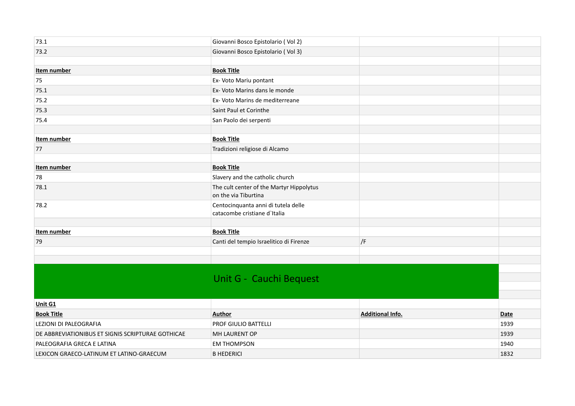| 73.1                                              | Giovanni Bosco Epistolario (Vol 2)                                  |                         |      |
|---------------------------------------------------|---------------------------------------------------------------------|-------------------------|------|
| 73.2                                              | Giovanni Bosco Epistolario (Vol 3)                                  |                         |      |
|                                                   |                                                                     |                         |      |
| Item number                                       | <b>Book Title</b>                                                   |                         |      |
| 75                                                | Ex- Voto Mariu pontant                                              |                         |      |
| 75.1                                              | Ex- Voto Marins dans le monde                                       |                         |      |
| 75.2                                              | Ex- Voto Marins de mediterreane                                     |                         |      |
| 75.3                                              | Saint Paul et Corinthe                                              |                         |      |
| 75.4                                              | San Paolo dei serpenti                                              |                         |      |
|                                                   |                                                                     |                         |      |
| Item number                                       | <b>Book Title</b>                                                   |                         |      |
| 77                                                | Tradizioni religiose di Alcamo                                      |                         |      |
|                                                   |                                                                     |                         |      |
| Item number                                       | <b>Book Title</b>                                                   |                         |      |
| 78                                                | Slavery and the catholic church                                     |                         |      |
| 78.1                                              | The cult center of the Martyr Hippolytus<br>on the via Tiburtina    |                         |      |
| 78.2                                              | Centocinquanta anni di tutela delle<br>catacombe cristiane d'Italia |                         |      |
|                                                   |                                                                     |                         |      |
| Item number                                       | <b>Book Title</b>                                                   |                         |      |
| 79                                                | Canti del tempio Israelitico di Firenze                             | $ $ /F                  |      |
|                                                   |                                                                     |                         |      |
|                                                   |                                                                     |                         |      |
|                                                   |                                                                     |                         |      |
|                                                   | Unit G - Cauchi Bequest                                             |                         |      |
|                                                   |                                                                     |                         |      |
| Unit G1                                           |                                                                     |                         |      |
| <b>Book Title</b>                                 | <b>Author</b>                                                       | <b>Additional Info.</b> | Date |
| LEZIONI DI PALEOGRAFIA                            | <b>PROF GIULIO BATTELLI</b>                                         |                         | 1939 |
| DE ABBREVIATIONIBUS ET SIGNIS SCRIPTURAE GOTHICAE | MH LAURENT OP                                                       |                         | 1939 |
| PALEOGRAFIA GRECA E LATINA                        | <b>EM THOMPSON</b>                                                  |                         | 1940 |
| LEXICON GRAECO-LATINUM ET LATINO-GRAECUM          | <b>B HEDERICI</b>                                                   |                         | 1832 |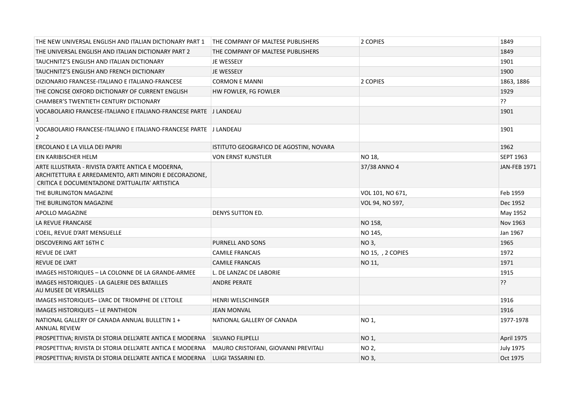| THE NEW UNIVERSAL ENGLISH AND ITALIAN DICTIONARY PART 1                                                                                                         | <b>THE COMPANY OF MALTESE PUBLISHERS</b> | 2 COPIES          | 1849                |
|-----------------------------------------------------------------------------------------------------------------------------------------------------------------|------------------------------------------|-------------------|---------------------|
| THE UNIVERSAL ENGLISH AND ITALIAN DICTIONARY PART 2                                                                                                             | THE COMPANY OF MALTESE PUBLISHERS        |                   | 1849                |
| TAUCHNITZ'S ENGLISH AND ITALIAN DICTIONARY                                                                                                                      | JE WESSELY                               |                   | 1901                |
| TAUCHNITZ'S ENGLISH AND FRENCH DICTIONARY                                                                                                                       | JE WESSELY                               |                   | 1900                |
| DIZIONARIO FRANCESE-ITALIANO E ITALIANO-FRANCESE                                                                                                                | <b>CORMON E MANNI</b>                    | 2 COPIES          | 1863, 1886          |
| THE CONCISE OXFORD DICTIONARY OF CURRENT ENGLISH                                                                                                                | HW FOWLER, FG FOWLER                     |                   | 1929                |
| <b>CHAMBER'S TWENTIETH CENTURY DICTIONARY</b>                                                                                                                   |                                          |                   | ??                  |
| VOCABOLARIO FRANCESE-ITALIANO E ITALIANO-FRANCESE PARTE J LANDEAU<br>$\mathbf{1}$                                                                               |                                          |                   | 1901                |
| VOCABOLARIO FRANCESE-ITALIANO E ITALIANO-FRANCESE PARTE   J LANDEAU<br>2                                                                                        |                                          |                   | 1901                |
| ERCOLANO E LA VILLA DEI PAPIRI                                                                                                                                  | ISTITUTO GEOGRAFICO DE AGOSTINI, NOVARA  |                   | 1962                |
| EIN KARIBISCHER HELM                                                                                                                                            | <b>VON ERNST KUNSTLER</b>                | NO 18,            | <b>SEPT 1963</b>    |
| ARTE ILLUSTRATA - RIVISTA D'ARTE ANTICA E MODERNA,<br>ARCHITETTURA E ARREDAMENTO, ARTI MINORI E DECORAZIONE,<br>CRITICA E DOCUMENTAZIONE D'ATTUALITA' ARTISTICA |                                          | 37/38 ANNO 4      | <b>JAN-FEB 1971</b> |
| THE BURLINGTON MAGAZINE                                                                                                                                         |                                          | VOL 101, NO 671,  | Feb 1959            |
| THE BURLINGTON MAGAZINE                                                                                                                                         |                                          | VOL 94, NO 597,   | Dec 1952            |
| APOLLO MAGAZINE                                                                                                                                                 | DENYS SUTTON ED.                         |                   | May 1952            |
| LA REVUE FRANCAISE                                                                                                                                              |                                          | NO 158,           | Nov 1963            |
| L'OEIL, REVUE D'ART MENSUELLE                                                                                                                                   |                                          | NO 145,           | Jan 1967            |
| DISCOVERING ART 16TH C                                                                                                                                          | <b>PURNELL AND SONS</b>                  | NO 3,             | 1965                |
| REVUE DE L'ART                                                                                                                                                  | <b>CAMILE FRANCAIS</b>                   | NO 15, , 2 COPIES | 1972                |
| REVUE DE L'ART                                                                                                                                                  | <b>CAMILE FRANCAIS</b>                   | NO 11,            | 1971                |
| IMAGES HISTORIQUES - LA COLONNE DE LA GRANDE-ARMEE                                                                                                              | L. DE LANZAC DE LABORIE                  |                   | 1915                |
| IMAGES HISTORIQUES - LA GALERIE DES BATAILLES<br>AU MUSEE DE VERSAILLES                                                                                         | <b>ANDRE PERATE</b>                      |                   | ??                  |
| IMAGES HISTORIQUES-L'ARC DE TRIOMPHE DE L'ETOILE                                                                                                                | <b>HENRI WELSCHINGER</b>                 |                   | 1916                |
| IMAGES HISTORIQUES - LE PANTHEON                                                                                                                                | <b>JEAN MONVAL</b>                       |                   | 1916                |
| NATIONAL GALLERY OF CANADA ANNUAL BULLETIN 1 +<br><b>ANNUAL REVIEW</b>                                                                                          | NATIONAL GALLERY OF CANADA               | NO 1,             | 1977-1978           |
| PROSPETTIVA; RIVISTA DI STORIA DELL'ARTE ANTICA E MODERNA                                                                                                       | SILVANO FILIPELLI                        | NO 1,             | April 1975          |
| PROSPETTIVA; RIVISTA DI STORIA DELL'ARTE ANTICA E MODERNA                                                                                                       | MAURO CRISTOFANI, GIOVANNI PREVITALI     | NO 2,             | <b>July 1975</b>    |
| PROSPETTIVA; RIVISTA DI STORIA DELL'ARTE ANTICA E MODERNA                                                                                                       | LUIGI TASSARINI ED.                      | NO 3,             | Oct 1975            |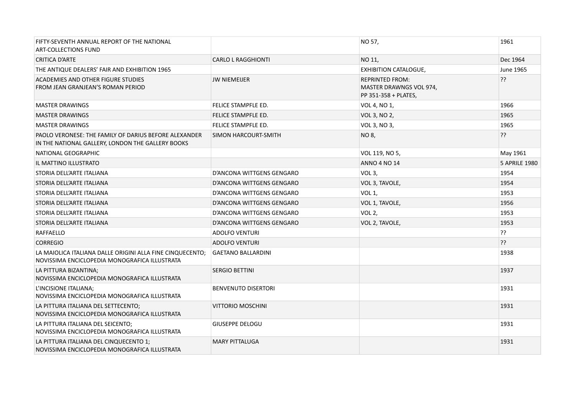| FIFTY-SEVENTH ANNUAL REPORT OF THE NATIONAL<br><b>ART-COLLECTIONS FUND</b>                                 |                            | NO 57,                                                                           | 1961                 |
|------------------------------------------------------------------------------------------------------------|----------------------------|----------------------------------------------------------------------------------|----------------------|
| <b>CRITICA D'ARTE</b>                                                                                      | <b>CARLO L RAGGHIONTI</b>  | NO 11,                                                                           | Dec 1964             |
| THE ANTIQUE DEALERS' FAIR AND EXHIBITION 1965                                                              |                            | <b>EXHIBITION CATALOGUE,</b>                                                     | <b>June 1965</b>     |
| ACADEMIES AND OTHER FIGURE STUDIES<br>FROM JEAN GRANJEAN'S ROMAN PERIOD                                    | <b>JW NIEMEIJER</b>        | <b>REPRINTED FROM:</b><br><b>MASTER DRAWNGS VOL 974,</b><br>PP 351-358 + PLATES, | ??                   |
| <b>MASTER DRAWINGS</b>                                                                                     | FELICE STAMPFLE ED.        | VOL 4, NO 1,                                                                     | 1966                 |
| <b>MASTER DRAWINGS</b>                                                                                     | FELICE STAMPFLE ED.        | VOL 3, NO 2,                                                                     | 1965                 |
| <b>MASTER DRAWINGS</b>                                                                                     | FELICE STAMPFLE ED.        | VOL 3, NO 3,                                                                     | 1965                 |
| PAOLO VERONESE: THE FAMILY OF DARIUS BEFORE ALEXANDER<br>IN THE NATIONAL GALLERY, LONDON THE GALLERY BOOKS | SIMON HARCOURT-SMITH       | NO 8,                                                                            | ??                   |
| NATIONAL GEOGRAPHIC                                                                                        |                            | VOL 119, NO 5,                                                                   | May 1961             |
| IL MATTINO ILLUSTRATO                                                                                      |                            | <b>ANNO 4 NO 14</b>                                                              | <b>5 APRILE 1980</b> |
| STORIA DELL'ARTE ITALIANA                                                                                  | D'ANCONA WITTGENS GENGARO  | VOL <sub>3</sub> ,                                                               | 1954                 |
| STORIA DELL'ARTE ITALIANA                                                                                  | D'ANCONA WITTGENS GENGARO  | VOL 3, TAVOLE,                                                                   | 1954                 |
| STORIA DELL'ARTE ITALIANA                                                                                  | D'ANCONA WITTGENS GENGARO  | VOL <sub>1</sub> ,                                                               | 1953                 |
| STORIA DELL'ARTE ITALIANA                                                                                  | D'ANCONA WITTGENS GENGARO  | VOL 1, TAVOLE,                                                                   | 1956                 |
| STORIA DELL'ARTE ITALIANA                                                                                  | D'ANCONA WITTGENS GENGARO  | VOL <sub>2</sub> ,                                                               | 1953                 |
| STORIA DELL'ARTE ITALIANA                                                                                  | D'ANCONA WITTGENS GENGARO  | VOL 2, TAVOLE,                                                                   | 1953                 |
| <b>RAFFAELLO</b>                                                                                           | <b>ADOLFO VENTURI</b>      |                                                                                  | ??                   |
| <b>CORREGIO</b>                                                                                            | <b>ADOLFO VENTURI</b>      |                                                                                  | ??                   |
| LA MAIOLICA ITALIANA DALLE ORIGINI ALLA FINE CINQUECENTO;<br>NOVISSIMA ENCICLOPEDIA MONOGRAFICA ILLUSTRATA | <b>GAETANO BALLARDINI</b>  |                                                                                  | 1938                 |
| LA PITTURA BIZANTINA;<br>NOVISSIMA ENCICLOPEDIA MONOGRAFICA ILLUSTRATA                                     | <b>SERGIO BETTINI</b>      |                                                                                  | 1937                 |
| L'INCISIONE ITALIANA;<br>NOVISSIMA ENCICLOPEDIA MONOGRAFICA ILLUSTRATA                                     | <b>BENVENUTO DISERTORI</b> |                                                                                  | 1931                 |
| LA PITTURA ITALIANA DEL SETTECENTO;<br>NOVISSIMA ENCICLOPEDIA MONOGRAFICA ILLUSTRATA                       | <b>VITTORIO MOSCHINI</b>   |                                                                                  | 1931                 |
| LA PITTURA ITALIANA DEL SEICENTO;<br>NOVISSIMA ENCICLOPEDIA MONOGRAFICA ILLUSTRATA                         | <b>GIUSEPPE DELOGU</b>     |                                                                                  | 1931                 |
| LA PITTURA ITALIANA DEL CINQUECENTO 1;<br>NOVISSIMA ENCICLOPEDIA MONOGRAFICA ILLUSTRATA                    | <b>MARY PITTALUGA</b>      |                                                                                  | 1931                 |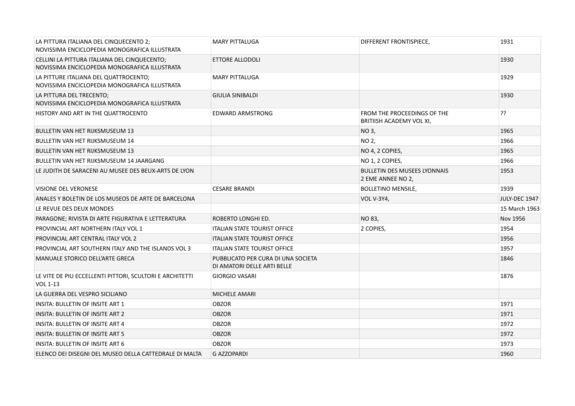| LA PITTURA ITALIANA DEL CINQUECENTO 2;<br>NOVISSIMA ENCICLOPEDIA MONOGRAFICA ILLUSTRATA       | <b>MARY PITTALUGA</b>                                             | DIFFERENT FRONTISPIECE,                                  | 1931          |
|-----------------------------------------------------------------------------------------------|-------------------------------------------------------------------|----------------------------------------------------------|---------------|
| CELLINI LA PITTURA ITALIANA DEL CINQUECENTO:<br>NOVISSIMA ENCICLOPEDIA MONOGRAFICA ILLUSTRATA | ETTORE ALLODOLI                                                   |                                                          | 1930          |
| LA PITTURE ITALIANA DEL QUATTROCENTO;<br>NOVISSIMA ENCICLOPEDIA MONOGRAFICA ILLUSTRATA        | <b>MARY PITTALUGA</b>                                             |                                                          | 1929          |
| LA PITTURA DEL TRECENTO:<br>NOVISSIMA ENCICLOPEDIA MONOGRAFICA ILLUSTRATA                     | <b>GIULIA SINIBALDI</b>                                           |                                                          | 1930          |
| HISTORY AND ART IN THE QUATTROCENTO                                                           | <b>EDWARD ARMSTRONG</b>                                           | FROM THE PROCEEDINGS OF THE<br>BRITIISH ACADEMY VOL XI,  | ??            |
| <b>BULLETIN VAN HET RIJKSMUSEUM 13</b>                                                        |                                                                   | NO 3,                                                    | 1965          |
| <b>BULLETIN VAN HET RIJKSMUSEUM 14</b>                                                        |                                                                   | NO 2,                                                    | 1966          |
| <b>BULLETIN VAN HET RIJKSMUSEUM 13</b>                                                        |                                                                   | NO 4, 2 COPIES,                                          | 1965          |
| <b>BULLETIN VAN HET RIJKSMUSEUM 14 JAARGANG</b>                                               |                                                                   | NO 1, 2 COPIES,                                          | 1966          |
| LE JUDITH DE SARACENI AU MUSEE DES BEUX-ARTS DE LYON                                          |                                                                   | <b>BULLETIN DES MUSEES LYONNAIS</b><br>2 EME ANNEE NO 2, | 1953          |
| <b>VISIONE DEL VERONESE</b>                                                                   | <b>CESARE BRANDI</b>                                              | <b>BOLLETINO MENSILE,</b>                                | 1939          |
| ANALES Y BOLETIN DE LOS MUSEOS DE ARTE DE BARCELONA                                           |                                                                   | <b>VOL V-3Y4,</b>                                        | JULY-DEC 1947 |
| LE REVUE DES DEUX MONDES                                                                      |                                                                   |                                                          | 15 March 1963 |
| PARAGONE; RIVISTA DI ARTE FIGURATIVA E LETTERATURA                                            | ROBERTO LONGHI ED.                                                | NO 83,                                                   | Nov 1956      |
| PROVINCIAL ART NORTHERN ITALY VOL 1                                                           | <b>ITALIAN STATE TOURIST OFFICE</b>                               | 2 COPIES,                                                | 1954          |
| PROVINCIAL ART CENTRAL ITALY VOL 2                                                            | <b>ITALIAN STATE TOURIST OFFICE</b>                               |                                                          | 1956          |
| PROVINCIAL ART SOUTHERN ITALY AND THE ISLANDS VOL 3                                           | <b>ITALIAN STATE TOURIST OFFICE</b>                               |                                                          | 1957          |
| MANUALE STORICO DELL'ARTE GRECA                                                               | PUBBLICATO PER CURA DI UNA SOCIETA<br>DI AMATORI DELLE ARTI BELLE |                                                          | 1846          |
| LE VITE DE PIU ECCELLENTI PITTORI, SCULTORI E ARCHITETTI<br>VOL 1-13                          | <b>GIORGIO VASARI</b>                                             |                                                          | 1876          |
| LA GUERRA DEL VESPRO SICILIANO                                                                | <b>MICHELE AMARI</b>                                              |                                                          |               |
| INSITA: BULLETIN OF INSITE ART 1                                                              | <b>OBZOR</b>                                                      |                                                          | 1971          |
| INSITA: BULLETIN OF INSITE ART 2                                                              | <b>OBZOR</b>                                                      |                                                          | 1971          |
| <b>INSITA: BULLETIN OF INSITE ART 4</b>                                                       | <b>OBZOR</b>                                                      |                                                          | 1972          |
| <b>INSITA: BULLETIN OF INSITE ART 5</b>                                                       | <b>OBZOR</b>                                                      |                                                          | 1972          |
| <b>INSITA: BULLETIN OF INSITE ART 6</b>                                                       | <b>OBZOR</b>                                                      |                                                          | 1973          |
| ELENCO DEI DISEGNI DEL MUSEO DELLA CATTEDRALE DI MALTA                                        | <b>G AZZOPARDI</b>                                                |                                                          | 1960          |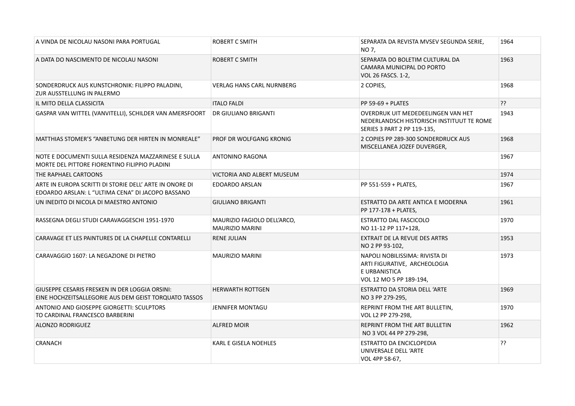| A VINDA DE NICOLAU NASONI PARA PORTUGAL                                                                      | <b>ROBERT C SMITH</b>                                 | SEPARATA DA REVISTA MVSEV SEGUNDA SERIE,<br>NO 7,                                                              | 1964 |
|--------------------------------------------------------------------------------------------------------------|-------------------------------------------------------|----------------------------------------------------------------------------------------------------------------|------|
| A DATA DO NASCIMENTO DE NICOLAU NASONI                                                                       | <b>ROBERT C SMITH</b>                                 | SEPARATA DO BOLETIM CULTURAL DA<br>CAMARA MUNICIPAL DO PORTO<br>VOL 26 FASCS. 1-2,                             | 1963 |
| SONDERDRUCK AUS KUNSTCHRONIK: FILIPPO PALADINI,<br>ZUR AUSSTELLUNG IN PALERMO                                | <b>VERLAG HANS CARL NURNBERG</b>                      | 2 COPIES,                                                                                                      | 1968 |
| IL MITO DELLA CLASSICITA                                                                                     | <b>ITALO FALDI</b>                                    | PP 59-69 + PLATES                                                                                              | ??   |
| GASPAR VAN WITTEL (VANVITELLI), SCHILDER VAN AMERSFOORT                                                      | DR GIULIANO BRIGANTI                                  | OVERDRUK UIT MEDEDEELINGEN VAN HET<br>NEDERLANDSCH HISTORISCH INSTITUUT TE ROME<br>SERIES 3 PART 2 PP 119-135, | 1943 |
| MATTHIAS STOMER'S "ANBETUNG DER HIRTEN IN MONREALE"                                                          | PROF DR WOLFGANG KRONIG                               | 2 COPIES PP 289-300 SONDERDRUCK AUS<br>MISCELLANEA JOZEF DUVERGER,                                             | 1968 |
| NOTE E DOCUMENTI SULLA RESIDENZA MAZZARINESE E SULLA<br>MORTE DEL PITTORE FIORENTINO FILIPPIO PLADINI        | <b>ANTONINO RAGONA</b>                                |                                                                                                                | 1967 |
| THE RAPHAEL CARTOONS                                                                                         | VICTORIA AND ALBERT MUSEUM                            |                                                                                                                | 1974 |
| ARTE IN EUROPA SCRITTI DI STORIE DELL' ARTE IN ONORE DI<br>EDOARDO ARSLAN: L "ULTIMA CENA" DI JACOPO BASSANO | <b>EDOARDO ARSLAN</b>                                 | PP 551-559 + PLATES,                                                                                           | 1967 |
| UN INEDITO DI NICOLA DI MAESTRO ANTONIO                                                                      | <b>GIULIANO BRIGANTI</b>                              | ESTRATTO DA ARTE ANTICA E MODERNA<br>PP 177-178 + PLATES,                                                      | 1961 |
| RASSEGNA DEGLI STUDI CARAVAGGESCHI 1951-1970                                                                 | MAURIZIO FAGIOLO DELL'ARCO,<br><b>MAURIZIO MARINI</b> | ESTRATTO DAL FASCICOLO<br>NO 11-12 PP 117+128,                                                                 | 1970 |
| CARAVAGE ET LES PAINTURES DE LA CHAPELLE CONTARELLI                                                          | <b>RENE JULIAN</b>                                    | <b>EXTRAIT DE LA REVUE DES ARTRS</b><br>NO 2 PP 93-102,                                                        | 1953 |
| CARAVAGGIO 1607: LA NEGAZIONE DI PIETRO                                                                      | <b>MAURIZIO MARINI</b>                                | NAPOLI NOBILISSIMA: RIVISTA DI<br>ARTI FIGURATIVE, ARCHEOLOGIA<br>E URBANISTICA<br>VOL 12 MO 5 PP 189-194,     | 1973 |
| GIUSEPPE CESARIS FRESKEN IN DER LOGGIA ORSINI:<br>EINE HOCHZEITSALLEGORIE AUS DEM GEIST TORQUATO TASSOS      | <b>HERWARTH ROTTGEN</b>                               | ESTRATTO DA STORIA DELL 'ARTE<br>NO 3 PP 279-295,                                                              | 1969 |
| ANTONIO AND GIOSEPPE GIORGETTI: SCULPTORS<br>TO CARDINAL FRANCESCO BARBERINI                                 | <b>JENNIFER MONTAGU</b>                               | REPRINT FROM THE ART BULLETIN,<br>VOL L2 PP 279-298,                                                           | 1970 |
| <b>ALONZO RODRIGUEZ</b>                                                                                      | ALFRED MOIR                                           | <b>REPRINT FROM THE ART BULLETIN</b><br>NO 3 VOL 44 PP 279-298,                                                | 1962 |
| <b>CRANACH</b>                                                                                               | KARL E GISELA NOEHLES                                 | ESTRATTO DA ENCICLOPEDIA<br>UNIVERSALE DELL 'ARTE<br>VOL 4PP 58-67,                                            | ??   |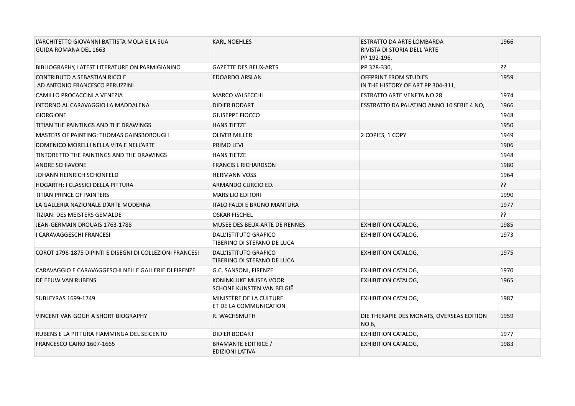| L'ARCHITETTO GIOVANNI BATTISTA MOLA E LA SUA<br><b>GUIDA ROMANA DEL 1663</b> | <b>KARL NOEHLES</b>                                  | ESTRATTO DA ARTE LOMBARDA<br>RIVISTA DI STORIA DELL'ARTE<br>PP 192-196, | 1966 |
|------------------------------------------------------------------------------|------------------------------------------------------|-------------------------------------------------------------------------|------|
| BIBLIOGRAPHY, LATEST LITERATURE ON PARMIGIANINO                              | <b>GAZETTE DES BEUX-ARTS</b>                         | PP 328-330,                                                             | ??   |
| <b>CONTRIBUTO A SEBASTIAN RICCI E</b><br>AD ANTONIO FRANCESCO PERUZZINI      | <b>EDOARDO ARSLAN</b>                                | OFFPRINT FROM STUDIES<br>IN THE HISTORY OF ART PP 304-311,              | 1959 |
| CAMILLO PROCACCINI A VENEZIA                                                 | <b>MARCO VALSECCHI</b>                               | <b>ESTRATTO ARTE VENETA NO 28</b>                                       | 1974 |
| INTORNO AL CARAVAGGIO LA MADDALENA                                           | <b>DIDIER BODART</b>                                 | ESSTRATTO DA PALATINO ANNO 10 SERIE 4 NO,                               | 1966 |
| <b>GIORGIONE</b>                                                             | <b>GIUSEPPE FIOCCO</b>                               |                                                                         | 1948 |
| TITIAN THE PAINTINGS AND THE DRAWINGS                                        | <b>HANS TIETZE</b>                                   |                                                                         | 1950 |
| <b>MASTERS OF PAINTING: THOMAS GAINSBOROUGH</b>                              | <b>OLIVER MILLER</b>                                 | 2 COPIES, 1 COPY                                                        | 1949 |
| DOMENICO MORELLI NELLA VITA E NELL'ARTE                                      | PRIMO LEVI                                           |                                                                         | 1906 |
| TINTORETTO THE PAINTINGS AND THE DRAWINGS                                    | <b>HANS TIETZE</b>                                   |                                                                         | 1948 |
| <b>ANDRE SCHIAVONE</b>                                                       | <b>FRANCIS L RICHARDSON</b>                          |                                                                         | 1980 |
| JOHANN HEINRICH SCHONFELD                                                    | <b>HERMANN VOSS</b>                                  |                                                                         | 1964 |
| HOGARTH; I CLASSICI DELLA PITTURA                                            | ARMANDO CURCIO ED.                                   |                                                                         | ??   |
| TITIAN PRINCE OF PAINTERS                                                    | <b>MARSILIO EDITORI</b>                              |                                                                         | 1990 |
| LA GALLERIA NAZIONALE D'ARTE MODERNA                                         | ITALO FALDI E BRUNO MANTURA                          |                                                                         | 1977 |
| TIZIAN: DES MEISTERS GEMALDE                                                 | <b>OSKAR FISCHEL</b>                                 |                                                                         | ??   |
| JEAN-GERMAIN DROUAIS 1763-1788                                               | MUSEE DES BEUX-ARTE DE RENNES                        | <b>EXHIBITION CATALOG,</b>                                              | 1985 |
| I CARAVAGGESCHI FRANCESI                                                     | DALL'ISTITUTO GRAFICO<br>TIBERINO DI STEFANO DE LUCA | <b>EXHIBITION CATALOG,</b>                                              | 1973 |
| COROT 1796-1875 DIPINTI E DISEGNI DI COLLEZIONI FRANCESI                     | DALL'ISTITUTO GRAFICO<br>TIBERINO DI STEFANO DE LUCA | <b>EXHIBITION CATALOG,</b>                                              | 1975 |
| CARAVAGGIO E CARAVAGGESCHI NELLE GALLERIE DI FIRENZE                         | G.C. SANSONI, FIRENZE                                | <b>EXHIBITION CATALOG,</b>                                              | 1970 |
| DE EEUW VAN RUBENS                                                           | KONINKLIJKE MUSEA VOOR<br>SCHONE KUNSTEN VAN BELGIË  | <b>EXHIBITION CATALOG,</b>                                              | 1965 |
| SUBLEYRAS 1699-1749                                                          | MINISTÈRE DE LA CULTURE<br>ET DE LA COMMUNICATION    | <b>EXHIBITION CATALOG,</b>                                              | 1987 |
| VINCENT VAN GOGH A SHORT BIOGRAPHY                                           | R. WACHSMUTH                                         | DIE THERAPIE DES MONATS, OVERSEAS EDITION<br>NO 6,                      | 1959 |
| RUBENS E LA PITTURA FIAMMINGA DEL SEICENTO                                   | <b>DIDIER BODART</b>                                 | <b>EXHIBITION CATALOG,</b>                                              | 1977 |
| FRANCESCO CAIRO 1607-1665                                                    | <b>BRAMANTE EDITRICE /</b><br><b>EDIZIONI LATIVA</b> | <b>EXHIBITION CATALOG,</b>                                              | 1983 |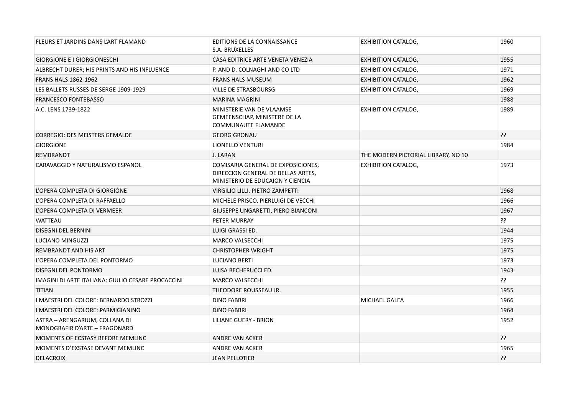| FLEURS ET JARDINS DANS L'ART FLAMAND                            | EDITIONS DE LA CONNAISSANCE<br>S.A. BRUXELLES                                                                | <b>EXHIBITION CATALOG,</b>          | 1960 |
|-----------------------------------------------------------------|--------------------------------------------------------------------------------------------------------------|-------------------------------------|------|
| <b>GIORGIONE E I GIORGIONESCHI</b>                              | CASA EDITRICE ARTE VENETA VENEZIA                                                                            | <b>EXHIBITION CATALOG,</b>          | 1955 |
| ALBRECHT DURER; HIS PRINTS AND HIS INFLUENCE                    | P. AND D. COLNAGHI AND CO LTD                                                                                | <b>EXHIBITION CATALOG,</b>          | 1971 |
| <b>FRANS HALS 1862-1962</b>                                     | <b>FRANS HALS MUSEUM</b>                                                                                     | <b>EXHIBITION CATALOG,</b>          | 1962 |
| LES BALLETS RUSSES DE SERGE 1909-1929                           | <b>VILLE DE STRASBOURSG</b>                                                                                  | <b>EXHIBITION CATALOG,</b>          | 1969 |
| <b>FRANCESCO FONTEBASSO</b>                                     | <b>MARINA MAGRINI</b>                                                                                        |                                     | 1988 |
| A.C. LENS 1739-1822                                             | MINISTERIE VAN DE VLAAMSE<br>GEMEENSCHAP, MINISTERE DE LA<br><b>COMMUNAUTE FLAMANDE</b>                      | <b>EXHIBITION CATALOG,</b>          | 1989 |
| <b>CORREGIO: DES MEISTERS GEMALDE</b>                           | <b>GEORG GRONAU</b>                                                                                          |                                     | ??   |
| <b>GIORGIONE</b>                                                | <b>LIONELLO VENTURI</b>                                                                                      |                                     | 1984 |
| <b>REMBRANDT</b>                                                | J. LARAN                                                                                                     | THE MODERN PICTORIAL LIBRARY, NO 10 |      |
| CARAVAGGIO Y NATURALISMO ESPANOL                                | COMISARIA GENERAL DE EXPOSICIONES,<br>DIRECCION GENERAL DE BELLAS ARTES,<br>MINISTERIO DE EDUCAION Y CIENCIA | <b>EXHIBITION CATALOG,</b>          | 1973 |
| L'OPERA COMPLETA DI GIORGIONE                                   | VIRGILIO LILLI, PIETRO ZAMPETTI                                                                              |                                     | 1968 |
| L'OPERA COMPLETA DI RAFFAELLO                                   | MICHELE PRISCO, PIERLUIGI DE VECCHI                                                                          |                                     | 1966 |
| L'OPERA COMPLETA DI VERMEER                                     | GIUSEPPE UNGARETTI, PIERO BIANCONI                                                                           |                                     | 1967 |
| <b>WATTEAU</b>                                                  | PETER MURRAY                                                                                                 |                                     | ??   |
| <b>DISEGNI DEL BERNINI</b>                                      | LUIGI GRASSI ED.                                                                                             |                                     | 1944 |
| LUCIANO MINGUZZI                                                | <b>MARCO VALSECCHI</b>                                                                                       |                                     | 1975 |
| REMBRANDT AND HIS ART                                           | <b>CHRISTOPHER WRIGHT</b>                                                                                    |                                     | 1975 |
| L'OPERA COMPLETA DEL PONTORMO                                   | LUCIANO BERTI                                                                                                |                                     | 1973 |
| DISEGNI DEL PONTORMO                                            | LUISA BECHERUCCI ED.                                                                                         |                                     | 1943 |
| IMAGINI DI ARTE ITALIANA: GIULIO CESARE PROCACCINI              | <b>MARCO VALSECCHI</b>                                                                                       |                                     | ??   |
| <b>TITIAN</b>                                                   | THEODORE ROUSSEAU JR.                                                                                        |                                     | 1955 |
| I MAESTRI DEL COLORE: BERNARDO STROZZI                          | <b>DINO FABBRI</b>                                                                                           | MICHAEL GALEA                       | 1966 |
| I MAESTRI DEL COLORE: PARMIGIANINO                              | <b>DINO FABBRI</b>                                                                                           |                                     | 1964 |
| ASTRA - ARENGARIUM, COLLANA DI<br>MONOGRAFIR D'ARTE - FRAGONARD | LILIANE GUERY - BRION                                                                                        |                                     | 1952 |
| MOMENTS OF ECSTASY BEFORE MEMLINC                               | <b>ANDRE VAN ACKER</b>                                                                                       |                                     | ??   |
| MOMENTS D'EXSTASE DEVANT MEMLINC                                | ANDRE VAN ACKER                                                                                              |                                     | 1965 |
| <b>DELACROIX</b>                                                | <b>JEAN PELLOTIER</b>                                                                                        |                                     | ??   |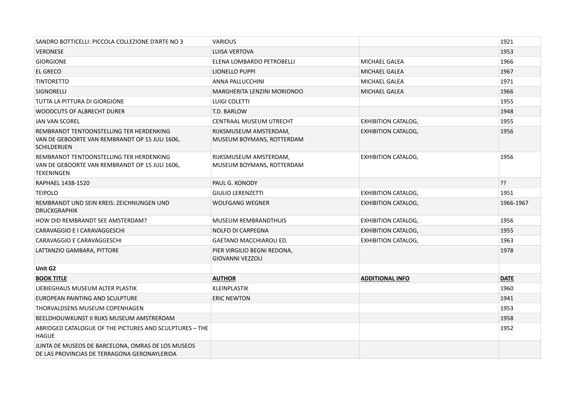| SANDRO BOTTICELLI: PICCOLA COLLEZIONE D'ARTE NO 3                                                                 | <b>VARIOUS</b>                                         |                            | 1921        |
|-------------------------------------------------------------------------------------------------------------------|--------------------------------------------------------|----------------------------|-------------|
| <b>VERONESE</b>                                                                                                   | <b>LUISA VERTOVA</b>                                   |                            | 1953        |
| <b>GIORGIONE</b>                                                                                                  | ELENA LOMBARDO PETROBELLI                              | <b>MICHAEL GALEA</b>       | 1966        |
| <b>EL GRECO</b>                                                                                                   | LIONELLO PUPPI                                         | <b>MICHAEL GALEA</b>       | 1967        |
| <b>TINTORETTO</b>                                                                                                 | ANNA PALLUCCHINI                                       | <b>MICHAEL GALEA</b>       | 1971        |
| SIGNORELLI                                                                                                        | MARGHERITA LENZINI MORIONDO                            | <b>MICHAEL GALEA</b>       | 1966        |
| TUTTA LA PITTURA DI GIORGIONE                                                                                     | <b>LUIGI COLETTI</b>                                   |                            | 1955        |
| <b>WOODCUTS OF ALBRECHT DURER</b>                                                                                 | T.D. BARLOW                                            |                            | 1948        |
| <b>JAN VAN SCOREL</b>                                                                                             | CENTRAAL MUSEUM UTRECHT                                | <b>EXHIBITION CATALOG,</b> | 1955        |
| REMBRANDT TENTOONSTELLING TER HERDENKING<br>VAN DE GEBOORTE VAN REMBRANDT OP 15 JULI 1606,<br><b>SCHILDERIJEN</b> | RIJKSMUSEUM AMSTERDAM,<br>MUSEUM BOYMANS, ROTTERDAM    | <b>EXHIBITION CATALOG,</b> | 1956        |
| REMBRANDT TENTOONSTELLING TER HERDENKING<br>VAN DE GEBOORTE VAN REMBRANDT OP 15 JULI 1606,<br><b>TEKENINGEN</b>   | RIJKSMUSEUM AMSTERDAM,<br>MUSEUM BOYMANS, ROTTERDAM    | <b>EXHIBITION CATALOG,</b> | 1956        |
| RAPHAEL 1438-1520                                                                                                 | PAUL G. KONODY                                         |                            | ??          |
| <b>TEIPOLO</b>                                                                                                    | <b>GIULIO LERENZETTI</b>                               | <b>EXHIBITION CATALOG,</b> | 1951        |
|                                                                                                                   |                                                        |                            |             |
| REMBRANDT UND SEIN KREIS: ZEICHNUNGEN UND<br><b>DRUCKGRAPHIK</b>                                                  | <b>WOLFGANG WEGNER</b>                                 | <b>EXHIBITION CATALOG,</b> | 1966-1967   |
| HOW DID REMBRANDT SEE AMSTERDAM?                                                                                  | <b>MUSEUM REMBRANDTHUIS</b>                            | <b>EXHIBITION CATALOG,</b> | 1956        |
| CARAVAGGIO E I CARAVAGGESCHI                                                                                      | <b>NOLFO DI CARPEGNA</b>                               | <b>EXHIBITION CATALOG,</b> | 1955        |
| CARAVAGGIO E CARAVAGGESCHI                                                                                        | <b>GAETANO MACCHIAROLI ED.</b>                         | <b>EXHIBITION CATALOG,</b> | 1963        |
| LATTANZIO GAMBARA, PITTORE                                                                                        | PIER VIRGILIO BEGNI REDONA,<br><b>GIOVANNI VEZZOLI</b> |                            | 1978        |
| Unit G2                                                                                                           |                                                        |                            |             |
| <b>BOOK TITLE</b>                                                                                                 | <b>AUTHOR</b>                                          | <b>ADDITIONAL INFO</b>     | <b>DATE</b> |
| LIEBIEGHAUS MUSEUM ALTER PLASTIK                                                                                  | <b>KLEINPLASTIK</b>                                    |                            | 1960        |
| EUROPEAN PAINTING AND SCULPTURE                                                                                   | <b>ERIC NEWTON</b>                                     |                            | 1941        |
| THORVALDSENS MUSEUM COPENHAGEN                                                                                    |                                                        |                            | 1953        |
| BEELDHOUWKUNST II RIJKS MUSEUM AMSTRERDAM                                                                         |                                                        |                            | 1958        |
| ABRIDGED CATALOGUE OF THE PICTURES AND SCULPTURES - THE<br><b>HAGUE</b>                                           |                                                        |                            | 1952        |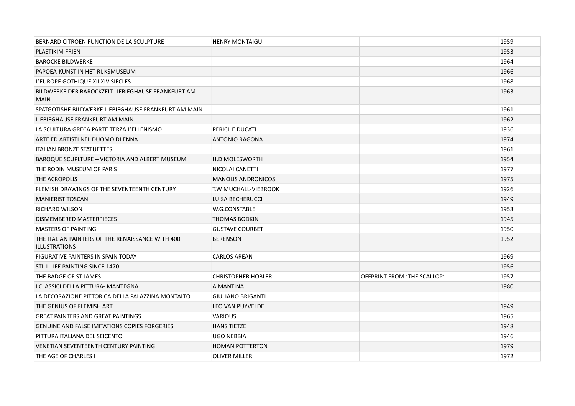| BERNARD CITROEN FUNCTION DE LA SCULPTURE                                 | <b>HENRY MONTAIGU</b>     |                             | 1959 |
|--------------------------------------------------------------------------|---------------------------|-----------------------------|------|
| <b>PLASTIKIM FRIEN</b>                                                   |                           |                             | 1953 |
| <b>BAROCKE BILDWERKE</b>                                                 |                           |                             | 1964 |
| PAPOEA-KUNST IN HET RIJKSMUSEUM                                          |                           |                             | 1966 |
| L'EUROPE GOTHIQUE XII XIV SIECLES                                        |                           |                             | 1968 |
| BILDWERKE DER BAROCKZEIT LIEBIEGHAUSE FRANKFURT AM<br><b>MAIN</b>        |                           |                             | 1963 |
| SPATGOTISHE BILDWERKE LIEBIEGHAUSE FRANKFURT AM MAIN                     |                           |                             | 1961 |
| LIEBIEGHAUSE FRANKFURT AM MAIN                                           |                           |                             | 1962 |
| LA SCULTURA GRECA PARTE TERZA L'ELLENISMO                                | PERICILE DUCATI           |                             | 1936 |
| ARTE ED ARTISTI NEL DUOMO DI ENNA                                        | <b>ANTONIO RAGONA</b>     |                             | 1974 |
| <b>ITALIAN BRONZE STATUETTES</b>                                         |                           |                             | 1961 |
| BAROQUE SCUPLTURE - VICTORIA AND ALBERT MUSEUM                           | <b>H.D MOLESWORTH</b>     |                             | 1954 |
| THE RODIN MUSEUM OF PARIS                                                | NICOLAI CANETTI           |                             | 1977 |
| THE ACROPOLIS                                                            | <b>MANOLIS ANDRONICOS</b> |                             | 1975 |
| FLEMISH DRAWINGS OF THE SEVENTEENTH CENTURY                              | T.W MUCHALL-VIEBROOK      |                             | 1926 |
| <b>MANIERIST TOSCANI</b>                                                 | LUISA BECHERUCCI          |                             | 1949 |
| RICHARD WILSON                                                           | W.G.CONSTABLE             |                             | 1953 |
| DISMEMBERED MASTERPIECES                                                 | THOMAS BODKIN             |                             | 1945 |
| <b>MASTERS OF PAINTING</b>                                               | <b>GUSTAVE COURBET</b>    |                             | 1950 |
| THE ITALIAN PAINTERS OF THE RENAISSANCE WITH 400<br><b>ILLUSTRATIONS</b> | <b>BERENSON</b>           |                             | 1952 |
| FIGURATIVE PAINTERS IN SPAIN TODAY                                       | <b>CARLOS AREAN</b>       |                             | 1969 |
| STILL LIFE PAINTING SINCE 1470                                           |                           |                             | 1956 |
| THE BADGE OF ST JAMES                                                    | <b>CHRISTOPHER HOBLER</b> | OFFPRINT FROM 'THE SCALLOP' | 1957 |
| I CLASSICI DELLA PITTURA- MANTEGNA                                       | A MANTINA                 |                             | 1980 |
| LA DECORAZIONE PITTORICA DELLA PALAZZINA MONTALTO                        | <b>GIULIANO BRIGANTI</b>  |                             |      |
| THE GENIUS OF FLEMISH ART                                                | LEO VAN PUYVELDE          |                             | 1949 |
| <b>GREAT PAINTERS AND GREAT PAINTINGS</b>                                | <b>VARIOUS</b>            |                             | 1965 |
| <b>GENUINE AND FALSE IMITATIONS COPIES FORGERIES</b>                     | <b>HANS TIETZE</b>        |                             | 1948 |
| PITTURA ITALIANA DEL SEICENTO                                            | <b>UGO NEBBIA</b>         |                             | 1946 |
| VENETIAN SEVENTEENTH CENTURY PAINTING                                    | <b>HOMAN POTTERTON</b>    |                             | 1979 |
| THE AGE OF CHARLES I                                                     | <b>OLIVER MILLER</b>      |                             | 1972 |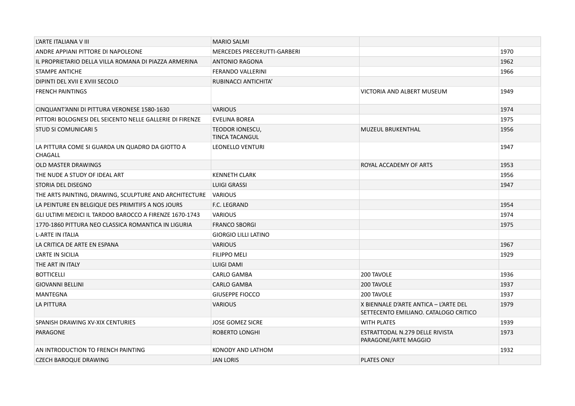| L'ARTE ITALIANA VIII                                       | <b>MARIO SALMI</b>                 |                                                                                |      |
|------------------------------------------------------------|------------------------------------|--------------------------------------------------------------------------------|------|
| ANDRE APPIANI PITTORE DI NAPOLEONE                         | <b>MERCEDES PRECERUTTI-GARBERI</b> |                                                                                | 1970 |
| IL PROPRIETARIO DELLA VILLA ROMANA DI PIAZZA ARMERINA      | <b>ANTONIO RAGONA</b>              |                                                                                | 1962 |
| STAMPE ANTICHE                                             | <b>FERANDO VALLERINI</b>           |                                                                                | 1966 |
| DIPINTI DEL XVII E XVIII SECOLO                            | RUBINACCI ANTICHITA'               |                                                                                |      |
| <b>FRENCH PAINTINGS</b>                                    |                                    | VICTORIA AND ALBERT MUSEUM                                                     | 1949 |
| CINQUANT'ANNI DI PITTURA VERONESE 1580-1630                | <b>VARIOUS</b>                     |                                                                                | 1974 |
| PITTORI BOLOGNESI DEL SEICENTO NELLE GALLERIE DI FIRENZE   | <b>EVELINA BOREA</b>               |                                                                                | 1975 |
| <b>STUD SI COMUNICARI 5</b>                                | TEODOR IONESCU,<br>TINCA TACANGUL  | <b>MUZEUL BRUKENTHAL</b>                                                       | 1956 |
| LA PITTURA COME SI GUARDA UN QUADRO DA GIOTTO A<br>CHAGALL | <b>LEONELLO VENTURI</b>            |                                                                                | 1947 |
| <b>OLD MASTER DRAWINGS</b>                                 |                                    | ROYAL ACCADEMY OF ARTS                                                         | 1953 |
| THE NUDE A STUDY OF IDEAL ART                              | <b>KENNETH CLARK</b>               |                                                                                | 1956 |
| STORIA DEL DISEGNO                                         | <b>LUIGI GRASSI</b>                |                                                                                | 1947 |
| THE ARTS PAINTING, DRAWING, SCULPTURE AND ARCHITECTURE     | <b>VARIOUS</b>                     |                                                                                |      |
| LA PEINTURE EN BELGIQUE DES PRIMITIFS A NOS JOURS          | F.C. LEGRAND                       |                                                                                | 1954 |
| GLI ULTIMI MEDICI IL TARDOO BAROCCO A FIRENZE 1670-1743    | <b>VARIOUS</b>                     |                                                                                | 1974 |
| 1770-1860 PITTURA NEO CLASSICA ROMANTICA IN LIGURIA        | <b>FRANCO SBORGI</b>               |                                                                                | 1975 |
| <b>L-ARTE IN ITALIA</b>                                    | <b>GIORGIO LILLI LATINO</b>        |                                                                                |      |
| LA CRITICA DE ARTE EN ESPANA                               | <b>VARIOUS</b>                     |                                                                                | 1967 |
| L'ARTE IN SICILIA                                          | <b>FILIPPO MELI</b>                |                                                                                | 1929 |
| THE ART IN ITALY                                           | <b>LUIGI DAMI</b>                  |                                                                                |      |
| <b>BOTTICELLI</b>                                          | CARLO GAMBA                        | 200 TAVOLE                                                                     | 1936 |
| <b>GIOVANNI BELLINI</b>                                    | <b>CARLO GAMBA</b>                 | 200 TAVOLE                                                                     | 1937 |
| MANTEGNA                                                   | <b>GIUSEPPE FIOCCO</b>             | 200 TAVOLE                                                                     | 1937 |
| <b>LA PITTURA</b>                                          | <b>VARIOUS</b>                     | X BIENNALE D'ARTE ANTICA - L'ARTE DEL<br>SETTECENTO EMILIANO. CATALOGO CRITICO | 1979 |
| SPANISH DRAWING XV-XIX CENTURIES                           | <b>JOSE GOMEZ SICRE</b>            | <b>WITH PLATES</b>                                                             | 1939 |
| PARAGONE                                                   | ROBERTO LONGHI                     | ESTRATTODAL N.279 DELLE RIVISTA<br>PARAGONE/ARTE MAGGIO                        | 1973 |
| AN INTRODUCTION TO FRENCH PAINTING                         | KONODY AND LATHOM                  |                                                                                | 1932 |
| <b>CZECH BAROQUE DRAWING</b>                               | <b>JAN LORIS</b>                   | <b>PLATES ONLY</b>                                                             |      |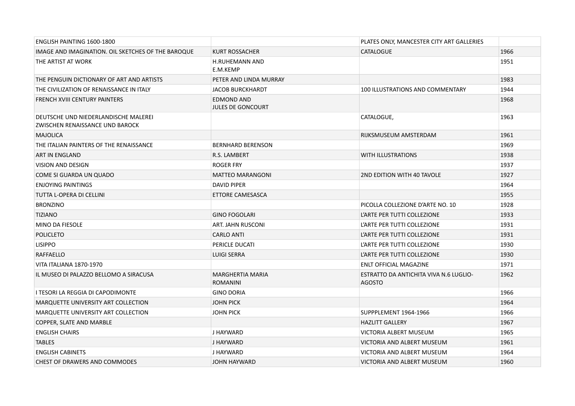| ENGLISH PAINTING 1600-1800                                              |                                            | PLATES ONLY, MANCESTER CITY ART GALLERIES               |      |
|-------------------------------------------------------------------------|--------------------------------------------|---------------------------------------------------------|------|
| IMAGE AND IMAGINATION. OIL SKETCHES OF THE BAROQUE                      | <b>KURT ROSSACHER</b>                      | <b>CATALOGUE</b>                                        | 1966 |
| THE ARTIST AT WORK                                                      | <b>H.RUHEMANN AND</b><br>E.M.KEMP          |                                                         | 1951 |
| THE PENGUIN DICTIONARY OF ART AND ARTISTS                               | PETER AND LINDA MURRAY                     |                                                         | 1983 |
| THE CIVILIZATION OF RENAISSANCE IN ITALY                                | <b>JACOB BURCKHARDT</b>                    | 100 ILLUSTRATIONS AND COMMENTARY                        | 1944 |
| FRENCH XVIII CENTURY PAINTERS                                           | <b>EDMOND AND</b><br>JULES DE GONCOURT     |                                                         | 1968 |
| DEUTSCHE UND NIEDERLANDISCHE MALEREI<br>ZWISCHEN RENAISSANCE UND BAROCK |                                            | CATALOGUE,                                              | 1963 |
| <b>MAJOLICA</b>                                                         |                                            | RIJKSMUSEUM AMSTERDAM                                   | 1961 |
| THE ITALIAN PAINTERS OF THE RENAISSANCE                                 | <b>BERNHARD BERENSON</b>                   |                                                         | 1969 |
| ART IN ENGLAND                                                          | R.S. LAMBERT                               | <b>WITH ILLUSTRATIONS</b>                               | 1938 |
| <b>VISION AND DESIGN</b>                                                | ROGER FRY                                  |                                                         | 1937 |
| COME SI GUARDA UN QUADO                                                 | <b>MATTEO MARANGONI</b>                    | 2ND EDITION WITH 40 TAVOLE                              | 1927 |
| <b>ENJOYING PAINTINGS</b>                                               | <b>DAVID PIPER</b>                         |                                                         | 1964 |
| TUTTA L-OPERA DI CELLINI                                                | ETTORE CAMESASCA                           |                                                         | 1955 |
| <b>BRONZINO</b>                                                         |                                            | PICOLLA COLLEZIONE D'ARTE NO. 10                        | 1928 |
| <b>TIZIANO</b>                                                          | <b>GINO FOGOLARI</b>                       | L'ARTE PER TUTTI COLLEZIONE                             | 1933 |
| <b>MINO DA FIESOLE</b>                                                  | ART. JAHN RUSCONI                          | L'ARTE PER TUTTI COLLEZIONE                             | 1931 |
| <b>POLICLETO</b>                                                        | <b>CARLO ANTI</b>                          | L'ARTE PER TUTTI COLLEZIONE                             | 1931 |
| <b>LISIPPO</b>                                                          | PERICLE DUCATI                             | L'ARTE PER TUTTI COLLEZIONE                             | 1930 |
| RAFFAELLO                                                               | <b>LUIGI SERRA</b>                         | L'ARTE PER TUTTI COLLEZIONE                             | 1930 |
| VITA ITALIANA 1870-1970                                                 |                                            | ENLT OFFICIAL MAGAZINE                                  | 1971 |
| IL MUSEO DI PALAZZO BELLOMO A SIRACUSA                                  | <b>MARGHERTIA MARIA</b><br><b>ROMANINI</b> | ESTRATTO DA ANTICHITA VIVA N.6 LUGLIO-<br><b>AGOSTO</b> | 1962 |
| I TESORI LA REGGIA DI CAPODIMONTE                                       | <b>GINO DORIA</b>                          |                                                         | 1966 |
| MARQUETTE UNIVERSITY ART COLLECTION                                     | <b>JOHN PICK</b>                           |                                                         | 1964 |
| MARQUETTE UNIVERSITY ART COLLECTION                                     | <b>JOHN PICK</b>                           | SUPPPLEMENT 1964-1966                                   | 1966 |
| COPPER, SLATE AND MARBLE                                                |                                            | <b>HAZLITT GALLERY</b>                                  | 1967 |
| <b>ENGLISH CHAIRS</b>                                                   | J HAYWARD                                  | VICTORIA ALBERT MUSEUM                                  | 1965 |
| <b>TABLES</b>                                                           | J HAYWARD                                  | VICTORIA AND ALBERT MUSEUM                              | 1961 |
| <b>ENGLISH CABINETS</b>                                                 | J HAYWARD                                  | VICTORIA AND ALBERT MUSEUM                              | 1964 |
| CHEST OF DRAWERS AND COMMODES                                           | <b>JOHN HAYWARD</b>                        | VICTORIA AND ALBERT MUSEUM                              | 1960 |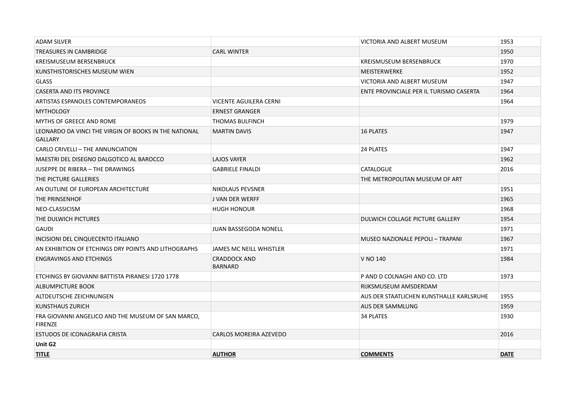| <b>TITLE</b>                                                            | <b>AUTHOR</b>                         | <b>COMMENTS</b>                          | <b>DATE</b> |
|-------------------------------------------------------------------------|---------------------------------------|------------------------------------------|-------------|
| Unit G <sub>2</sub>                                                     |                                       |                                          |             |
| ESTUDOS DE ICONAGRAFIA CRISTA                                           | CARLOS MOREIRA AZEVEDO                |                                          | 2016        |
| FRA GIOVANNI ANGELICO AND THE MUSEUM OF SAN MARCO,<br><b>FIRENZE</b>    |                                       | <b>34 PLATES</b>                         | 1930        |
| KUNSTHAUS ZURICH                                                        |                                       | <b>AUS DER SAMMLUNG</b>                  | 1959        |
| ALTDEUTSCHE ZEICHNUNGEN                                                 |                                       | AUS DER STAATLICHEN KUNSTHALLE KARLSRUHE | 1955        |
| ALBUMPICTURE BOOK                                                       |                                       | RIJKSMUSEUM AMSDERDAM                    |             |
| ETCHINGS BY GIOVANNI BATTISTA PIRANESI 1720 1778                        |                                       | P AND D COLNAGHI AND CO. LTD             | 1973        |
| <b>ENGRAVINGS AND ETCHINGS</b>                                          | <b>CRADDOCK AND</b><br><b>BARNARD</b> | V NO 140                                 | 1984        |
| AN EXHIBITION OF ETCHINGS DRY POINTS AND LITHOGRAPHS                    | <b>JAMES MC NEILL WHISTLER</b>        |                                          | 1971        |
| INCISIONI DEL CINQUECENTO ITALIANO                                      |                                       | MUSEO NAZIONALE PEPOLI - TRAPANI         | 1967        |
| <b>GAUDI</b>                                                            | <b>JUAN BASSEGODA NONELL</b>          |                                          | 1971        |
| THE DULWICH PICTURES                                                    |                                       | DULWICH COLLAGE PICTURE GALLERY          | 1954        |
| NEO-CLASSICISM                                                          | <b>HUGH HONOUR</b>                    |                                          | 1968        |
| <b>THE PRINSENHOF</b>                                                   | <b>J VAN DER WERFF</b>                |                                          | 1965        |
| AN OUTLINE OF EUROPEAN ARCHITECTURE                                     | NIKOLAUS PEVSNER                      |                                          | 1951        |
| THE PICTURE GALLERIES                                                   |                                       | THE METROPOLITAN MUSEUM OF ART           |             |
| <b>JUSEPPE DE RIBERA - THE DRAWINGS</b>                                 | <b>GABRIELE FINALDI</b>               | <b>CATALOGUE</b>                         | 2016        |
| MAESTRI DEL DISEGNO DALGOTICO AL BAROCCO                                | <b>LAJOS VAYER</b>                    |                                          | 1962        |
| CARLO CRIVELLI - THE ANNUNCIATION                                       |                                       | 24 PLATES                                | 1947        |
| LEONARDO DA VINCI THE VIRGIN OF BOOKS IN THE NATIONAL<br><b>GALLARY</b> | <b>MARTIN DAVIS</b>                   | <b>16 PLATES</b>                         | 1947        |
| MYTHS OF GREECE AND ROME                                                | <b>THOMAS BULFINCH</b>                |                                          | 1979        |
| <b>MYTHOLOGY</b>                                                        | <b>ERNEST GRANGER</b>                 |                                          |             |
| ARTISTAS ESPANOLES CONTEMPORANEOS                                       | <b>VICENTE AGUILERA CERNI</b>         |                                          | 1964        |
| <b>CASERTA AND ITS PROVINCE</b>                                         |                                       | ENTE PROVINCIALE PER IL TURISMO CASERTA  | 1964        |
| <b>GLASS</b>                                                            |                                       | VICTORIA AND ALBERT MUSEUM               | 1947        |
| KUNSTHISTORISCHES MUSEUM WIEN                                           |                                       | MEISTERWERKE                             | 1952        |
| KREISMUSEUM BERSENBRUCK                                                 |                                       | KREISMUSEUM BERSENBRUCK                  | 1970        |
| TREASURES IN CAMBRIDGE                                                  | <b>CARL WINTER</b>                    |                                          | 1950        |
| <b>ADAM SILVER</b>                                                      |                                       | VICTORIA AND ALBERT MUSEUM               | 1953        |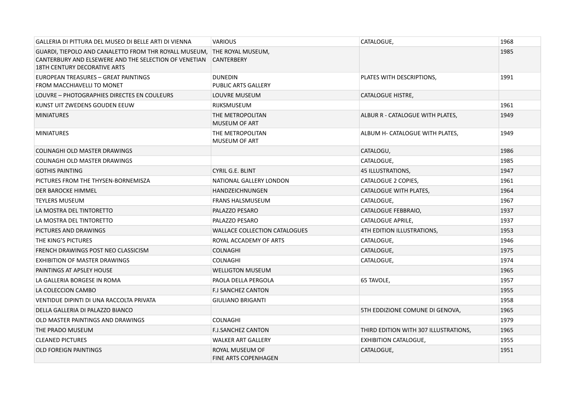| GALLERIA DI PITTURA DEL MUSEO DI BELLE ARTI DI VIENNA                                                                                                                   | <b>VARIOUS</b>                                 | CATALOGUE,                            | 1968 |
|-------------------------------------------------------------------------------------------------------------------------------------------------------------------------|------------------------------------------------|---------------------------------------|------|
| GUARDI, TIEPOLO AND CANALETTO FROM THR ROYALL MUSEUM, THE ROYAL MUSEUM,<br>CANTERBURY AND ELSEWERE AND THE SELECTION OF VENETIAN<br><b>18TH CENTURY DECORATIVE ARTS</b> | <b>CANTERBERY</b>                              |                                       | 1985 |
| EUROPEAN TREASURES - GREAT PAINTINGS<br>FROM MACCHIAVELLI TO MONET                                                                                                      | <b>DUNEDIN</b><br>PUBLIC ARTS GALLERY          | PLATES WITH DESCRIPTIONS,             | 1991 |
| LOUVRE - PHOTOGRAPHIES DIRECTES EN COULEURS                                                                                                                             | LOUVRE MUSEUM                                  | CATALOGUE HISTRE,                     |      |
| KUNST UIT ZWEDENS GOUDEN EEUW                                                                                                                                           | <b>RIJKSMUSEUM</b>                             |                                       | 1961 |
| <b>MINIATURES</b>                                                                                                                                                       | THE METROPOLITAN<br><b>MUSEUM OF ART</b>       | ALBUR R - CATALOGUE WITH PLATES,      | 1949 |
| <b>MINIATURES</b>                                                                                                                                                       | THE METROPOLITAN<br><b>MUSEUM OF ART</b>       | ALBUM H- CATALOGUE WITH PLATES,       | 1949 |
| <b>COLINAGHI OLD MASTER DRAWINGS</b>                                                                                                                                    |                                                | CATALOGU,                             | 1986 |
| <b>COLINAGHI OLD MASTER DRAWINGS</b>                                                                                                                                    |                                                | CATALOGUE,                            | 1985 |
| <b>GOTHIS PAINTING</b>                                                                                                                                                  | <b>CYRIL G.E. BLINT</b>                        | 45 ILLUSTRATIONS,                     | 1947 |
| PICTURES FROM THE THYSEN-BORNEMISZA                                                                                                                                     | NATIONAL GALLERY LONDON                        | CATALOGUE 2 COPIES,                   | 1961 |
| DER BAROCKE HIMMEL                                                                                                                                                      | HANDZEICHNUNGEN                                | CATALOGUE WITH PLATES,                | 1964 |
| <b>TEYLERS MUSEUM</b>                                                                                                                                                   | <b>FRANS HALSMUSEUM</b>                        | CATALOGUE,                            | 1967 |
| LA MOSTRA DEL TINTORETTO                                                                                                                                                | PALAZZO PESARO                                 | CATALOGUE FEBBRAIO,                   | 1937 |
| LA MOSTRA DEL TINTORETTO                                                                                                                                                | PALAZZO PESARO                                 | CATALOGUE APRILE,                     | 1937 |
| PICTURES AND DRAWINGS                                                                                                                                                   | WALLACE COLLECTION CATALOGUES                  | 4TH EDITION ILLUSTRATIONS,            | 1953 |
| THE KING'S PICTURES                                                                                                                                                     | ROYAL ACCADEMY OF ARTS                         | CATALOGUE,                            | 1946 |
| FRENCH DRAWINGS POST NEO CLASSICISM                                                                                                                                     | <b>COLNAGHI</b>                                | CATALOGUE,                            | 1975 |
| <b>EXHIBITION OF MASTER DRAWINGS</b>                                                                                                                                    | <b>COLNAGHI</b>                                | CATALOGUE,                            | 1974 |
| PAINTINGS AT APSLEY HOUSE                                                                                                                                               | <b>WELLIGTON MUSEUM</b>                        |                                       | 1965 |
| LA GALLERIA BORGESE IN ROMA                                                                                                                                             | PAOLA DELLA PERGOLA                            | 65 TAVOLE,                            | 1957 |
| LA COLECCION CAMBO                                                                                                                                                      | <b>F.J SANCHEZ CANTON</b>                      |                                       | 1955 |
| VENTIDUE DIPINTI DI UNA RACCOLTA PRIVATA                                                                                                                                | <b>GIULIANO BRIGANTI</b>                       |                                       | 1958 |
| DELLA GALLERIA DI PALAZZO BIANCO                                                                                                                                        |                                                | 5TH EDDIZIONE COMUNE DI GENOVA,       | 1965 |
| OLD MASTER PAINTINGS AND DRAWINGS                                                                                                                                       | <b>COLNAGHI</b>                                |                                       | 1979 |
| THE PRADO MUSEUM                                                                                                                                                        | <b>F.J.SANCHEZ CANTON</b>                      | THIRD EDITION WITH 307 ILLUSTRATIONS, | 1965 |
| <b>CLEANED PICTURES</b>                                                                                                                                                 | <b>WALKER ART GALLERY</b>                      | <b>EXHIBITION CATALOGUE,</b>          | 1955 |
| <b>OLD FOREIGN PAINTINGS</b>                                                                                                                                            | ROYAL MUSEUM OF<br><b>FINE ARTS COPENHAGEN</b> | CATALOGUE,                            | 1951 |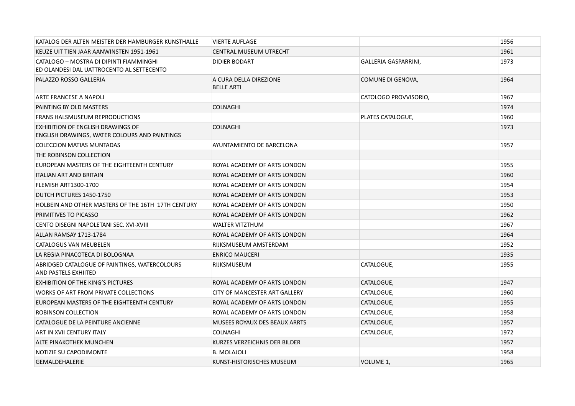| KATALOG DER ALTEN MEISTER DER HAMBURGER KUNSTHALLE                                        | <b>VIERTE AUFLAGE</b>                       |                       | 1956 |
|-------------------------------------------------------------------------------------------|---------------------------------------------|-----------------------|------|
| KEUZE UIT TIEN JAAR AANWINSTEN 1951-1961                                                  | <b>CENTRAL MUSEUM UTRECHT</b>               |                       | 1961 |
| CATALOGO - MOSTRA DI DIPINTI FIAMMINGHI<br>ED OLANDESI DAL UATTROCENTO AL SETTECENTO      | <b>DIDIER BODART</b>                        | GALLERIA GASPARRINI,  | 1973 |
| PALAZZO ROSSO GALLERIA                                                                    | A CURA DELLA DIREZIONE<br><b>BELLE ARTI</b> | COMUNE DI GENOVA,     | 1964 |
| ARTE FRANCESE A NAPOLI                                                                    |                                             | CATOLOGO PROVVISORIO, | 1967 |
| PAINTING BY OLD MASTERS                                                                   | <b>COLNAGHI</b>                             |                       | 1974 |
| <b>FRANS HALSMUSEUM REPRODUCTIONS</b>                                                     |                                             | PLATES CATALOGUE,     | 1960 |
| <b>EXHIBITION OF ENGLISH DRAWINGS OF</b><br>ENGLISH DRAWINGS, WATER COLOURS AND PAINTINGS | <b>COLNAGHI</b>                             |                       | 1973 |
| <b>COLECCION MATIAS MUNTADAS</b>                                                          | AYUNTAMIENTO DE BARCELONA                   |                       | 1957 |
| THE ROBINSON COLLECTION                                                                   |                                             |                       |      |
| EUROPEAN MASTERS OF THE EIGHTEENTH CENTURY                                                | ROYAL ACADEMY OF ARTS LONDON                |                       | 1955 |
| <b>ITALIAN ART AND BRITAIN</b>                                                            | ROYAL ACADEMY OF ARTS LONDON                |                       | 1960 |
| <b>FLEMISH ART1300-1700</b>                                                               | ROYAL ACADEMY OF ARTS LONDON                |                       | 1954 |
| DUTCH PICTURES 1450-1750                                                                  | ROYAL ACADEMY OF ARTS LONDON                |                       | 1953 |
| HOLBEIN AND OTHER MASTERS OF THE 16TH 17TH CENTURY                                        | ROYAL ACADEMY OF ARTS LONDON                |                       | 1950 |
| PRIMITIVES TO PICASSO                                                                     | ROYAL ACADEMY OF ARTS LONDON                |                       | 1962 |
| CENTO DISEGNI NAPOLETANI SEC. XVI-XVIII                                                   | <b>WALTER VITZTHUM</b>                      |                       | 1967 |
| ALLAN RAMSAY 1713-1784                                                                    | ROYAL ACADEMY OF ARTS LONDON                |                       | 1964 |
| CATALOGUS VAN MEUBELEN                                                                    | RIJKSMUSEUM AMSTERDAM                       |                       | 1952 |
| LA REGIA PINACOTECA DI BOLOGNAA                                                           | <b>ENRICO MAUCERI</b>                       |                       | 1935 |
| ABRIDGED CATALOGUE OF PAINTINGS, WATERCOLOURS<br>AND PASTELS EXHIITED                     | <b>RIJKSMUSEUM</b>                          | CATALOGUE,            | 1955 |
| <b>EXHIBITION OF THE KING'S PICTURES</b>                                                  | ROYAL ACADEMY OF ARTS LONDON                | CATALOGUE,            | 1947 |
| WORKS OF ART FROM PRIVATE COLLECTIONS                                                     | CITY OF MANCESTER ART GALLERY               | CATALOGUE,            | 1960 |
| EUROPEAN MASTERS OF THE EIGHTEENTH CENTURY                                                | ROYAL ACADEMY OF ARTS LONDON                | CATALOGUE,            | 1955 |
| ROBINSON COLLECTION                                                                       | ROYAL ACADEMY OF ARTS LONDON                | CATALOGUE,            | 1958 |
| CATALOGUE DE LA PEINTURE ANCIENNE                                                         | MUSEES ROYAUX DES BEAUX ARRTS               | CATALOGUE,            | 1957 |
| ART IN XVII CENTURY ITALY                                                                 | <b>COLNAGHI</b>                             | CATALOGUE,            | 1972 |
| ALTE PINAKOTHEK MUNCHEN                                                                   | KURZES VERZEICHNIS DER BILDER               |                       | 1957 |
| NOTIZIE SU CAPODIMONTE                                                                    | <b>B. MOLAJOLI</b>                          |                       | 1958 |
| <b>GEMALDEHALERIE</b>                                                                     | KUNST-HISTORISCHES MUSEUM                   | VOLUME 1,             | 1965 |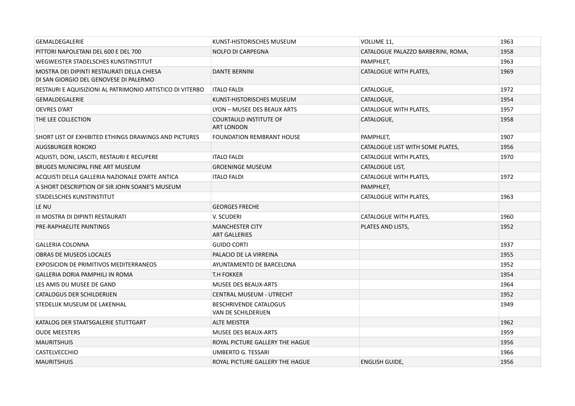| <b>GEMALDEGALERIE</b>                                                                | KUNST-HISTORISCHES MUSEUM                            | VOLUME 11,                         | 1963 |
|--------------------------------------------------------------------------------------|------------------------------------------------------|------------------------------------|------|
| PITTORI NAPOLETANI DEL 600 E DEL 700                                                 | <b>NOLFO DI CARPEGNA</b>                             | CATALOGUE PALAZZO BARBERINI, ROMA, | 1958 |
| WEGWEISTER STADELSCHES KUNSTINSTITUT                                                 |                                                      | PAMPHLET,                          | 1963 |
| MOSTRA DEI DIPINTI RESTAURATI DELLA CHIESA<br>DI SAN GIORGIO DEL GENOVESE DI PALERMO | <b>DANTE BERNINI</b>                                 | CATALOGUE WITH PLATES,             | 1969 |
| RESTAURI E AQUISIZIONI AL PATRIMONIO ARTISTICO DI VITERBO                            | <b>ITALO FALDI</b>                                   | CATALOGUE,                         | 1972 |
| <b>GEMALDEGALERIE</b>                                                                | KUNST-HISTORISCHES MUSEUM                            | CATALOGUE,                         | 1954 |
| <b>OEVRES D'ART</b>                                                                  | LYON - MUSEE DES BEAUX ARTS                          | CATALOGUE WITH PLATES,             | 1957 |
| THE LEE COLLECTION                                                                   | <b>COURTAULD INSTITUTE OF</b><br><b>ART LONDON</b>   | CATALOGUE,                         | 1958 |
| SHORT LIST OF EXHIBITED ETHINGS DRAWINGS AND PICTURES                                | <b>FOUNDATION REMBRANT HOUSE</b>                     | PAMPHLET,                          | 1907 |
| AUGSBURGER ROKOKO                                                                    |                                                      | CATALOGUE LIST WITH SOME PLATES,   | 1956 |
| AQUISTI, DONI, LASCITI, RESTAURI E RECUPERE                                          | <b>ITALO FALDI</b>                                   | CATALOGUE WITH PLATES,             | 1970 |
| <b>BRUGES MUNICIPAL FINE ART MUSEUM</b>                                              | <b>GROENINGE MUSEUM</b>                              | <b>CATALOGUE LIST,</b>             |      |
| ACQUISTI DELLA GALLERIA NAZIONALE D'ARTE ANTICA                                      | <b>ITALO FALDI</b>                                   | CATALOGUE WITH PLATES,             | 1972 |
| A SHORT DESCRIPTION OF SIR JOHN SOANE'S MUSEUM                                       |                                                      | PAMPHLET,                          |      |
| STADELSCHES KUNSTINSTITUT                                                            |                                                      | CATALOGUE WITH PLATES,             | 1963 |
| LE NU                                                                                | <b>GEORGES FRECHE</b>                                |                                    |      |
| III MOSTRA DI DIPINTI RESTAURATI                                                     | V. SCUDERI                                           | CATALOGUE WITH PLATES,             | 1960 |
| PRE-RAPHAELITE PAINTINGS                                                             | <b>MANCHESTER CITY</b><br><b>ART GALLERIES</b>       | PLATES AND LISTS,                  | 1952 |
| <b>GALLERIA COLONNA</b>                                                              | <b>GUIDO CORTI</b>                                   |                                    | 1937 |
| <b>OBRAS DE MUSEOS LOCALES</b>                                                       | PALACIO DE LA VIRREINA                               |                                    | 1955 |
| <b>EXPOSICION DE PRIMITIVOS MEDITERRANEOS</b>                                        | AYUNTAMENTO DE BARCELONA                             |                                    | 1952 |
| <b>GALLERIA DORIA PAMPHILJ IN ROMA</b>                                               | <b>T.H FOKKER</b>                                    |                                    | 1954 |
| LES AMIS DU MUSEE DE GAND                                                            | <b>MUSEE DES BEAUX-ARTS</b>                          |                                    | 1964 |
| <b>CATALOGUS DER SCHILDERIJEN</b>                                                    | <b>CENTRAL MUSEUM - UTRECHT</b>                      |                                    | 1952 |
| STEDELIJK MUSEUM DE LAKENHAL                                                         | <b>BESCHRIVENDE CATALOGUS</b><br>VAN DE SCHILDERIJEN |                                    | 1949 |
| KATALOG DER STAATSGALERIE STUTTGART                                                  | <b>ALTE MEISTER</b>                                  |                                    | 1962 |
| <b>OUDE MEESTERS</b>                                                                 | <b>MUSEE DES BEAUX-ARTS</b>                          |                                    | 1959 |
| <b>MAURITSHUIS</b>                                                                   | ROYAL PICTURE GALLERY THE HAGUE                      |                                    | 1956 |
| <b>CASTELVECCHIO</b>                                                                 | <b>UMBERTO G. TESSARI</b>                            |                                    | 1966 |
| <b>MAURITSHUIS</b>                                                                   | ROYAL PICTURE GALLERY THE HAGUE                      | ENGLISH GUIDE,                     | 1956 |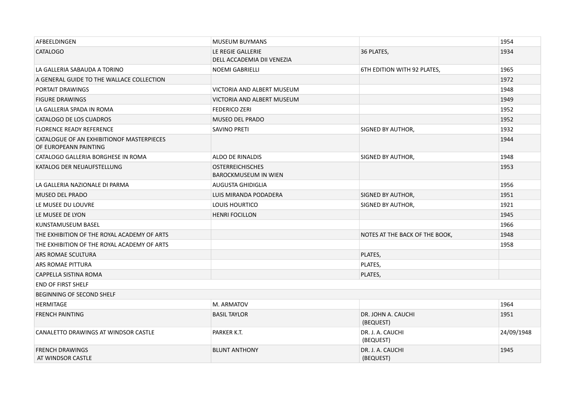| AFBEELDINGEN                                                       | <b>MUSEUM BUYMANS</b>                                  |                                 | 1954       |
|--------------------------------------------------------------------|--------------------------------------------------------|---------------------------------|------------|
| <b>CATALOGO</b>                                                    | LE REGIE GALLERIE<br>DELL ACCADEMIA DII VENEZIA        | 36 PLATES,                      | 1934       |
| LA GALLERIA SABAUDA A TORINO                                       | <b>NOEMI GABRIELLI</b>                                 | 6TH EDITION WITH 92 PLATES,     | 1965       |
| A GENERAL GUIDE TO THE WALLACE COLLECTION                          |                                                        |                                 | 1972       |
| PORTAIT DRAWINGS                                                   | <b>VICTORIA AND ALBERT MUSEUM</b>                      |                                 | 1948       |
| <b>FIGURE DRAWINGS</b>                                             | VICTORIA AND ALBERT MUSEUM                             |                                 | 1949       |
| LA GALLERIA SPADA IN ROMA                                          | <b>FEDERICO ZERI</b>                                   |                                 | 1952       |
| CATALOGO DE LOS CUADROS                                            | <b>MUSEO DEL PRADO</b>                                 |                                 | 1952       |
| <b>FLORENCE READY REFERENCE</b>                                    | SAVINO PRETI                                           | SIGNED BY AUTHOR,               | 1932       |
| CATALOGUE OF AN EXHIBITIONOF MASTERPIECES<br>OF EUROPEANN PAINTING |                                                        |                                 | 1944       |
| CATALOGO GALLERIA BORGHESE IN ROMA                                 | <b>ALDO DE RINALDIS</b>                                | SIGNED BY AUTHOR,               | 1948       |
| KATALOG DER NEUAUFSTELLUNG                                         | <b>OSTERREICHISCHES</b><br><b>BAROCKMUSEUM IN WIEN</b> |                                 | 1953       |
| LA GALLERIA NAZIONALE DI PARMA                                     | <b>AUGUSTA GHIDIGLIA</b>                               |                                 | 1956       |
| <b>MUSEO DEL PRADO</b>                                             | LUIS MIRANDA PODADERA                                  | SIGNED BY AUTHOR,               | 1951       |
| LE MUSEE DU LOUVRE                                                 | <b>LOUIS HOURTICO</b>                                  | SIGNED BY AUTHOR,               | 1921       |
| LE MUSEE DE LYON                                                   | <b>HENRI FOCILLON</b>                                  |                                 | 1945       |
| KUNSTAMUSEUM BASEL                                                 |                                                        |                                 | 1966       |
| THE EXHIBITION OF THE ROYAL ACADEMY OF ARTS                        |                                                        | NOTES AT THE BACK OF THE BOOK,  | 1948       |
| THE EXHIBITION OF THE ROYAL ACADEMY OF ARTS                        |                                                        |                                 | 1958       |
| ARS ROMAE SCULTURA                                                 |                                                        | PLATES,                         |            |
| ARS ROMAE PITTURA                                                  |                                                        | PLATES,                         |            |
| CAPPELLA SISTINA ROMA                                              |                                                        | PLATES,                         |            |
| <b>END OF FIRST SHELF</b>                                          |                                                        |                                 |            |
| <b>BEGINNING OF SECOND SHELF</b>                                   |                                                        |                                 |            |
| <b>HERMITAGE</b>                                                   | M. ARMATOV                                             |                                 | 1964       |
| <b>FRENCH PAINTING</b>                                             | <b>BASIL TAYLOR</b>                                    | DR. JOHN A. CAUCHI<br>(BEQUEST) | 1951       |
| CANALETTO DRAWINGS AT WINDSOR CASTLE                               | PARKER K.T.                                            | DR. J. A. CAUCHI<br>(BEQUEST)   | 24/09/1948 |
| <b>FRENCH DRAWINGS</b><br>AT WINDSOR CASTLE                        | <b>BLUNT ANTHONY</b>                                   | DR. J. A. CAUCHI<br>(BEQUEST)   | 1945       |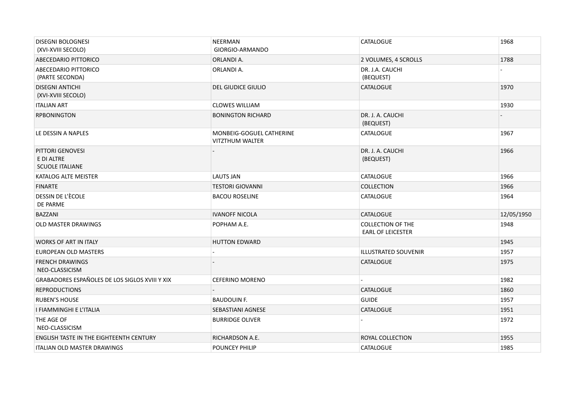| <b>DISEGNI BOLOGNESI</b><br>(XVI-XVIII SECOLO)           | <b>NEERMAN</b><br>GIORGIO-ARMANDO                  | <b>CATALOGUE</b>                                     | 1968       |
|----------------------------------------------------------|----------------------------------------------------|------------------------------------------------------|------------|
| ABECEDARIO PITTORICO                                     | ORLANDI A.                                         | 2 VOLUMES, 4 SCROLLS                                 | 1788       |
| ABECEDARIO PITTORICO<br>(PARTE SECONDA)                  | ORLANDI A.                                         | DR. J.A. CAUCHI<br>(BEQUEST)                         |            |
| <b>DISEGNI ANTICHI</b><br>(XVI-XVIII SECOLO)             | <b>DEL GIUDICE GIULIO</b>                          | <b>CATALOGUE</b>                                     | 1970       |
| <b>ITALIAN ART</b>                                       | <b>CLOWES WILLIAM</b>                              |                                                      | 1930       |
| <b>RPBONINGTON</b>                                       | <b>BONINGTON RICHARD</b>                           | DR. J. A. CAUCHI<br>(BEQUEST)                        |            |
| LE DESSIN A NAPLES                                       | MONBEIG-GOGUEL CATHERINE<br><b>VITZTHUM WALTER</b> | <b>CATALOGUE</b>                                     | 1967       |
| PITTORI GENOVESI<br>E DI ALTRE<br><b>SCUOLE ITALIANE</b> |                                                    | DR. J. A. CAUCHI<br>(BEQUEST)                        | 1966       |
| KATALOG ALTE MEISTER                                     | <b>LAUTS JAN</b>                                   | <b>CATALOGUE</b>                                     | 1966       |
| <b>FINARTE</b>                                           | <b>TESTORI GIOVANNI</b>                            | <b>COLLECTION</b>                                    | 1966       |
| DESSIN DE L'ÈCOLE<br>DE PARME                            | <b>BACOU ROSELINE</b>                              | <b>CATALOGUE</b>                                     | 1964       |
| <b>BAZZANI</b>                                           | <b>IVANOFF NICOLA</b>                              | <b>CATALOGUE</b>                                     | 12/05/1950 |
| <b>OLD MASTER DRAWINGS</b>                               | POPHAM A.E.                                        | <b>COLLECTION OF THE</b><br><b>EARL OF LEICESTER</b> | 1948       |
| <b>WORKS OF ART IN ITALY</b>                             | <b>HUTTON EDWARD</b>                               |                                                      | 1945       |
| EUROPEAN OLD MASTERS                                     |                                                    | ILLUSTRATED SOUVENIR                                 | 1957       |
| <b>FRENCH DRAWINGS</b><br>NEO-CLASSICISM                 |                                                    | <b>CATALOGUE</b>                                     | 1975       |
| GRABADORES ESPAÑOLES DE LOS SIGLOS XVIII Y XIX           | <b>CEFERINO MORENO</b>                             |                                                      | 1982       |
| <b>REPRODUCTIONS</b>                                     |                                                    | <b>CATALOGUE</b>                                     | 1860       |
| <b>RUBEN'S HOUSE</b>                                     | <b>BAUDOUIN F.</b>                                 | <b>GUIDE</b>                                         | 1957       |
| I FIAMMINGHI E L'ITALIA                                  | SEBASTIANI AGNESE                                  | <b>CATALOGUE</b>                                     | 1951       |
| THE AGE OF<br>NEO-CLASSICISM                             | <b>BURRIDGE OLIVER</b>                             |                                                      | 1972       |
| ENGLISH TASTE IN THE EIGHTEENTH CENTURY                  | RICHARDSON A.E.                                    | ROYAL COLLECTION                                     | 1955       |
| <b>ITALIAN OLD MASTER DRAWINGS</b>                       | <b>POUNCEY PHILIP</b>                              | <b>CATALOGUE</b>                                     | 1985       |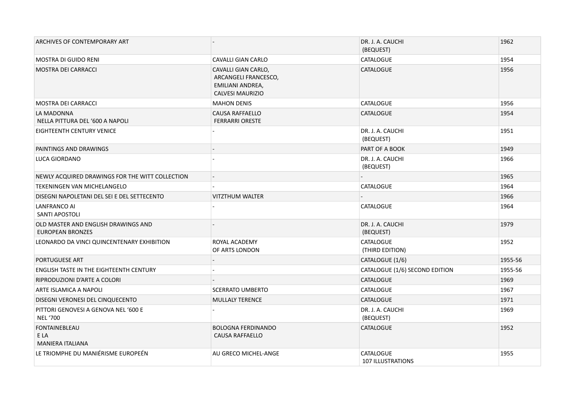| ARCHIVES OF CONTEMPORARY ART                                   |                                                                                            | DR. J. A. CAUCHI<br>(BEQUEST)                | 1962    |
|----------------------------------------------------------------|--------------------------------------------------------------------------------------------|----------------------------------------------|---------|
| <b>MOSTRA DI GUIDO RENI</b>                                    | CAVALLI GIAN CARLO                                                                         | <b>CATALOGUE</b>                             | 1954    |
| <b>MOSTRA DEI CARRACCI</b>                                     | CAVALLI GIAN CARLO,<br>ARCANGELI FRANCESCO,<br>EMILIANI ANDREA,<br><b>CALVESI MAURIZIO</b> | <b>CATALOGUE</b>                             | 1956    |
| <b>MOSTRA DEI CARRACCI</b>                                     | <b>MAHON DENIS</b>                                                                         | <b>CATALOGUE</b>                             | 1956    |
| LA MADONNA<br>NELLA PITTURA DEL '600 A NAPOLI                  | <b>CAUSA RAFFAELLO</b><br><b>FERRARRI ORESTE</b>                                           | <b>CATALOGUE</b>                             | 1954    |
| EIGHTEENTH CENTURY VENICE                                      |                                                                                            | DR. J. A. CAUCHI<br>(BEQUEST)                | 1951    |
| PAINTINGS AND DRAWINGS                                         |                                                                                            | PART OF A BOOK                               | 1949    |
| <b>LUCA GIORDANO</b>                                           |                                                                                            | DR. J. A. CAUCHI<br>(BEQUEST)                | 1966    |
| NEWLY ACQUIRED DRAWINGS FOR THE WITT COLLECTION                |                                                                                            |                                              | 1965    |
| TEKENINGEN VAN MICHELANGELO                                    |                                                                                            | <b>CATALOGUE</b>                             | 1964    |
| DISEGNI NAPOLETANI DEL SEI E DEL SETTECENTO                    | <b>VITZTHUM WALTER</b>                                                                     |                                              | 1966    |
| LANFRANCO AI<br>SANTI APOSTOLI                                 |                                                                                            | <b>CATALOGUE</b>                             | 1964    |
| OLD MASTER AND ENGLISH DRAWINGS AND<br><b>EUROPEAN BRONZES</b> |                                                                                            | DR. J. A. CAUCHI<br>(BEQUEST)                | 1979    |
| LEONARDO DA VINCI QUINCENTENARY EXHIBITION                     | ROYAL ACADEMY<br>OF ARTS LONDON                                                            | <b>CATALOGUE</b><br>(THIRD EDITION)          | 1952    |
| <b>PORTUGUESE ART</b>                                          |                                                                                            | CATALOGUE (1/6)                              | 1955-56 |
| <b>ENGLISH TASTE IN THE EIGHTEENTH CENTURY</b>                 |                                                                                            | CATALOGUE (1/6) SECOND EDITION               | 1955-56 |
| RIPRODUZIONI D'ARTE A COLORI                                   |                                                                                            | <b>CATALOGUE</b>                             | 1969    |
| ARTE ISLAMICA A NAPOLI                                         | <b>SCERRATO UMBERTO</b>                                                                    | CATALOGUE                                    | 1967    |
| DISEGNI VERONESI DEL CINQUECENTO                               | <b>MULLALY TERENCE</b>                                                                     | <b>CATALOGUE</b>                             | 1971    |
| PITTORI GENOVESI A GENOVA NEL '600 E<br><b>NEL '700</b>        |                                                                                            | DR. J. A. CAUCHI<br>(BEQUEST)                | 1969    |
| <b>FONTAINEBLEAU</b><br>E LA<br><b>MANIERA ITALIANA</b>        | <b>BOLOGNA FERDINANDO</b><br><b>CAUSA RAFFAELLO</b>                                        | <b>CATALOGUE</b>                             | 1952    |
| LE TRIOMPHE DU MANIÉRISME EUROPEÉN                             | AU GRECO MICHEL-ANGE                                                                       | <b>CATALOGUE</b><br><b>107 ILLUSTRATIONS</b> | 1955    |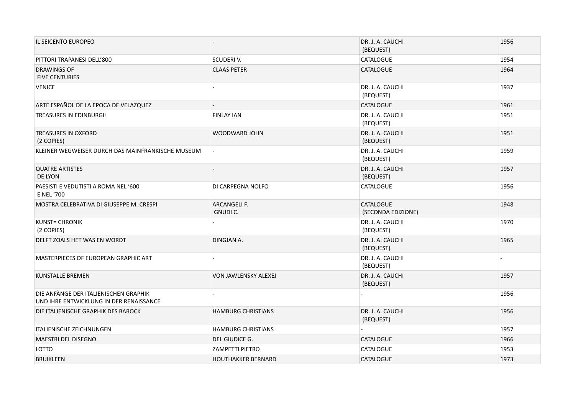| IL SEICENTO EUROPEO                                                              |                                | DR. J. A. CAUCHI<br>(BEQUEST)          | 1956 |
|----------------------------------------------------------------------------------|--------------------------------|----------------------------------------|------|
| PITTORI TRAPANESI DELL'800                                                       | SCUDERIV.                      | CATALOGUE                              | 1954 |
| <b>DRAWINGS OF</b><br><b>FIVE CENTURIES</b>                                      | <b>CLAAS PETER</b>             | <b>CATALOGUE</b>                       | 1964 |
| <b>VENICE</b>                                                                    |                                | DR. J. A. CAUCHI<br>(BEQUEST)          | 1937 |
| ARTE ESPAÑOL DE LA EPOCA DE VELAZQUEZ                                            |                                | <b>CATALOGUE</b>                       | 1961 |
| TREASURES IN EDINBURGH                                                           | <b>FINLAY IAN</b>              | DR. J. A. CAUCHI<br>(BEQUEST)          | 1951 |
| <b>TREASURES IN OXFORD</b><br>(2 COPIES)                                         | <b>WOODWARD JOHN</b>           | DR. J. A. CAUCHI<br>(BEQUEST)          | 1951 |
| KLEINER WEGWEISER DURCH DAS MAINFRÄNKISCHE MUSEUM                                |                                | DR. J. A. CAUCHI<br>(BEQUEST)          | 1959 |
| <b>QUATRE ARTISTES</b><br>DE LYON                                                |                                | DR. J. A. CAUCHI<br>(BEQUEST)          | 1957 |
| PAESISTI E VEDUTISTI A ROMA NEL '600<br>E NEL '700                               | DI CARPEGNA NOLFO              | <b>CATALOGUE</b>                       | 1956 |
| MOSTRA CELEBRATIVA DI GIUSEPPE M. CRESPI                                         | ARCANGELI F.<br><b>GNUDIC.</b> | <b>CATALOGUE</b><br>(SECONDA EDIZIONE) | 1948 |
| <b>KUNST= CHRONIK</b><br>(2 COPIES)                                              |                                | DR. J. A. CAUCHI<br>(BEQUEST)          | 1970 |
| DELFT ZOALS HET WAS EN WORDT                                                     | DINGJAN A.                     | DR. J. A. CAUCHI<br>(BEQUEST)          | 1965 |
| MASTERPIECES OF EUROPEAN GRAPHIC ART                                             |                                | DR. J. A. CAUCHI<br>(BEQUEST)          |      |
| <b>KUNSTALLE BREMEN</b>                                                          | VON JAWLENSKY ALEXEJ           | DR. J. A. CAUCHI<br>(BEQUEST)          | 1957 |
| DIE ANFÄNGE DER ITALIENISCHEN GRAPHIK<br>UND IHRE ENTWICKLUNG IN DER RENAISSANCE |                                |                                        | 1956 |
| DIE ITALIENISCHE GRAPHIK DES BAROCK                                              | <b>HAMBURG CHRISTIANS</b>      | DR. J. A. CAUCHI<br>(BEQUEST)          | 1956 |
| <b>ITALIENISCHE ZEICHNUNGEN</b>                                                  | <b>HAMBURG CHRISTIANS</b>      |                                        | 1957 |
| <b>MAESTRI DEL DISEGNO</b>                                                       | DEL GIUDICE G.                 | <b>CATALOGUE</b>                       | 1966 |
| LOTTO                                                                            | <b>ZAMPETTI PIETRO</b>         | <b>CATALOGUE</b>                       | 1953 |
| <b>BRUIKLEEN</b>                                                                 | <b>HOUTHAKKER BERNARD</b>      | <b>CATALOGUE</b>                       | 1973 |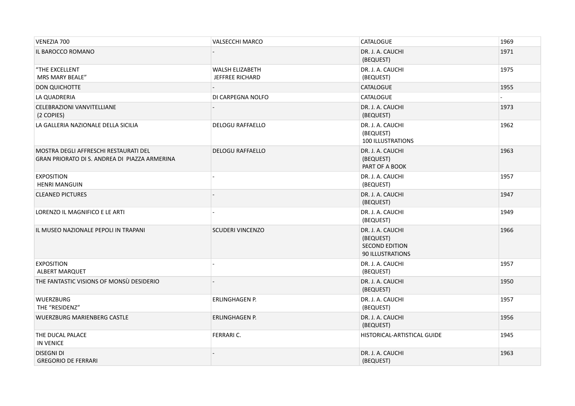| VENEZIA 700                                                                            | <b>VALSECCHI MARCO</b>             | <b>CATALOGUE</b>                                                           | 1969 |
|----------------------------------------------------------------------------------------|------------------------------------|----------------------------------------------------------------------------|------|
| IL BAROCCO ROMANO                                                                      |                                    | DR. J. A. CAUCHI<br>(BEQUEST)                                              | 1971 |
| "THE EXCELLENT<br><b>MRS MARY BEALE"</b>                                               | WALSH ELIZABETH<br>JEFFREE RICHARD | DR. J. A. CAUCHI<br>(BEQUEST)                                              | 1975 |
| <b>DON QUICHOTTE</b>                                                                   |                                    | <b>CATALOGUE</b>                                                           | 1955 |
| LA QUADRERIA                                                                           | DI CARPEGNA NOLFO                  | <b>CATALOGUE</b>                                                           |      |
| CELEBRAZIONI VANVITELLIANE<br>(2 COPIES)                                               |                                    | DR. J. A. CAUCHI<br>(BEQUEST)                                              | 1973 |
| LA GALLERIA NAZIONALE DELLA SICILIA                                                    | <b>DELOGU RAFFAELLO</b>            | DR. J. A. CAUCHI<br>(BEQUEST)<br>100 ILLUSTRATIONS                         | 1962 |
| MOSTRA DEGLI AFFRESCHI RESTAURATI DEL<br>GRAN PRIORATO DI S. ANDREA DI PIAZZA ARMERINA | <b>DELOGU RAFFAELLO</b>            | DR. J. A. CAUCHI<br>(BEQUEST)<br>PART OF A BOOK                            | 1963 |
| <b>EXPOSITION</b><br><b>HENRI MANGUIN</b>                                              |                                    | DR. J. A. CAUCHI<br>(BEQUEST)                                              | 1957 |
| <b>CLEANED PICTURES</b>                                                                |                                    | DR. J. A. CAUCHI<br>(BEQUEST)                                              | 1947 |
| LORENZO IL MAGNIFICO E LE ARTI                                                         |                                    | DR. J. A. CAUCHI<br>(BEQUEST)                                              | 1949 |
| IL MUSEO NAZIONALE PEPOLI IN TRAPANI                                                   | <b>SCUDERI VINCENZO</b>            | DR. J. A. CAUCHI<br>(BEQUEST)<br><b>SECOND EDITION</b><br>90 ILLUSTRATIONS | 1966 |
| <b>EXPOSITION</b><br>ALBERT MARQUET                                                    |                                    | DR. J. A. CAUCHI<br>(BEQUEST)                                              | 1957 |
| THE FANTASTIC VISIONS OF MONSÙ DESIDERIO                                               |                                    | DR. J. A. CAUCHI<br>(BEQUEST)                                              | 1950 |
| <b>WUERZBURG</b><br>THE "RESIDENZ"                                                     | <b>ERLINGHAGEN P.</b>              | DR. J. A. CAUCHI<br>(BEQUEST)                                              | 1957 |
| <b>WUERZBURG MARIENBERG CASTLE</b>                                                     | <b>ERLINGHAGEN P.</b>              | DR. J. A. CAUCHI<br>(BEQUEST)                                              | 1956 |
| THE DUCAL PALACE<br><b>IN VENICE</b>                                                   | FERRARI C.                         | HISTORICAL-ARTISTICAL GUIDE                                                | 1945 |
| <b>DISEGNI DI</b><br><b>GREGORIO DE FERRARI</b>                                        |                                    | DR. J. A. CAUCHI<br>(BEQUEST)                                              | 1963 |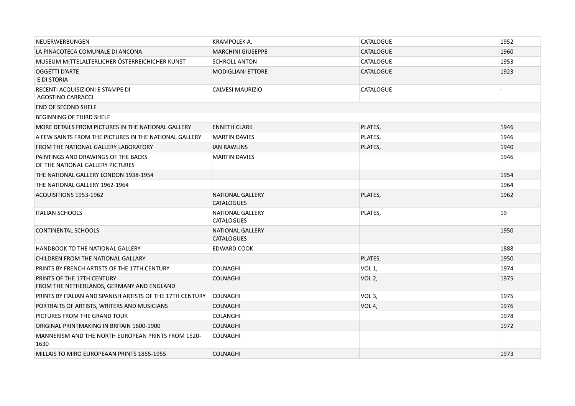| NEUERWERBUNGEN                                                          | KRAMPOLEK A.                                 | <b>CATALOGUE</b>   | 1952 |
|-------------------------------------------------------------------------|----------------------------------------------|--------------------|------|
| LA PINACOTECA COMUNALE DI ANCONA                                        | <b>MARCHINI GIUSEPPE</b>                     | <b>CATALOGUE</b>   | 1960 |
| MUSEUM MITTELALTERLICHER ÖSTERREICHICHER KUNST                          | <b>SCHROLL ANTON</b>                         | <b>CATALOGUE</b>   | 1953 |
| OGGETTI D'ARTE<br>E DI STORIA                                           | <b>MODIGLIANI ETTORE</b>                     | <b>CATALOGUE</b>   | 1923 |
| RECENTI ACQUISIZIONI E STAMPE DI<br>AGOSTINO CARRACCI                   | <b>CALVESI MAURIZIO</b>                      | CATALOGUE          |      |
| <b>END OF SECOND SHELF</b>                                              |                                              |                    |      |
| <b>BEGINNING OF THIRD SHELF</b>                                         |                                              |                    |      |
| MORE DETAILS FROM PICTURES IN THE NATIONAL GALLERY                      | <b>ENNETH CLARK</b>                          | PLATES,            | 1946 |
| A FEW SAINTS FROM THE PICTURES IN THE NATIONAL GALLERY                  | <b>MARTIN DAVIES</b>                         | PLATES,            | 1946 |
| FROM THE NATIONAL GALLERY LABORATORY                                    | <b>IAN RAWLINS</b>                           | PLATES,            | 1940 |
| PAINTINGS AND DRAWINGS OF THE BACKS<br>OF THE NATIONAL GALLERY PICTURES | <b>MARTIN DAVIES</b>                         |                    | 1946 |
| THE NATIONAL GALLERY LONDON 1938-1954                                   |                                              |                    | 1954 |
| THE NATIONAL GALLERY 1962-1964                                          |                                              |                    | 1964 |
| ACQUISITIONS 1953-1962                                                  | <b>NATIONAL GALLERY</b><br><b>CATALOGUES</b> | PLATES,            | 1962 |
| <b>ITALIAN SCHOOLS</b>                                                  | <b>NATIONAL GALLERY</b><br><b>CATALOGUES</b> | PLATES,            | 19   |
| <b>CONTINENTAL SCHOOLS</b>                                              | <b>NATIONAL GALLERY</b><br><b>CATALOGUES</b> |                    | 1950 |
| <b>HANDBOOK TO THE NATIONAL GALLERY</b>                                 | <b>EDWARD COOK</b>                           |                    | 1888 |
| CHILDREN FROM THE NATIONAL GALLARY                                      |                                              | PLATES,            | 1950 |
| PRINTS BY FRENCH ARTISTS OF THE 17TH CENTURY                            | <b>COLNAGHI</b>                              | VOL <sub>1</sub> , | 1974 |
| PRINTS OF THE 17TH CENTURY<br>FROM THE NETHERLANDS, GERMANY AND ENGLAND | <b>COLNAGHI</b>                              | VOL <sub>2</sub> , | 1975 |
| PRINTS BY ITALIAN AND SPANISH ARTISTS OF THE 17TH CENTURY               | <b>COLNAGHI</b>                              | VOL <sub>3</sub> , | 1975 |
| PORTRAITS OF ARTISTS, WRITERS AND MUSICIANS                             | <b>COLNAGHI</b>                              | VOL 4,             | 1976 |
| PICTURES FROM THE GRAND TOUR                                            | <b>COLANGHI</b>                              |                    | 1978 |
| ORIGINAL PRINTMAKING IN BRITAIN 1600-1900                               | <b>COLNAGHI</b>                              |                    | 1972 |
| MANNERISM AND THE NORTH EUROPEAN PRINTS FROM 1520-<br>1630              | <b>COLNAGHI</b>                              |                    |      |
| MILLAIS TO MIRO EUROPEAAN PRINTS 1855-1955                              | <b>COLNAGHI</b>                              |                    | 1973 |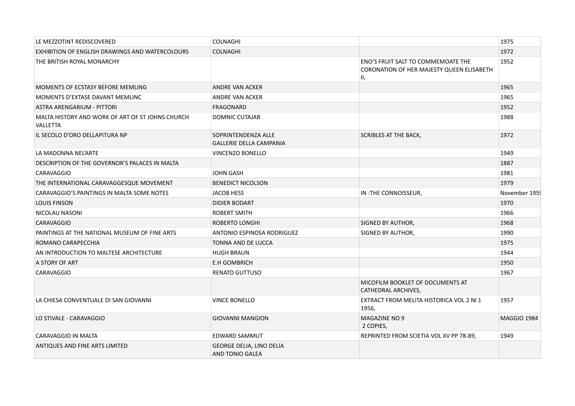| LE MEZZOTINT REDISCOVERED                                           | <b>COLNAGHI</b>                                       |                                                                                       | 1975               |
|---------------------------------------------------------------------|-------------------------------------------------------|---------------------------------------------------------------------------------------|--------------------|
| EXHIBITION OF ENGLISH DRAWINGS AND WATERCOLOURS                     | <b>COLNAGHI</b>                                       |                                                                                       | 1972               |
| THE BRITISH ROYAL MONARCHY                                          |                                                       | ENO'S FRUIT SALT TO COMMEMOATE THE<br>CORONATION OF HER MAJESTY QUEEN ELISABETH<br>Ш, | 1952               |
| MOMENTS OF ECSTASY BEFORE MEMLING                                   | <b>ANDRE VAN ACKER</b>                                |                                                                                       | 1965               |
| MOMENTS D'EXTASE DAVANT MEMLINC                                     | <b>ANDRE VAN ACKER</b>                                |                                                                                       | 1965               |
| ASTRA ARENGARIUM - PITTORI                                          | FRAGONARD                                             |                                                                                       | 1952               |
| MALTA HISTORY AND WORK OF ART OF ST JOHNS CHURCH<br><b>VALLETTA</b> | <b>DOMNIC CUTAJAR</b>                                 |                                                                                       | 1988               |
| IL SECOLO D'ORO DELLAPITURA NP                                      | SOPRINTENDENZA ALLE<br><b>GALLERIE DELLA CAMPANIA</b> | <b>SCRIBLES AT THE BACK,</b>                                                          | 1972               |
| LA MADONNA NEL'ARTE                                                 | VINCENZO BONELLO                                      |                                                                                       | 1949               |
| DESCRIPTION OF THE GOVERNOR'S PALACES IN MALTA                      |                                                       |                                                                                       | 1887               |
| CARAVAGGIO                                                          | <b>JOHN GASH</b>                                      |                                                                                       | 1981               |
| THE INTERNATIONAL CARAVAGGESQUE MOVEMENT                            | <b>BENEDICT NICOLSON</b>                              |                                                                                       | 1979               |
| CARAVAGGIO'S PAINTINGS IN MALTA SOME NOTES                          | <b>JACOB HESS</b>                                     | IN : THE CONNOISSEUR,                                                                 | November 1959      |
| <b>LOUIS FINSON</b>                                                 | <b>DIDIER BODART</b>                                  |                                                                                       | 1970               |
| NICOLAU NASONI                                                      | <b>ROBERT SMITH</b>                                   |                                                                                       | 1966               |
| <b>CARAVAGGIO</b>                                                   | ROBERTO LONGHI                                        | <b>SIGNED BY AUTHOR,</b>                                                              | 1968               |
| PAINTINGS AT THE NATIONAL MUSEUM OF FINE ARTS                       | ANTONIO ESPINOSA RODRIGUEZ                            | SIGNED BY AUTHOR,                                                                     | 1990               |
| ROMANO CARAPECCHIA                                                  | TONNA AND DE LUCCA                                    |                                                                                       | 1975               |
| AN INTRODUCTION TO MALTESE ARCHITECTURE                             | <b>HUGH BRAUN</b>                                     |                                                                                       | 1944               |
| A STORY OF ART                                                      | <b>E.H GOMBRICH</b>                                   |                                                                                       | 1950               |
| CARAVAGGIO                                                          | <b>RENATO GUTTUSO</b>                                 |                                                                                       | 1967               |
|                                                                     |                                                       | MICOFILM BOOKLET OF DOCUMENTS AT<br>CATHEDRAL ARCHIVES,                               |                    |
| LA CHIESA CONVENTUALE DI SAN GIOVANNI                               | <b>VINCE BONELLO</b>                                  | EXTRACT FROM MELITA HISTORICA VOL 2 NI 1<br>1956,                                     | 1957               |
| LO STIVALE - CARAVAGGIO                                             | <b>GIOVANNI MANGION</b>                               | MAGAZINE NO 9<br>2 COPIES,                                                            | <b>MAGGIO 1984</b> |
| CARAVAGGIO IN MALTA                                                 | EDWARD SAMMUT                                         | REPRINTED FROM SCIETIA VOL XV PP 78-89,                                               | 1949               |
| ANTIQUES AND FINE ARTS LIMITED                                      | <b>GEORGE DELIA, LINO DELIA</b><br>AND TONIO GALEA    |                                                                                       |                    |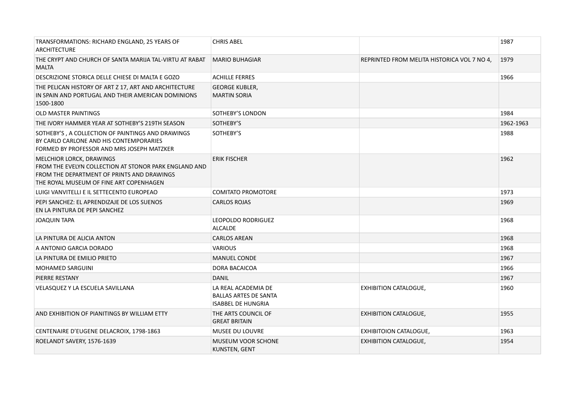| TRANSFORMATIONS: RICHARD ENGLAND, 25 YEARS OF<br><b>ARCHITECTURE</b>                                                                                                              | <b>CHRIS ABEL</b>                                                                |                                             | 1987      |
|-----------------------------------------------------------------------------------------------------------------------------------------------------------------------------------|----------------------------------------------------------------------------------|---------------------------------------------|-----------|
| THE CRYPT AND CHURCH OF SANTA MARIJA TAL-VIRTU AT RABAT<br><b>MALTA</b>                                                                                                           | <b>MARIO BUHAGIAR</b>                                                            | REPRINTED FROM MELITA HISTORICA VOL 7 NO 4, | 1979      |
| DESCRIZIONE STORICA DELLE CHIESE DI MALTA E GOZO                                                                                                                                  | <b>ACHILLE FERRES</b>                                                            |                                             | 1966      |
| THE PELICAN HISTORY OF ART Z 17, ART AND ARCHITECTURE<br>IN SPAIN AND PORTUGAL AND THEIR AMERICAN DOMINIONS<br>1500-1800                                                          | <b>GEORGE KUBLER,</b><br><b>MARTIN SORIA</b>                                     |                                             |           |
| OLD MASTER PAINTINGS                                                                                                                                                              | SOTHEBY'S LONDON                                                                 |                                             | 1984      |
| THE IVORY HAMMER YEAR AT SOTHEBY'S 219TH SEASON                                                                                                                                   | SOTHEBY'S                                                                        |                                             | 1962-1963 |
| SOTHEBY'S, A COLLECTION OF PAINTINGS AND DRAWINGS<br>BY CARLO CARLONE AND HIS CONTEMPORARIES<br>FORMED BY PROFESSOR AND MRS JOSEPH MATZKER                                        | SOTHEBY'S                                                                        |                                             | 1988      |
| <b>MELCHIOR LORCK, DRAWINGS</b><br>FROM THE EVELYN COLLECTION AT STONOR PARK ENGLAND AND<br>FROM THE DEPARTMENT OF PRINTS AND DRAWINGS<br>THE ROYAL MUSEUM OF FINE ART COPENHAGEN | <b>ERIK FISCHER</b>                                                              |                                             | 1962      |
| LUIGI VANVITELLI E IL SETTECENTO EUROPEAO                                                                                                                                         | <b>COMITATO PROMOTORE</b>                                                        |                                             | 1973      |
| PEPI SANCHEZ: EL APRENDIZAJE DE LOS SUENOS<br>EN LA PINTURA DE PEPI SANCHEZ                                                                                                       | <b>CARLOS ROJAS</b>                                                              |                                             | 1969      |
| JOAQUIN TAPA                                                                                                                                                                      | LEOPOLDO RODRIGUEZ<br><b>ALCALDE</b>                                             |                                             | 1968      |
| LA PINTURA DE ALICIA ANTON                                                                                                                                                        | <b>CARLOS AREAN</b>                                                              |                                             | 1968      |
| A ANTONIO GARCIA DORADO                                                                                                                                                           | <b>VARIOUS</b>                                                                   |                                             | 1968      |
| LA PINTURA DE EMILIO PRIETO                                                                                                                                                       | <b>MANUEL CONDE</b>                                                              |                                             | 1967      |
| <b>MOHAMED SARGUINI</b>                                                                                                                                                           | DORA BACAICOA                                                                    |                                             | 1966      |
| PIERRE RESTANY                                                                                                                                                                    | <b>DANIL</b>                                                                     |                                             | 1967      |
| VELASQUEZ Y LA ESCUELA SAVILLANA                                                                                                                                                  | LA REAL ACADEMIA DE<br><b>BALLAS ARTES DE SANTA</b><br><b>ISABBEL DE HUNGRIA</b> | <b>EXHIBITION CATALOGUE,</b>                | 1960      |
| AND EXHIBITION OF PIANITINGS BY WILLIAM ETTY                                                                                                                                      | THE ARTS COUNCIL OF<br><b>GREAT BRITAIN</b>                                      | <b>EXHIBITION CATALOGUE,</b>                | 1955      |
| CENTENAIRE D'EUGENE DELACROIX, 1798-1863                                                                                                                                          | <b>MUSEE DU LOUVRE</b>                                                           | <b>EXHIBITOION CATALOGUE,</b>               | 1963      |
| ROELANDT SAVERY, 1576-1639                                                                                                                                                        | MUSEUM VOOR SCHONE<br>KUNSTEN, GENT                                              | <b>EXHIBITION CATALOGUE,</b>                | 1954      |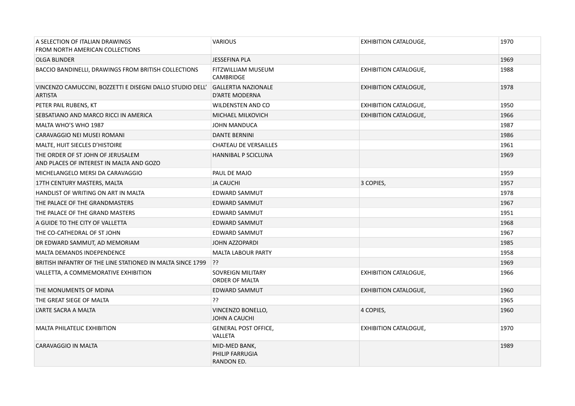| A SELECTION OF ITALIAN DRAWINGS<br>FROM NORTH AMERICAN COLLECTIONS            | <b>VARIOUS</b>                                 | <b>EXHIBITION CATALOUGE,</b> | 1970 |
|-------------------------------------------------------------------------------|------------------------------------------------|------------------------------|------|
| OLGA BLINDER                                                                  | <b>JESSEFINA PLA</b>                           |                              | 1969 |
| BACCIO BANDINELLI, DRAWINGS FROM BRITISH COLLECTIONS                          | FITZWILLIAM MUSEUM<br><b>CAMBRIDGE</b>         | <b>EXHIBITION CATALOGUE,</b> | 1988 |
| VINCENZO CAMUCCINI, BOZZETTI E DISEGNI DALLO STUDIO DELL'<br><b>ARTISTA</b>   | <b>GALLERTIA NAZIONALE</b><br>D'ARTE MODERNA   | <b>EXHIBITION CATALOGUE,</b> | 1978 |
| PETER PAIL RUBENS, KT                                                         | <b>WILDENSTEN AND CO</b>                       | <b>EXHIBITION CATALOGUE,</b> | 1950 |
| SEBSATIANO AND MARCO RICCI IN AMERICA                                         | MICHAEL MILKOVICH                              | <b>EXHIBITION CATALOGUE,</b> | 1966 |
| MALTA WHO'S WHO 1987                                                          | <b>JOHN MANDUCA</b>                            |                              | 1987 |
| CARAVAGGIO NEI MUSEI ROMANI                                                   | <b>DANTE BERNINI</b>                           |                              | 1986 |
| MALTE, HUIT SIECLES D'HISTOIRE                                                | <b>CHATEAU DE VERSAILLES</b>                   |                              | 1961 |
| THE ORDER OF ST JOHN OF JERUSALEM<br>AND PLACES OF INTEREST IN MALTA AND GOZO | <b>HANNIBAL P SCICLUNA</b>                     |                              | 1969 |
| MICHELANGELO MERSI DA CARAVAGGIO                                              | PAUL DE MAJO                                   |                              | 1959 |
| 17TH CENTURY MASTERS, MALTA                                                   | <b>JA CAUCHI</b>                               | 3 COPIES,                    | 1957 |
| HANDLIST OF WRITING ON ART IN MALTA                                           | EDWARD SAMMUT                                  |                              | 1978 |
| THE PALACE OF THE GRANDMASTERS                                                | EDWARD SAMMUT                                  |                              | 1967 |
| THE PALACE OF THE GRAND MASTERS                                               | <b>EDWARD SAMMUT</b>                           |                              | 1951 |
| A GUIDE TO THE CITY OF VALLETTA                                               | <b>EDWARD SAMMUT</b>                           |                              | 1968 |
| THE CO-CATHEDRAL OF ST JOHN                                                   | <b>EDWARD SAMMUT</b>                           |                              | 1967 |
| DR EDWARD SAMMUT, AD MEMORIAM                                                 | <b>JOHN AZZOPARDI</b>                          |                              | 1985 |
| <b>MALTA DEMANDS INDEPENDENCE</b>                                             | <b>MALTA LABOUR PARTY</b>                      |                              | 1958 |
| BRITISH INFANTRY OF THE LINE STATIONED IN MALTA SINCE 1799                    | ??                                             |                              | 1969 |
| VALLETTA, A COMMEMORATIVE EXHIBITION                                          | SOVREIGN MILITARY<br>ORDER OF MALTA            | <b>EXHIBITION CATALOGUE,</b> | 1966 |
| THE MONUMENTS OF MDINA                                                        | <b>EDWARD SAMMUT</b>                           | <b>EXHIBITION CATALOGUE,</b> | 1960 |
| THE GREAT SIEGE OF MALTA                                                      | ??                                             |                              | 1965 |
| L'ARTE SACRA A MALTA                                                          | VINCENZO BONELLO,<br>JOHN A CAUCHI             | 4 COPIES,                    | 1960 |
| MALTA PHILATELIC EXHIBITION                                                   | <b>GENERAL POST OFFICE,</b><br>VALLETA         | <b>EXHIBITION CATALOGUE,</b> | 1970 |
| CARAVAGGIO IN MALTA                                                           | MID-MED BANK,<br>PHILIP FARRUGIA<br>RANDON ED. |                              | 1989 |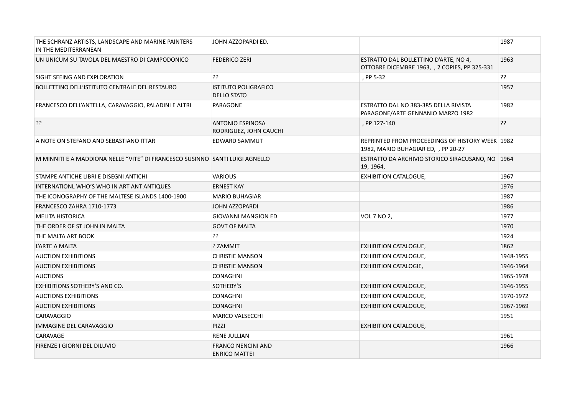| THE SCHRANZ ARTISTS, LANDSCAPE AND MARINE PAINTERS<br>IN THE MEDITERRANEAN   | JOHN AZZOPARDI ED.                                |                                                                                        | 1987      |
|------------------------------------------------------------------------------|---------------------------------------------------|----------------------------------------------------------------------------------------|-----------|
| UN UNICUM SU TAVOLA DEL MAESTRO DI CAMPODONICO                               | <b>FEDERICO ZERI</b>                              | ESTRATTO DAL BOLLETTINO D'ARTE, NO 4,<br>OTTOBRE DICEMBRE 1963, , 2 COPIES, PP 325-331 | 1963      |
| SIGHT SEEING AND EXPLORATION                                                 | ??                                                | , PP 5-32                                                                              | ??        |
| BOLLETTINO DELL'ISTITUTO CENTRALE DEL RESTAURO                               | <b>ISTITUTO POLIGRAFICO</b><br><b>DELLO STATO</b> |                                                                                        | 1957      |
| FRANCESCO DELL'ANTELLA, CARAVAGGIO, PALADINI E ALTRI                         | PARAGONE                                          | ESTRATTO DAL NO 383-385 DELLA RIVISTA<br>PARAGONE/ARTE GENNANIO MARZO 1982             | 1982      |
| ??                                                                           | <b>ANTONIO ESPINOSA</b><br>RODRIGUEZ, JOHN CAUCHI | , PP 127-140                                                                           | ??        |
| A NOTE ON STEFANO AND SEBASTIANO ITTAR                                       | EDWARD SAMMUT                                     | REPRINTED FROM PROCEEDINGS OF HISTORY WEEK 1982<br>1982, MARIO BUHAGIAR ED, , PP 20-27 |           |
| M MINNITI E A MADDIONA NELLE "VITE" DI FRANCESCO SUSINNO SANTI LUIGI AGNELLO |                                                   | ESTRATTO DA ARCHIVIO STORICO SIRACUSANO, NO 1964<br>19, 1964,                          |           |
| STAMPE ANTICHE LIBRI E DISEGNI ANTICHI                                       | <b>VARIOUS</b>                                    | <b>EXHIBITION CATALOGUE,</b>                                                           | 1967      |
| INTERNATIONL WHO'S WHO IN ART ANT ANTIQUES                                   | <b>ERNEST KAY</b>                                 |                                                                                        | 1976      |
| THE ICONOGRAPHY OF THE MALTESE ISLANDS 1400-1900                             | <b>MARIO BUHAGIAR</b>                             |                                                                                        | 1987      |
| FRANCESCO ZAHRA 1710-1773                                                    | <b>JOHN AZZOPARDI</b>                             |                                                                                        | 1986      |
| <b>MELITA HISTORICA</b>                                                      | <b>GIOVANNI MANGION ED</b>                        | VOL 7 NO 2,                                                                            | 1977      |
| THE ORDER OF ST JOHN IN MALTA                                                | <b>GOVT OF MALTA</b>                              |                                                                                        | 1970      |
| THE MALTA ART BOOK                                                           | ??                                                |                                                                                        | 1924      |
| L'ARTE A MALTA                                                               | ? ZAMMIT                                          | <b>EXHIBITION CATALOGUE,</b>                                                           | 1862      |
| <b>AUCTION EXHIBITIONS</b>                                                   | <b>CHRISTIE MANSON</b>                            | <b>EXHIBITION CATALOGUE,</b>                                                           | 1948-1955 |
| <b>AUCTION EXHIBITIONS</b>                                                   | <b>CHRISTIE MANSON</b>                            | <b>EXHIBITION CATALOGIE,</b>                                                           | 1946-1964 |
| <b>AUCTIONS</b>                                                              | <b>CONAGHNI</b>                                   |                                                                                        | 1965-1978 |
| EXHIBITIONS SOTHEBY'S AND CO.                                                | SOTHEBY'S                                         | <b>EXHIBITION CATALOGUE,</b>                                                           | 1946-1955 |
| <b>AUCTIONS EXHIBITIONS</b>                                                  | <b>CONAGHNI</b>                                   | <b>EXHIBITION CATALOGUE,</b>                                                           | 1970-1972 |
| <b>AUCTION EXHIBITIONS</b>                                                   | <b>CONAGHNI</b>                                   | <b>EXHIBITION CATALOGUE,</b>                                                           | 1967-1969 |
| <b>CARAVAGGIO</b>                                                            | <b>MARCO VALSECCHI</b>                            |                                                                                        | 1951      |
| <b>IMMAGINE DEL CARAVAGGIO</b>                                               | PIZZI                                             | <b>EXHIBITION CATALOGUE,</b>                                                           |           |
| CARAVAGE                                                                     | <b>RENE JULLIAN</b>                               |                                                                                        | 1961      |
| FIRENZE I GIORNI DEL DILUVIO                                                 | <b>FRANCO NENCINI AND</b><br><b>ENRICO MATTEI</b> |                                                                                        | 1966      |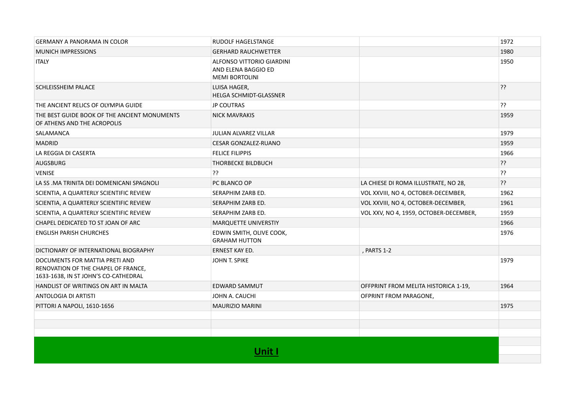| <b>GERMANY A PANORAMA IN COLOR</b>                                                                            | RUDOLF HAGELSTANGE                                                        |                                        | 1972 |
|---------------------------------------------------------------------------------------------------------------|---------------------------------------------------------------------------|----------------------------------------|------|
| <b>MUNICH IMPRESSIONS</b>                                                                                     | <b>GERHARD RAUCHWETTER</b>                                                |                                        | 1980 |
| <b>ITALY</b>                                                                                                  | ALFONSO VITTORIO GIARDINI<br>AND ELENA BAGGIO ED<br><b>MEMI BORTOLINI</b> |                                        | 1950 |
| <b>SCHLEISSHEIM PALACE</b>                                                                                    | LUISA HAGER,<br>HELGA SCHMIDT-GLASSNER                                    |                                        | ??   |
| THE ANCIENT RELICS OF OLYMPIA GUIDE                                                                           | <b>JP COUTRAS</b>                                                         |                                        | ??   |
| THE BEST GUIDE BOOK OF THE ANCIENT MONUMENTS<br>OF ATHENS AND THE ACROPOLIS                                   | <b>NICK MAVRAKIS</b>                                                      |                                        | 1959 |
| SALAMANCA                                                                                                     | <b>JULIAN ALVAREZ VILLAR</b>                                              |                                        | 1979 |
| <b>MADRID</b>                                                                                                 | <b>CESAR GONZALEZ-RUANO</b>                                               |                                        | 1959 |
| LA REGGIA DI CASERTA                                                                                          | <b>FELICE FILIPPIS</b>                                                    |                                        | 1966 |
| <b>AUGSBURG</b>                                                                                               | <b>THORBECKE BILDBUCH</b>                                                 |                                        | ??   |
| <b>VENISE</b>                                                                                                 | ??                                                                        |                                        | ??   |
| LA SS .MA TRINITA DEI DOMENICANI SPAGNOLI                                                                     | PC BLANCO OP                                                              | LA CHIESE DI ROMA ILLUSTRATE, NO 28,   | ??   |
| SCIENTIA, A QUARTERLY SCIENTIFIC REVIEW                                                                       | SERAPHIM ZARB ED.                                                         | VOL XXVIII, NO 4, OCTOBER-DECEMBER,    | 1962 |
| SCIENTIA, A QUARTERLY SCIENTIFIC REVIEW                                                                       | SERAPHIM ZARB ED.                                                         | VOL XXVIII, NO 4, OCTOBER-DECEMBER,    | 1961 |
| SCIENTIA, A QUARTERLY SCIENTIFIC REVIEW                                                                       | SERAPHIM ZARB ED.                                                         | VOL XXV, NO 4, 1959, OCTOBER-DECEMBER, | 1959 |
| CHAPEL DEDICATED TO ST JOAN OF ARC                                                                            | MARQUETTE UNIVERSTIY                                                      |                                        | 1966 |
| <b>ENGLISH PARISH CHURCHES</b>                                                                                | EDWIN SMITH, OLIVE COOK,<br><b>GRAHAM HUTTON</b>                          |                                        | 1976 |
| DICTIONARY OF INTERNATIONAL BIOGRAPHY                                                                         | ERNEST KAY ED.                                                            | , PARTS 1-2                            |      |
| DOCUMENTS FOR MATTIA PRETI AND<br>RENOVATION OF THE CHAPEL OF FRANCE,<br>1633-1638, IN ST JOHN'S CO-CATHEDRAL | JOHN T. SPIKE                                                             |                                        | 1979 |
| HANDLIST OF WRITINGS ON ART IN MALTA                                                                          | <b>EDWARD SAMMUT</b>                                                      | OFFPRINT FROM MELITA HISTORICA 1-19,   | 1964 |
| ANTOLOGIA DI ARTISTI                                                                                          | JOHN A. CAUCHI                                                            | OFPRINT FROM PARAGONE,                 |      |
| PITTORI A NAPOLI, 1610-1656                                                                                   | <b>MAURIZIO MARINI</b>                                                    |                                        | 1975 |
|                                                                                                               |                                                                           |                                        |      |
|                                                                                                               |                                                                           |                                        |      |
|                                                                                                               |                                                                           |                                        |      |
|                                                                                                               | Unit l                                                                    |                                        |      |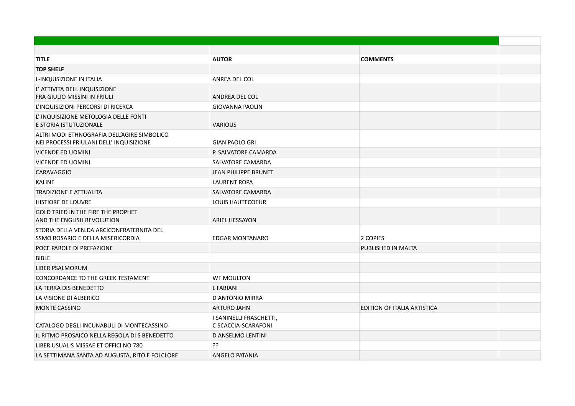| <b>TITLE</b>                                                                            | <b>AUTOR</b>                                   | <b>COMMENTS</b>             |  |
|-----------------------------------------------------------------------------------------|------------------------------------------------|-----------------------------|--|
| <b>TOP SHELF</b>                                                                        |                                                |                             |  |
| <b>L-INQUISIZIONE IN ITALIA</b>                                                         | ANREA DEL COL                                  |                             |  |
| L' ATTIVITA DELL INQUISIZIONE<br>FRA GIULIO MISSINI IN FRIULI                           | ANDREA DEL COL                                 |                             |  |
| L'INQUISIZIONI PERCORSI DI RICERCA                                                      | <b>GIOVANNA PAOLIN</b>                         |                             |  |
| L'INQUISIZIONE METOLOGIA DELLE FONTI<br>E STORIA ISTUTUZIONALE                          | <b>VARIOUS</b>                                 |                             |  |
| ALTRI MODI ETHNOGRAFIA DELL'AGIRE SIMBOLICO<br>NEI PROCESSI FRIULANI DELL' INQUISIZIONE | <b>GIAN PAOLO GRI</b>                          |                             |  |
| VICENDE ED UOMINI                                                                       | P. SALVATORE CAMARDA                           |                             |  |
| <b>VICENDE ED UOMINI</b>                                                                | SALVATORE CAMARDA                              |                             |  |
| CARAVAGGIO                                                                              | <b>JEAN PHILIPPE BRUNET</b>                    |                             |  |
| <b>KALINE</b>                                                                           | <b>LAURENT ROPA</b>                            |                             |  |
| <b>TRADIZIONE E ATTUALITA</b>                                                           | SALVATORE CAMARDA                              |                             |  |
| <b>HISTIORE DE LOUVRE</b>                                                               | <b>LOUIS HAUTECOEUR</b>                        |                             |  |
| <b>GOLD TRIED IN THE FIRE THE PROPHET</b><br>AND THE ENGLISH REVOLUTION                 | <b>ARIEL HESSAYON</b>                          |                             |  |
| STORIA DELLA VEN.DA ARCICONFRATERNITA DEL<br>SSMO ROSARIO E DELLA MISERICORDIA          | <b>EDGAR MONTANARO</b>                         | 2 COPIES                    |  |
| POCE PAROLE DI PREFAZIONE                                                               |                                                | PUBLISHED IN MALTA          |  |
| <b>BIBLE</b>                                                                            |                                                |                             |  |
| LIBER PSALMORUM                                                                         |                                                |                             |  |
| CONCORDANCE TO THE GREEK TESTAMENT                                                      | <b>WF MOULTON</b>                              |                             |  |
| LA TERRA DIS BENEDETTO                                                                  | <b>L FABIANI</b>                               |                             |  |
| LA VISIONE DI ALBERICO                                                                  | <b>D ANTONIO MIRRA</b>                         |                             |  |
| <b>MONTE CASSINO</b>                                                                    | <b>ARTURO JAHN</b>                             | EDITION OF ITALIA ARTISTICA |  |
| CATALOGO DEGLI INCUNABULI DI MONTECASSINO                                               | I SANINELLI FRASCHETTI,<br>C SCACCIA-SCARAFONI |                             |  |
| IL RITMO PROSAICO NELLA REGOLA DI S BENEDETTO                                           | D ANSELMO LENTINI                              |                             |  |
| LIBER USUALIS MISSAE ET OFFICI NO 780                                                   | ??                                             |                             |  |
| LA SETTIMANA SANTA AD AUGUSTA, RITO E FOLCLORE                                          | ANGELO PATANIA                                 |                             |  |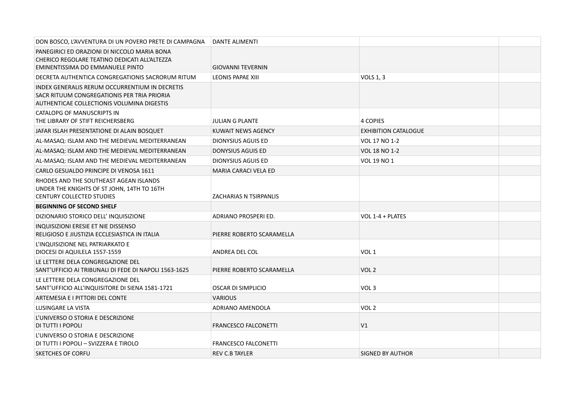| DON BOSCO, L'AVVENTURA DI UN POVERO PRETE DI CAMPAGNA DANTE ALIMENTI                                                                        |                               |                             |
|---------------------------------------------------------------------------------------------------------------------------------------------|-------------------------------|-----------------------------|
| PANEGIRICI ED ORAZIONI DI NICCOLO MARIA BONA<br>CHERICO REGOLARE TEATINO DEDICATI ALL'ALTEZZA<br>EMINENTISSIMA DO EMMANUELE PINTO           | GIOVANNI TEVERNIN             |                             |
| DECRETA AUTHENTICA CONGREGATIONIS SACRORUM RITUM                                                                                            | LEONIS PAPAE XIII             | <b>VOLS 1, 3</b>            |
| INDEX GENERALIS RERUM OCCURRENTIUM IN DECRETIS<br>SACR RITUUM CONGREGATIONIS PER TRIA PRIORIA<br>AUTHENTICAE COLLECTIONIS VOLUMINA DIGESTIS |                               |                             |
| CATALOPG OF MANUSCRIPTS IN<br>THE LIBRARY OF STIFT REICHERSBERG                                                                             | <b>JULIAN G PLANTE</b>        | <b>4 COPIES</b>             |
| JAFAR ISLAH PRESENTATIONE DI ALAIN BOSQUET                                                                                                  | KUWAIT NEWS AGENCY            | <b>EXHIBITION CATALOGUE</b> |
| AL-MASAQ: ISLAM AND THE MEDIEVAL MEDITERRANEAN                                                                                              | <b>DIONYSIUS AGUIS ED</b>     | VOL 17 NO 1-2               |
| AL-MASAQ: ISLAM AND THE MEDIEVAL MEDITERRANEAN                                                                                              | DONYSIUS AGUIS ED             | VOL 18 NO 1-2               |
| AL-MASAQ: ISLAM AND THE MEDIEVAL MEDITERRANEAN                                                                                              | DIONYSIUS AGUIS ED            | VOL 19 NO 1                 |
| CARLO GESUALDO PRINCIPE DI VENOSA 1611                                                                                                      | <b>MARIA CARACI VELA ED</b>   |                             |
| RHODES AND THE SOUTHEAST AGEAN ISLANDS<br>UNDER THE KNIGHTS OF ST JOHN, 14TH TO 16TH<br><b>CENTURY COLLECTED STUDIES</b>                    | <b>ZACHARIAS N TSIRPANLIS</b> |                             |
| <b>BEGINNING OF SECOND SHELF</b>                                                                                                            |                               |                             |
| DIZIONARIO STORICO DELL'INQUISIZIONE                                                                                                        | ADRIANO PROSPERI ED.          | VOL 1-4 + PLATES            |
| INQUISIZIONI ERESIE ET NIE DISSENSO<br>RELIGIOSO E JIUSTIZIA ECCLESIASTICA IN ITALIA                                                        | PIERRE ROBERTO SCARAMELLA     |                             |
| L'INQUISIZIONE NEL PATRIARKATO E<br>DIOCESI DI AQUILELA 1557-1559                                                                           | ANDREA DEL COL                | VOL <sub>1</sub>            |
| LE LETTERE DELA CONGREGAZIONE DEL<br>SANT'UFFICIO AI TRIBUNALI DI FEDE DI NAPOLI 1563-1625                                                  | PIERRE ROBERTO SCARAMELLA     | VOL <sub>2</sub>            |
| LE LETTERE DELA CONGREGAZIONE DEL<br>SANT'UFFICIO ALL'INQUISITORE DI SIENA 1581-1721                                                        | <b>OSCAR DI SIMPLICIO</b>     | VOL <sub>3</sub>            |
| ARTEMESIA E I PITTORI DEL CONTE                                                                                                             | <b>VARIOUS</b>                |                             |
| LUSINGARE LA VISTA                                                                                                                          | ADRIANO AMENDOLA              | VOL <sub>2</sub>            |
| L'UNIVERSO O STORIA E DESCRIZIONE<br>DI TUTTI I POPOLI                                                                                      | <b>FRANCESCO FALCONETTI</b>   | V1                          |
| L'UNIVERSO O STORIA E DESCRIZIONE<br>DI TUTTI I POPOLI - SVIZZERA E TIROLO                                                                  | <b>FRANCESCO FALCONETTI</b>   |                             |
| <b>SKETCHES OF CORFU</b>                                                                                                                    | <b>REV C.B TAYLER</b>         | SIGNED BY AUTHOR            |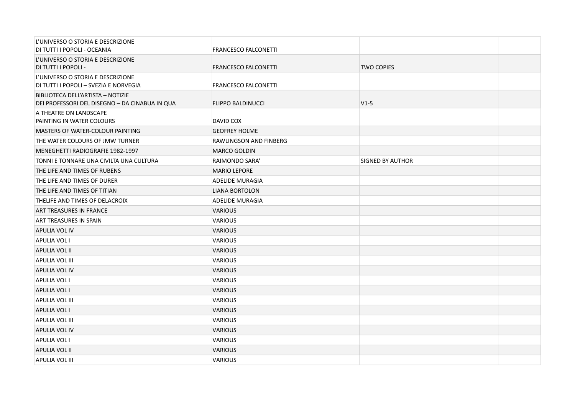| L'UNIVERSO O STORIA E DESCRIZIONE<br>DI TUTTI I POPOLI - OCEANIA                    | <b>FRANCESCO FALCONETTI</b> |                   |  |
|-------------------------------------------------------------------------------------|-----------------------------|-------------------|--|
| L'UNIVERSO O STORIA E DESCRIZIONE<br>DI TUTTI I POPOLI -                            | <b>FRANCESCO FALCONETTI</b> | <b>TWO COPIES</b> |  |
| L'UNIVERSO O STORIA E DESCRIZIONE<br>DI TUTTI I POPOLI - SVEZIA E NORVEGIA          | <b>FRANCESCO FALCONETTI</b> |                   |  |
| BIBLIOTECA DELL'ARTISTA - NOTIZIE<br>DEI PROFESSORI DEL DISEGNO - DA CINABUA IN QUA | <b>FLIPPO BALDINUCCI</b>    | $V1-5$            |  |
| A THEATRE ON LANDSCAPE<br>PAINTING IN WATER COLOURS                                 | DAVID COX                   |                   |  |
| MASTERS OF WATER-COLOUR PAINTING                                                    | <b>GEOFREY HOLME</b>        |                   |  |
| THE WATER COLOURS OF JMW TURNER                                                     | RAWLINGSON AND FINBERG      |                   |  |
| MENEGHETTI RADIOGRAFIE 1982-1997                                                    | <b>MARCO GOLDIN</b>         |                   |  |
| TONNI E TONNARE UNA CIVILTA UNA CULTURA                                             | RAIMONDO SARA'              | SIGNED BY AUTHOR  |  |
| THE LIFE AND TIMES OF RUBENS                                                        | <b>MARIO LEPORE</b>         |                   |  |
| THE LIFE AND TIMES OF DURER                                                         | <b>ADELIDE MURAGIA</b>      |                   |  |
| THE LIFE AND TIMES OF TITIAN                                                        | <b>LIANA BORTOLON</b>       |                   |  |
| THELIFE AND TIMES OF DELACROIX                                                      | <b>ADELIDE MURAGIA</b>      |                   |  |
| ART TREASURES IN FRANCE                                                             | <b>VARIOUS</b>              |                   |  |
| ART TREASURES IN SPAIN                                                              | <b>VARIOUS</b>              |                   |  |
| <b>APULIA VOL IV</b>                                                                | <b>VARIOUS</b>              |                   |  |
| <b>APULIA VOL I</b>                                                                 | <b>VARIOUS</b>              |                   |  |
| <b>APULIA VOL II</b>                                                                | <b>VARIOUS</b>              |                   |  |
| APULIA VOL III                                                                      | <b>VARIOUS</b>              |                   |  |
| <b>APULIA VOL IV</b>                                                                | <b>VARIOUS</b>              |                   |  |
| <b>APULIA VOL I</b>                                                                 | <b>VARIOUS</b>              |                   |  |
| <b>APULIA VOL I</b>                                                                 | <b>VARIOUS</b>              |                   |  |
| APULIA VOL III                                                                      | <b>VARIOUS</b>              |                   |  |
| <b>APULIA VOL I</b>                                                                 | <b>VARIOUS</b>              |                   |  |
| APULIA VOL III                                                                      | <b>VARIOUS</b>              |                   |  |
| APULIA VOL IV                                                                       | <b>VARIOUS</b>              |                   |  |
| APULIA VOL I                                                                        | <b>VARIOUS</b>              |                   |  |
| APULIA VOL II                                                                       | <b>VARIOUS</b>              |                   |  |
| APULIA VOL III                                                                      | <b>VARIOUS</b>              |                   |  |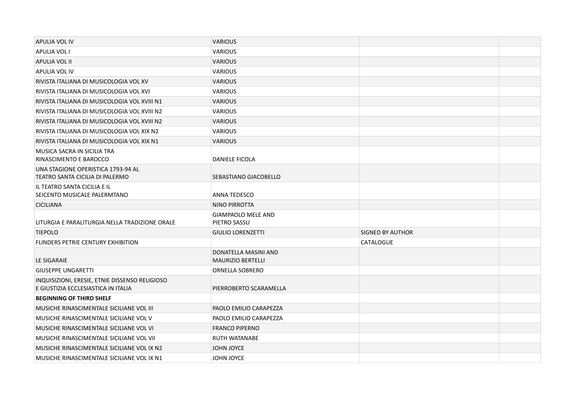| APULIA VOL IV                                                                         | <b>VARIOUS</b>                                   |                         |  |
|---------------------------------------------------------------------------------------|--------------------------------------------------|-------------------------|--|
| <b>APULIA VOL I</b>                                                                   | <b>VARIOUS</b>                                   |                         |  |
| <b>APULIA VOL II</b>                                                                  | <b>VARIOUS</b>                                   |                         |  |
| APULIA VOL IV                                                                         | <b>VARIOUS</b>                                   |                         |  |
| RIVISTA ITALIANA DI MUSICOLOGIA VOL XV                                                | <b>VARIOUS</b>                                   |                         |  |
| RIVISTA ITALIANA DI MUSICOLOGIA VOL XVI                                               | <b>VARIOUS</b>                                   |                         |  |
| RIVISTA ITALIANA DI MUSICOLOGIA VOL XVIII N1                                          | <b>VARIOUS</b>                                   |                         |  |
| RIVISTA ITALIANA DI MUSICOLOGIA VOL XVIII N2                                          | <b>VARIOUS</b>                                   |                         |  |
| RIVISTA ITALIANA DI MUSICOLOGIA VOL XVIII N2                                          | <b>VARIOUS</b>                                   |                         |  |
| RIVISTA ITALIANA DI MUSICOLOGIA VOL XIX N2                                            | <b>VARIOUS</b>                                   |                         |  |
| RIVISTA ITALIANA DI MUSICOLOGIA VOL XIX N1                                            | <b>VARIOUS</b>                                   |                         |  |
| MUSICA SACRA IN SICILIA TRA<br>RINASCIMENTO E BAROCCO                                 | <b>DANIELE FICOLA</b>                            |                         |  |
| UNA STAGIONE OPERISTICA 1793-94 AL<br>TEATRO SANTA CICILIA DI PALERMO                 | SEBASTIANO GIACOBELLO                            |                         |  |
| IL TEATRO SANTA CICILIA E IL<br>SEICENTO MUSICALE PALERMTANO                          | <b>ANNA TEDESCO</b>                              |                         |  |
| <b>CICILIANA</b>                                                                      | <b>NINO PIRROTTA</b>                             |                         |  |
| LITURGIA E PARALITURGIA NELLA TRADIZIONE ORALE                                        | <b>GIAMPAOLO MELE AND</b><br>PIETRO SASSU        |                         |  |
| <b>TIEPOLO</b>                                                                        | <b>GIULIO LORENZETTI</b>                         | <b>SIGNED BY AUTHOR</b> |  |
| FLINDERS PETRIE CENTURY EXHIBITION                                                    |                                                  | CATALOGUE               |  |
| LE SIGARAIE                                                                           | DONATELLA MASINI AND<br><b>MAURIZIO BERTELLI</b> |                         |  |
| <b>GIUSEPPE UNGARETTI</b>                                                             | <b>ORNELLA SOBRERO</b>                           |                         |  |
| INQUISIZIONI, ERESIE, ETNIE DISSENSO RELIGIOSO<br>E GIUSTIZIA ECCLESIASTICA IN ITALIA | PIERROBERTO SCARAMELLA                           |                         |  |
| <b>BEGINNING OF THIRD SHELF</b>                                                       |                                                  |                         |  |
| MUSICHE RINASCIMENTALE SICILIANE VOL III                                              | PAOLO EMILIO CARAPEZZA                           |                         |  |
| MUSICHE RINASCIMENTALE SICILIANE VOL V                                                | PAOLO EMILIO CARAPEZZA                           |                         |  |
| MUSICHE RINASCIMENTALE SICILIANE VOL VI                                               | <b>FRANCO PIPERNO</b>                            |                         |  |
| MUSICHE RINASCIMENTALE SICILIANE VOL VII                                              | RUTH WATANABE                                    |                         |  |
| MUSICHE RINASCIMENTALE SICILIANE VOL IX N2                                            | JOHN JOYCE                                       |                         |  |
| MUSICHE RINASCIMENTALE SICILIANE VOL IX N1                                            | JOHN JOYCE                                       |                         |  |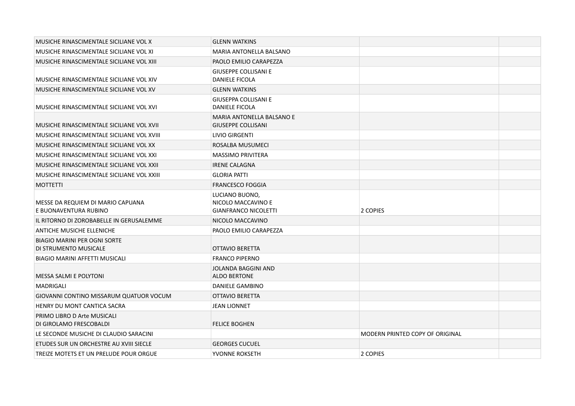| MUSICHE RINASCIMENTALE SICILIANE VOL X                       | <b>GLENN WATKINS</b>                                                |                                 |  |
|--------------------------------------------------------------|---------------------------------------------------------------------|---------------------------------|--|
| MUSICHE RINASCIMENTALE SICILIANE VOL XI                      | <b>MARIA ANTONELLA BALSANO</b>                                      |                                 |  |
| MUSICHE RINASCIMENTALE SICILIANE VOL XIII                    | PAOLO EMILIO CARAPEZZA                                              |                                 |  |
| MUSICHE RINASCIMENTALE SICILIANE VOL XIV                     | <b>GIUSEPPE COLLISANI E</b><br><b>DANIELE FICOLA</b>                |                                 |  |
| MUSICHE RINASCIMENTALE SICILIANE VOL XV                      | <b>GLENN WATKINS</b>                                                |                                 |  |
| MUSICHE RINASCIMENTALE SICILIANE VOL XVI                     | <b>GIUSEPPA COLLISANI E</b><br><b>DANIELE FICOLA</b>                |                                 |  |
| MUSICHE RINASCIMENTALE SICILIANE VOL XVII                    | <b>MARIA ANTONELLA BALSANO E</b><br><b>GIUSEPPE COLLISANI</b>       |                                 |  |
| MUSICHE RINASCIMENTALE SICILIANE VOL XVIII                   | LIVIO GIRGENTI                                                      |                                 |  |
| MUSICHE RINASCIMENTALE SICILIANE VOL XX                      | ROSALBA MUSUMECI                                                    |                                 |  |
| MUSICHE RINASCIMENTALE SICILIANE VOL XXI                     | <b>MASSIMO PRIVITERA</b>                                            |                                 |  |
| MUSICHE RINASCIMENTALE SICILIANE VOL XXII                    | <b>IRENE CALAGNA</b>                                                |                                 |  |
| MUSICHE RINASCIMENTALE SICILIANE VOL XXIII                   | <b>GLORIA PATTI</b>                                                 |                                 |  |
| <b>MOTTETTI</b>                                              | <b>FRANCESCO FOGGIA</b>                                             |                                 |  |
| MESSE DA REQUIEM DI MARIO CAPUANA<br>E BUONAVENTURA RUBINO   | LUCIANO BUONO,<br>NICOLO MACCAVINO E<br><b>GIANFRANCO NICOLETTI</b> | 2 COPIES                        |  |
| IL RITORNO DI ZOROBABELLE IN GERUSALEMME                     | NICOLO MACCAVINO                                                    |                                 |  |
| ANTICHE MUSICHE ELLENICHE                                    | PAOLO EMILIO CARAPEZZA                                              |                                 |  |
| <b>BIAGIO MARINI PER OGNI SORTE</b><br>DI STRUMENTO MUSICALE | OTTAVIO BERETTA                                                     |                                 |  |
| <b>BIAGIO MARINI AFFETTI MUSICALI</b>                        | <b>FRANCO PIPERNO</b>                                               |                                 |  |
| <b>MESSA SALMI E POLYTONI</b>                                | <b>JOLANDA BAGGINI AND</b><br><b>ALDO BERTONE</b>                   |                                 |  |
| <b>MADRIGALI</b>                                             | DANIELE GAMBINO                                                     |                                 |  |
| GIOVANNI CONTINO MISSARUM QUATUOR VOCUM                      | OTTAVIO BERETTA                                                     |                                 |  |
| HENRY DU MONT CANTICA SACRA                                  | <b>JEAN LIONNET</b>                                                 |                                 |  |
| PRIMO LIBRO D Arte MUSICALI<br>DI GIROLAMO FRESCOBALDI       | <b>FELICE BOGHEN</b>                                                |                                 |  |
| LE SECONDE MUSICHE DI CLAUDIO SARACINI                       |                                                                     | MODERN PRINTED COPY OF ORIGINAL |  |
| ETUDES SUR UN ORCHESTRE AU XVIII SIECLE                      | <b>GEORGES CUCUEL</b>                                               |                                 |  |
| TREIZE MOTETS ET UN PRELUDE POUR ORGUE                       | YVONNE ROKSETH                                                      | 2 COPIES                        |  |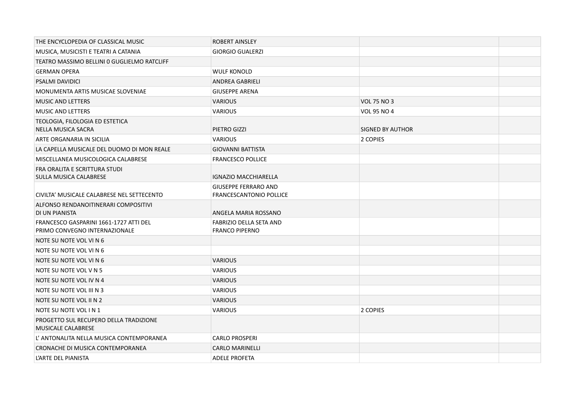| THE ENCYCLOPEDIA OF CLASSICAL MUSIC                                     | <b>ROBERT AINSLEY</b>                                         |                         |  |
|-------------------------------------------------------------------------|---------------------------------------------------------------|-------------------------|--|
| MUSICA, MUSICISTI E TEATRI A CATANIA                                    | <b>GIORGIO GUALERZI</b>                                       |                         |  |
| TEATRO MASSIMO BELLINI O GUGLIELMO RATCLIFF                             |                                                               |                         |  |
| <b>GERMAN OPERA</b>                                                     | <b>WULF KONOLD</b>                                            |                         |  |
| <b>PSALMI DAVIDICI</b>                                                  | <b>ANDREA GABRIELI</b>                                        |                         |  |
| MONUMENTA ARTIS MUSICAE SLOVENIAE                                       | <b>GIUSEPPE ARENA</b>                                         |                         |  |
| <b>MUSIC AND LETTERS</b>                                                | <b>VARIOUS</b>                                                | <b>VOL 75 NO 3</b>      |  |
| <b>MUSIC AND LETTERS</b>                                                | <b>VARIOUS</b>                                                | VOL 95 NO 4             |  |
| TEOLOGIA, FILOLOGIA ED ESTETICA<br>NELLA MUSICA SACRA                   | PIETRO GIZZI                                                  | <b>SIGNED BY AUTHOR</b> |  |
| ARTE ORGANARIA IN SICILIA                                               | <b>VARIOUS</b>                                                | 2 COPIES                |  |
| LA CAPELLA MUSICALE DEL DUOMO DI MON REALE                              | <b>GIOVANNI BATTISTA</b>                                      |                         |  |
| MISCELLANEA MUSICOLOGICA CALABRESE                                      | <b>FRANCESCO POLLICE</b>                                      |                         |  |
| FRA ORALITA E SCRITTURA STUDI<br>SULLA MUSICA CALABRESE                 | <b>IGNAZIO MACCHIARELLA</b>                                   |                         |  |
| CIVILTA' MUSICALE CALABRESE NEL SETTECENTO                              | <b>GIUSEPPE FERRARO AND</b><br><b>FRANCESCANTONIO POLLICE</b> |                         |  |
| ALFONSO RENDANOITINERARI COMPOSITIVI<br>DI UN PIANISTA                  | ANGELA MARIA ROSSANO                                          |                         |  |
| FRANCESCO GASPARINI 1661-1727 ATTI DEL<br>PRIMO CONVEGNO INTERNAZIONALE | FABRIZIO DELLA SETA AND<br><b>FRANCO PIPERNO</b>              |                         |  |
| NOTE SU NOTE VOL VI N 6                                                 |                                                               |                         |  |
| NOTE SU NOTE VOL VI N 6                                                 |                                                               |                         |  |
| NOTE SU NOTE VOL VI N 6                                                 | <b>VARIOUS</b>                                                |                         |  |
| NOTE SU NOTE VOL V N 5                                                  | <b>VARIOUS</b>                                                |                         |  |
| NOTE SU NOTE VOL IV N 4                                                 | <b>VARIOUS</b>                                                |                         |  |
| NOTE SU NOTE VOL III N 3                                                | <b>VARIOUS</b>                                                |                         |  |
| NOTE SU NOTE VOL II N 2                                                 | <b>VARIOUS</b>                                                |                         |  |
| NOTE SU NOTE VOL IN 1                                                   | <b>VARIOUS</b>                                                | 2 COPIES                |  |
| PROGETTO SUL RECUPERO DELLA TRADIZIONE<br><b>MUSICALE CALABRESE</b>     |                                                               |                         |  |
| L' ANTONALITA NELLA MUSICA CONTEMPORANEA                                | <b>CARLO PROSPERI</b>                                         |                         |  |
| CRONACHE DI MUSICA CONTEMPORANEA                                        | <b>CARLO MARINELLI</b>                                        |                         |  |
| L'ARTE DEL PIANISTA                                                     | <b>ADELE PROFETA</b>                                          |                         |  |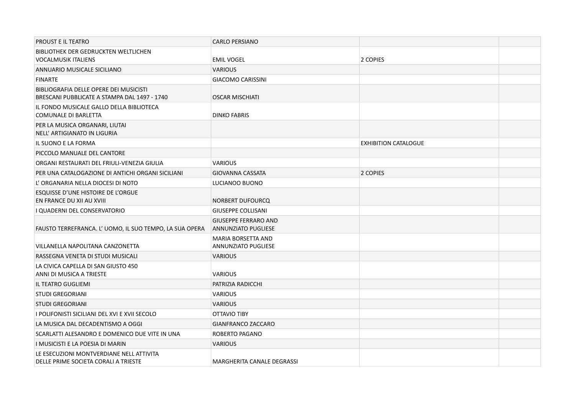| PROUST E IL TEATRO                                                                     | <b>CARLO PERSIANO</b>                                     |                             |  |
|----------------------------------------------------------------------------------------|-----------------------------------------------------------|-----------------------------|--|
| <b>BIBLIOTHEK DER GEDRUCKTEN WELTLICHEN</b><br><b>VOCALMUSIK ITALIENS</b>              | <b>EMIL VOGEL</b>                                         | 2 COPIES                    |  |
| ANNUARIO MUSICALE SICILIANO                                                            | <b>VARIOUS</b>                                            |                             |  |
| <b>FINARTE</b>                                                                         | <b>GIACOMO CARISSINI</b>                                  |                             |  |
| BIBLIOGRAFIA DELLE OPERE DEI MUSICISTI<br>BRESCANI PUBBLICATE A STAMPA DAL 1497 - 1740 | <b>OSCAR MISCHIATI</b>                                    |                             |  |
| IL FONDO MUSICALE GALLO DELLA BIBLIOTECA<br><b>COMUNALE DI BARLETTA</b>                | <b>DINKO FABRIS</b>                                       |                             |  |
| PER LA MUSICA ORGANARI, LIUTAI<br>NELL' ARTIGIANATO IN LIGURIA                         |                                                           |                             |  |
| IL SUONO E LA FORMA                                                                    |                                                           | <b>EXHIBITION CATALOGUE</b> |  |
| PICCOLO MANUALE DEL CANTORE                                                            |                                                           |                             |  |
| ORGANI RESTAURATI DEL FRIULI-VENEZIA GIULIA                                            | <b>VARIOUS</b>                                            |                             |  |
| PER UNA CATALOGAZIONE DI ANTICHI ORGANI SICILIANI                                      | <b>GIOVANNA CASSATA</b>                                   | 2 COPIES                    |  |
| L'ORGANARIA NELLA DIOCESI DI NOTO                                                      | LUCIANOO BUONO                                            |                             |  |
| ESQUISSE D'UNE HISTOIRE DE L'ORGUE<br>EN FRANCE DU XII AU XVIII                        | NORBERT DUFOURCQ                                          |                             |  |
| I QUADERNI DEL CONSERVATORIO                                                           | <b>GIUSEPPE COLLISANI</b>                                 |                             |  |
| FAUSTO TERREFRANCA. L' UOMO, IL SUO TEMPO, LA SUA OPERA                                | <b>GIUSEPPE FERRARO AND</b><br><b>ANNUNZIATO PUGLIESE</b> |                             |  |
| VILLANELLA NAPOLITANA CANZONETTA                                                       | MARIA BORSETTA AND<br><b>ANNUNZIATO PUGLIESE</b>          |                             |  |
| RASSEGNA VENETA DI STUDI MUSICALI                                                      | <b>VARIOUS</b>                                            |                             |  |
| LA CIVICA CAPELLA DI SAN GIUSTO 450<br>ANNI DI MUSICA A TRIESTE                        | <b>VARIOUS</b>                                            |                             |  |
| IL TEATRO GUGLIEMI                                                                     | PATRIZIA RADICCHI                                         |                             |  |
| <b>STUDI GREGORIANI</b>                                                                | <b>VARIOUS</b>                                            |                             |  |
| <b>STUDI GREGORIANI</b>                                                                | <b>VARIOUS</b>                                            |                             |  |
| I POLIFONISTI SICILIANI DEL XVI E XVII SECOLO                                          | OTTAVIO TIBY                                              |                             |  |
| LA MUSICA DAL DECADENTISMO A OGGI                                                      | GIANFRANCO ZACCARO                                        |                             |  |
| SCARLATTI ALESANDRO E DOMENICO DUE VITE IN UNA                                         | <b>ROBERTO PAGANO</b>                                     |                             |  |
| I MUSICISTI E LA POESIA DI MARIN                                                       | <b>VARIOUS</b>                                            |                             |  |
| LE ESECUZIONI MONTVERDIANE NELL ATTIVITA<br>DELLE PRIME SOCIETA CORALI A TRIESTE       | MARGHERITA CANALE DEGRASSI                                |                             |  |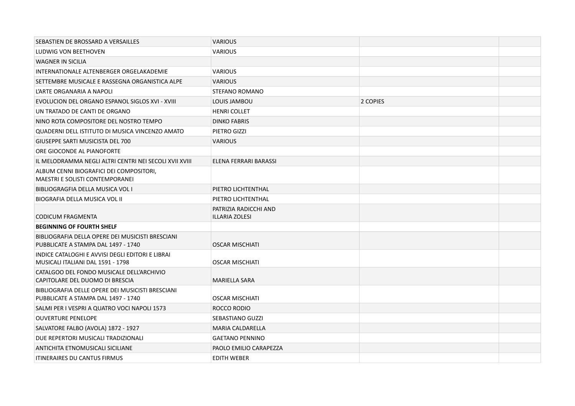| SEBASTIEN DE BROSSARD A VERSAILLES                                                      | <b>VARIOUS</b>          |          |  |
|-----------------------------------------------------------------------------------------|-------------------------|----------|--|
| LUDWIG VON BEETHOVEN                                                                    | <b>VARIOUS</b>          |          |  |
| <b>WAGNER IN SICILIA</b>                                                                |                         |          |  |
| INTERNATIONALE ALTENBERGER ORGELAKADEMIE                                                | <b>VARIOUS</b>          |          |  |
| SETTEMBRE MUSICALE E RASSEGNA ORGANISTICA ALPE                                          | <b>VARIOUS</b>          |          |  |
| L'ARTE ORGANARIA A NAPOLI                                                               | STEFANO ROMANO          |          |  |
| EVOLUCION DEL ORGANO ESPANOL SIGLOS XVI - XVIII                                         | LOUIS JAMBOU            | 2 COPIES |  |
| UN TRATADO DE CANTI DE ORGANO                                                           | <b>HENRI COLLET</b>     |          |  |
| NINO ROTA COMPOSITORE DEL NOSTRO TEMPO                                                  | <b>DINKO FABRIS</b>     |          |  |
| QUADERNI DELL ISTITUTO DI MUSICA VINCENZO AMATO                                         | PIETRO GIZZI            |          |  |
| GIUSEPPE SARTI MUSICISTA DEL 700                                                        | <b>VARIOUS</b>          |          |  |
| ORE GIOCONDE AL PIANOFORTE                                                              |                         |          |  |
| IL MELODRAMMA NEGLI ALTRI CENTRI NEI SECOLI XVII XVIII                                  | ELENA FERRARI BARASSI   |          |  |
| ALBUM CENNI BIOGRAFICI DEI COMPOSITORI,<br>MAESTRI E SOLISTI CONTEMPORANEI              |                         |          |  |
| BIBLIOGRAGFIA DELLA MUSICA VOL I                                                        | PIETRO LICHTENTHAL      |          |  |
| BIOGRAFIA DELLA MUSICA VOL II                                                           | PIETRO LICHTENTHAL      |          |  |
|                                                                                         | PATRIZIA RADICCHI AND   |          |  |
| <b>CODICUM FRAGMENTA</b>                                                                | ILLARIA ZOLESI          |          |  |
| <b>BEGINNING OF FOURTH SHELF</b>                                                        |                         |          |  |
| BIBLIOGRAFIA DELLA OPERE DEI MUSICISTI BRESCIANI<br>PUBBLICATE A STAMPA DAL 1497 - 1740 | <b>OSCAR MISCHIATI</b>  |          |  |
| INDICE CATALOGHI E AVVISI DEGLI EDITORI E LIBRAI<br>MUSICALI ITALIANI DAL 1591 - 1798   | <b>OSCAR MISCHIATI</b>  |          |  |
| CATALGOO DEL FONDO MUSICALE DELL'ARCHIVIO<br>CAPITOLARE DEL DUOMO DI BRESCIA            | <b>MARIELLA SARA</b>    |          |  |
| BIBLIOGRAFIA DELLE OPERE DEI MUSICISTI BRESCIANI<br>PUBBLICATE A STAMPA DAL 1497 - 1740 | <b>OSCAR MISCHIATI</b>  |          |  |
| SALMI PER I VESPRI A QUATRO VOCI NAPOLI 1573                                            | ROCCO RODIO             |          |  |
| <b>OUVERTURE PENELOPE</b>                                                               | <b>SEBASTIANO GUZZI</b> |          |  |
| SALVATORE FALBO (AVOLA) 1872 - 1927                                                     | <b>MARIA CALDARELLA</b> |          |  |
| DUE REPERTORI MUSICALI TRADIZIONALI                                                     | <b>GAETANO PENNINO</b>  |          |  |
| ANTICHITA ETNOMUSICALI SICILIANE                                                        | PAOLO EMILIO CARAPEZZA  |          |  |
| <b>ITINERAIRES DU CANTUS FIRMUS</b>                                                     | <b>EDITH WEBER</b>      |          |  |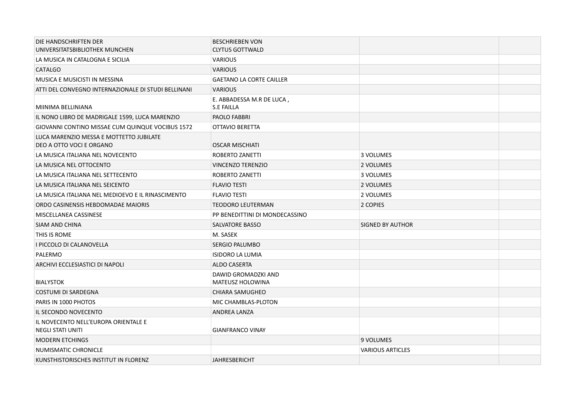| DIE HANDSCHRIFTEN DER<br>UNIVERSITATSBIBLIOTHEK MUNCHEN             | <b>BESCHRIEBEN VON</b><br><b>CLYTUS GOTTWALD</b> |                         |  |
|---------------------------------------------------------------------|--------------------------------------------------|-------------------------|--|
| LA MUSICA IN CATALOGNA E SICILIA                                    | <b>VARIOUS</b>                                   |                         |  |
| <b>CATALGO</b>                                                      | <b>VARIOUS</b>                                   |                         |  |
| MUSICA E MUSICISTI IN MESSINA                                       | <b>GAETANO LA CORTE CAILLER</b>                  |                         |  |
| ATTI DEL CONVEGNO INTERNAZIONALE DI STUDI BELLINANI                 | <b>VARIOUS</b>                                   |                         |  |
| MIINIMA BELLINIANA                                                  | E. ABBADESSA M.R DE LUCA,<br>S.E FAILLA          |                         |  |
| IL NONO LIBRO DE MADRIGALE 1599, LUCA MARENZIO                      | PAOLO FABBRI                                     |                         |  |
| GIOVANNI CONTINO MISSAE CUM QUINQUE VOCIBUS 1572                    | <b>OTTAVIO BERETTA</b>                           |                         |  |
| LUCA MARENZIO MESSA E MOTTETTO JUBILATE<br>DEO A OTTO VOCI E ORGANO | <b>OSCAR MISCHIATI</b>                           |                         |  |
| LA MUSICA ITALIANA NEL NOVECENTO                                    | ROBERTO ZANETTI                                  | 3 VOLUMES               |  |
| LA MUSICA NEL OTTOCENTO                                             | VINCENZO TERENZIO                                | 2 VOLUMES               |  |
| LA MUSICA ITALIANA NEL SETTECENTO                                   | <b>ROBERTO ZANETTI</b>                           | 3 VOLUMES               |  |
| LA MUSICA ITALIANA NEL SEICENTO                                     | <b>FLAVIO TESTI</b>                              | 2 VOLUMES               |  |
| LA MUSICA ITALIANA NEL MEDIOEVO E IL RINASCIMENTO                   | <b>FLAVIO TESTI</b>                              | 2 VOLUMES               |  |
| ORDO CASINENSIS HEBDOMADAE MAIORIS                                  | <b>TEODORO LEUTERMAN</b>                         | 2 COPIES                |  |
| MISCELLANEA CASSINESE                                               | PP BENEDITTINI DI MONDECASSINO                   |                         |  |
| SIAM AND CHINA                                                      | SALVATORE BASSO                                  | SIGNED BY AUTHOR        |  |
| THIS IS ROME                                                        | M. SASEK                                         |                         |  |
| I PICCOLO DI CALANOVELLA                                            | <b>SERGIO PALUMBO</b>                            |                         |  |
| PALERMO                                                             | <b>ISIDORO LA LUMIA</b>                          |                         |  |
| ARCHIVI ECCLESIASTICI DI NAPOLI                                     | <b>ALDO CASERTA</b>                              |                         |  |
| <b>BIALYSTOK</b>                                                    | DAWID GROMADZKI AND<br><b>MATEUSZ HOLOWINA</b>   |                         |  |
| COSTUMI DI SARDEGNA                                                 | <b>CHIARA SAMUGHEO</b>                           |                         |  |
| PARIS IN 1000 PHOTOS                                                | MIC CHAMBLAS-PLOTON                              |                         |  |
| IL SECONDO NOVECENTO                                                | ANDREA LANZA                                     |                         |  |
| IL NOVECENTO NELL'EUROPA ORIENTALE E<br><b>NEGLI STATI UNITI</b>    | <b>GIANFRANCO VINAY</b>                          |                         |  |
| <b>MODERN ETCHINGS</b>                                              |                                                  | 9 VOLUMES               |  |
| NUMISMATIC CHRONICLE                                                |                                                  | <b>VARIOUS ARTICLES</b> |  |
| KUNSTHISTORISCHES INSTITUT IN FLORENZ                               | <b>JAHRESBERICHT</b>                             |                         |  |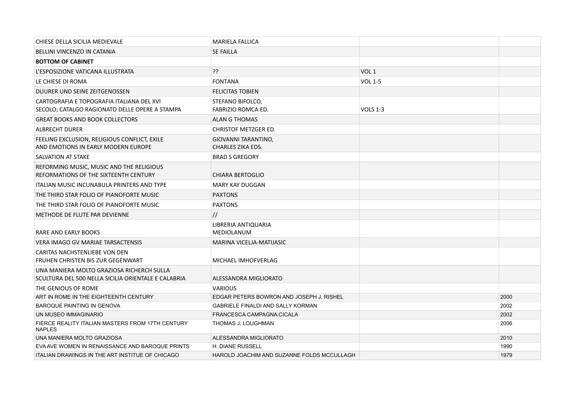| CHIESE DELLA SICILIA MEDIEVALE                                                                   | <b>MARIELA FALLICA</b>                          |                  |      |
|--------------------------------------------------------------------------------------------------|-------------------------------------------------|------------------|------|
| BELLINI VINCENZO IN CATANIA                                                                      | <b>SE FAILLA</b>                                |                  |      |
| <b>BOTTOM OF CABINET</b>                                                                         |                                                 |                  |      |
| L'ESPOSIZIONE VATICANA ILLUSTRATA                                                                | ??                                              | VOL <sub>1</sub> |      |
| LE CHIESE DI ROMA                                                                                | <b>FONTANA</b>                                  | <b>VOL 1-5</b>   |      |
| DUURER UND SEINE ZEITGENOSSEN                                                                    | <b>FELICITAS TOBIEN</b>                         |                  |      |
| CARTOGRAFIA E TOPOGRAFIA ITALIANA DEL XVI<br>SECOLO; CATALGO RAGIONATO DELLE OPERE A STAMPA      | STEFANO BIFOLCO,<br>FABRIZIO ROMCA ED.          | <b>VOLS 1-3</b>  |      |
| <b>GREAT BOOKS AND BOOK COLLECTORS</b>                                                           | <b>ALAN G THOMAS</b>                            |                  |      |
| <b>ALBRECHT DURER</b>                                                                            | <b>CHRISTOF METZGER ED.</b>                     |                  |      |
| FEELING EXCLUSION, RELIGIOUS CONFLICT, EXILE<br>AND EMOTIONS IN EARLY MODERN EUROPE              | GIOVANNI TARANTINO,<br><b>CHARLES ZIKA EDS.</b> |                  |      |
| SALVATION AT STAKE                                                                               | <b>BRAD S GREGORY</b>                           |                  |      |
| REFORMING MUSIC, MUSIC AND THE RELIGIOUS<br>REFORMATIONS OF THE SIXTEENTH CENTURY                | <b>CHIARA BERTOGLIO</b>                         |                  |      |
| <b>ITALIAN MUSIC INCUNABULA PRINTERS AND TYPE</b>                                                | <b>MARY KAY DUGGAN</b>                          |                  |      |
| THE THIRD STAR FOLIO OF PIANOFORTE MUSIC                                                         | <b>PAXTONS</b>                                  |                  |      |
| THE THIRD STAR FOLIO OF PIANOFORTE MUSIC                                                         | <b>PAXTONS</b>                                  |                  |      |
| METHODE DE FLUTE PAR DEVIENNE                                                                    | $\frac{1}{2}$                                   |                  |      |
| RARE AND EARLY BOOKS                                                                             | LIBRERIA ANTIQUARIA<br><b>MEDIOLANUM</b>        |                  |      |
| VERA IMAGO GV MARIAE TARSACTENSIS                                                                | <b>MARINA VICELIA-MATIJASIC</b>                 |                  |      |
| CARITAS NACHSTENLIEBE VON DEN<br>FRUHEN CHRISTEN BIS ZUR GEGENWART                               | MICHAEL IMHOFVERLAG                             |                  |      |
| UNA MANIERA MOLTO GRAZIOSA RICHERCH SULLA<br>SCULTURA DEL 500 NELLA SICILIA ORIENTALE E CALABRIA | ALESSANDRA MIGLIORATO                           |                  |      |
| THE GENIOUS OF ROME                                                                              | <b>VARIOUS</b>                                  |                  |      |
| ART IN ROME IN THE EIGHTEENTH CENTURY                                                            | EDGAR PETERS BOWRON AND JOSEPH J. RISHEL        |                  | 2000 |
| <b>BAROQUE PAINTING IN GENOVA</b>                                                                | <b>GABRIELE FINALDI AND SALLY KORMAN</b>        |                  | 2002 |
| UN MUSEO IMMAGINARIO                                                                             | FRANCESCA CAMPAGNA CICALA                       |                  | 2002 |
| FIERCE REALITY ITALIAN MASTERS FROM 17TH CENTURY<br><b>NAPLES</b>                                | THOMAS J. LOUGHMAN                              |                  | 2006 |
| UNA MANIERA MOLTO GRAZIOSA                                                                       | ALESSANDRA MIGLIORATO                           |                  | 2010 |
| EVA AVE WOMEN IN RENAISSANCE AND BAROQUE PRINTS                                                  | <b>H. DIANE RUSSELL</b>                         |                  | 1990 |
| ITALIAN DRAWINGS IN THE ART INSTITUE OF CHICAGO                                                  | HAROLD JOACHIM AND SUZANNE FOLDS MCCULLAGH      |                  | 1979 |